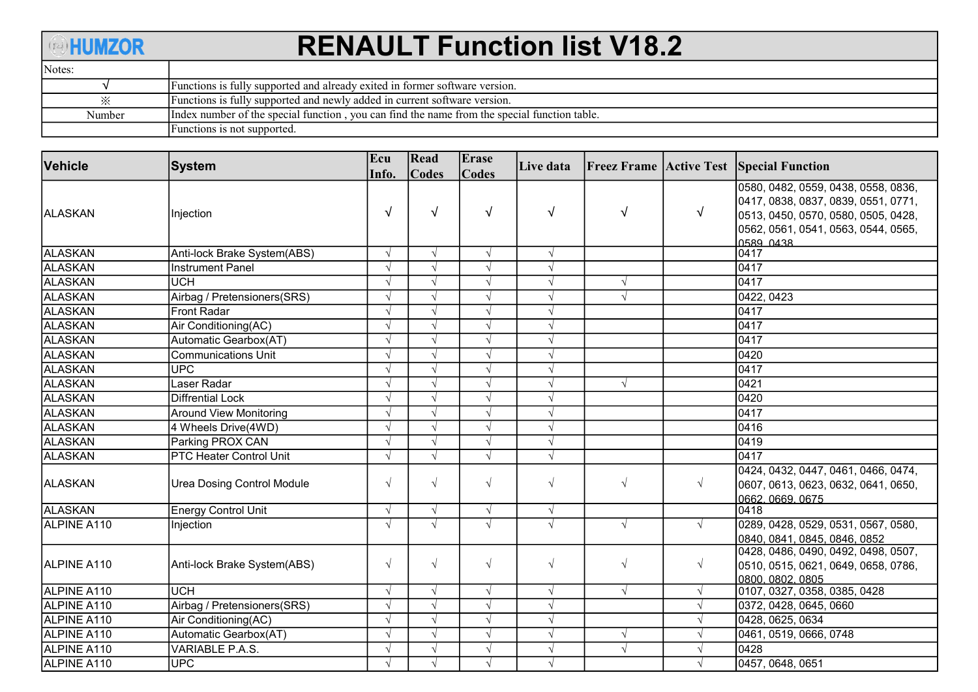## **ANUMZOR**

## RENAULT Function list V18.2

| Notes:    |                                                                                              |
|-----------|----------------------------------------------------------------------------------------------|
|           | Functions is fully supported and already exited in former software version.                  |
| $\cdot$ . | Functions is fully supported and newly added in current software version.                    |
| Number    | Index number of the special function, you can find the name from the special function table. |
|           | Functions is not supported.                                                                  |

| Vehicle            | <b>System</b>                     | Ecu        | Read         | Erase      | Live data  |            |            | <b>Freez Frame Active Test Special Function</b>       |
|--------------------|-----------------------------------|------------|--------------|------------|------------|------------|------------|-------------------------------------------------------|
|                    |                                   | Info.      | <b>Codes</b> | Codes      |            |            |            | 0580, 0482, 0559, 0438, 0558, 0836,                   |
|                    |                                   |            |              |            |            |            |            | 0417, 0838, 0837, 0839, 0551, 0771,                   |
| ALASKAN            | Injection                         | $\sqrt{ }$ | $\sqrt{ }$   | $\sqrt{ }$ | $\sqrt{ }$ | $\sqrt{ }$ | $\sqrt{ }$ | 0513, 0450, 0570, 0580, 0505, 0428,                   |
|                    |                                   |            |              |            |            |            |            | 0562, 0561, 0541, 0563, 0544, 0565,                   |
|                    |                                   |            |              |            |            |            |            | 0589 0438                                             |
| <b>ALASKAN</b>     | Anti-lock Brake System(ABS)       | $\sqrt{ }$ | $\sqrt{ }$   | $\sqrt{ }$ | $\sqrt{ }$ |            |            | 0417                                                  |
| <b>ALASKAN</b>     | <b>Instrument Panel</b>           | $\sqrt{ }$ | $\sqrt{ }$   | $\sqrt{ }$ | $\sqrt{ }$ |            |            | 0417                                                  |
| ALASKAN            | <b>UCH</b>                        | $\sqrt{ }$ | $\sqrt{ }$   | $\sqrt{ }$ | $\sqrt{ }$ | $\sqrt{ }$ |            | 0417                                                  |
| <b>ALASKAN</b>     | Airbag / Pretensioners(SRS)       | $\sqrt{ }$ | $\sqrt{ }$   | $\sqrt{ }$ | $\sqrt{ }$ | $\sqrt{ }$ |            | 0422, 0423                                            |
| ALASKAN            | <b>Front Radar</b>                | $\sqrt{ }$ | $\sqrt{ }$   | $\sqrt{ }$ | $\sqrt{ }$ |            |            | 0417                                                  |
| ALASKAN            | Air Conditioning(AC)              | $\sqrt{ }$ | $\sqrt{ }$   | $\sqrt{ }$ | $\sqrt{ }$ |            |            | 0417                                                  |
| <b>ALASKAN</b>     | Automatic Gearbox(AT)             | $\sqrt{ }$ | $\sqrt{ }$   | $\sqrt{ }$ | $\sqrt{ }$ |            |            | 0417                                                  |
| ALASKAN            | <b>Communications Unit</b>        |            |              | $\sqrt{ }$ | $\sqrt{ }$ |            |            | 0420                                                  |
| <b>ALASKAN</b>     | <b>UPC</b>                        |            |              | $\sqrt{ }$ | $\sqrt{}$  |            |            | 0417                                                  |
| <b>ALASKAN</b>     | Laser Radar                       | $\sqrt{ }$ | $\sqrt{ }$   | $\sqrt{ }$ | $\sqrt{ }$ | $\sqrt{ }$ |            | 0421                                                  |
| <b>ALASKAN</b>     | <b>Diffrential Lock</b>           | $\sqrt{ }$ | $\sqrt{ }$   | $\sqrt{ }$ | $\sqrt{ }$ |            |            | 0420                                                  |
| <b>ALASKAN</b>     | <b>Around View Monitoring</b>     | $\sqrt{ }$ | $\sqrt{ }$   | $\sqrt{ }$ | $\sqrt{ }$ |            |            | 0417                                                  |
| ALASKAN            | 4 Wheels Drive(4WD)               |            | $\sqrt{ }$   | $\sqrt{ }$ | $\sqrt{ }$ |            |            | 0416                                                  |
| <b>ALASKAN</b>     | Parking PROX CAN                  | $\sqrt{ }$ | $\sqrt{ }$   | J          | $\sqrt{ }$ |            |            | 0419                                                  |
| ALASKAN            | PTC Heater Control Unit           | $\sqrt{ }$ | $\sqrt{ }$   | $\sqrt{ }$ | $\sqrt{ }$ |            |            | 0417                                                  |
|                    |                                   |            |              |            |            |            |            | 0424, 0432, 0447, 0461, 0466, 0474,                   |
| <b>ALASKAN</b>     | <b>Urea Dosing Control Module</b> | $\sqrt{}$  | $\sqrt{ }$   | $\sqrt{ }$ | $\sqrt{ }$ | $\sqrt{ }$ | $\sqrt{ }$ | 0607, 0613, 0623, 0632, 0641, 0650,                   |
|                    |                                   |            |              |            |            |            |            | 0662.0669.0675                                        |
| <b>ALASKAN</b>     | Energy Control Unit               | $\sqrt{ }$ | $\sqrt{ }$   | $\sqrt{ }$ | $\sqrt{ }$ |            |            | 0418                                                  |
| ALPINE A110        | Injection                         | $\sqrt{ }$ | $\sqrt{ }$   | $\sqrt{ }$ | $\sqrt{}$  | $\sqrt{ }$ | $\sqrt{ }$ | 0289, 0428, 0529, 0531, 0567, 0580,                   |
|                    |                                   |            |              |            |            |            |            | 0840, 0841, 0845, 0846, 0852                          |
| ALPINE A110        | Anti-lock Brake System(ABS)       | $\sqrt{ }$ | $\sqrt{ }$   | $\sqrt{ }$ | $\sqrt{ }$ | $\sqrt{ }$ | $\sqrt{ }$ | 0428, 0486, 0490, 0492, 0498, 0507,                   |
|                    |                                   |            |              |            |            |            |            | 0510, 0515, 0621, 0649, 0658, 0786,<br>0800.0802.0805 |
| ALPINE A110        | <b>UCH</b>                        | $\sqrt{ }$ | $\sqrt{ }$   | $\sqrt{ }$ | $\sqrt{ }$ | $\sqrt{ }$ | $\sqrt{ }$ | 0107, 0327, 0358, 0385, 0428                          |
| ALPINE A110        | Airbag / Pretensioners(SRS)       | $\sqrt{ }$ | $\sqrt{ }$   | $\sqrt{ }$ | $\sqrt{ }$ |            | $\sqrt{ }$ | 0372, 0428, 0645, 0660                                |
| ALPINE A110        | Air Conditioning(AC)              | $\sqrt{ }$ | $\sqrt{ }$   | $\sqrt{ }$ | $\sqrt{ }$ |            |            | 0428, 0625, 0634                                      |
| ALPINE A110        | Automatic Gearbox(AT)             |            | $\sqrt{ }$   | $\sqrt{ }$ | $\sqrt{ }$ |            |            | 0461, 0519, 0666, 0748                                |
| ALPINE A110        | VARIABLE P.A.S.                   |            |              | $\sqrt{ }$ | $\sqrt{ }$ | $\sqrt{ }$ |            | 0428                                                  |
| <b>ALPINE A110</b> | UPC                               | $\sqrt{ }$ | $\sqrt{ }$   | $\sqrt{ }$ | $\sqrt{ }$ |            |            | 0457, 0648, 0651                                      |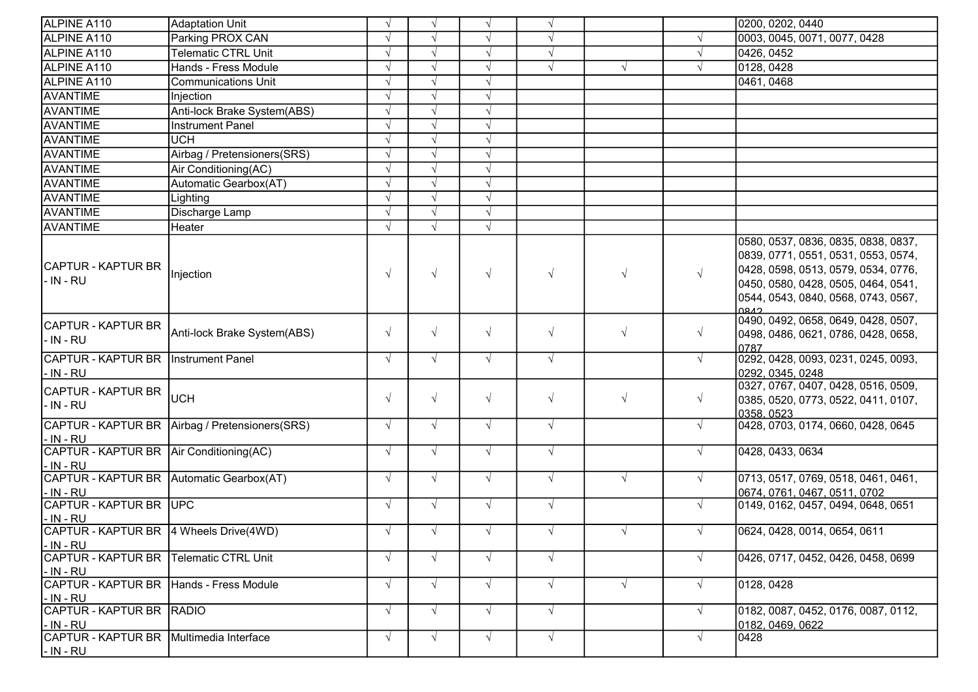| ALPINE A110                                                 | <b>Adaptation Unit</b>                           | $\sqrt{ }$ | $\sqrt{ }$ | $\sqrt{ }$ | $\sqrt{ }$ |            |            | 0200, 0202, 0440                                                                                                                                                                                        |
|-------------------------------------------------------------|--------------------------------------------------|------------|------------|------------|------------|------------|------------|---------------------------------------------------------------------------------------------------------------------------------------------------------------------------------------------------------|
| ALPINE A110                                                 | Parking PROX CAN                                 | $\sqrt{ }$ |            | $\sqrt{ }$ | $\sqrt{ }$ |            |            | 0003, 0045, 0071, 0077, 0428                                                                                                                                                                            |
| ALPINE A110                                                 | Telematic CTRL Unit                              | $\sqrt{ }$ | $\sqrt{ }$ | $\sqrt{ }$ | $\sqrt{ }$ |            |            | 0426, 0452                                                                                                                                                                                              |
| ALPINE A110                                                 | Hands - Fress Module                             |            | $\sqrt{ }$ | $\sqrt{ }$ | $\sqrt{ }$ | $\sqrt{ }$ |            | 0128, 0428                                                                                                                                                                                              |
| ALPINE A110                                                 | <b>Communications Unit</b>                       |            | $\sqrt{ }$ | $\sqrt{}$  |            |            |            | 0461, 0468                                                                                                                                                                                              |
| AVANTIME                                                    | Injection                                        | $\sqrt{ }$ | $\sqrt{ }$ | $\sqrt{ }$ |            |            |            |                                                                                                                                                                                                         |
| <b>AVANTIME</b>                                             | Anti-lock Brake System(ABS)                      | $\sqrt{ }$ | $\sqrt{ }$ | $\sqrt{ }$ |            |            |            |                                                                                                                                                                                                         |
| <b>AVANTIME</b>                                             | <b>Instrument Panel</b>                          | $\sqrt{ }$ | $\sqrt{ }$ | $\sqrt{ }$ |            |            |            |                                                                                                                                                                                                         |
| <b>AVANTIME</b>                                             | <b>UCH</b>                                       | $\sqrt{ }$ | $\sqrt{ }$ | $\sqrt{}$  |            |            |            |                                                                                                                                                                                                         |
| <b>AVANTIME</b>                                             | Airbag / Pretensioners(SRS)                      |            | $\sqrt{ }$ | $\sqrt{ }$ |            |            |            |                                                                                                                                                                                                         |
| <b>AVANTIME</b>                                             | Air Conditioning(AC)                             | $\sqrt{ }$ | $\sqrt{ }$ | $\sqrt{ }$ |            |            |            |                                                                                                                                                                                                         |
| <b>AVANTIME</b>                                             | Automatic Gearbox(AT)                            | $\sqrt{ }$ | $\sqrt{ }$ | $\sqrt{ }$ |            |            |            |                                                                                                                                                                                                         |
| <b>AVANTIME</b>                                             | Lighting                                         | $\sqrt{ }$ | $\sqrt{ }$ | $\sqrt{ }$ |            |            |            |                                                                                                                                                                                                         |
| AVANTIME                                                    | Discharge Lamp                                   | $\sqrt{ }$ | $\sqrt{ }$ | $\sqrt{ }$ |            |            |            |                                                                                                                                                                                                         |
| AVANTIME                                                    | Heater                                           |            |            | $\sqrt{ }$ |            |            |            |                                                                                                                                                                                                         |
| CAPTUR - KAPTUR BR<br>l- IN - RU                            | Injection                                        | $\sqrt{ }$ | $\sqrt{ }$ | $\sqrt{ }$ | $\sqrt{ }$ | $\sqrt{ }$ | $\sqrt{ }$ | 0580, 0537, 0836, 0835, 0838, 0837,<br>0839, 0771, 0551, 0531, 0553, 0574,<br>0428, 0598, 0513, 0579, 0534, 0776,<br>0450, 0580, 0428, 0505, 0464, 0541,<br>0544, 0543, 0840, 0568, 0743, 0567,<br>0842 |
| CAPTUR - KAPTUR BR<br>l- IN - RU                            | Anti-lock Brake System(ABS)                      | $\sqrt{ }$ | $\sqrt{ }$ | $\sqrt{ }$ | $\sqrt{ }$ | $\sqrt{ }$ | $\sqrt{}$  | 0490, 0492, 0658, 0649, 0428, 0507,<br>0498, 0486, 0621, 0786, 0428, 0658,<br>0787                                                                                                                      |
| CAPTUR - KAPTUR BR   Instrument Panel<br>- IN - RU          |                                                  | $\sqrt{ }$ | $\sqrt{ }$ | $\sqrt{ }$ | $\sqrt{ }$ |            |            | 0292, 0428, 0093, 0231, 0245, 0093,<br>0292, 0345, 0248                                                                                                                                                 |
| CAPTUR - KAPTUR BR<br>- IN - RU                             | <b>UCH</b>                                       | $\sqrt{ }$ | $\sqrt{ }$ | $\sqrt{ }$ | $\sqrt{ }$ | $\sqrt{ }$ | $\sqrt{ }$ | 0327, 0767, 0407, 0428, 0516, 0509,<br>0385, 0520, 0773, 0522, 0411, 0107,<br>0358, 0523                                                                                                                |
| $-$ IN - RU                                                 | CAPTUR - KAPTUR BR   Airbag / Pretensioners(SRS) | $\sqrt{ }$ | $\sqrt{ }$ | $\sqrt{ }$ | $\sqrt{ }$ |            | $\sqrt{ }$ | 0428, 0703, 0174, 0660, 0428, 0645                                                                                                                                                                      |
| CAPTUR - KAPTUR BR   Air Conditioning(AC)<br>$- IN - RU$    |                                                  | $\sqrt{ }$ | $\sqrt{ }$ | $\sqrt{ }$ | $\sqrt{ }$ |            | $\sqrt{ }$ | 0428, 0433, 0634                                                                                                                                                                                        |
| CAPTUR - KAPTUR BR Automatic Gearbox(AT)<br>- IN - RU       |                                                  | $\sqrt{ }$ | $\sqrt{ }$ | $\sqrt{ }$ | $\sqrt{ }$ | $\sqrt{ }$ | $\sqrt{ }$ | 0713, 0517, 0769, 0518, 0461, 0461,<br>0674, 0761, 0467, 0511, 0702                                                                                                                                     |
| CAPTUR - KAPTUR BR UPC<br>$- IN - RU$                       |                                                  | $\sqrt{ }$ | $\sqrt{ }$ | $\sqrt{ }$ | $\sqrt{ }$ |            | $\sqrt{ }$ | 0149, 0162, 0457, 0494, 0648, 0651                                                                                                                                                                      |
| CAPTUR - KAPTUR BR 4 Wheels Drive(4WD)<br>$-$ IN - RU       |                                                  | $\sqrt{ }$ | $\sqrt{ }$ | $\sqrt{ }$ | $\sqrt{ }$ | $\sqrt{ }$ | $\sqrt{ }$ | 0624, 0428, 0014, 0654, 0611                                                                                                                                                                            |
| CAPTUR - KAPTUR BR   Telematic CTRL Unit<br>$- IN - RU$     |                                                  | $\sqrt{ }$ | $\sqrt{ }$ | $\sqrt{ }$ | $\sqrt{ }$ |            |            | 0426, 0717, 0452, 0426, 0458, 0699                                                                                                                                                                      |
| CAPTUR - KAPTUR BR Hands - Fress Module<br><u>- IN - RU</u> |                                                  | $\sqrt{ }$ | $\sqrt{ }$ | $\sqrt{ }$ | $\sqrt{ }$ | $\sqrt{ }$ |            | 0128, 0428                                                                                                                                                                                              |
| CAPTUR - KAPTUR BR RADIO<br><u>- IN - RU</u>                |                                                  | $\sqrt{ }$ | $\sqrt{ }$ | $\sqrt{ }$ | $\sqrt{ }$ |            |            | 0182, 0087, 0452, 0176, 0087, 0112,<br>0182, 0469, 0622                                                                                                                                                 |
| CAPTUR - KAPTUR BR Multimedia Interface<br>$- IN - RU$      |                                                  | $\sqrt{ }$ | $\sqrt{ }$ | $\sqrt{ }$ | $\sqrt{ }$ |            |            | 0428                                                                                                                                                                                                    |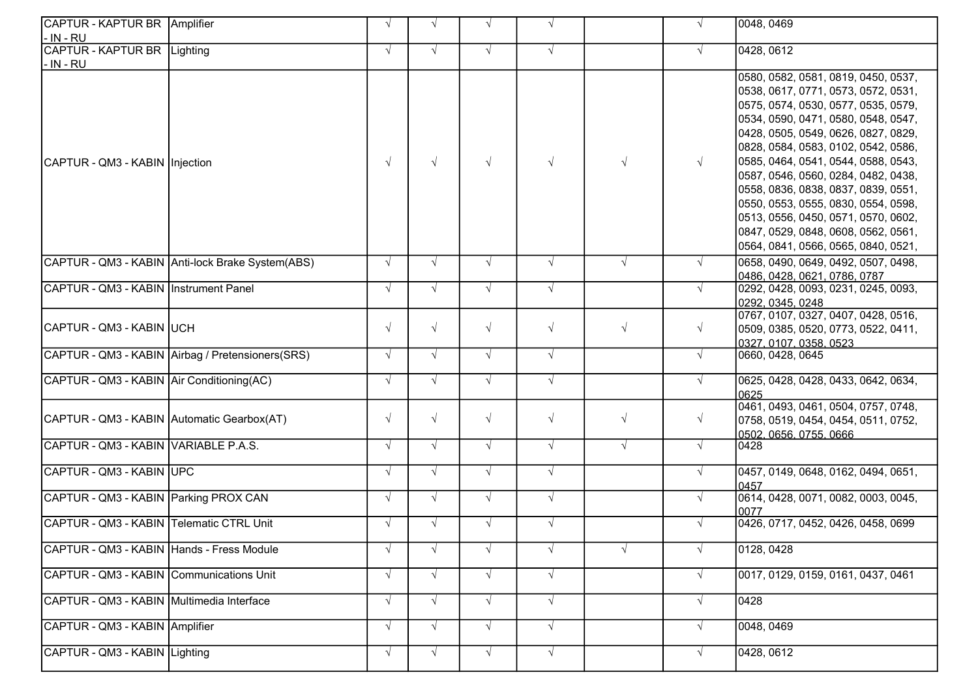| CAPTUR - KAPTUR BR Amplifier               |                                                  |            |            |            | $\sqrt{ }$ |            |            | 0048, 0469                                                                                                                                                                                                                                                                                                                                                                                                                                                                                                              |
|--------------------------------------------|--------------------------------------------------|------------|------------|------------|------------|------------|------------|-------------------------------------------------------------------------------------------------------------------------------------------------------------------------------------------------------------------------------------------------------------------------------------------------------------------------------------------------------------------------------------------------------------------------------------------------------------------------------------------------------------------------|
| l- IN - RU                                 |                                                  |            |            |            |            |            |            |                                                                                                                                                                                                                                                                                                                                                                                                                                                                                                                         |
| CAPTUR - KAPTUR BR Lighting<br> - IN - RU  |                                                  | $\sqrt{ }$ | $\sqrt{ }$ | $\sqrt{ }$ | $\sqrt{ }$ |            |            | 0428, 0612                                                                                                                                                                                                                                                                                                                                                                                                                                                                                                              |
| CAPTUR - QM3 - KABIN   Injection           |                                                  | $\sqrt{ }$ |            |            | $\sqrt{ }$ |            | $\sqrt{ }$ | 0580, 0582, 0581, 0819, 0450, 0537,<br>0538, 0617, 0771, 0573, 0572, 0531,<br>0575, 0574, 0530, 0577, 0535, 0579,<br>0534, 0590, 0471, 0580, 0548, 0547,<br>0428, 0505, 0549, 0626, 0827, 0829,<br>0828, 0584, 0583, 0102, 0542, 0586,<br>0585, 0464, 0541, 0544, 0588, 0543,<br>0587, 0546, 0560, 0284, 0482, 0438,<br>0558, 0836, 0838, 0837, 0839, 0551,<br>0550, 0553, 0555, 0830, 0554, 0598,<br>0513, 0556, 0450, 0571, 0570, 0602,<br>0847, 0529, 0848, 0608, 0562, 0561,<br>0564, 0841, 0566, 0565, 0840, 0521, |
|                                            | CAPTUR - QM3 - KABIN Anti-lock Brake System(ABS) | $\sqrt{ }$ | $\sqrt{ }$ | $\sqrt{ }$ | $\sqrt{ }$ | $\sqrt{ }$ | $\sqrt{ }$ | 0658, 0490, 0649, 0492, 0507, 0498,<br>0486, 0428, 0621, 0786, 0787                                                                                                                                                                                                                                                                                                                                                                                                                                                     |
| CAPTUR - QM3 - KABIN   Instrument Panel    |                                                  | $\sqrt{ }$ | $\sqrt{ }$ | $\sqrt{ }$ | $\sqrt{ }$ |            | $\sqrt{ }$ | 0292, 0428, 0093, 0231, 0245, 0093,<br>0292, 0345, 0248                                                                                                                                                                                                                                                                                                                                                                                                                                                                 |
| CAPTUR - QM3 - KABIN UCH                   |                                                  | $\sqrt{ }$ | $\sqrt{ }$ | $\sqrt{ }$ | $\sqrt{ }$ | $\sqrt{ }$ | $\sqrt{ }$ | 0767, 0107, 0327, 0407, 0428, 0516,<br>0509, 0385, 0520, 0773, 0522, 0411,<br>0327, 0107, 0358, 0523                                                                                                                                                                                                                                                                                                                                                                                                                    |
|                                            | CAPTUR - QM3 - KABIN Airbag / Pretensioners(SRS) | $\sqrt{ }$ | $\sqrt{ }$ | $\sqrt{ }$ | $\sqrt{ }$ |            | $\sqrt{ }$ | 0660, 0428, 0645                                                                                                                                                                                                                                                                                                                                                                                                                                                                                                        |
| CAPTUR - QM3 - KABIN Air Conditioning (AC) |                                                  | $\sqrt{ }$ | $\sqrt{ }$ | $\sqrt{ }$ | $\sqrt{ }$ |            | $\sqrt{ }$ | 0625, 0428, 0428, 0433, 0642, 0634,<br>0625                                                                                                                                                                                                                                                                                                                                                                                                                                                                             |
| CAPTUR - QM3 - KABIN Automatic Gearbox(AT) |                                                  | $\sqrt{ }$ | $\sqrt{ }$ | $\sqrt{ }$ | $\sqrt{ }$ | $\sqrt{ }$ | $\sqrt{ }$ | 0461, 0493, 0461, 0504, 0757, 0748,<br>0758, 0519, 0454, 0454, 0511, 0752,<br>0502.0656.0755.0666                                                                                                                                                                                                                                                                                                                                                                                                                       |
| CAPTUR - QM3 - KABIN VARIABLE P.A.S.       |                                                  | $\sqrt{ }$ | $\sqrt{ }$ | $\sqrt{ }$ | $\sqrt{ }$ | $\sqrt{ }$ | $\sqrt{ }$ | 0428                                                                                                                                                                                                                                                                                                                                                                                                                                                                                                                    |
| CAPTUR - QM3 - KABIN UPC                   |                                                  | $\sqrt{ }$ | $\sqrt{ }$ | $\sqrt{ }$ | $\sqrt{ }$ |            | $\sqrt{ }$ | 0457, 0149, 0648, 0162, 0494, 0651,<br>0457                                                                                                                                                                                                                                                                                                                                                                                                                                                                             |
| CAPTUR - QM3 - KABIN Parking PROX CAN      |                                                  | $\sqrt{ }$ | $\sqrt{ }$ | $\sqrt{ }$ | $\sqrt{ }$ |            |            | 0614, 0428, 0071, 0082, 0003, 0045,<br>0077                                                                                                                                                                                                                                                                                                                                                                                                                                                                             |
| CAPTUR - QM3 - KABIN Telematic CTRL Unit   |                                                  | $\sqrt{ }$ | $\sqrt{ }$ | $\sqrt{ }$ | $\sqrt{ }$ |            |            | 0426, 0717, 0452, 0426, 0458, 0699                                                                                                                                                                                                                                                                                                                                                                                                                                                                                      |
| CAPTUR - QM3 - KABIN Hands - Fress Module  |                                                  |            |            |            | $\sqrt{ }$ |            |            | 0128, 0428                                                                                                                                                                                                                                                                                                                                                                                                                                                                                                              |
| CAPTUR - QM3 - KABIN Communications Unit   |                                                  | $\sqrt{ }$ | $\sqrt{ }$ | $\sqrt{ }$ | $\sqrt{ }$ |            | $\sqrt{ }$ | 0017, 0129, 0159, 0161, 0437, 0461                                                                                                                                                                                                                                                                                                                                                                                                                                                                                      |
| CAPTUR - QM3 - KABIN Multimedia Interface  |                                                  | $\sqrt{ }$ | $\sqrt{ }$ | $\sqrt{ }$ | $\sqrt{ }$ |            |            | 0428                                                                                                                                                                                                                                                                                                                                                                                                                                                                                                                    |
| CAPTUR - QM3 - KABIN Amplifier             |                                                  | $\sqrt{ }$ | $\sqrt{ }$ | $\sqrt{ }$ | $\sqrt{ }$ |            | $\sqrt{ }$ | 0048, 0469                                                                                                                                                                                                                                                                                                                                                                                                                                                                                                              |
| CAPTUR - QM3 - KABIN Lighting              |                                                  | $\sqrt{ }$ | $\sqrt{ }$ | $\sqrt{ }$ | $\sqrt{ }$ |            | $\sqrt{ }$ | 0428, 0612                                                                                                                                                                                                                                                                                                                                                                                                                                                                                                              |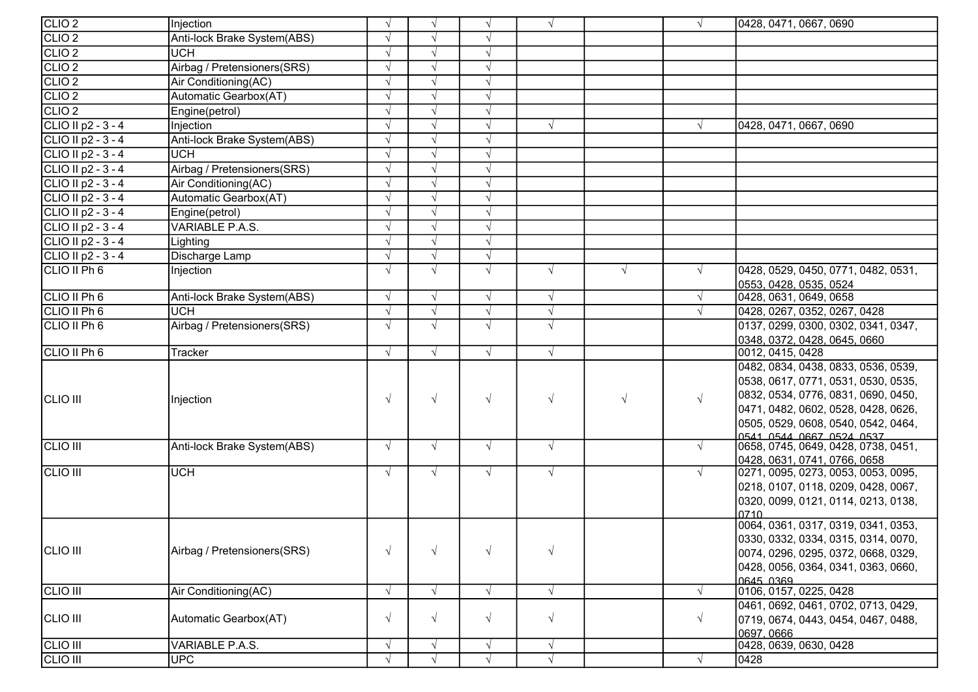| CLIO <sub>2</sub>    | Injection                   | $\sqrt{ }$ | $\sqrt{ }$ | $\sqrt{ }$ | $\sqrt{ }$ |            |            | 0428, 0471, 0667, 0690                                                     |
|----------------------|-----------------------------|------------|------------|------------|------------|------------|------------|----------------------------------------------------------------------------|
| CLIO <sub>2</sub>    | Anti-lock Brake System(ABS) | $\sqrt{ }$ |            | $\sqrt{ }$ |            |            |            |                                                                            |
| CLIO <sub>2</sub>    | UCH                         | $\sqrt{ }$ | $\sqrt{ }$ | $\sqrt{ }$ |            |            |            |                                                                            |
| CLIO <sub>2</sub>    | Airbag / Pretensioners(SRS) | $\sqrt{ }$ | $\sqrt{ }$ | $\sqrt{ }$ |            |            |            |                                                                            |
| CLIO <sub>2</sub>    | Air Conditioning(AC)        | $\sqrt{ }$ | $\sqrt{ }$ | $\sqrt{ }$ |            |            |            |                                                                            |
| CLIO <sub>2</sub>    | Automatic Gearbox(AT)       | $\sqrt{ }$ | $\sqrt{ }$ | $\sqrt{ }$ |            |            |            |                                                                            |
| CLIO <sub>2</sub>    | Engine(petrol)              | $\sqrt{ }$ | $\sqrt{ }$ | $\sqrt{ }$ |            |            |            |                                                                            |
| CLIO II p2 - 3 - 4   | Injection                   | $\sqrt{ }$ | $\sqrt{ }$ | $\sqrt{ }$ | $\sqrt{ }$ |            | $\sqrt{ }$ | 0428, 0471, 0667, 0690                                                     |
| CLIO II p2 - 3 - 4   | Anti-lock Brake System(ABS) | $\sqrt{ }$ | $\sqrt{ }$ | $\sqrt{ }$ |            |            |            |                                                                            |
| CLIO II p2 - 3 - 4   | <b>UCH</b>                  | V          | $\sqrt{ }$ | $\sqrt{ }$ |            |            |            |                                                                            |
| CLIO II p2 - 3 - 4   | Airbag / Pretensioners(SRS) | $\sqrt{}$  | $\sqrt{ }$ | $\sqrt{ }$ |            |            |            |                                                                            |
| CLIO II $p2 - 3 - 4$ | Air Conditioning(AC)        | $\sqrt{ }$ | $\sqrt{ }$ | $\sqrt{ }$ |            |            |            |                                                                            |
| CLIO II p2 - 3 - 4   | Automatic Gearbox(AT)       | $\sqrt{ }$ | $\sqrt{ }$ | $\sqrt{}$  |            |            |            |                                                                            |
| CLIO II p2 - 3 - 4   | Engine(petrol)              | $\sqrt{ }$ | $\sqrt{ }$ | $\sqrt{ }$ |            |            |            |                                                                            |
| CLIO II p2 - $3 - 4$ | VARIABLE P.A.S.             | $\sqrt{ }$ | $\sqrt{ }$ | $\sqrt{ }$ |            |            |            |                                                                            |
| CLIO II $p2 - 3 - 4$ | Lighting                    | $\sqrt{ }$ | $\sqrt{ }$ | $\sqrt{ }$ |            |            |            |                                                                            |
| CLIO II $p2 - 3 - 4$ | Discharge Lamp              | $\sqrt{ }$ | $\sqrt{ }$ | $\sqrt{ }$ |            |            |            |                                                                            |
| CLIO II Ph 6         | Injection                   | $\sqrt{ }$ | $\sqrt{ }$ | $\sqrt{ }$ | $\sqrt{ }$ | $\sqrt{ }$ | $\sqrt{ }$ | 0428, 0529, 0450, 0771, 0482, 0531,                                        |
|                      |                             |            |            |            |            |            |            | 0553, 0428, 0535, 0524                                                     |
| CLIO II Ph 6         | Anti-lock Brake System(ABS) | $\sqrt{ }$ | $\sqrt{ }$ | $\sqrt{ }$ | $\sqrt{}$  |            | $\sqrt{ }$ | 0428, 0631, 0649, 0658                                                     |
| CLIO II Ph 6         | <b>UCH</b>                  | V          | $\sqrt{ }$ | $\sqrt{ }$ | $\sqrt{}$  |            | $\sqrt{ }$ | 0428, 0267, 0352, 0267, 0428                                               |
| CLIO II Ph 6         | Airbag / Pretensioners(SRS) | $\sqrt{ }$ | $\sqrt{ }$ | $\sqrt{ }$ | $\sqrt{ }$ |            |            | 0137, 0299, 0300, 0302, 0341, 0347,                                        |
|                      |                             |            |            |            |            |            |            | 0348, 0372, 0428, 0645, 0660                                               |
| CLIO II Ph 6         | Tracker                     | $\sqrt{ }$ | $\sqrt{ }$ | $\sqrt{ }$ | $\sqrt{}$  |            |            | 0012, 0415, 0428                                                           |
|                      |                             |            |            |            |            |            |            | 0482, 0834, 0438, 0833, 0536, 0539,                                        |
|                      |                             |            |            |            |            |            |            | 0538, 0617, 0771, 0531, 0530, 0535,                                        |
| <b>CLIO III</b>      | Injection                   | $\sqrt{ }$ | $\sqrt{ }$ | $\sqrt{ }$ | $\sqrt{}$  | $\sqrt{ }$ | $\sqrt{ }$ | 0832, 0534, 0776, 0831, 0690, 0450,                                        |
|                      |                             |            |            |            |            |            |            | 0471, 0482, 0602, 0528, 0428, 0626,                                        |
|                      |                             |            |            |            |            |            |            | 0505, 0529, 0608, 0540, 0542, 0464,                                        |
| <b>CLIO III</b>      | Anti-lock Brake System(ABS) | $\sqrt{ }$ | $\sqrt{ }$ | $\sqrt{ }$ | $\sqrt{ }$ |            | $\sqrt{ }$ | 0541 0544 0667 0524 0537<br>0658, 0745, 0649, 0428, 0738, 0451,            |
|                      |                             |            |            |            |            |            |            | 0428, 0631, 0741, 0766, 0658                                               |
| CLIO III             | <b>UCH</b>                  | $\sqrt{ }$ | $\sqrt{ }$ | $\sqrt{ }$ | $\sqrt{ }$ |            | $\sqrt{ }$ | 0271, 0095, 0273, 0053, 0053, 0095,                                        |
|                      |                             |            |            |            |            |            |            | 0218, 0107, 0118, 0209, 0428, 0067,                                        |
|                      |                             |            |            |            |            |            |            | 0320, 0099, 0121, 0114, 0213, 0138,                                        |
|                      |                             |            |            |            |            |            |            | 0710                                                                       |
|                      |                             |            |            |            |            |            |            | 0064, 0361, 0317, 0319, 0341, 0353,                                        |
|                      |                             |            |            |            |            |            |            | 0330, 0332, 0334, 0315, 0314, 0070,                                        |
| CLIO III             | Airbag / Pretensioners(SRS) | $\sqrt{ }$ | $\sqrt{ }$ | $\sqrt{ }$ | $\sqrt{}$  |            |            | 0074, 0296, 0295, 0372, 0668, 0329,                                        |
|                      |                             |            |            |            |            |            |            | 0428, 0056, 0364, 0341, 0363, 0660,                                        |
| <b>CLIO III</b>      | Air Conditioning(AC)        | $\sqrt{ }$ | $\sqrt{ }$ | $\sqrt{ }$ |            |            | $\sqrt{ }$ | 0645 0369<br>0106, 0157, 0225, 0428                                        |
|                      |                             |            |            |            | $\sqrt{}$  |            |            |                                                                            |
| CLIO III             | Automatic Gearbox(AT)       | $\sqrt{ }$ | $\sqrt{}$  | $\sqrt{ }$ | $\sqrt{}$  |            | $\sqrt{ }$ | 0461, 0692, 0461, 0702, 0713, 0429,<br>0719, 0674, 0443, 0454, 0467, 0488, |
|                      |                             |            |            |            |            |            |            | 0697, 0666                                                                 |
| <b>CLIO III</b>      | VARIABLE P.A.S.             | $\sqrt{ }$ | $\sqrt{ }$ | $\sqrt{ }$ | $\sqrt{}$  |            |            | 0428, 0639, 0630, 0428                                                     |
| CLIO III             | <b>UPC</b>                  | $\sqrt{ }$ | $\sqrt{ }$ | $\sqrt{ }$ | $\sqrt{}$  |            | $\sqrt{ }$ | 0428                                                                       |
|                      |                             |            |            |            |            |            |            |                                                                            |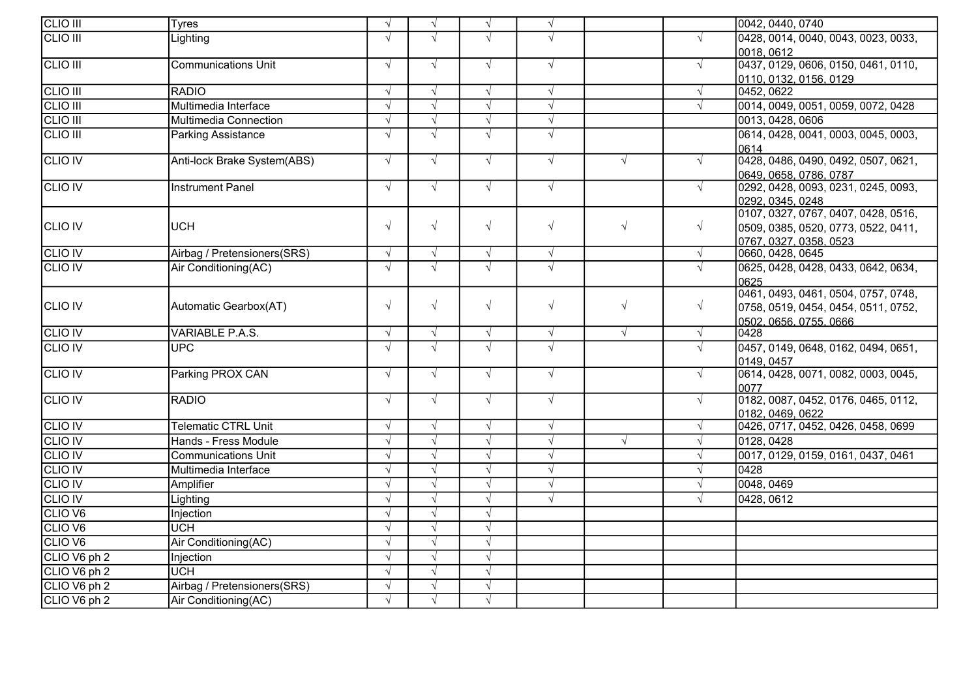| <b>CLIO III</b>    | <b>Tyres</b>                | $\sqrt{ }$ | $\sqrt{ }$ | $\sqrt{ }$ | $\sqrt{}$  |            |            | 0042, 0440, 0740                           |
|--------------------|-----------------------------|------------|------------|------------|------------|------------|------------|--------------------------------------------|
| <b>CLIO III</b>    | Lighting                    | $\sqrt{ }$ | $\sqrt{ }$ | $\sqrt{ }$ | $\sqrt{}$  |            | $\sqrt{ }$ | 0428, 0014, 0040, 0043, 0023, 0033,        |
|                    |                             |            |            |            |            |            |            | 0018, 0612                                 |
| <b>CLIO III</b>    | <b>Communications Unit</b>  | $\sqrt{ }$ | $\sqrt{ }$ | $\sqrt{}$  | $\sqrt{}$  |            | $\sqrt{ }$ | 0437, 0129, 0606, 0150, 0461, 0110,        |
|                    |                             |            |            |            |            |            |            | 0110, 0132, 0156, 0129                     |
| <b>CLIO III</b>    | <b>RADIO</b>                | $\sqrt{ }$ | $\sqrt{ }$ | $\sqrt{ }$ | $\sqrt{}$  |            | $\sqrt{ }$ | 0452, 0622                                 |
| <b>CLIO III</b>    | Multimedia Interface        | $\sqrt{ }$ | $\sqrt{ }$ | $\sqrt{}$  | $\sqrt{}$  |            | $\sqrt{ }$ | 0014, 0049, 0051, 0059, 0072, 0428         |
| <b>CLIO III</b>    | Multimedia Connection       | $\sqrt{ }$ | $\sqrt{ }$ | $\sqrt{}$  | $\sqrt{}$  |            |            | 0013, 0428, 0606                           |
| <b>CLIO III</b>    | <b>Parking Assistance</b>   | $\sqrt{ }$ | $\sqrt{}$  | $\sqrt{}$  | $\sqrt{}$  |            |            | 0614, 0428, 0041, 0003, 0045, 0003,        |
|                    |                             |            |            |            |            |            |            | 0614                                       |
| <b>CLIO IV</b>     | Anti-lock Brake System(ABS) | $\sqrt{ }$ | $\sqrt{ }$ | $\sqrt{ }$ | $\sqrt{}$  | $\sqrt{ }$ | $\sqrt{ }$ | 0428, 0486, 0490, 0492, 0507, 0621,        |
|                    |                             |            |            |            |            |            |            | 0649, 0658, 0786, 0787                     |
| <b>CLIO IV</b>     | <b>Instrument Panel</b>     | $\sqrt{ }$ | $\sqrt{ }$ | $\sqrt{ }$ | $\sqrt{}$  |            | $\sqrt{ }$ | 0292, 0428, 0093, 0231, 0245, 0093,        |
|                    |                             |            |            |            |            |            |            | 0292, 0345, 0248                           |
|                    |                             | $\sqrt{ }$ | $\sqrt{ }$ | $\sqrt{ }$ | $\sqrt{ }$ | $\sqrt{ }$ | $\sqrt{ }$ | 0107, 0327, 0767, 0407, 0428, 0516,        |
| <b>CLIO IV</b>     | <b>UCH</b>                  |            |            |            |            |            |            | 0509, 0385, 0520, 0773, 0522, 0411,        |
| <b>CLIO IV</b>     | Airbag / Pretensioners(SRS) | $\sqrt{ }$ | $\sqrt{ }$ | $\sqrt{ }$ | $\sqrt{}$  |            | $\sqrt{ }$ | 0767, 0327, 0358, 0523<br>0660, 0428, 0645 |
| <b>CLIO IV</b>     | Air Conditioning(AC)        | $\sqrt{}$  | $\sqrt{}$  | $\sqrt{ }$ | $\sqrt{}$  |            | $\sqrt{}$  | 0625, 0428, 0428, 0433, 0642, 0634,        |
|                    |                             |            |            |            |            |            |            | 0625                                       |
|                    |                             |            |            |            |            |            |            | 0461, 0493, 0461, 0504, 0757, 0748,        |
| <b>CLIO IV</b>     | Automatic Gearbox(AT)       | $\sqrt{ }$ | $\sqrt{ }$ | $\sqrt{ }$ | $\sqrt{}$  | $\sqrt{ }$ | $\sqrt{ }$ | 0758, 0519, 0454, 0454, 0511, 0752,        |
|                    |                             |            |            |            |            |            |            |                                            |
| <b>CLIO IV</b>     | VARIABLE P.A.S.             | $\sqrt{ }$ | $\sqrt{}$  | $\sqrt{ }$ | $\sqrt{}$  | $\sqrt{ }$ | $\sqrt{ }$ | 0428                                       |
| <b>CLIO IV</b>     | <b>UPC</b>                  | $\sqrt{ }$ | $\sqrt{ }$ | $\sqrt{ }$ | $\sqrt{ }$ |            | $\sqrt{ }$ | 0457, 0149, 0648, 0162, 0494, 0651,        |
|                    |                             |            |            |            |            |            |            | 0149.0457                                  |
| <b>CLIO IV</b>     | Parking PROX CAN            | $\sqrt{ }$ | $\sqrt{ }$ | $\sqrt{ }$ | $\sqrt{}$  |            | $\sqrt{ }$ | 0614, 0428, 0071, 0082, 0003, 0045,        |
|                    |                             |            |            |            |            |            |            | 0077                                       |
| <b>CLIO IV</b>     | <b>RADIO</b>                | $\sqrt{ }$ | $\sqrt{ }$ | $\sqrt{ }$ | $\sqrt{}$  |            | $\sqrt{ }$ | 0182, 0087, 0452, 0176, 0465, 0112,        |
|                    |                             |            |            |            |            |            |            | 0182, 0469, 0622                           |
| <b>CLIO IV</b>     | <b>Telematic CTRL Unit</b>  | $\sqrt{ }$ | $\sqrt{ }$ | $\sqrt{ }$ | $\sqrt{ }$ |            | $\sqrt{ }$ | 0426, 0717, 0452, 0426, 0458, 0699         |
| <b>CLIO IV</b>     | Hands - Fress Module        | $\sqrt{ }$ | $\sqrt{}$  | $\sqrt{}$  | $\sqrt{}$  | $\sqrt{ }$ | $\sqrt{ }$ | 0128, 0428                                 |
| <b>CLIO IV</b>     | <b>Communications Unit</b>  | $\sqrt{ }$ | $\sqrt{ }$ | $\sqrt{ }$ | $\sqrt{}$  |            | $\sqrt{ }$ | 0017, 0129, 0159, 0161, 0437, 0461         |
| <b>CLIO IV</b>     | Multimedia Interface        | $\sqrt{ }$ | $\sqrt{ }$ | $\sqrt{ }$ | $\sqrt{}$  |            |            | 0428                                       |
| <b>CLIO IV</b>     | Amplifier                   | $\sqrt{ }$ | $\sqrt{ }$ | $\sqrt{ }$ | $\sqrt{}$  |            | $\sqrt{ }$ | 0048, 0469                                 |
| <b>CLIO IV</b>     | Lighting                    | $\sqrt{ }$ | $\sqrt{ }$ | $\sqrt{ }$ | $\sqrt{ }$ |            |            | 0428, 0612                                 |
| CLIO <sub>V6</sub> | Injection                   | $\sqrt{ }$ | $\sqrt{ }$ | $\sqrt{}$  |            |            |            |                                            |
| CLIO V6            | <b>UCH</b>                  | $\sqrt{ }$ | $\sqrt{}$  | $\sqrt{ }$ |            |            |            |                                            |
| CLIO V6            | Air Conditioning(AC)        | $\sqrt{ }$ | $\sqrt{ }$ | $\sqrt{ }$ |            |            |            |                                            |
| CLIO V6 ph 2       | Injection                   | N          | $\sqrt{ }$ | $\sqrt{ }$ |            |            |            |                                            |
| CLIO V6 ph 2       | <b>UCH</b>                  | $\sqrt{ }$ | $\sqrt{ }$ | $\sqrt{}$  |            |            |            |                                            |
| CLIO V6 ph 2       | Airbag / Pretensioners(SRS) | $\sqrt{ }$ | $\sqrt{ }$ | $\sqrt{ }$ |            |            |            |                                            |
| CLIO V6 ph 2       | Air Conditioning(AC)        | $\sqrt{ }$ | $\sqrt{ }$ | $\sqrt{ }$ |            |            |            |                                            |
|                    |                             |            |            |            |            |            |            |                                            |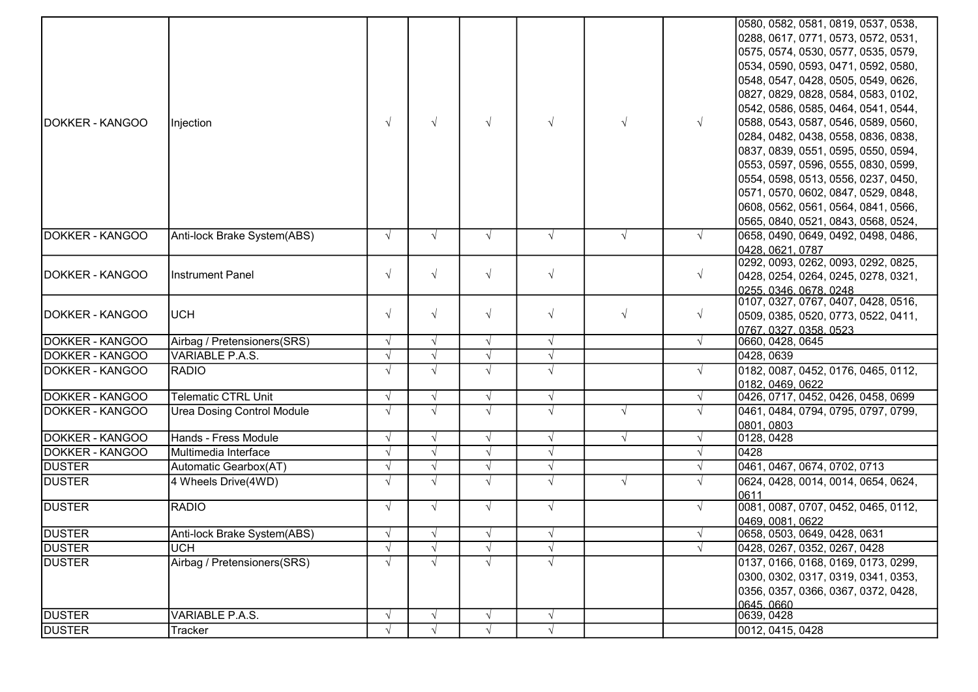|                        |                                   |            |            |            |            |            |            | 0580, 0582, 0581, 0819, 0537, 0538,                     |
|------------------------|-----------------------------------|------------|------------|------------|------------|------------|------------|---------------------------------------------------------|
|                        |                                   |            |            |            |            |            |            | 0288, 0617, 0771, 0573, 0572, 0531,                     |
|                        |                                   |            |            |            |            |            |            | 0575, 0574, 0530, 0577, 0535, 0579,                     |
|                        |                                   |            |            |            |            |            |            | 0534, 0590, 0593, 0471, 0592, 0580,                     |
|                        |                                   |            |            |            |            |            |            | 0548, 0547, 0428, 0505, 0549, 0626,                     |
|                        |                                   |            |            |            |            |            |            | 0827, 0829, 0828, 0584, 0583, 0102,                     |
|                        |                                   |            |            |            |            |            |            | 0542, 0586, 0585, 0464, 0541, 0544,                     |
| DOKKER - KANGOO        | Injection                         | $\sqrt{ }$ | $\sqrt{ }$ | $\sqrt{ }$ | $\sqrt{ }$ | $\sqrt{ }$ | $\sqrt{ }$ | 0588, 0543, 0587, 0546, 0589, 0560,                     |
|                        |                                   |            |            |            |            |            |            | 0284, 0482, 0438, 0558, 0836, 0838,                     |
|                        |                                   |            |            |            |            |            |            | 0837, 0839, 0551, 0595, 0550, 0594,                     |
|                        |                                   |            |            |            |            |            |            | 0553, 0597, 0596, 0555, 0830, 0599,                     |
|                        |                                   |            |            |            |            |            |            | 0554, 0598, 0513, 0556, 0237, 0450,                     |
|                        |                                   |            |            |            |            |            |            | 0571, 0570, 0602, 0847, 0529, 0848,                     |
|                        |                                   |            |            |            |            |            |            | 0608, 0562, 0561, 0564, 0841, 0566,                     |
|                        |                                   |            |            |            |            |            |            | 0565, 0840, 0521, 0843, 0568, 0524,                     |
| DOKKER - KANGOO        |                                   |            |            |            |            |            |            | 0658, 0490, 0649, 0492, 0498, 0486,                     |
|                        | Anti-lock Brake System(ABS)       | $\sqrt{ }$ | $\sqrt{ }$ | $\sqrt{ }$ | $\sqrt{ }$ | $\sqrt{ }$ | $\sqrt{ }$ |                                                         |
|                        |                                   |            |            |            |            |            |            | 0428, 0621, 0787<br>0292, 0093, 0262, 0093, 0292, 0825, |
| DOKKER - KANGOO        | <b>Instrument Panel</b>           | $\sqrt{ }$ | $\sqrt{ }$ | $\sqrt{ }$ | $\sqrt{ }$ |            | $\sqrt{ }$ | 0428, 0254, 0264, 0245, 0278, 0321,                     |
|                        |                                   |            |            |            |            |            |            | 0255.0346.0678.0248                                     |
|                        |                                   |            |            |            |            |            |            | 0107, 0327, 0767, 0407, 0428, 0516,                     |
| DOKKER - KANGOO        | <b>UCH</b>                        | $\sqrt{ }$ | $\sqrt{ }$ | $\sqrt{ }$ | $\sqrt{ }$ | $\sqrt{ }$ | $\sqrt{ }$ | 0509, 0385, 0520, 0773, 0522, 0411,                     |
|                        |                                   |            |            |            |            |            |            | 0767, 0327, 0358, 0523                                  |
| DOKKER - KANGOO        | Airbag / Pretensioners(SRS)       | $\sqrt{ }$ | $\sqrt{ }$ | $\sqrt{ }$ | $\sqrt{}$  |            | $\sqrt{ }$ | 0660, 0428, 0645                                        |
| DOKKER - KANGOO        | <b>VARIABLE P.A.S.</b>            | $\sqrt{ }$ | $\sqrt{ }$ | $\sqrt{ }$ | $\sqrt{}$  |            |            | 0428, 0639                                              |
| <b>DOKKER - KANGOO</b> | <b>RADIO</b>                      | $\sqrt{ }$ | $\sqrt{ }$ | $\sqrt{ }$ | $\sqrt{ }$ |            | $\sqrt{ }$ | 0182, 0087, 0452, 0176, 0465, 0112,                     |
|                        |                                   |            |            |            |            |            |            | 0182, 0469, 0622                                        |
| DOKKER - KANGOO        | <b>Telematic CTRL Unit</b>        | $\sqrt{ }$ | $\sqrt{ }$ | $\sqrt{ }$ | $\sqrt{}$  |            | $\sqrt{ }$ | 0426, 0717, 0452, 0426, 0458, 0699                      |
| DOKKER - KANGOO        | <b>Urea Dosing Control Module</b> | $\sqrt{ }$ | $\sqrt{ }$ | $\sqrt{ }$ | $\sqrt{ }$ | $\sqrt{ }$ | $\sqrt{ }$ | 0461, 0484, 0794, 0795, 0797, 0799,                     |
|                        |                                   |            |            |            |            |            |            | 0801, 0803                                              |
| DOKKER - KANGOO        | Hands - Fress Module              | $\sqrt{ }$ | $\sqrt{ }$ | $\sqrt{ }$ | $\sqrt{ }$ | $\sqrt{ }$ | $\sqrt{ }$ | 0128, 0428                                              |
| DOKKER - KANGOO        | Multimedia Interface              | $\sqrt{ }$ | $\sqrt{ }$ | $\sqrt{ }$ | $\sqrt{}$  |            | $\sqrt{ }$ | 0428                                                    |
| <b>DUSTER</b>          | Automatic Gearbox(AT)             | $\sqrt{ }$ | $\sqrt{ }$ | $\sqrt{ }$ | $\sqrt{}$  |            | $\sqrt{ }$ | 0461, 0467, 0674, 0702, 0713                            |
| <b>DUSTER</b>          | 4 Wheels Drive(4WD)               | $\sqrt{ }$ | $\sqrt{ }$ | $\sqrt{ }$ | $\sqrt{ }$ | $\sqrt{ }$ | $\sqrt{ }$ | 0624, 0428, 0014, 0014, 0654, 0624,                     |
|                        |                                   |            |            |            |            |            |            | 0611                                                    |
| <b>DUSTER</b>          | <b>RADIO</b>                      | $\sqrt{ }$ | $\sqrt{ }$ | $\sqrt{ }$ | $\sqrt{ }$ |            | $\sqrt{ }$ | 0081, 0087, 0707, 0452, 0465, 0112,                     |
|                        |                                   |            |            |            |            |            |            | 0469, 0081, 0622                                        |
| <b>DUSTER</b>          | Anti-lock Brake System(ABS)       | $\sqrt{ }$ | $\sqrt{ }$ | $\sqrt{ }$ | $\sqrt{ }$ |            |            | 0658, 0503, 0649, 0428, 0631                            |
| <b>DUSTER</b>          | <b>UCH</b>                        | $\sqrt{ }$ | $\sqrt{ }$ | $\sqrt{ }$ | $\sqrt{}$  |            | $\sqrt{ }$ | 0428, 0267, 0352, 0267, 0428                            |
| <b>DUSTER</b>          | Airbag / Pretensioners(SRS)       | $\sqrt{ }$ | $\sqrt{ }$ | $\sqrt{ }$ | $\sqrt{ }$ |            |            | 0137, 0166, 0168, 0169, 0173, 0299,                     |
|                        |                                   |            |            |            |            |            |            | 0300, 0302, 0317, 0319, 0341, 0353,                     |
|                        |                                   |            |            |            |            |            |            | 0356, 0357, 0366, 0367, 0372, 0428,                     |
|                        |                                   |            |            |            |            |            |            | 0645, 0660                                              |
| <b>DUSTER</b>          | <b>VARIABLE P.A.S.</b>            | $\sqrt{ }$ | $\sqrt{ }$ | $\sqrt{ }$ | $\sqrt{}$  |            |            | 0639, 0428                                              |
| <b>DUSTER</b>          | Tracker                           |            |            | $\sqrt{ }$ | $\sqrt{ }$ |            |            | 0012, 0415, 0428                                        |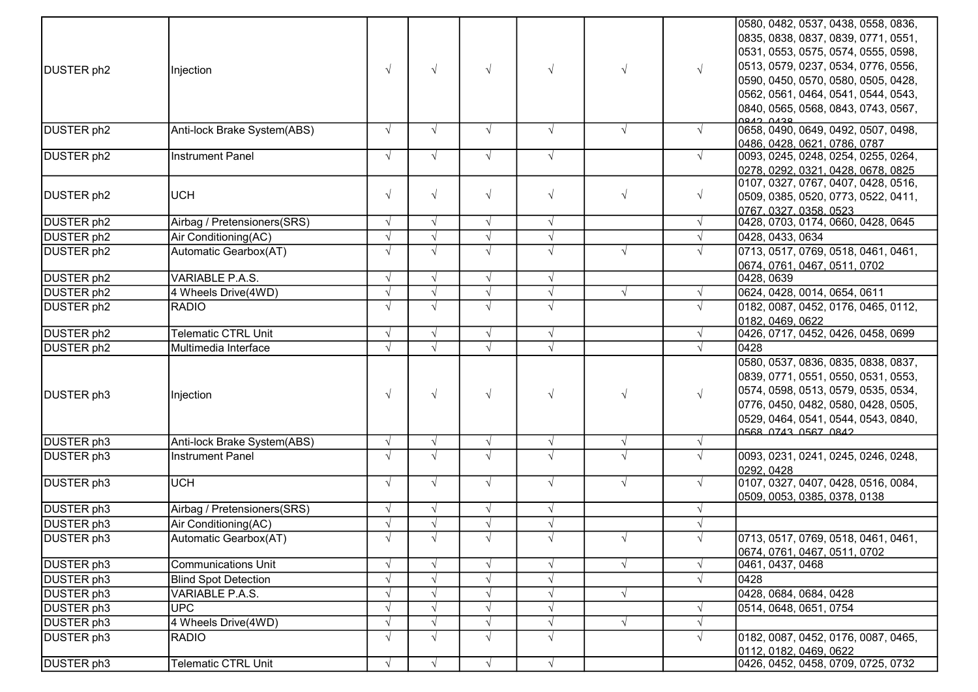|                        |                             |            |            |            |            |            |            | 0580, 0482, 0537, 0438, 0558, 0836,                       |
|------------------------|-----------------------------|------------|------------|------------|------------|------------|------------|-----------------------------------------------------------|
|                        |                             |            |            |            |            |            |            | 0835, 0838, 0837, 0839, 0771, 0551,                       |
|                        |                             |            |            |            |            |            |            | 0531, 0553, 0575, 0574, 0555, 0598,                       |
| DUSTER ph2             | Injection                   | $\sqrt{ }$ | $\sqrt{ }$ | $\sqrt{}$  | $\sqrt{ }$ | $\sqrt{ }$ | $\sqrt{ }$ | 0513, 0579, 0237, 0534, 0776, 0556,                       |
|                        |                             |            |            |            |            |            |            | 0590, 0450, 0570, 0580, 0505, 0428,                       |
|                        |                             |            |            |            |            |            |            | 0562, 0561, 0464, 0541, 0544, 0543,                       |
|                        |                             |            |            |            |            |            |            | 0840, 0565, 0568, 0843, 0743, 0567,                       |
|                        |                             |            |            |            |            |            |            | ARA CARA                                                  |
| DUSTER ph2             | Anti-lock Brake System(ABS) | $\sqrt{ }$ | $\sqrt{ }$ | $\sqrt{ }$ | $\sqrt{ }$ | $\sqrt{ }$ | $\sqrt{ }$ | 0658, 0490, 0649, 0492, 0507, 0498,                       |
|                        |                             |            |            |            |            |            |            | 0486, 0428, 0621, 0786, 0787                              |
| DUSTER ph <sub>2</sub> | <b>Instrument Panel</b>     | $\sqrt{ }$ | $\sqrt{ }$ | $\sqrt{ }$ | $\sqrt{ }$ |            | $\sqrt{ }$ | 0093, 0245, 0248, 0254, 0255, 0264,                       |
|                        |                             |            |            |            |            |            |            | 0278, 0292, 0321, 0428, 0678, 0825                        |
| DUSTER ph2             | <b>UCH</b>                  | $\sqrt{ }$ | $\sqrt{ }$ | $\sqrt{}$  | $\sqrt{}$  | $\sqrt{ }$ | $\sqrt{ }$ | 0107, 0327, 0767, 0407, 0428, 0516,                       |
|                        |                             |            |            |            |            |            |            | 0509, 0385, 0520, 0773, 0522, 0411,                       |
| DUSTER ph <sub>2</sub> | Airbag / Pretensioners(SRS) | $\sqrt{ }$ | $\sqrt{ }$ | $\sqrt{ }$ | $\sqrt{}$  |            | $\sqrt{ }$ | 0767.0327.0358.0523<br>0428, 0703, 0174, 0660, 0428, 0645 |
| <b>DUSTER</b> ph2      | Air Conditioning(AC)        | $\sqrt{ }$ | $\sqrt{ }$ | $\sqrt{}$  | $\sqrt{}$  |            | $\sqrt{ }$ | 0428, 0433, 0634                                          |
| DUSTER ph2             | Automatic Gearbox(AT)       | $\sqrt{ }$ | $\sqrt{ }$ | $\sqrt{ }$ | $\sqrt{ }$ | $\sqrt{ }$ | $\sqrt{ }$ | 0713, 0517, 0769, 0518, 0461, 0461,                       |
|                        |                             |            |            |            |            |            |            |                                                           |
| DUSTER ph2             | VARIABLE P.A.S.             | $\sqrt{ }$ | $\sqrt{ }$ | $\sqrt{ }$ | $\sqrt{}$  |            |            | 0674, 0761, 0467, 0511, 0702<br>0428, 0639                |
| DUSTER ph <sub>2</sub> | 4 Wheels Drive(4WD)         | $\sqrt{ }$ | $\sqrt{ }$ | $\sqrt{ }$ | $\sqrt{}$  | $\sqrt{ }$ | $\sqrt{ }$ | 0624, 0428, 0014, 0654, 0611                              |
| DUSTER ph2             | <b>RADIO</b>                | $\sqrt{ }$ | $\sqrt{ }$ | $\sqrt{ }$ | $\sqrt{ }$ |            | $\sqrt{ }$ | 0182, 0087, 0452, 0176, 0465, 0112,                       |
|                        |                             |            |            |            |            |            |            | 0182, 0469, 0622                                          |
| DUSTER ph2             | Telematic CTRL Unit         | $\sqrt{ }$ | $\sqrt{ }$ | $\sqrt{ }$ | $\sqrt{}$  |            | $\sqrt{ }$ | 0426, 0717, 0452, 0426, 0458, 0699                        |
| DUSTER ph <sub>2</sub> | Multimedia Interface        | $\sqrt{ }$ | $\sqrt{ }$ | $\sqrt{ }$ | $\sqrt{}$  |            | $\sqrt{ }$ | 0428                                                      |
|                        |                             |            |            |            |            |            |            | 0580, 0537, 0836, 0835, 0838, 0837,                       |
|                        |                             |            |            |            |            |            |            | 0839, 0771, 0551, 0550, 0531, 0553,                       |
|                        |                             |            |            |            |            |            |            | 0574, 0598, 0513, 0579, 0535, 0534,                       |
| DUSTER ph3             | Injection                   | $\sqrt{ }$ | $\sqrt{ }$ | $\sqrt{ }$ | $\sqrt{}$  | $\sqrt{}$  | $\sqrt{ }$ | 0776, 0450, 0482, 0580, 0428, 0505,                       |
|                        |                             |            |            |            |            |            |            | 0529, 0464, 0541, 0544, 0543, 0840,                       |
|                        |                             |            |            |            |            |            |            | 0568 0743 0567 0842                                       |
| DUSTER ph3             | Anti-lock Brake System(ABS) | $\sqrt{ }$ | $\sqrt{ }$ | $\sqrt{ }$ | $\sqrt{}$  | $\sqrt{ }$ | $\sqrt{ }$ |                                                           |
| DUSTER ph3             | <b>Instrument Panel</b>     | $\sqrt{ }$ | $\sqrt{ }$ | $\sqrt{ }$ | $\sqrt{ }$ | $\sqrt{ }$ | $\sqrt{ }$ | 0093, 0231, 0241, 0245, 0246, 0248,                       |
|                        |                             |            |            |            |            |            |            | 0292.0428                                                 |
| <b>DUSTER ph3</b>      | <b>UCH</b>                  | $\sqrt{ }$ | $\sqrt{ }$ | $\sqrt{ }$ | $\sqrt{ }$ | $\sqrt{ }$ | $\sqrt{ }$ | 0107, 0327, 0407, 0428, 0516, 0084,                       |
|                        |                             |            |            |            |            |            |            | 0509, 0053, 0385, 0378, 0138                              |
| DUSTER ph3             | Airbag / Pretensioners(SRS) | $\sqrt{ }$ | $\sqrt{ }$ | $\sqrt{ }$ | $\sqrt{}$  |            | $\sqrt{ }$ |                                                           |
| DUSTER ph3             | Air Conditioning(AC)        | $\sqrt{ }$ |            |            | $\sqrt{}$  |            |            |                                                           |
| DUSTER ph3             | Automatic Gearbox(AT)       |            |            |            |            |            |            | 0713, 0517, 0769, 0518, 0461, 0461,                       |
|                        |                             |            |            |            |            |            |            | 0674, 0761, 0467, 0511, 0702                              |
| DUSTER ph3             | <b>Communications Unit</b>  | $\sqrt{ }$ | $\sqrt{ }$ | $\sqrt{}$  | $\sqrt{}$  | $\sqrt{ }$ | $\sqrt{ }$ | 0461, 0437, 0468                                          |
| DUSTER ph3             | <b>Blind Spot Detection</b> | $\sqrt{ }$ |            |            | $\sqrt{ }$ |            | $\sqrt{ }$ | 0428                                                      |
| DUSTER ph3             | VARIABLE P.A.S.             | $\sqrt{ }$ |            |            | $\sqrt{}$  | $\sqrt{ }$ |            | 0428, 0684, 0684, 0428                                    |
| DUSTER ph3             | <b>UPC</b>                  | $\sqrt{ }$ | $\sqrt{ }$ | $\sqrt{ }$ | $\sqrt{}$  |            | $\sqrt{ }$ | 0514, 0648, 0651, 0754                                    |
| DUSTER ph3             | 4 Wheels Drive(4WD)         | $\sqrt{ }$ |            | $\sqrt{ }$ | $\sqrt{}$  | $\sqrt{ }$ | $\sqrt{ }$ |                                                           |
| DUSTER ph3             | <b>RADIO</b>                | $\sqrt{ }$ | $\sqrt{ }$ | $\sqrt{ }$ | $\sqrt{ }$ |            | $\sqrt{ }$ | 0182, 0087, 0452, 0176, 0087, 0465,                       |
|                        |                             |            |            |            |            |            |            | 0112, 0182, 0469, 0622                                    |
| DUSTER ph3             | <b>Telematic CTRL Unit</b>  | $\sqrt{ }$ | $\sqrt{ }$ | $\sqrt{ }$ | $\sqrt{}$  |            |            | 0426, 0452, 0458, 0709, 0725, 0732                        |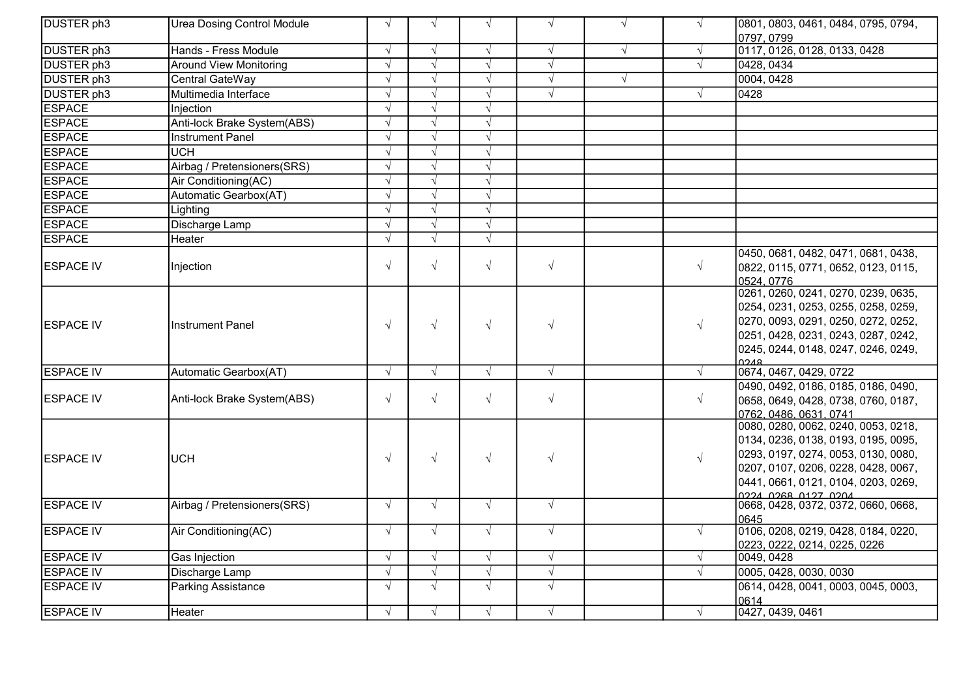| DUSTER ph3            | <b>Urea Dosing Control Module</b> | $\sqrt{ }$ | $\sqrt{ }$ | $\sqrt{ }$ | $\sqrt{ }$ | $\sqrt{ }$ |            | 0801, 0803, 0461, 0484, 0795, 0794,<br>0797, 0799                                                                                                                                                                      |
|-----------------------|-----------------------------------|------------|------------|------------|------------|------------|------------|------------------------------------------------------------------------------------------------------------------------------------------------------------------------------------------------------------------------|
| DUSTER ph3            | Hands - Fress Module              | $\sqrt{ }$ | $\sqrt{ }$ | $\sqrt{ }$ | $\sqrt{ }$ | $\sqrt{ }$ |            | 0117, 0126, 0128, 0133, 0428                                                                                                                                                                                           |
| <b>DUSTER</b> ph3     | <b>Around View Monitoring</b>     | $\sqrt{ }$ | $\sqrt{ }$ | $\sqrt{ }$ | $\sqrt{ }$ |            |            | 0428, 0434                                                                                                                                                                                                             |
| DUSTER <sub>ph3</sub> | Central GateWay                   | $\sqrt{ }$ | $\sqrt{ }$ | $\sqrt{ }$ | $\sqrt{ }$ | $\sqrt{ }$ |            | 0004, 0428                                                                                                                                                                                                             |
| DUSTER <sub>ph3</sub> | Multimedia Interface              | $\sqrt{ }$ | $\sqrt{ }$ | $\sqrt{ }$ | $\sqrt{ }$ |            |            | 0428                                                                                                                                                                                                                   |
| <b>ESPACE</b>         | Injection                         | $\sqrt{ }$ | $\sqrt{ }$ | $\sqrt{ }$ |            |            |            |                                                                                                                                                                                                                        |
| <b>ESPACE</b>         | Anti-lock Brake System(ABS)       | $\sqrt{ }$ | $\sqrt{ }$ | $\sqrt{ }$ |            |            |            |                                                                                                                                                                                                                        |
| <b>ESPACE</b>         | Instrument Panel                  | $\sqrt{ }$ | $\sqrt{ }$ | $\sqrt{ }$ |            |            |            |                                                                                                                                                                                                                        |
| <b>ESPACE</b>         | <b>UCH</b>                        | $\sqrt{ }$ | $\sqrt{ }$ | $\sqrt{ }$ |            |            |            |                                                                                                                                                                                                                        |
| <b>ESPACE</b>         | Airbag / Pretensioners(SRS)       | $\sqrt{ }$ | $\sqrt{ }$ | $\sqrt{ }$ |            |            |            |                                                                                                                                                                                                                        |
| <b>ESPACE</b>         | Air Conditioning(AC)              | $\sqrt{ }$ | $\sqrt{ }$ | $\sqrt{}$  |            |            |            |                                                                                                                                                                                                                        |
| <b>ESPACE</b>         | Automatic Gearbox(AT)             | $\sqrt{ }$ | $\sqrt{ }$ | $\sqrt{ }$ |            |            |            |                                                                                                                                                                                                                        |
| <b>ESPACE</b>         | Lighting                          | $\sqrt{ }$ | $\sqrt{ }$ | $\sqrt{ }$ |            |            |            |                                                                                                                                                                                                                        |
| <b>ESPACE</b>         | Discharge Lamp                    | $\sqrt{ }$ | $\sqrt{ }$ | $\sqrt{ }$ |            |            |            |                                                                                                                                                                                                                        |
| <b>ESPACE</b>         | Heater                            | $\sqrt{ }$ | $\sqrt{ }$ | $\sqrt{ }$ |            |            |            |                                                                                                                                                                                                                        |
| ESPACE IV             | Injection                         | $\sqrt{2}$ | $\sqrt{ }$ | $\sqrt{ }$ | $\sqrt{ }$ |            | $\sqrt{ }$ | 0450, 0681, 0482, 0471, 0681, 0438,<br>0822, 0115, 0771, 0652, 0123, 0115,<br>0524.0776                                                                                                                                |
| <b>ESPACE IV</b>      | Instrument Panel                  | $\sqrt{ }$ | $\sqrt{ }$ | $\sqrt{ }$ | $\sqrt{ }$ |            | $\sqrt{ }$ | 0261, 0260, 0241, 0270, 0239, 0635,<br>0254, 0231, 0253, 0255, 0258, 0259,<br>0270, 0093, 0291, 0250, 0272, 0252,<br>0251, 0428, 0231, 0243, 0287, 0242,<br>0245, 0244, 0148, 0247, 0246, 0249,<br><b>RNCU</b>         |
| <b>ESPACE IV</b>      | Automatic Gearbox(AT)             | $\sqrt{ }$ | $\sqrt{ }$ | $\sqrt{ }$ | $\sqrt{ }$ |            | $\sqrt{ }$ | 0674, 0467, 0429, 0722                                                                                                                                                                                                 |
| <b>ESPACE IV</b>      | Anti-lock Brake System(ABS)       | $\sqrt{ }$ | $\sqrt{ }$ | $\sqrt{ }$ | $\sqrt{ }$ |            | $\sqrt{ }$ | 0490, 0492, 0186, 0185, 0186, 0490,<br>0658, 0649, 0428, 0738, 0760, 0187,<br>0762.0486.0631.0741                                                                                                                      |
| <b>ESPACE IV</b>      | <b>UCH</b>                        | $\sqrt{ }$ | $\sqrt{ }$ | $\sqrt{ }$ | $\sqrt{ }$ |            | $\sqrt{ }$ | 0080, 0280, 0062, 0240, 0053, 0218,<br>0134, 0236, 0138, 0193, 0195, 0095,<br>0293, 0197, 0274, 0053, 0130, 0080,<br>0207, 0107, 0206, 0228, 0428, 0067,<br>0441, 0661, 0121, 0104, 0203, 0269,<br>0224 0268 0127 0204 |
| <b>ESPACE IV</b>      | Airbag / Pretensioners(SRS)       | $\sqrt{ }$ | $\sqrt{ }$ | $\sqrt{ }$ | $\sqrt{ }$ |            |            | 0668, 0428, 0372, 0372, 0660, 0668,<br>0645                                                                                                                                                                            |
| <b>ESPACE IV</b>      | Air Conditioning(AC)              | $\sqrt{ }$ | $\sqrt{ }$ | $\sqrt{ }$ | $\sqrt{ }$ |            | $\sqrt{ }$ | 0106, 0208, 0219, 0428, 0184, 0220,<br>0223, 0222, 0214, 0225, 0226                                                                                                                                                    |
| <b>ESPACE IV</b>      | Gas Injection                     | $\sqrt{ }$ | $\sqrt{ }$ | $\sqrt{ }$ | $\sqrt{ }$ |            | $\sqrt{ }$ | 0049, 0428                                                                                                                                                                                                             |
| <b>ESPACE IV</b>      | Discharge Lamp                    | $\sqrt{ }$ | $\sqrt{ }$ | $\sqrt{ }$ | $\sqrt{ }$ |            |            | 0005, 0428, 0030, 0030                                                                                                                                                                                                 |
| <b>ESPACE IV</b>      | <b>Parking Assistance</b>         | $\sqrt{2}$ | $\sqrt{ }$ | $\sqrt{ }$ | $\sqrt{ }$ |            |            | 0614, 0428, 0041, 0003, 0045, 0003,<br>0614                                                                                                                                                                            |
| <b>ESPACE IV</b>      | Heater                            | $\sqrt{ }$ | $\sqrt{ }$ | $\sqrt{ }$ | $\sqrt{ }$ |            |            | 0427, 0439, 0461                                                                                                                                                                                                       |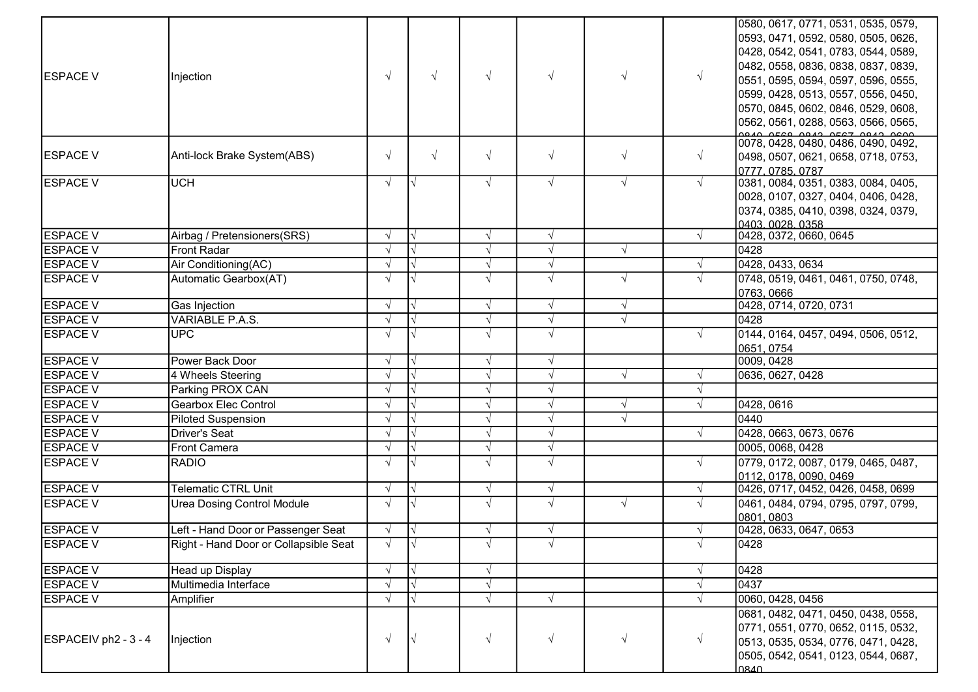| <b>ESPACE V</b><br><b>ESPACE V</b><br><b>ESPACE V</b> | Injection<br>Anti-lock Brake System(ABS)<br><b>UCH</b> | $\sqrt{ }$<br>$\sqrt{ }$<br>$\sqrt{ }$ | $\sqrt{ }$<br>$\sqrt{ }$<br>$\overline{\vee}$ | $\sqrt{ }$<br>$\sqrt{ }$<br>$\sqrt{ }$ | $\sqrt{ }$<br>$\sqrt{}$<br>$\sqrt{ }$ | $\sqrt{ }$<br>$\sqrt{ }$<br>$\sqrt{ }$ | $\sqrt{ }$<br>$\sqrt{ }$<br>$\sqrt{ }$ | 0580, 0617, 0771, 0531, 0535, 0579,<br>0593, 0471, 0592, 0580, 0505, 0626,<br>0428, 0542, 0541, 0783, 0544, 0589,<br>0482, 0558, 0836, 0838, 0837, 0839,<br>0551, 0595, 0594, 0597, 0596, 0555,<br>0599, 0428, 0513, 0557, 0556, 0450,<br>0570, 0845, 0602, 0846, 0529, 0608,<br>0562, 0561, 0288, 0563, 0566, 0565,<br>0078, 0428, 0480, 0486, 0490, 0492,<br>0498, 0507, 0621, 0658, 0718, 0753,<br>0777.0785.0787<br>0381, 0084, 0351, 0383, 0084, 0405, |
|-------------------------------------------------------|--------------------------------------------------------|----------------------------------------|-----------------------------------------------|----------------------------------------|---------------------------------------|----------------------------------------|----------------------------------------|-------------------------------------------------------------------------------------------------------------------------------------------------------------------------------------------------------------------------------------------------------------------------------------------------------------------------------------------------------------------------------------------------------------------------------------------------------------|
|                                                       |                                                        |                                        |                                               |                                        |                                       |                                        |                                        | 0028, 0107, 0327, 0404, 0406, 0428,<br>0374, 0385, 0410, 0398, 0324, 0379,<br>0403.0028.0358                                                                                                                                                                                                                                                                                                                                                                |
| <b>ESPACE V</b>                                       | Airbag / Pretensioners(SRS)                            | $\sqrt{ }$                             |                                               | $\sqrt{ }$                             | $\sqrt{ }$                            |                                        | $\sqrt{ }$                             | 0428, 0372, 0660, 0645                                                                                                                                                                                                                                                                                                                                                                                                                                      |
| <b>ESPACE V</b>                                       | <b>Front Radar</b>                                     | $\sqrt{ }$                             |                                               | $\sqrt{ }$                             | $\sqrt{}$                             | $\sqrt{ }$                             |                                        | 0428                                                                                                                                                                                                                                                                                                                                                                                                                                                        |
| <b>ESPACE V</b>                                       | Air Conditioning(AC)                                   | $\sqrt{ }$                             |                                               | $\sqrt{ }$                             | $\sqrt{ }$                            |                                        | $\sqrt{ }$                             | 0428, 0433, 0634                                                                                                                                                                                                                                                                                                                                                                                                                                            |
| <b>ESPACE V</b>                                       | Automatic Gearbox(AT)                                  | $\sqrt{ }$                             |                                               | $\sqrt{ }$                             | $\sqrt{ }$                            | $\sqrt{ }$                             | $\sqrt{ }$                             | 0748, 0519, 0461, 0461, 0750, 0748,<br>0763, 0666                                                                                                                                                                                                                                                                                                                                                                                                           |
| <b>ESPACE V</b>                                       | Gas Injection                                          | $\sqrt{ }$                             |                                               | $\sqrt{ }$                             | $\sqrt{ }$                            | $\sqrt{ }$                             |                                        | 0428, 0714, 0720, 0731                                                                                                                                                                                                                                                                                                                                                                                                                                      |
| <b>ESPACE V</b>                                       | <b>VARIABLE P.A.S.</b>                                 | $\sqrt{ }$                             |                                               | $\sqrt{ }$                             | $\sqrt{}$                             | $\sqrt{ }$                             |                                        | 0428                                                                                                                                                                                                                                                                                                                                                                                                                                                        |
| <b>ESPACE V</b>                                       | <b>UPC</b>                                             | $\sqrt{ }$                             |                                               | $\sqrt{ }$                             | $\sqrt{ }$                            |                                        | $\sqrt{ }$                             | 0144, 0164, 0457, 0494, 0506, 0512,<br>0651, 0754                                                                                                                                                                                                                                                                                                                                                                                                           |
| <b>ESPACE V</b>                                       | Power Back Door                                        | $\sqrt{ }$                             |                                               | $\sqrt{ }$                             | $\sqrt{ }$                            |                                        |                                        | 0009, 0428                                                                                                                                                                                                                                                                                                                                                                                                                                                  |
| <b>ESPACE V</b>                                       | 4 Wheels Steering                                      | $\sqrt{ }$                             |                                               | $\sqrt{ }$                             | $\sqrt{ }$                            | $\sqrt{ }$                             | $\sqrt{ }$                             | 0636, 0627, 0428                                                                                                                                                                                                                                                                                                                                                                                                                                            |
| <b>ESPACE V</b>                                       | Parking PROX CAN                                       | $\sqrt{ }$                             |                                               | $\sqrt{ }$                             | $\sqrt{ }$                            |                                        | $\sqrt{ }$                             |                                                                                                                                                                                                                                                                                                                                                                                                                                                             |
| <b>ESPACE V</b>                                       | Gearbox Elec Control                                   | $\sqrt{ }$                             |                                               | $\sqrt{ }$                             | $\sqrt{ }$                            | $\sqrt{ }$                             | $\sqrt{ }$                             | 0428, 0616                                                                                                                                                                                                                                                                                                                                                                                                                                                  |
| <b>ESPACE V</b>                                       | <b>Piloted Suspension</b>                              | $\sqrt{ }$                             |                                               | $\sqrt{ }$                             |                                       | $\sqrt{ }$                             |                                        | 0440                                                                                                                                                                                                                                                                                                                                                                                                                                                        |
| <b>ESPACE V</b>                                       | <b>Driver's Seat</b>                                   | $\sqrt{ }$                             |                                               | $\sqrt{ }$                             | $\sqrt{ }$                            |                                        | $\sqrt{ }$                             | 0428, 0663, 0673, 0676                                                                                                                                                                                                                                                                                                                                                                                                                                      |
| <b>ESPACE V</b>                                       | <b>Front Camera</b>                                    | $\sqrt{ }$                             |                                               | $\sqrt{ }$                             | $\sqrt{ }$                            |                                        |                                        | 0005, 0068, 0428                                                                                                                                                                                                                                                                                                                                                                                                                                            |
| <b>ESPACE V</b>                                       | RADIO                                                  | $\sqrt{ }$                             |                                               | $\sqrt{ }$                             | $\sqrt{}$                             |                                        | $\sqrt{ }$                             | 0779, 0172, 0087, 0179, 0465, 0487,<br>0112, 0178, 0090, 0469                                                                                                                                                                                                                                                                                                                                                                                               |
| <b>ESPACE V</b>                                       | <b>Telematic CTRL Unit</b>                             | $\sqrt{ }$                             | $\overline{\vee}$                             | $\sqrt{ }$                             | $\sqrt{ }$                            |                                        | $\sqrt{ }$                             | 0426, 0717, 0452, 0426, 0458, 0699                                                                                                                                                                                                                                                                                                                                                                                                                          |
| <b>ESPACE V</b>                                       | <b>Urea Dosing Control Module</b>                      | $\sqrt{ }$                             | $\overline{\sqrt{ }}$                         | $\sqrt{ }$                             | $\sqrt{ }$                            | $\sqrt{ }$                             | $\sqrt{ }$                             | 0461, 0484, 0794, 0795, 0797, 0799,<br>0801, 0803                                                                                                                                                                                                                                                                                                                                                                                                           |
| <b>ESPACE V</b>                                       | Left - Hand Door or Passenger Seat                     | $\sqrt{ }$                             | I٧                                            | $\sqrt{ }$                             | $\sqrt{ }$                            |                                        | $\sqrt{ }$                             | 0428, 0633, 0647, 0653                                                                                                                                                                                                                                                                                                                                                                                                                                      |
| <b>ESPACE V</b>                                       | Right - Hand Door or Collapsible Seat                  | $\sqrt{ }$                             | $\mathsf{I}\mathsf{V}$                        | $\sqrt{ }$                             |                                       |                                        | $\sqrt{ }$                             | 0428                                                                                                                                                                                                                                                                                                                                                                                                                                                        |
| <b>ESPACE V</b>                                       | Head up Display                                        | $\sqrt{ }$                             |                                               | $\sqrt{ }$                             |                                       |                                        |                                        | 0428                                                                                                                                                                                                                                                                                                                                                                                                                                                        |
| <b>ESPACE V</b>                                       | Multimedia Interface                                   | $\sqrt{ }$                             |                                               | $\sqrt{ }$                             |                                       |                                        | $\sqrt{ }$                             | 0437                                                                                                                                                                                                                                                                                                                                                                                                                                                        |
| <b>ESPACE V</b>                                       | Amplifier                                              | $\sqrt{ }$                             |                                               | $\sqrt{ }$                             | $\sqrt{ }$                            |                                        | $\sqrt{ }$                             | 0060, 0428, 0456                                                                                                                                                                                                                                                                                                                                                                                                                                            |
| ESPACEIV ph2 - 3 - 4                                  | Injection                                              | $\sqrt{ }$                             | $\overline{\vee}$                             | $\sqrt{}$                              | $\sqrt{ }$                            | $\sqrt{ }$                             | $\sqrt{ }$                             | 0681, 0482, 0471, 0450, 0438, 0558,<br>0771, 0551, 0770, 0652, 0115, 0532,<br>0513, 0535, 0534, 0776, 0471, 0428,<br>0505, 0542, 0541, 0123, 0544, 0687,<br>los40                                                                                                                                                                                                                                                                                           |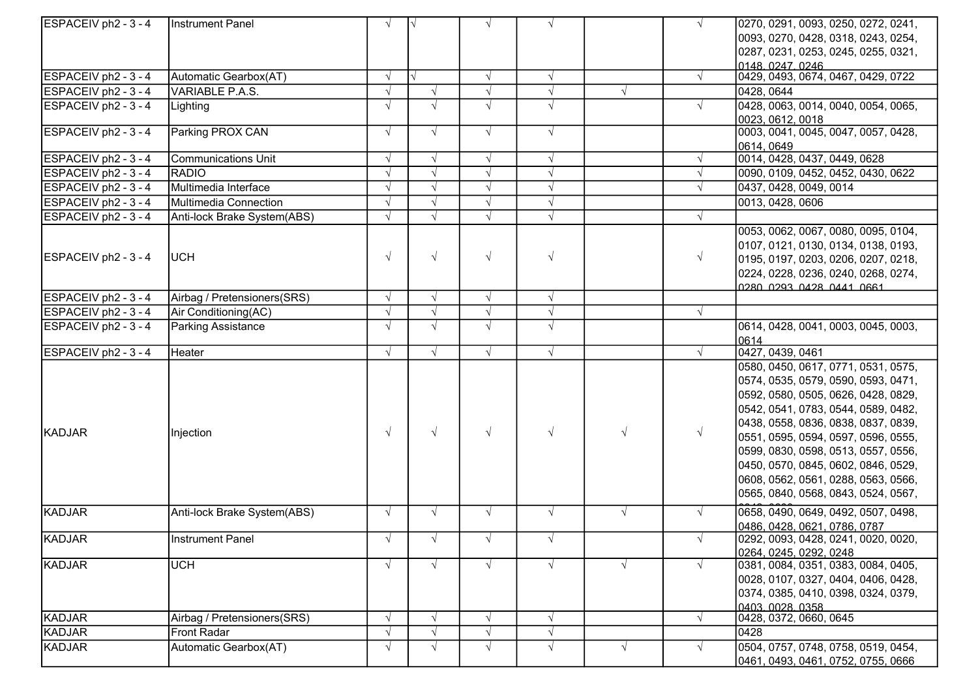| ESPACEIV ph <sub>2</sub> - 3 - 4 | Instrument Panel            | $\sqrt{ }$ | $\sqrt{}$  | $\sqrt{ }$ | $\sqrt{ }$ |            | $\sqrt{ }$ | 0270, 0291, 0093, 0250, 0272, 0241, |
|----------------------------------|-----------------------------|------------|------------|------------|------------|------------|------------|-------------------------------------|
|                                  |                             |            |            |            |            |            |            | 0093, 0270, 0428, 0318, 0243, 0254, |
|                                  |                             |            |            |            |            |            |            | 0287, 0231, 0253, 0245, 0255, 0321, |
|                                  |                             |            |            |            |            |            |            | 0148.0247.0246                      |
| ESPACEIV ph2 - $3 - 4$           | Automatic Gearbox(AT)       | $\sqrt{ }$ | √          | $\sqrt{ }$ | $\sqrt{ }$ |            | $\sqrt{ }$ | 0429, 0493, 0674, 0467, 0429, 0722  |
| ESPACEIV $ph2 - 3 - 4$           | VARIABLE P.A.S.             |            | $\sqrt{ }$ | $\sqrt{}$  | $\sqrt{ }$ | $\sqrt{ }$ |            | 0428, 0644                          |
| ESPACEIV ph2 - 3 - 4             | Lighting                    |            | $\sqrt{ }$ | $\sqrt{ }$ | $\sqrt{ }$ |            | $\sqrt{ }$ | 0428, 0063, 0014, 0040, 0054, 0065, |
|                                  |                             |            |            |            |            |            |            | 0023, 0612, 0018                    |
| $\textsf{ESPACEIV}$ ph2 - 3 - 4  | Parking PROX CAN            | $\sqrt{ }$ | $\sqrt{ }$ | $\sqrt{ }$ | $\sqrt{ }$ |            |            | 0003, 0041, 0045, 0047, 0057, 0428, |
|                                  |                             |            |            |            |            |            |            | 0614, 0649                          |
| $\textsf{ESPACEIV}$ ph2 - 3 - 4  | <b>Communications Unit</b>  | $\sqrt{ }$ | $\sqrt{ }$ | $\sqrt{ }$ | $\sqrt{ }$ |            |            | 0014, 0428, 0437, 0449, 0628        |
| $\textsf{ESPACEIV}$ ph2 - 3 - 4  | RADIO                       |            | $\sqrt{ }$ | $\sqrt{ }$ | $\sqrt{ }$ |            |            | 0090, 0109, 0452, 0452, 0430, 0622  |
| ESPACEIV ph <sub>2</sub> - 3 - 4 | Multimedia Interface        |            | $\sqrt{ }$ | $\sqrt{ }$ | $\sqrt{ }$ |            |            | 0437, 0428, 0049, 0014              |
| ESPACEIV ph2 - $3 - 4$           | Multimedia Connection       | $\sqrt{ }$ | $\sqrt{ }$ | $\sqrt{ }$ | $\sqrt{ }$ |            |            | 0013, 0428, 0606                    |
| ESPACEIV ph2 - 3 - 4             | Anti-lock Brake System(ABS) |            | $\sqrt{ }$ | $\sqrt{ }$ | $\sqrt{ }$ |            |            |                                     |
|                                  |                             |            |            |            |            |            |            | 0053, 0062, 0067, 0080, 0095, 0104, |
|                                  |                             |            |            |            |            |            |            | 0107, 0121, 0130, 0134, 0138, 0193, |
| ESPACEIV ph <sub>2</sub> - 3 - 4 | IUCH                        |            | $\sqrt{ }$ | $\sqrt{ }$ | $\sqrt{ }$ |            | $\sqrt{ }$ | 0195, 0197, 0203, 0206, 0207, 0218, |
|                                  |                             |            |            |            |            |            |            | 0224, 0228, 0236, 0240, 0268, 0274, |
|                                  |                             |            |            |            |            |            |            | <u>lo280 0293 0428 0441 0661 </u>   |
| ESPACEIV ph2 - 3 - 4             | Airbag / Pretensioners(SRS) | $\sqrt{ }$ | $\sqrt{ }$ | $\sqrt{ }$ | $\sqrt{ }$ |            |            |                                     |
| $ESPACEIV ph2 - 3 - 4$           | Air Conditioning(AC)        |            | $\sqrt{ }$ | $\sqrt{ }$ | $\sqrt{ }$ |            | $\sqrt{ }$ |                                     |
| $\textsf{ESPACEIV}$ ph2 - 3 - 4  | <b>Parking Assistance</b>   | $\sqrt{ }$ | $\sqrt{ }$ | $\sqrt{ }$ | $\sqrt{ }$ |            |            | 0614, 0428, 0041, 0003, 0045, 0003, |
|                                  |                             |            |            |            |            |            |            | 0614                                |
| ESPACEIV ph2 - 3 - 4             | Heater                      | $\sqrt{ }$ | $\sqrt{ }$ | $\sqrt{ }$ | $\sqrt{ }$ |            | $\sqrt{ }$ | 0427, 0439, 0461                    |
|                                  |                             |            |            |            |            |            |            | 0580, 0450, 0617, 0771, 0531, 0575, |
|                                  |                             |            |            |            |            |            |            | 0574, 0535, 0579, 0590, 0593, 0471, |
|                                  |                             |            |            |            |            |            |            | 0592, 0580, 0505, 0626, 0428, 0829, |
|                                  |                             |            |            |            |            |            |            | 0542, 0541, 0783, 0544, 0589, 0482, |
|                                  |                             |            |            |            |            |            |            | 0438, 0558, 0836, 0838, 0837, 0839, |
| KADJAR                           | Injection                   | $\sqrt{ }$ | $\sqrt{ }$ | $\sqrt{ }$ | $\sqrt{ }$ | $\sqrt{ }$ |            | 0551, 0595, 0594, 0597, 0596, 0555, |
|                                  |                             |            |            |            |            |            |            | 0599, 0830, 0598, 0513, 0557, 0556, |
|                                  |                             |            |            |            |            |            |            | 0450, 0570, 0845, 0602, 0846, 0529, |
|                                  |                             |            |            |            |            |            |            | 0608, 0562, 0561, 0288, 0563, 0566, |
|                                  |                             |            |            |            |            |            |            | 0565, 0840, 0568, 0843, 0524, 0567, |
| <b>KADJAR</b>                    | Anti-lock Brake System(ABS) | $\sqrt{ }$ | $\sqrt{ }$ | $\sqrt{ }$ | $\sqrt{ }$ | $\sqrt{ }$ |            | 0658, 0490, 0649, 0492, 0507, 0498, |
|                                  |                             |            |            |            |            |            |            | 0486, 0428, 0621, 0786, 0787        |
| <b>KADJAR</b>                    | <b>Instrument Panel</b>     | $\sqrt{ }$ | $\sqrt{ }$ |            |            |            |            | 0292, 0093, 0428, 0241, 0020, 0020, |
|                                  |                             |            |            |            |            |            |            | 0264, 0245, 0292, 0248              |
| KADJAR                           | <b>UCH</b>                  | $\sqrt{ }$ | $\sqrt{ }$ | $\sqrt{ }$ | $\sqrt{ }$ | $\sqrt{ }$ | $\sqrt{ }$ | 0381, 0084, 0351, 0383, 0084, 0405, |
|                                  |                             |            |            |            |            |            |            | 0028, 0107, 0327, 0404, 0406, 0428, |
|                                  |                             |            |            |            |            |            |            | 0374, 0385, 0410, 0398, 0324, 0379, |
|                                  |                             |            |            |            |            |            |            | <u> 10403 0028 0358 </u>            |
| KADJAR                           | Airbag / Pretensioners(SRS) |            | $\sqrt{ }$ | $\sqrt{ }$ | $\sqrt{ }$ |            | $\sqrt{ }$ | 0428, 0372, 0660, 0645              |
| KADJAR                           | Front Radar                 |            | $\sqrt{ }$ | $\sqrt{}$  | $\sqrt{ }$ |            |            | 0428                                |
| KADJAR                           | Automatic Gearbox(AT)       |            | $\sqrt{ }$ | $\sqrt{ }$ | $\sqrt{ }$ | $\sqrt{ }$ | $\sqrt{ }$ | 0504, 0757, 0748, 0758, 0519, 0454, |
|                                  |                             |            |            |            |            |            |            | 0461, 0493, 0461, 0752, 0755, 0666  |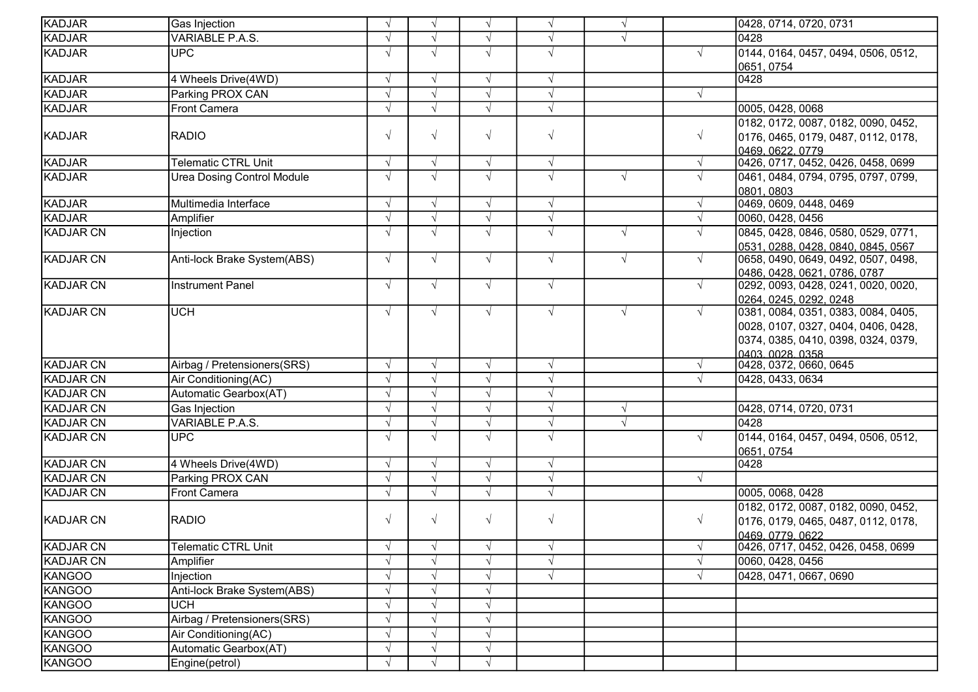| KADJAR           | Gas Injection                     | $\sqrt{ }$ | $\sqrt{ }$ | $\sqrt{ }$ | $\sqrt{ }$ | $\sqrt{ }$ |            | 0428, 0714, 0720, 0731                                 |
|------------------|-----------------------------------|------------|------------|------------|------------|------------|------------|--------------------------------------------------------|
| KADJAR           | VARIABLE P.A.S.                   |            |            |            |            |            |            | 0428                                                   |
| KADJAR           | <b>UPC</b>                        |            | $\sqrt{ }$ | $\sqrt{ }$ | $\sqrt{ }$ |            |            | 0144, 0164, 0457, 0494, 0506, 0512,                    |
|                  |                                   |            |            |            |            |            |            | 0651, 0754                                             |
| <b>KADJAR</b>    | 4 Wheels Drive(4WD)               |            | $\sqrt{ }$ | $\sqrt{ }$ | $\sqrt{ }$ |            |            | 0428                                                   |
| KADJAR           | Parking PROX CAN                  |            | $\sqrt{ }$ | $\sqrt{ }$ | $\sqrt{ }$ |            |            |                                                        |
| KADJAR           | <b>Front Camera</b>               |            | $\sqrt{ }$ |            | $\sqrt{ }$ |            |            | 0005, 0428, 0068                                       |
|                  |                                   |            |            |            |            |            |            | 0182, 0172, 0087, 0182, 0090, 0452,                    |
| KADJAR           | <b>RADIO</b>                      | $\sqrt{}$  | $\sqrt{ }$ | $\sqrt{ }$ | $\sqrt{ }$ |            | $\sqrt{ }$ | 0176, 0465, 0179, 0487, 0112, 0178,                    |
|                  |                                   |            |            |            |            |            |            |                                                        |
| <b>KADJAR</b>    | <b>Telematic CTRL Unit</b>        |            | $\sqrt{ }$ | $\sqrt{ }$ | $\sqrt{ }$ |            | $\sqrt{ }$ | 0426, 0717, 0452, 0426, 0458, 0699                     |
| KADJAR           | <b>Urea Dosing Control Module</b> |            | $\sqrt{ }$ | $\sqrt{ }$ | $\sqrt{ }$ | $\sqrt{ }$ |            | 0461, 0484, 0794, 0795, 0797, 0799,                    |
|                  |                                   |            |            |            |            |            |            | 0801, 0803                                             |
| KADJAR           | Multimedia Interface              |            | $\sqrt{ }$ | $\sqrt{ }$ | $\sqrt{ }$ |            | $\sqrt{}$  | 0469, 0609, 0448, 0469                                 |
| KADJAR           | Amplifier                         |            | $\sqrt{ }$ | $\sqrt{ }$ | $\sqrt{ }$ |            |            | 0060, 0428, 0456                                       |
| <b>KADJAR CN</b> | Injection                         |            | $\sqrt{ }$ | $\sqrt{ }$ | $\sqrt{ }$ | $\sqrt{ }$ |            | 0845, 0428, 0846, 0580, 0529, 0771,                    |
|                  |                                   |            |            |            |            |            |            | 0531, 0288, 0428, 0840, 0845, 0567                     |
| <b>KADJAR CN</b> | Anti-lock Brake System(ABS)       | $\sqrt{ }$ | $\sqrt{ }$ | $\sqrt{ }$ | $\sqrt{ }$ | $\sqrt{ }$ | $\sqrt{ }$ | 0658, 0490, 0649, 0492, 0507, 0498,                    |
|                  |                                   |            |            |            |            |            |            | 0486, 0428, 0621, 0786, 0787                           |
| <b>KADJAR CN</b> | Instrument Panel                  | $\sqrt{ }$ | $\sqrt{ }$ | $\sqrt{ }$ | $\sqrt{ }$ |            | $\sqrt{ }$ | 0292, 0093, 0428, 0241, 0020, 0020,                    |
|                  |                                   |            |            |            |            |            |            | 0264, 0245, 0292, 0248                                 |
| <b>KADJAR CN</b> | <b>UCH</b>                        |            | $\sqrt{ }$ | $\sqrt{ }$ | $\sqrt{ }$ | $\sqrt{ }$ | $\sqrt{ }$ | 0381, 0084, 0351, 0383, 0084, 0405,                    |
|                  |                                   |            |            |            |            |            |            | 0028, 0107, 0327, 0404, 0406, 0428,                    |
|                  |                                   |            |            |            |            |            |            | 0374, 0385, 0410, 0398, 0324, 0379,                    |
| <b>KADJAR CN</b> | Airbag / Pretensioners(SRS)       |            | $\sqrt{ }$ | $\sqrt{ }$ | $\sqrt{ }$ |            | $\sqrt{}$  | 0403.0028.0358<br>0428, 0372, 0660, 0645               |
| <b>KADJAR CN</b> | Air Conditioning(AC)              |            | $\sqrt{ }$ | $\sqrt{ }$ | $\sqrt{ }$ |            |            | 0428, 0433, 0634                                       |
| <b>KADJAR CN</b> | Automatic Gearbox(AT)             |            | $\sqrt{ }$ | $\sqrt{ }$ | $\sqrt{ }$ |            |            |                                                        |
|                  |                                   |            |            | $\sqrt{ }$ |            |            |            |                                                        |
| KADJAR CN        | Gas Injection                     |            | $\sqrt{ }$ |            | $\sqrt{ }$ | $\sqrt{ }$ |            | 0428, 0714, 0720, 0731                                 |
| KADJAR CN        | VARIABLE P.A.S.                   |            | $\sqrt{ }$ | $\sqrt{ }$ | $\sqrt{}$  | $\sqrt{ }$ |            | 0428                                                   |
| KADJAR CN        | <b>UPC</b>                        |            | $\sqrt{ }$ | $\sqrt{ }$ | $\sqrt{ }$ |            | $\sqrt{ }$ | 0144, 0164, 0457, 0494, 0506, 0512,                    |
| <b>KADJAR CN</b> | 4 Wheels Drive(4WD)               |            | $\sqrt{ }$ | $\sqrt{ }$ | $\sqrt{ }$ |            |            | 0651, 0754<br>0428                                     |
| <b>KADJAR CN</b> | Parking PROX CAN                  |            | $\sqrt{ }$ | $\sqrt{ }$ | $\sqrt{}$  |            | $\sqrt{ }$ |                                                        |
|                  |                                   |            |            |            |            |            |            |                                                        |
| KADJAR CN        | <b>Front Camera</b>               | $\sqrt{ }$ | $\sqrt{ }$ | $\sqrt{ }$ | $\sqrt{ }$ |            |            | 0005, 0068, 0428                                       |
| <b>KADJAR CN</b> |                                   |            | $\sqrt{ }$ | $\sqrt{ }$ |            |            |            | 0182, 0172, 0087, 0182, 0090, 0452,                    |
|                  | <b>RADIO</b>                      |            |            |            | $\sqrt{ }$ |            | $\sqrt{ }$ | 0176, 0179, 0465, 0487, 0112, 0178,                    |
| <b>KADJAR CN</b> | <b>Telematic CTRL Unit</b>        |            | $\sqrt{ }$ | $\sqrt{ }$ | $\sqrt{ }$ |            |            | 0469, 0779, 0622<br>0426, 0717, 0452, 0426, 0458, 0699 |
| <b>KADJAR CN</b> |                                   |            |            |            | $\sqrt{ }$ |            |            | 0060, 0428, 0456                                       |
|                  | Amplifier                         |            |            |            |            |            |            |                                                        |
| KANGOO           | Injection                         |            | $\sqrt{ }$ | $\sqrt{ }$ | $\sqrt{ }$ |            |            | 0428, 0471, 0667, 0690                                 |
| KANGOO           | Anti-lock Brake System(ABS)       |            | $\sqrt{ }$ | $\sqrt{ }$ |            |            |            |                                                        |
| KANGOO           | <b>UCH</b>                        |            | $\sqrt{ }$ | $\sqrt{ }$ |            |            |            |                                                        |
| KANGOO           | Airbag / Pretensioners(SRS)       |            | $\sqrt{ }$ | $\sqrt{ }$ |            |            |            |                                                        |
| KANGOO           | Air Conditioning(AC)              |            | $\sqrt{ }$ | $\sqrt{ }$ |            |            |            |                                                        |
| KANGOO           | Automatic Gearbox(AT)             |            | $\sqrt{ }$ | $\sqrt{ }$ |            |            |            |                                                        |
| KANGOO           | Engine(petrol)                    |            | $\sqrt{ }$ | $\sqrt{ }$ |            |            |            |                                                        |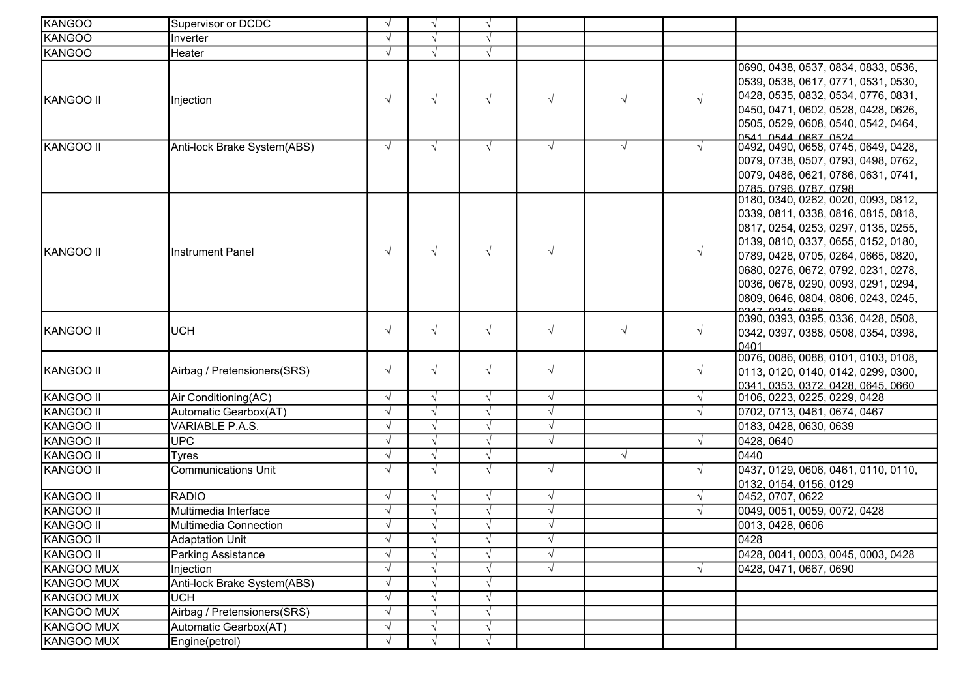| <b>KANGOO</b>    | Supervisor or DCDC          | $\sqrt{ }$ | $\sqrt{ }$    | $\sqrt{ }$ |            |            |            |                                                                                                                                                                                                                                                                                                                      |
|------------------|-----------------------------|------------|---------------|------------|------------|------------|------------|----------------------------------------------------------------------------------------------------------------------------------------------------------------------------------------------------------------------------------------------------------------------------------------------------------------------|
| <b>KANGOO</b>    | Inverter                    |            |               | $\sqrt{ }$ |            |            |            |                                                                                                                                                                                                                                                                                                                      |
| KANGOO           | Heater                      |            | $\sqrt{ }$    |            |            |            |            |                                                                                                                                                                                                                                                                                                                      |
| KANGOO II        | Injection                   | $\sqrt{ }$ | $\sqrt{ }$    | $\sqrt{ }$ | $\sqrt{ }$ | $\sqrt{ }$ | $\sqrt{ }$ | 0690, 0438, 0537, 0834, 0833, 0536,<br>0539, 0538, 0617, 0771, 0531, 0530,<br>0428, 0535, 0832, 0534, 0776, 0831,<br>0450, 0471, 0602, 0528, 0428, 0626,<br>0505, 0529, 0608, 0540, 0542, 0464,                                                                                                                      |
| KANGOO II        | Anti-lock Brake System(ABS) | $\sqrt{ }$ | $\sqrt{ }$    | $\sqrt{ }$ | $\sqrt{ }$ | $\sqrt{ }$ |            | 0541 0544 0667 0524<br>0492, 0490, 0658, 0745, 0649, 0428,<br>0079, 0738, 0507, 0793, 0498, 0762,<br>0079, 0486, 0621, 0786, 0631, 0741,<br>0785, 0796, 0787, 0798                                                                                                                                                   |
| KANGOO II        | <b>Instrument Panel</b>     | $\sqrt{ }$ | $\sqrt{ }$    | $\sqrt{ }$ | $\sqrt{ }$ |            | $\sqrt{ }$ | 0180, 0340, 0262, 0020, 0093, 0812,<br>0339, 0811, 0338, 0816, 0815, 0818,<br>0817, 0254, 0253, 0297, 0135, 0255,<br>0139, 0810, 0337, 0655, 0152, 0180,<br>0789, 0428, 0705, 0264, 0665, 0820,<br>0680, 0276, 0672, 0792, 0231, 0278,<br>0036, 0678, 0290, 0093, 0291, 0294,<br>0809, 0646, 0804, 0806, 0243, 0245, |
| KANGOO II        | <b>UCH</b>                  | $\sqrt{ }$ | $\sqrt{ }$    | $\sqrt{ }$ | $\sqrt{ }$ | $\sqrt{ }$ | $\sqrt{}$  | 0390, 0393, 0395, 0336, 0428, 0508,<br>0342, 0397, 0388, 0508, 0354, 0398,<br>0401                                                                                                                                                                                                                                   |
| KANGOO II        | Airbag / Pretensioners(SRS) | $\sqrt{ }$ | $\sqrt{ }$    | $\sqrt{ }$ | $\sqrt{ }$ |            | $\sqrt{ }$ | 0076, 0086, 0088, 0101, 0103, 0108,<br>0113, 0120, 0140, 0142, 0299, 0300,<br>0341.0353.0372.0428.0645.0660                                                                                                                                                                                                          |
| KANGOO II        | Air Conditioning(AC)        | $\sqrt{ }$ | $\sqrt{ }$    | $\sqrt{ }$ | $\sqrt{ }$ |            |            | 0106, 0223, 0225, 0229, 0428                                                                                                                                                                                                                                                                                         |
| KANGOO II        | Automatic Gearbox(AT)       |            | $\sqrt{ }$    | $\sqrt{ }$ | $\sqrt{ }$ |            |            | 0702, 0713, 0461, 0674, 0467                                                                                                                                                                                                                                                                                         |
| KANGOO II        | VARIABLE P.A.S.             |            | $\sqrt{ }$    | $\sqrt{ }$ | $\sqrt{ }$ |            |            | 0183, 0428, 0630, 0639                                                                                                                                                                                                                                                                                               |
| KANGOO II        | <b>UPC</b>                  |            |               | $\sqrt{}$  | $\sqrt{ }$ |            |            | 0428, 0640                                                                                                                                                                                                                                                                                                           |
| KANGOO II        | <b>Tyres</b>                |            |               | $\sqrt{ }$ |            | $\sqrt{ }$ |            | 0440                                                                                                                                                                                                                                                                                                                 |
| KANGOO II        | <b>Communications Unit</b>  | $\sqrt{ }$ | $\sqrt{ }$    | $\sqrt{ }$ | $\sqrt{ }$ |            |            | 0437, 0129, 0606, 0461, 0110, 0110,<br>0132, 0154, 0156, 0129                                                                                                                                                                                                                                                        |
| KANGOO II        | <b>RADIO</b>                | $\sqrt{ }$ | $\sqrt{ }$    | $\sqrt{ }$ | $\sqrt{ }$ |            |            | 0452, 0707, 0622                                                                                                                                                                                                                                                                                                     |
| KANGOO II        | Multimedia Interface        |            |               | $\sqrt{ }$ | $\sqrt{ }$ |            |            | 0049, 0051, 0059, 0072, 0428                                                                                                                                                                                                                                                                                         |
| <b>KANGOO II</b> | Multimedia Connection       |            | $\sqrt{ }$    | $\sqrt{ }$ | $\sqrt{ }$ |            |            | 0013, 0428, 0606                                                                                                                                                                                                                                                                                                     |
| KANGOO II        | <b>Adaptation Unit</b>      |            |               |            | N          |            |            | 0428                                                                                                                                                                                                                                                                                                                 |
| KANGOO II        | Parking Assistance          |            |               | $\sqrt{ }$ | $\sqrt{ }$ |            |            | 0428, 0041, 0003, 0045, 0003, 0428                                                                                                                                                                                                                                                                                   |
| KANGOO MUX       | Injection                   |            |               |            | $\sqrt{ }$ |            |            | 0428, 0471, 0667, 0690                                                                                                                                                                                                                                                                                               |
| KANGOO MUX       | Anti-lock Brake System(ABS) |            |               | V          |            |            |            |                                                                                                                                                                                                                                                                                                                      |
| KANGOO MUX       | <b>UCH</b>                  |            | $\mathcal{N}$ | $\sqrt{}$  |            |            |            |                                                                                                                                                                                                                                                                                                                      |
| KANGOO MUX       | Airbag / Pretensioners(SRS) |            | $\mathcal{N}$ | $\sqrt{ }$ |            |            |            |                                                                                                                                                                                                                                                                                                                      |
| KANGOO MUX       | Automatic Gearbox(AT)       |            | $\sqrt{ }$    | $\sqrt{}$  |            |            |            |                                                                                                                                                                                                                                                                                                                      |
| KANGOO MUX       | Engine(petrol)              | $\sqrt{ }$ | $\mathcal{N}$ | $\sqrt{ }$ |            |            |            |                                                                                                                                                                                                                                                                                                                      |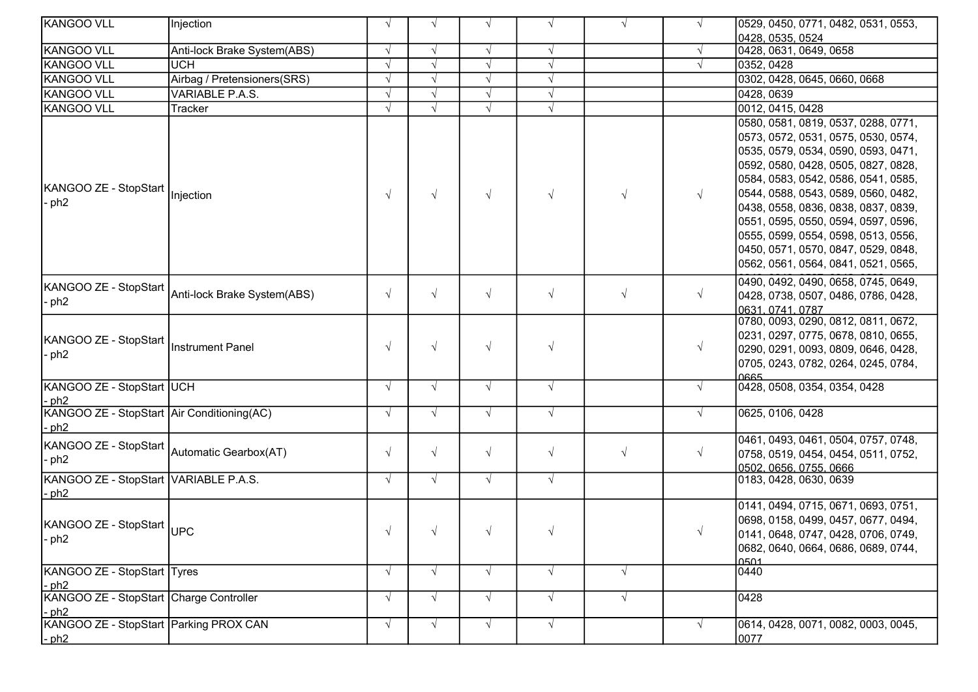| KANGOO VLL                                                      | Injection                   | $\sqrt{ }$ | $\sqrt{ }$ | $\sqrt{ }$ | $\sqrt{ }$ | $\sqrt{ }$ | $\sqrt{ }$ | 0529, 0450, 0771, 0482, 0531, 0553,                                                                                                                                                                                                                                                                                                                                                                                                       |
|-----------------------------------------------------------------|-----------------------------|------------|------------|------------|------------|------------|------------|-------------------------------------------------------------------------------------------------------------------------------------------------------------------------------------------------------------------------------------------------------------------------------------------------------------------------------------------------------------------------------------------------------------------------------------------|
|                                                                 |                             |            |            |            |            |            |            | 0428, 0535, 0524                                                                                                                                                                                                                                                                                                                                                                                                                          |
| <b>KANGOO VLL</b>                                               | Anti-lock Brake System(ABS) | $\sqrt{ }$ | $\sqrt{ }$ | $\sqrt{ }$ | $\sqrt{ }$ |            | $\sqrt{ }$ | 0428, 0631, 0649, 0658                                                                                                                                                                                                                                                                                                                                                                                                                    |
| <b>KANGOO VLL</b>                                               | <b>UCH</b>                  | $\sqrt{ }$ |            | $\sqrt{}$  | $\sqrt{ }$ |            |            | 0352, 0428                                                                                                                                                                                                                                                                                                                                                                                                                                |
| <b>KANGOO VLL</b>                                               | Airbag / Pretensioners(SRS) | $\sqrt{ }$ |            | $\sqrt{ }$ | $\sqrt{ }$ |            |            | 0302, 0428, 0645, 0660, 0668                                                                                                                                                                                                                                                                                                                                                                                                              |
| <b>KANGOO VLL</b>                                               | VARIABLE P.A.S.             | $\sqrt{ }$ | $\sqrt{ }$ | $\sqrt{ }$ | $\sqrt{ }$ |            |            | 0428, 0639                                                                                                                                                                                                                                                                                                                                                                                                                                |
| <b>KANGOO VLL</b>                                               | Tracker                     |            |            |            |            |            |            | 0012, 0415, 0428                                                                                                                                                                                                                                                                                                                                                                                                                          |
| KANGOO ZE - StopStart  Injection<br>- ph <sub>2</sub>           |                             | $\sqrt{ }$ | $\sqrt{ }$ | $\sqrt{ }$ | $\sqrt{ }$ | $\sqrt{ }$ | $\sqrt{ }$ | 0580, 0581, 0819, 0537, 0288, 0771,<br>0573, 0572, 0531, 0575, 0530, 0574,<br>0535, 0579, 0534, 0590, 0593, 0471,<br>0592, 0580, 0428, 0505, 0827, 0828,<br>0584, 0583, 0542, 0586, 0541, 0585,<br>0544, 0588, 0543, 0589, 0560, 0482,<br>0438, 0558, 0836, 0838, 0837, 0839,<br>0551, 0595, 0550, 0594, 0597, 0596,<br>0555, 0599, 0554, 0598, 0513, 0556,<br>0450, 0571, 0570, 0847, 0529, 0848,<br>0562, 0561, 0564, 0841, 0521, 0565, |
| KANGOO ZE - StopStart<br>$-$ ph2                                | Anti-lock Brake System(ABS) | $\sqrt{ }$ | $\sqrt{ }$ | $\sqrt{ }$ | $\sqrt{ }$ | $\sqrt{ }$ | $\sqrt{}$  | 0490, 0492, 0490, 0658, 0745, 0649,<br>0428, 0738, 0507, 0486, 0786, 0428,<br>0631.0741.0787                                                                                                                                                                                                                                                                                                                                              |
| KANGOO ZE - StopStart  Instrument Panel<br>- ph2                |                             | $\sqrt{ }$ | $\sqrt{ }$ | $\sqrt{ }$ | $\sqrt{ }$ |            | $\sqrt{ }$ | 0780, 0093, 0290, 0812, 0811, 0672,<br>0231, 0297, 0775, 0678, 0810, 0655,<br>0290, 0291, 0093, 0809, 0646, 0428,<br>0705, 0243, 0782, 0264, 0245, 0784,                                                                                                                                                                                                                                                                                  |
| KANGOO ZE - StopStart UCH<br>$-$ ph2                            |                             | $\sqrt{ }$ | $\sqrt{ }$ | $\sqrt{ }$ | $\sqrt{ }$ |            |            | 10665<br>0428, 0508, 0354, 0354, 0428                                                                                                                                                                                                                                                                                                                                                                                                     |
| KANGOO ZE - StopStart Air Conditioning(AC)<br>$-$ ph2           |                             | $\sqrt{ }$ | $\sqrt{ }$ | $\sqrt{ }$ | $\sqrt{ }$ |            | $\sqrt{ }$ | 0625, 0106, 0428                                                                                                                                                                                                                                                                                                                                                                                                                          |
| <br> KANGOO ZE - StopStart  <br> Automatic Gearbox(AT)<br>- ph2 |                             | $\sqrt{ }$ | $\sqrt{ }$ | $\sqrt{ }$ | $\sqrt{ }$ | $\sqrt{ }$ | $\sqrt{}$  | 0461, 0493, 0461, 0504, 0757, 0748,<br>0758, 0519, 0454, 0454, 0511, 0752,                                                                                                                                                                                                                                                                                                                                                                |
| KANGOO ZE - StopStart VARIABLE P.A.S.<br>$-$ ph2                |                             | $\sqrt{ }$ | $\sqrt{ }$ | $\sqrt{ }$ | $\sqrt{ }$ |            |            | 0183, 0428, 0630, 0639                                                                                                                                                                                                                                                                                                                                                                                                                    |
| KANGOO ZE - StopStart  UPC<br>$-$ ph2                           |                             | $\sqrt{}$  | $\sqrt{ }$ | $\sqrt{ }$ | $\sqrt{}$  |            | $\sqrt{ }$ | 0141, 0494, 0715, 0671, 0693, 0751,<br>0698, 0158, 0499, 0457, 0677, 0494,<br>0141, 0648, 0747, 0428, 0706, 0749,<br>0682, 0640, 0664, 0686, 0689, 0744,<br>0501                                                                                                                                                                                                                                                                          |
| KANGOO ZE - StopStart Tyres<br>$-$ ph2                          |                             | $\sqrt{ }$ | $\sqrt{ }$ | $\sqrt{ }$ | $\sqrt{ }$ | $\sqrt{ }$ |            | 0440                                                                                                                                                                                                                                                                                                                                                                                                                                      |
| KANGOO ZE - StopStart Charge Controller<br>$-$ ph2              |                             | $\sqrt{ }$ | $\sqrt{ }$ | $\sqrt{ }$ | $\sqrt{ }$ | $\sqrt{ }$ |            | 0428                                                                                                                                                                                                                                                                                                                                                                                                                                      |
| KANGOO ZE - StopStart Parking PROX CAN<br>$-$ ph2               |                             | $\sqrt{ }$ | $\sqrt{ }$ | $\sqrt{ }$ | $\sqrt{ }$ |            |            | 0614, 0428, 0071, 0082, 0003, 0045,<br>0077                                                                                                                                                                                                                                                                                                                                                                                               |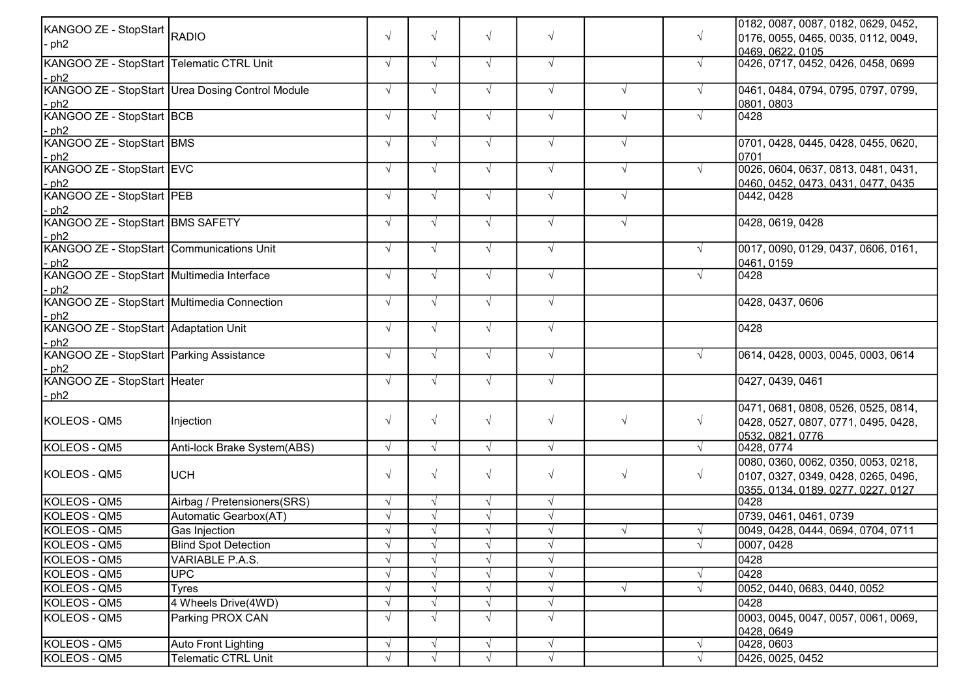| KANGOO ZE - StopStart RADIO                 |                                                  |            |            |            |            |            |            | 0182, 0087, 0087, 0182, 0629, 0452,              |
|---------------------------------------------|--------------------------------------------------|------------|------------|------------|------------|------------|------------|--------------------------------------------------|
| - ph2                                       |                                                  | $\sqrt{ }$ | $\sqrt{ }$ | $\sqrt{ }$ | $\sqrt{ }$ |            | $\sqrt{ }$ | 0176, 0055, 0465, 0035, 0112, 0049,              |
|                                             |                                                  |            |            |            |            |            |            | <u> 10469. 0622. 0105 </u>                       |
| KANGOO ZE - StopStart Telematic CTRL Unit   |                                                  | $\sqrt{ }$ | $\sqrt{ }$ | $\sqrt{ }$ | $\sqrt{ }$ |            | $\sqrt{ }$ | 0426, 0717, 0452, 0426, 0458, 0699               |
| $-$ ph2                                     |                                                  |            |            |            |            |            |            |                                                  |
|                                             | KANGOO ZE - StopStart Urea Dosing Control Module | $\sqrt{ }$ | $\sqrt{ }$ | $\sqrt{ }$ | $\sqrt{ }$ | $\sqrt{ }$ | $\sqrt{ }$ | 0461, 0484, 0794, 0795, 0797, 0799,              |
| $-$ ph2                                     |                                                  |            |            |            |            |            |            | 0801, 0803                                       |
| KANGOO ZE - StopStart BCB                   |                                                  | $\sqrt{ }$ | $\sqrt{ }$ | $\sqrt{ }$ | $\sqrt{ }$ | $\sqrt{ }$ | $\sqrt{ }$ | 0428                                             |
| $-$ ph2                                     |                                                  |            |            |            |            |            |            |                                                  |
| KANGOO ZE - StopStart BMS                   |                                                  | $\sqrt{ }$ | $\sqrt{ }$ | $\sqrt{ }$ | $\sqrt{ }$ | $\sqrt{ }$ |            | 0701, 0428, 0445, 0428, 0455, 0620,              |
| $-ph2$<br>KANGOO ZE - StopStart EVC         |                                                  |            |            |            | $\sqrt{ }$ |            |            | 0701                                             |
|                                             |                                                  | $\sqrt{ }$ | $\sqrt{ }$ | $\sqrt{ }$ |            | $\sqrt{ }$ | $\sqrt{ }$ | 0026, 0604, 0637, 0813, 0481, 0431,              |
| $-$ ph2<br>KANGOO ZE - StopStart PEB        |                                                  | $\sqrt{ }$ | $\sqrt{ }$ | $\sqrt{ }$ | $\sqrt{ }$ | $\sqrt{ }$ |            | 0460, 0452, 0473, 0431, 0477, 0435<br>0442, 0428 |
|                                             |                                                  |            |            |            |            |            |            |                                                  |
| - ph2<br>KANGOO ZE - StopStart BMS SAFETY   |                                                  | $\sqrt{ }$ | $\sqrt{ }$ | $\sqrt{ }$ | $\sqrt{ }$ | $\sqrt{ }$ |            | 0428, 0619, 0428                                 |
| $-$ ph2                                     |                                                  |            |            |            |            |            |            |                                                  |
| KANGOO ZE - StopStart Communications Unit   |                                                  | $\sqrt{ }$ | $\sqrt{ }$ | $\sqrt{ }$ | $\sqrt{ }$ |            | $\sqrt{ }$ | 0017, 0090, 0129, 0437, 0606, 0161,              |
| - ph2                                       |                                                  |            |            |            |            |            |            | 0461, 0159                                       |
| KANGOO ZE - StopStart Multimedia Interface  |                                                  |            | $\sqrt{ }$ | $\sqrt{ }$ | $\sqrt{ }$ |            | $\sqrt{ }$ | 0428                                             |
| $-ph2$                                      |                                                  |            |            |            |            |            |            |                                                  |
| KANGOO ZE - StopStart Multimedia Connection |                                                  |            | $\sqrt{ }$ | $\sqrt{ }$ | $\sqrt{ }$ |            |            | 0428, 0437, 0606                                 |
| $-$ ph2                                     |                                                  |            |            |            |            |            |            |                                                  |
| KANGOO ZE - StopStart Adaptation Unit       |                                                  | $\sqrt{ }$ | $\sqrt{ }$ | $\sqrt{ }$ | $\sqrt{ }$ |            |            | 0428                                             |
| $-$ ph2                                     |                                                  |            |            |            |            |            |            |                                                  |
| KANGOO ZE - StopStart Parking Assistance    |                                                  | $\sqrt{ }$ | $\sqrt{ }$ | $\sqrt{ }$ | $\sqrt{ }$ |            | $\sqrt{ }$ | 0614, 0428, 0003, 0045, 0003, 0614               |
| $-$ ph2                                     |                                                  |            |            |            |            |            |            |                                                  |
| KANGOO ZE - StopStart Heater                |                                                  | $\sqrt{ }$ | $\sqrt{ }$ | $\sqrt{ }$ | $\sqrt{ }$ |            |            | 0427, 0439, 0461                                 |
| $-ph2$                                      |                                                  |            |            |            |            |            |            | 0471, 0681, 0808, 0526, 0525, 0814,              |
| KOLEOS - QM5                                | Injection                                        | $\sqrt{ }$ | $\sqrt{ }$ | $\sqrt{ }$ | $\sqrt{ }$ | $\sqrt{ }$ | $\sqrt{ }$ | 0428, 0527, 0807, 0771, 0495, 0428,              |
|                                             |                                                  |            |            |            |            |            |            | 0532.0821.0776                                   |
| KOLEOS - QM5                                | Anti-lock Brake System(ABS)                      | $\sqrt{ }$ | $\sqrt{ }$ | $\sqrt{ }$ | $\sqrt{ }$ |            | $\sqrt{ }$ | 0428, 0774                                       |
|                                             |                                                  |            |            |            |            |            |            | 0080, 0360, 0062, 0350, 0053, 0218,              |
| KOLEOS - QM5                                | <b>UCH</b>                                       | $\sqrt{ }$ | $\sqrt{ }$ | $\sqrt{ }$ | $\sqrt{ }$ | $\sqrt{ }$ | $\sqrt{ }$ | 0107, 0327, 0349, 0428, 0265, 0496,              |
|                                             |                                                  |            |            |            |            |            |            | 0355, 0134, 0189, 0277, 0227, 0127               |
| KOLEOS - QM5                                | Airbag / Pretensioners(SRS)                      | $\sqrt{ }$ | $\sqrt{ }$ | $\sqrt{ }$ | $\sqrt{}$  |            |            | 0428                                             |
| KOLEOS - QM5                                | Automatic Gearbox(AT)                            |            | $\sqrt{ }$ | $\sqrt{ }$ | $\sqrt{}$  |            |            | 0739, 0461, 0461, 0739                           |
| KOLEOS - QM5                                | Gas Injection                                    |            | $\sqrt{ }$ | $\sqrt{ }$ | $\sqrt{ }$ |            |            | 0049, 0428, 0444, 0694, 0704, 0711               |
| KOLEOS - QM5                                | <b>Blind Spot Detection</b>                      |            |            | $\sqrt{ }$ | $\gamma$   |            | $\sqrt{ }$ | 0007, 0428                                       |
| KOLEOS - QM5                                | VARIABLE P.A.S.                                  |            |            |            | $\sqrt{ }$ |            |            | 0428                                             |
| KOLEOS - QM5                                | <b>UPC</b>                                       |            |            | $\sqrt{ }$ | $\sqrt{ }$ |            | $\sqrt{ }$ | 0428                                             |
| KOLEOS - QM5                                | Tyres                                            |            |            | $\sqrt{ }$ | $\sqrt{ }$ | $\sqrt{ }$ |            | 0052, 0440, 0683, 0440, 0052                     |
| KOLEOS - QM5                                | 4 Wheels Drive(4WD)                              |            | $\sqrt{ }$ | $\sqrt{ }$ | $\sqrt{}$  |            |            | 0428                                             |
| KOLEOS - QM5                                | Parking PROX CAN                                 |            | $\sqrt{ }$ | $\sqrt{ }$ | $\sqrt{ }$ |            |            | 0003, 0045, 0047, 0057, 0061, 0069,              |
|                                             |                                                  |            |            |            |            |            |            | 0428, 0649                                       |
| KOLEOS - QM5                                | <b>Auto Front Lighting</b>                       |            | $\sqrt{ }$ | $\sqrt{ }$ | $\sqrt{ }$ |            | $\sqrt{ }$ | 0428, 0603                                       |
| KOLEOS - QM5                                | <b>Telematic CTRL Unit</b>                       |            |            | $\sqrt{ }$ | $\sqrt{ }$ |            | $\sqrt{ }$ | 0426, 0025, 0452                                 |
|                                             |                                                  |            |            |            |            |            |            |                                                  |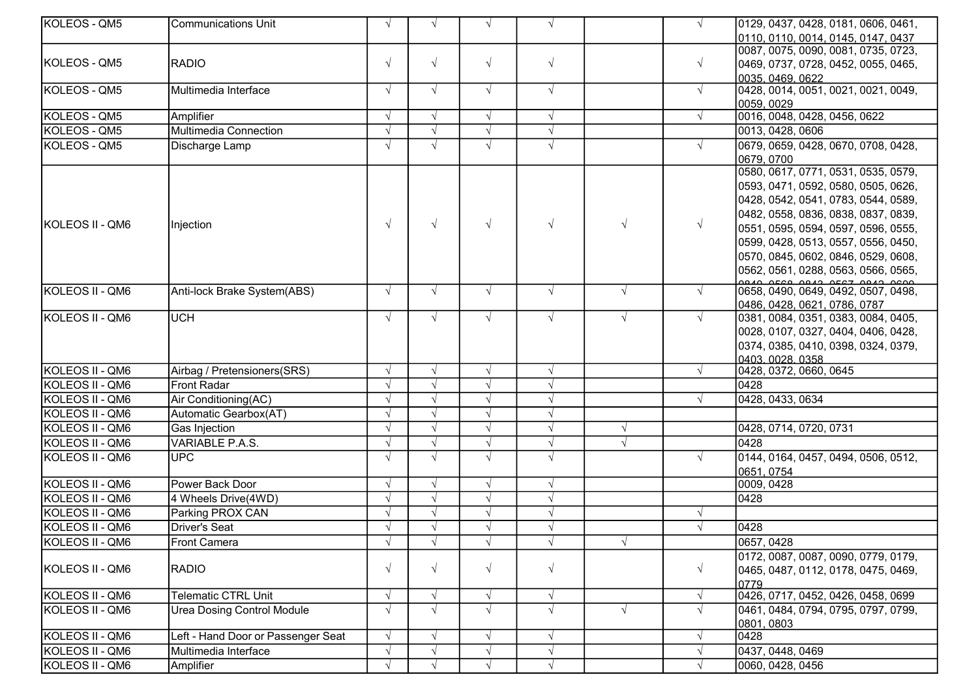| KOLEOS - QM5    | <b>Communications Unit</b>         | $\sqrt{ }$ | $\sqrt{ }$ | $\sqrt{ }$ | $\sqrt{ }$ |            | $\sqrt{ }$ | 0129, 0437, 0428, 0181, 0606, 0461, |
|-----------------|------------------------------------|------------|------------|------------|------------|------------|------------|-------------------------------------|
|                 |                                    |            |            |            |            |            |            | 0110, 0110, 0014, 0145, 0147, 0437  |
|                 |                                    |            |            |            |            |            |            | 0087, 0075, 0090, 0081, 0735, 0723, |
| KOLEOS - QM5    | <b>RADIO</b>                       | $\sqrt{ }$ | $\sqrt{ }$ | $\sqrt{ }$ | $\sqrt{ }$ |            | $\sqrt{ }$ | 0469, 0737, 0728, 0452, 0055, 0465, |
|                 |                                    |            |            |            |            |            |            | 0035, 0469, 0622                    |
| KOLEOS - QM5    | Multimedia Interface               | $\sqrt{ }$ | $\sqrt{ }$ | $\sqrt{ }$ | $\sqrt{ }$ |            | $\sqrt{ }$ | 0428, 0014, 0051, 0021, 0021, 0049, |
|                 |                                    |            |            |            |            |            |            | 0059, 0029                          |
| KOLEOS - QM5    | Amplifier                          |            | $\sqrt{ }$ | $\sqrt{ }$ | $\sqrt{}$  |            | $\sqrt{ }$ | 0016, 0048, 0428, 0456, 0622        |
| KOLEOS - QM5    | Multimedia Connection              |            | $\sqrt{ }$ | $\sqrt{ }$ | $\sqrt{ }$ |            |            | 0013, 0428, 0606                    |
| KOLEOS - QM5    | Discharge Lamp                     |            | $\sqrt{ }$ | $\sqrt{ }$ | $\sqrt{ }$ |            | $\sqrt{ }$ | 0679, 0659, 0428, 0670, 0708, 0428, |
|                 |                                    |            |            |            |            |            |            | 0679, 0700                          |
|                 |                                    |            |            |            |            |            |            | 0580, 0617, 0771, 0531, 0535, 0579, |
|                 |                                    |            |            |            |            |            |            | 0593, 0471, 0592, 0580, 0505, 0626, |
|                 |                                    |            |            |            |            |            |            | 0428, 0542, 0541, 0783, 0544, 0589, |
|                 |                                    |            |            |            |            |            |            | 0482, 0558, 0836, 0838, 0837, 0839, |
| KOLEOS II - QM6 | Injection                          | $\sqrt{ }$ | $\sqrt{ }$ | $\sqrt{ }$ | $\sqrt{ }$ | $\sqrt{ }$ | $\sqrt{ }$ | 0551, 0595, 0594, 0597, 0596, 0555, |
|                 |                                    |            |            |            |            |            |            | 0599, 0428, 0513, 0557, 0556, 0450, |
|                 |                                    |            |            |            |            |            |            | 0570, 0845, 0602, 0846, 0529, 0608, |
|                 |                                    |            |            |            |            |            |            | 0562, 0561, 0288, 0563, 0566, 0565, |
| KOLEOS II - QM6 | Anti-lock Brake System(ABS)        | $\sqrt{ }$ | $\sqrt{ }$ | $\sqrt{ }$ | $\sqrt{ }$ | $\sqrt{ }$ | $\sqrt{ }$ | 0658, 0490, 0649, 0492, 0507, 0498, |
|                 |                                    |            |            |            |            |            |            | 0486, 0428, 0621, 0786, 0787        |
| KOLEOS II - QM6 | <b>UCH</b>                         |            | $\sqrt{ }$ | $\sqrt{ }$ | $\sqrt{ }$ | $\sqrt{ }$ | $\sqrt{ }$ | 0381, 0084, 0351, 0383, 0084, 0405, |
|                 |                                    |            |            |            |            |            |            | 0028, 0107, 0327, 0404, 0406, 0428, |
|                 |                                    |            |            |            |            |            |            | 0374, 0385, 0410, 0398, 0324, 0379, |
|                 |                                    |            |            |            |            |            |            | 0403 0028 0358                      |
| KOLEOS II - QM6 | Airbag / Pretensioners(SRS)        | $\sqrt{ }$ | $\sqrt{ }$ | $\sqrt{ }$ | $\sqrt{ }$ |            | $\sqrt{ }$ | 0428, 0372, 0660, 0645              |
| KOLEOS II - QM6 | Front Radar                        |            | $\sqrt{ }$ | $\sqrt{ }$ | $\sqrt{ }$ |            |            | 0428                                |
| KOLEOS II - QM6 | Air Conditioning(AC)               |            | $\sqrt{ }$ | $\sqrt{ }$ | $\sqrt{ }$ |            |            | 0428, 0433, 0634                    |
| KOLEOS II - QM6 | Automatic Gearbox(AT)              |            | $\sqrt{ }$ | $\sqrt{ }$ | $\sqrt{ }$ |            |            |                                     |
| KOLEOS II - QM6 | Gas Injection                      |            | $\sqrt{ }$ | $\sqrt{ }$ | $\sqrt{ }$ | $\sqrt{ }$ |            | 0428, 0714, 0720, 0731              |
| KOLEOS II - QM6 | VARIABLE P.A.S.                    |            | $\sqrt{ }$ | $\sqrt{ }$ | $\sqrt{ }$ | $\sqrt{ }$ |            | 0428                                |
| KOLEOS II - QM6 | <b>UPC</b>                         |            | $\sqrt{ }$ | $\sqrt{ }$ | $\sqrt{ }$ |            |            | 0144, 0164, 0457, 0494, 0506, 0512, |
|                 |                                    |            |            |            |            |            |            | 0651, 0754                          |
| KOLEOS II - QM6 | Power Back Door                    |            | $\sqrt{ }$ | $\sqrt{ }$ | $\sqrt{ }$ |            |            | 0009, 0428                          |
| KOLEOS II - QM6 | 4 Wheels Drive(4WD)                |            | $\sqrt{ }$ | $\sqrt{ }$ | $\sqrt{}$  |            |            | 0428                                |
| KOLEOS II - QM6 | Parking PROX CAN                   |            | $\sqrt{ }$ | $\sqrt{ }$ | $\sqrt{ }$ |            |            |                                     |
| KOLEOS II - QM6 | Driver's Seat                      |            | $\sqrt{ }$ |            | $\sqrt{ }$ |            |            | 0428                                |
| KOLEOS II - QM6 | <b>Front Camera</b>                | V          | $\sqrt{ }$ | $\sqrt{ }$ | $\sqrt{ }$ | $\sqrt{ }$ |            | 0657, 0428                          |
|                 |                                    |            |            |            |            |            |            | 0172, 0087, 0087, 0090, 0779, 0179, |
| KOLEOS II - QM6 | <b>RADIO</b>                       |            | $\sqrt{ }$ | $\sqrt{ }$ | $\sqrt{ }$ |            | $\sqrt{ }$ | 0465, 0487, 0112, 0178, 0475, 0469, |
|                 |                                    |            |            |            |            |            |            | 0779                                |
| KOLEOS II - QM6 | <b>Telematic CTRL Unit</b>         |            | $\sqrt{ }$ | $\sqrt{ }$ | $\sqrt{ }$ |            | $\sqrt{ }$ | 0426, 0717, 0452, 0426, 0458, 0699  |
| KOLEOS II - QM6 | <b>Urea Dosing Control Module</b>  |            | $\sqrt{ }$ | $\sqrt{ }$ | $\sqrt{ }$ | $\sqrt{ }$ | $\sqrt{ }$ | 0461, 0484, 0794, 0795, 0797, 0799, |
|                 |                                    |            |            |            |            |            |            | 0801, 0803                          |
| KOLEOS II - QM6 | Left - Hand Door or Passenger Seat |            | $\sqrt{ }$ | $\sqrt{ }$ | $\sqrt{ }$ |            | $\sqrt{ }$ | 0428                                |
| KOLEOS II - QM6 | Multimedia Interface               |            | $\sqrt{ }$ | $\sqrt{ }$ | $\sqrt{ }$ |            | $\sqrt{ }$ | 0437, 0448, 0469                    |
| KOLEOS II - QM6 | Amplifier                          |            | $\sqrt{ }$ | $\sqrt{ }$ | $\sqrt{ }$ |            | $\sqrt{ }$ | 0060, 0428, 0456                    |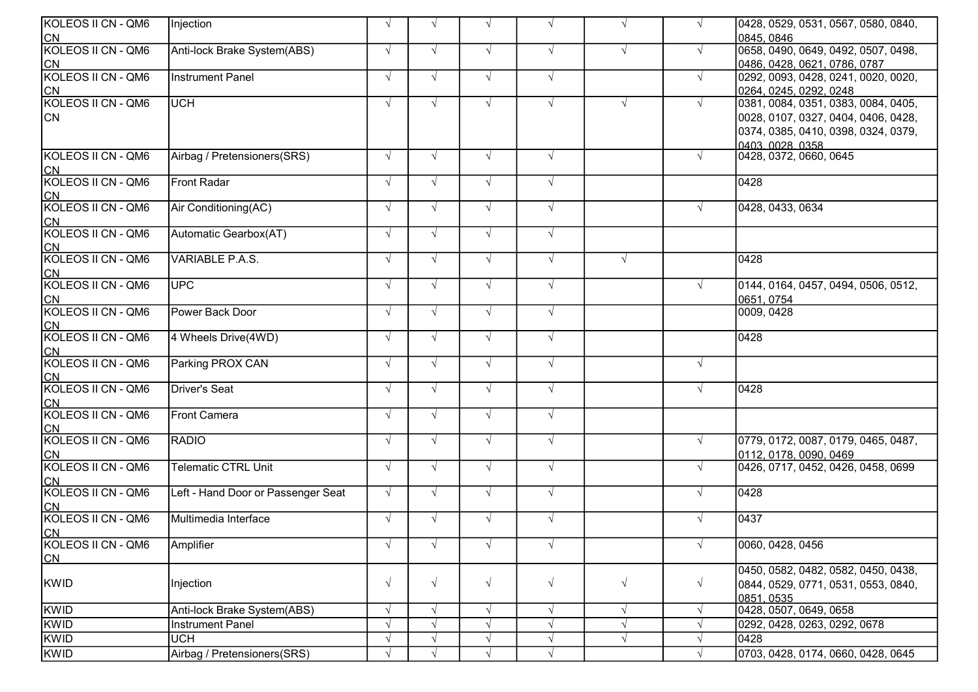| KOLEOS II CN - QM6<br>$\sqrt{ }$<br>Injection<br>$\sqrt{ }$<br>$\sqrt{ }$<br>$\sqrt{ }$<br>$\sqrt{ }$<br>$\sqrt{ }$                         | 0428, 0529, 0531, 0567, 0580, 0840, |
|---------------------------------------------------------------------------------------------------------------------------------------------|-------------------------------------|
|                                                                                                                                             | 0845.0846                           |
| CN<br>KOLEOS II CN - QM6<br>Anti-lock Brake System(ABS)<br>$\sqrt{ }$<br>$\sqrt{ }$<br>$\sqrt{ }$<br>$\sqrt{ }$<br>$\sqrt{ }$<br>$\sqrt{ }$ | 0658, 0490, 0649, 0492, 0507, 0498, |
| <b>CN</b>                                                                                                                                   | 0486, 0428, 0621, 0786, 0787        |
| KOLEOS II CN - QM6<br>Instrument Panel<br>$\sqrt{ }$<br>$\sqrt{ }$<br>$\sqrt{ }$<br>$\sqrt{ }$<br>$\sqrt{ }$                                | 0292, 0093, 0428, 0241, 0020, 0020, |
| <b>CN</b>                                                                                                                                   | 0264, 0245, 0292, 0248              |
| KOLEOS II CN - QM6<br><b>UCH</b><br>$\sqrt{ }$<br>$\sqrt{ }$<br>$\sqrt{ }$<br>$\sqrt{ }$<br>$\sqrt{ }$<br>$\sqrt{ }$                        | 0381, 0084, 0351, 0383, 0084, 0405, |
| <b>CN</b>                                                                                                                                   | 0028, 0107, 0327, 0404, 0406, 0428, |
|                                                                                                                                             | 0374, 0385, 0410, 0398, 0324, 0379, |
|                                                                                                                                             | 0403.0028.0358                      |
| KOLEOS II CN - QM6<br>Airbag / Pretensioners(SRS)<br>$\sqrt{ }$<br>$\sqrt{ }$<br>$\sqrt{ }$<br>$\sqrt{ }$                                   | 0428, 0372, 0660, 0645              |
|                                                                                                                                             |                                     |
| CN<br>KOLEOS II CN - QM6<br><b>Front Radar</b><br>$\sqrt{ }$<br>$\sqrt{ }$<br>$\sqrt{ }$<br>$\sqrt{ }$                                      | 0428                                |
| <b>CN</b>                                                                                                                                   |                                     |
| KOLEOS II CN - QM6<br>Air Conditioning(AC)<br>$\sqrt{ }$<br>$\sqrt{ }$<br>$\sqrt{ }$<br>$\sqrt{ }$                                          | 0428, 0433, 0634                    |
| <b>CN</b>                                                                                                                                   |                                     |
| KOLEOS II CN - QM6<br>Automatic Gearbox(AT)<br>$\sqrt{ }$<br>$\sqrt{ }$<br>$\sqrt{ }$<br>$\sqrt{ }$                                         |                                     |
| CN<br>KOLEOS II CN - QM6                                                                                                                    |                                     |
| <b>VARIABLE P.A.S.</b><br>$\sqrt{ }$<br>$\sqrt{ }$<br>$\sqrt{ }$<br>$\sqrt{ }$<br>$\sqrt{ }$                                                | 0428                                |
| <b>CN</b>                                                                                                                                   |                                     |
| KOLEOS II CN - QM6<br><b>UPC</b><br>$\sqrt{ }$<br>$\sqrt{ }$<br>$\sqrt{ }$<br>$\sqrt{ }$<br>$\sqrt{ }$                                      | 0144, 0164, 0457, 0494, 0506, 0512, |
| <b>CN</b>                                                                                                                                   | 0651, 0754                          |
| KOLEOS II CN - QM6<br>Power Back Door<br>$\sqrt{ }$<br>$\sqrt{ }$<br>$\sqrt{ }$<br>$\sqrt{ }$                                               | 0009, 0428                          |
| CN<br>KOLEOS II CN - QM6                                                                                                                    |                                     |
| 4 Wheels Drive(4WD)<br>$\sqrt{ }$<br>$\sqrt{ }$<br>$\sqrt{ }$<br>$\sqrt{ }$                                                                 | 0428                                |
| <u>ICN</u><br>KOLEOS II CN - QM6<br>Parking PROX CAN<br>$\sqrt{ }$<br>$\sqrt{ }$<br>$\sqrt{ }$<br>$\sqrt{ }$<br>$\sqrt{ }$                  |                                     |
| <b>CN</b>                                                                                                                                   |                                     |
| KOLEOS II CN - QM6<br><b>Driver's Seat</b><br>$\sqrt{ }$<br>$\sqrt{ }$<br>$\sqrt{ }$<br>$\sqrt{ }$                                          | 0428                                |
| <b>CN</b>                                                                                                                                   |                                     |
| KOLEOS II CN - QM6<br>Front Camera<br>$\sqrt{ }$<br>$\sqrt{ }$<br>$\sqrt{ }$<br>$\sqrt{ }$                                                  |                                     |
| C <sub>N</sub>                                                                                                                              |                                     |
| KOLEOS II CN - QM6<br><b>RADIO</b><br>$\sqrt{ }$<br>$\sqrt{ }$<br>$\sqrt{ }$<br>$\sqrt{ }$                                                  | 0779, 0172, 0087, 0179, 0465, 0487, |
| <b>CN</b>                                                                                                                                   | 0112, 0178, 0090, 0469              |
| KOLEOS II CN - QM6<br><b>Telematic CTRL Unit</b><br>$\sqrt{ }$<br>$\sqrt{ }$<br>$\sqrt{ }$<br>$\sqrt{ }$                                    | 0426, 0717, 0452, 0426, 0458, 0699  |
| <b>CN</b>                                                                                                                                   |                                     |
| KOLEOS II CN - QM6<br>Left - Hand Door or Passenger Seat<br>$\sqrt{ }$<br>$\sqrt{ }$<br>$\sqrt{ }$<br>$\sqrt{ }$                            | 0428                                |
|                                                                                                                                             |                                     |
| CN<br>KOLEOS II CN - QM6<br>Multimedia Interface<br>$\sqrt{ }$<br>$\sqrt{ }$<br>$\sqrt{ }$<br>$\sqrt{ }$<br>$\sqrt{ }$                      | 0437                                |
| <b>CN</b>                                                                                                                                   |                                     |
| KOLEOS II CN - QM6<br>Amplifier<br>$\sqrt{ }$<br>$\sqrt{ }$<br>$\sqrt{ }$<br>$\sqrt{}$<br>$\sqrt{ }$                                        | 0060, 0428, 0456                    |
| <u>ICN</u>                                                                                                                                  |                                     |
|                                                                                                                                             | 0450, 0582, 0482, 0582, 0450, 0438, |
| $\sqrt{ }$<br>KWID<br>$\sqrt{ }$<br>$\sqrt{ }$<br>$\sqrt{ }$<br>Injection<br>$\sqrt{ }$<br>$\sqrt{ }$                                       | 0844, 0529, 0771, 0531, 0553, 0840, |
|                                                                                                                                             | 0851.0535                           |
| KWID<br>Anti-lock Brake System(ABS)<br>$\sqrt{ }$<br>$\sqrt{ }$<br>$\sqrt{ }$<br>$\sqrt{ }$<br>$\sqrt{ }$                                   | 0428, 0507, 0649, 0658              |
| KWID<br>$\sqrt{ }$<br>$\sqrt{ }$<br>Instrument Panel<br>$\sqrt{ }$<br>$\sqrt{ }$                                                            | 0292, 0428, 0263, 0292, 0678        |
| KWID<br><b>UCH</b><br>$\sqrt{ }$<br>$\sqrt{ }$<br>$\sqrt{ }$<br>$\sqrt{ }$                                                                  | 0428                                |
| KWID<br>Airbag / Pretensioners(SRS)<br>$\sqrt{ }$<br>$\sqrt{ }$<br>$\mathcal{N}$                                                            | 0703, 0428, 0174, 0660, 0428, 0645  |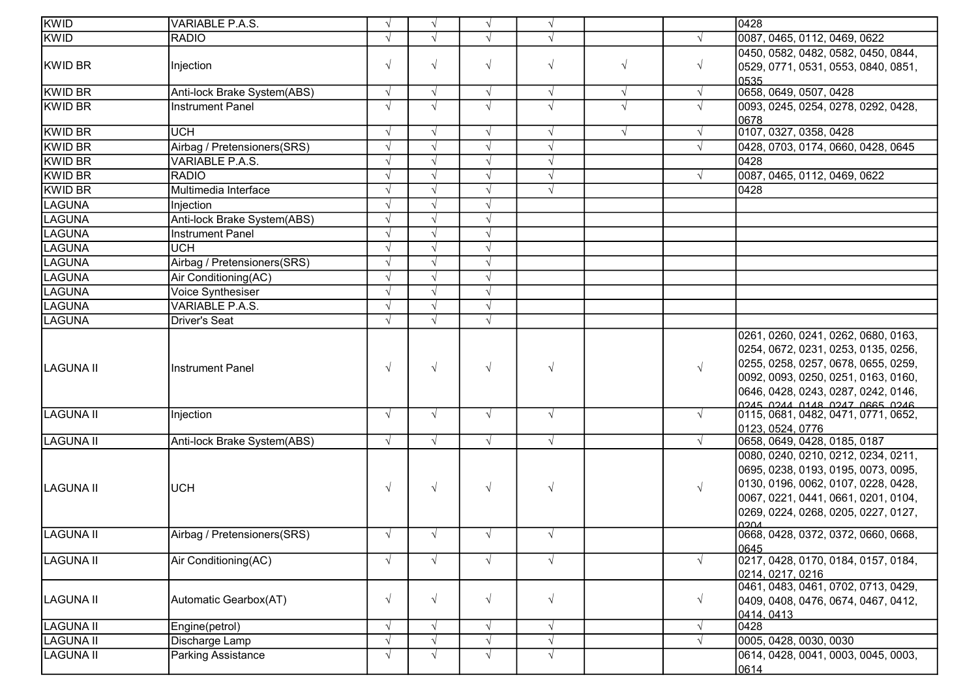| KWID              | <b>VARIABLE P.A.S.</b>      | $\sqrt{ }$ | $\mathcal{N}$            | $\sqrt{ }$ | $\sqrt{}$  |            |            | 0428                                                                                                                                                                                                                             |
|-------------------|-----------------------------|------------|--------------------------|------------|------------|------------|------------|----------------------------------------------------------------------------------------------------------------------------------------------------------------------------------------------------------------------------------|
| KWID              | <b>RADIO</b>                | $\sqrt{ }$ |                          |            |            |            |            | 0087, 0465, 0112, 0469, 0622                                                                                                                                                                                                     |
|                   |                             |            |                          |            |            |            |            | 0450, 0582, 0482, 0582, 0450, 0844,                                                                                                                                                                                              |
| KWID BR           | Injection                   | $\sqrt{ }$ | $\sqrt{ }$               | $\sqrt{}$  | $\sqrt{}$  | $\sqrt{}$  | $\sqrt{ }$ | 0529, 0771, 0531, 0553, 0840, 0851,                                                                                                                                                                                              |
|                   |                             |            |                          |            |            |            |            | 0535                                                                                                                                                                                                                             |
| <b>KWID BR</b>    | Anti-lock Brake System(ABS) | $\sqrt{ }$ | $\sqrt{ }$               | $\sqrt{ }$ | $\sqrt{ }$ | $\sqrt{ }$ | $\sqrt{ }$ | 0658, 0649, 0507, 0428                                                                                                                                                                                                           |
| <b>KWID BR</b>    | <b>Instrument Panel</b>     | $\sqrt{ }$ | $\sqrt{ }$               | $\sqrt{ }$ | $\sqrt{2}$ | $\sqrt{ }$ | $\sqrt{ }$ | 0093, 0245, 0254, 0278, 0292, 0428,<br>0678                                                                                                                                                                                      |
| <b>KWID BR</b>    | <b>UCH</b>                  | $\sqrt{ }$ | $\sqrt{ }$               | $\sqrt{ }$ | $\sqrt{ }$ | $\sqrt{ }$ | $\sqrt{ }$ | 0107, 0327, 0358, 0428                                                                                                                                                                                                           |
| <b>KWID BR</b>    | Airbag / Pretensioners(SRS) | $\sqrt{ }$ | $\sqrt{ }$               | $\sqrt{}$  | $\sqrt{}$  |            | $\sqrt{ }$ | 0428, 0703, 0174, 0660, 0428, 0645                                                                                                                                                                                               |
| <b>KWID BR</b>    | VARIABLE P.A.S.             | $\sqrt{ }$ | $\sqrt{ }$               | $\sqrt{ }$ | $\sqrt{}$  |            |            | 0428                                                                                                                                                                                                                             |
| KWID BR           | <b>RADIO</b>                | $\sqrt{ }$ |                          | $\sqrt{}$  | $\sqrt{ }$ |            | $\sqrt{ }$ | 0087, 0465, 0112, 0469, 0622                                                                                                                                                                                                     |
| <b>KWID BR</b>    | Multimedia Interface        | $\sqrt{ }$ |                          | $\sqrt{ }$ | $\sqrt{ }$ |            |            | 0428                                                                                                                                                                                                                             |
| <b>LAGUNA</b>     | Injection                   | $\sqrt{ }$ |                          | $\sqrt{}$  |            |            |            |                                                                                                                                                                                                                                  |
| <b>LAGUNA</b>     | Anti-lock Brake System(ABS) | $\sqrt{ }$ | $\sqrt{ }$               | $\sqrt{ }$ |            |            |            |                                                                                                                                                                                                                                  |
| <b>LAGUNA</b>     | <b>Instrument Panel</b>     | $\sqrt{ }$ |                          |            |            |            |            |                                                                                                                                                                                                                                  |
| <b>LAGUNA</b>     | <b>UCH</b>                  | $\sqrt{ }$ | $\sqrt{ }$               | $\sqrt{ }$ |            |            |            |                                                                                                                                                                                                                                  |
| LAGUNA            | Airbag / Pretensioners(SRS) | $\sqrt{ }$ | $\sqrt{ }$               | $\sqrt{ }$ |            |            |            |                                                                                                                                                                                                                                  |
| <b>LAGUNA</b>     | Air Conditioning(AC)        | $\sqrt{ }$ | $\sqrt{ }$               |            |            |            |            |                                                                                                                                                                                                                                  |
| LAGUNA            | Voice Synthesiser           | $\sqrt{ }$ | $\sqrt{ }$               |            |            |            |            |                                                                                                                                                                                                                                  |
| <b>LAGUNA</b>     | <b>VARIABLE P.A.S.</b>      | $\sqrt{ }$ | $\overline{\mathcal{N}}$ |            |            |            |            |                                                                                                                                                                                                                                  |
| LAGUNA            | <b>Driver's Seat</b>        | $\sqrt{ }$ | $\sqrt{ }$               | $\sqrt{2}$ |            |            |            |                                                                                                                                                                                                                                  |
| LAGUNA II         | Instrument Panel            | $\sqrt{ }$ | $\sqrt{ }$               | $\sqrt{ }$ | $\sqrt{ }$ |            | $\sqrt{ }$ | 0261, 0260, 0241, 0262, 0680, 0163,<br>0254, 0672, 0231, 0253, 0135, 0256,<br>0255, 0258, 0257, 0678, 0655, 0259,<br>0092, 0093, 0250, 0251, 0163, 0160,<br>0646, 0428, 0243, 0287, 0242, 0146,<br>0245 0244 0148 0247 0665 0246 |
| <b>LAGUNA II</b>  | Injection                   | $\sqrt{ }$ | $\sqrt{ }$               | $\sqrt{ }$ | $\sqrt{}$  |            | $\sqrt{ }$ | 0115, 0681, 0482, 0471, 0771, 0652,<br>0123, 0524, 0776                                                                                                                                                                          |
| LAGUNA II         | Anti-lock Brake System(ABS) | $\sqrt{ }$ | $\sqrt{ }$               | $\sqrt{ }$ | $\sqrt{ }$ |            | $\sqrt{ }$ | 0658, 0649, 0428, 0185, 0187                                                                                                                                                                                                     |
| <b>ILAGUNA II</b> | <b>UCH</b>                  | $\sqrt{ }$ | $\sqrt{ }$               | $\sqrt{}$  | $\sqrt{}$  |            | $\sqrt{ }$ | 0080, 0240, 0210, 0212, 0234, 0211,<br>0695, 0238, 0193, 0195, 0073, 0095,<br>0130, 0196, 0062, 0107, 0228, 0428,<br>0067, 0221, 0441, 0661, 0201, 0104,<br>0269, 0224, 0268, 0205, 0227, 0127,<br><b>NOCO</b>                   |
| <b>LAGUNA II</b>  | Airbag / Pretensioners(SRS) | $\sqrt{ }$ | $\sqrt{ }$               | $\sqrt{ }$ | $\sqrt{}$  |            |            | 0668, 0428, 0372, 0372, 0660, 0668,<br>0645                                                                                                                                                                                      |
| <b>LAGUNA II</b>  | Air Conditioning(AC)        | $\sqrt{ }$ |                          |            | $\sqrt{ }$ |            |            | 0217, 0428, 0170, 0184, 0157, 0184,<br>0214, 0217, 0216                                                                                                                                                                          |
| LAGUNA II         | Automatic Gearbox(AT)       | $\sqrt{ }$ | $\sqrt{}$                | $\sqrt{}$  | $\sqrt{}$  |            | $\sqrt{ }$ | 0461, 0483, 0461, 0702, 0713, 0429,<br>0409, 0408, 0476, 0674, 0467, 0412,<br>0414.0413                                                                                                                                          |
| <b>LAGUNA II</b>  | Engine(petrol)              | $\sqrt{ }$ | $\sqrt{ }$               | $\sqrt{}$  | $\sqrt{}$  |            | $\sqrt{ }$ | 0428                                                                                                                                                                                                                             |
| <b>LAGUNA II</b>  | Discharge Lamp              | $\sqrt{ }$ |                          |            | $\sqrt{ }$ |            | $\sqrt{ }$ | 0005, 0428, 0030, 0030                                                                                                                                                                                                           |
| <b>LAGUNA II</b>  | <b>Parking Assistance</b>   | $\sqrt{ }$ | $\sqrt{ }$               | $\sqrt{ }$ | $\sqrt{}$  |            |            | 0614, 0428, 0041, 0003, 0045, 0003,<br>0614                                                                                                                                                                                      |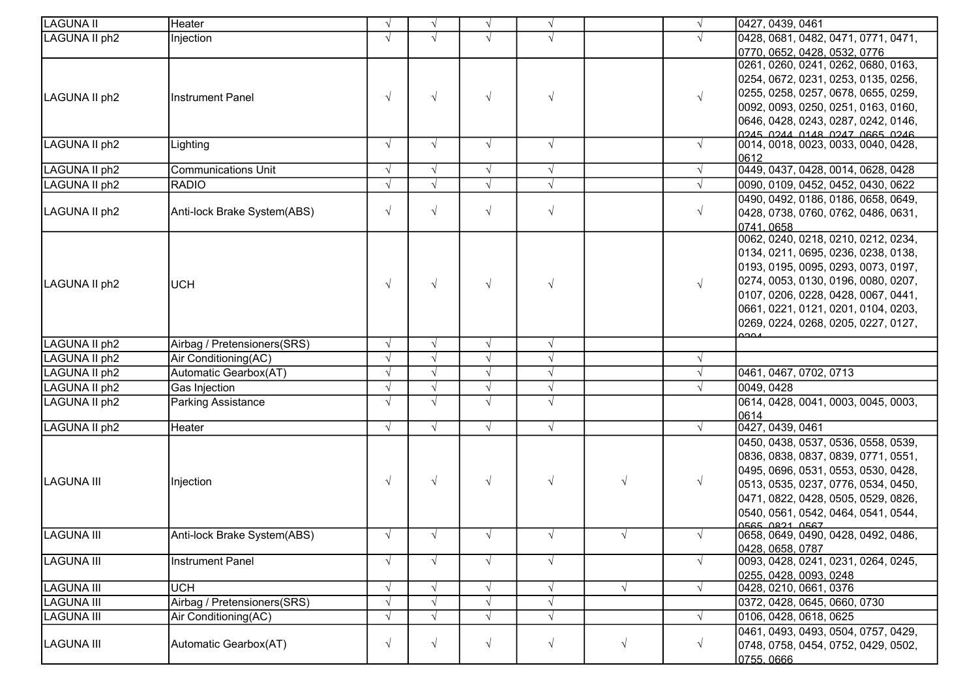| LAGUNA II         | Heater                      |            | $\sqrt{ }$ | $\sqrt{ }$ | $\sqrt{ }$ |            | $\sqrt{ }$ | 0427, 0439, 0461                                      |
|-------------------|-----------------------------|------------|------------|------------|------------|------------|------------|-------------------------------------------------------|
| LAGUNA II ph2     | Injection                   |            |            |            | $\sqrt{ }$ |            |            | 0428, 0681, 0482, 0471, 0771, 0471,                   |
|                   |                             |            |            |            |            |            |            | 0770, 0652, 0428, 0532, 0776                          |
|                   |                             |            |            |            |            |            |            | 0261, 0260, 0241, 0262, 0680, 0163,                   |
|                   |                             |            |            |            |            |            |            | 0254, 0672, 0231, 0253, 0135, 0256,                   |
| LAGUNA II ph2     | Instrument Panel            | $\sqrt{ }$ | $\sqrt{ }$ | $\sqrt{ }$ | $\sqrt{ }$ |            | $\sqrt{ }$ | 0255, 0258, 0257, 0678, 0655, 0259,                   |
|                   |                             |            |            |            |            |            |            | 0092, 0093, 0250, 0251, 0163, 0160,                   |
|                   |                             |            |            |            |            |            |            | 0646, 0428, 0243, 0287, 0242, 0146,                   |
|                   |                             |            |            |            |            |            |            | O245 O244 O148 O247 O665 O246                         |
| LAGUNA II ph2     | Lighting                    | $\sqrt{ }$ | $\sqrt{ }$ | $\sqrt{ }$ | $\sqrt{ }$ |            | $\sqrt{ }$ | 0014, 0018, 0023, 0033, 0040, 0428,                   |
| LAGUNA II ph2     | <b>Communications Unit</b>  | $\sqrt{ }$ | $\sqrt{ }$ | $\sqrt{ }$ | $\sqrt{ }$ |            | $\sqrt{ }$ | 0612<br>0449, 0437, 0428, 0014, 0628, 0428            |
| LAGUNA II ph2     | <b>RADIO</b>                | $\sqrt{ }$ | $\sqrt{ }$ | $\sqrt{ }$ | $\sqrt{ }$ |            | $\sqrt{ }$ | 0090, 0109, 0452, 0452, 0430, 0622                    |
|                   |                             |            |            |            |            |            |            | 0490, 0492, 0186, 0186, 0658, 0649,                   |
| LAGUNA II ph2     | Anti-lock Brake System(ABS) | $\sqrt{ }$ | $\sqrt{ }$ | $\sqrt{ }$ | $\sqrt{ }$ |            | $\sqrt{}$  | 0428, 0738, 0760, 0762, 0486, 0631,                   |
|                   |                             |            |            |            |            |            |            | 0741.0658                                             |
|                   |                             |            |            |            |            |            |            | 0062, 0240, 0218, 0210, 0212, 0234,                   |
|                   |                             |            |            |            |            |            |            | 0134, 0211, 0695, 0236, 0238, 0138,                   |
|                   |                             |            |            |            |            |            |            | 0193, 0195, 0095, 0293, 0073, 0197,                   |
| LAGUNA II ph2     | <b>UCH</b>                  | $\sqrt{ }$ | $\sqrt{ }$ | $\sqrt{ }$ | $\sqrt{ }$ |            | $\sqrt{ }$ | 0274, 0053, 0130, 0196, 0080, 0207,                   |
|                   |                             |            |            |            |            |            |            | 0107, 0206, 0228, 0428, 0067, 0441,                   |
|                   |                             |            |            |            |            |            |            | 0661, 0221, 0121, 0201, 0104, 0203,                   |
|                   |                             |            |            |            |            |            |            | 0269, 0224, 0268, 0205, 0227, 0127,                   |
|                   |                             |            |            |            |            |            |            | റാവ                                                   |
| LAGUNA II ph2     | Airbag / Pretensioners(SRS) | $\sqrt{ }$ | $\sqrt{ }$ | $\sqrt{ }$ | $\sqrt{ }$ |            |            |                                                       |
| LAGUNA II ph2     | Air Conditioning(AC)        | $\sqrt{ }$ | $\sqrt{ }$ | $\sqrt{ }$ | $\sqrt{ }$ |            |            |                                                       |
| LAGUNA II ph2     | Automatic Gearbox(AT)       | $\sqrt{ }$ | $\sqrt{ }$ | $\sqrt{ }$ | $\sqrt{ }$ |            |            | 0461, 0467, 0702, 0713                                |
| LAGUNA II ph2     | Gas Injection               |            | $\sqrt{ }$ | $\sqrt{ }$ | $\sqrt{ }$ |            |            | 0049, 0428                                            |
| LAGUNA II ph2     | Parking Assistance          | $\sqrt{ }$ | $\sqrt{ }$ | $\sqrt{ }$ | $\sqrt{ }$ |            |            | 0614, 0428, 0041, 0003, 0045, 0003,                   |
|                   |                             |            |            |            |            |            |            | 0614                                                  |
| LAGUNA II ph2     | Heater                      | $\sqrt{ }$ | $\sqrt{ }$ | $\sqrt{ }$ | $\sqrt{ }$ |            | $\sqrt{ }$ | 0427, 0439, 0461                                      |
|                   |                             |            |            |            |            |            |            | 0450, 0438, 0537, 0536, 0558, 0539,                   |
|                   |                             |            |            |            |            |            |            | 0836, 0838, 0837, 0839, 0771, 0551,                   |
| <b>LAGUNA III</b> | Injection                   | $\sqrt{ }$ | $\sqrt{ }$ | $\sqrt{ }$ | $\sqrt{ }$ | $\sqrt{ }$ | $\sqrt{ }$ | 0495, 0696, 0531, 0553, 0530, 0428,                   |
|                   |                             |            |            |            |            |            |            | 0513, 0535, 0237, 0776, 0534, 0450,                   |
|                   |                             |            |            |            |            |            |            | 0471, 0822, 0428, 0505, 0529, 0826,                   |
|                   |                             |            |            |            |            |            |            | 0540, 0561, 0542, 0464, 0541, 0544,<br>0565 0821 0567 |
| <b>LAGUNA III</b> | Anti-lock Brake System(ABS) |            | $\sqrt{ }$ | $\sqrt{ }$ | $\sqrt{ }$ |            |            | 0658, 0649, 0490, 0428, 0492, 0486,                   |
|                   |                             |            |            |            |            |            |            | 0428, 0658, 0787                                      |
| LAGUNA III        | <b>Instrument Panel</b>     |            |            | $\sqrt{ }$ | $\sqrt{ }$ |            |            | 0093, 0428, 0241, 0231, 0264, 0245,                   |
|                   |                             |            |            |            |            |            |            | 0255, 0428, 0093, 0248                                |
| <b>LAGUNA III</b> | <b>UCH</b>                  |            | $\sqrt{ }$ | $\sqrt{ }$ | $\sqrt{ }$ | $\sqrt{ }$ | $\sqrt{ }$ | 0428, 0210, 0661, 0376                                |
| LAGUNA III        | Airbag / Pretensioners(SRS) |            |            | $\sqrt{ }$ | $\sqrt{ }$ |            |            | 0372, 0428, 0645, 0660, 0730                          |
| LAGUNA III        | Air Conditioning(AC)        |            |            | $\sqrt{ }$ | $\sqrt{ }$ |            |            | 0106, 0428, 0618, 0625                                |
|                   |                             |            |            |            |            |            |            | 0461, 0493, 0493, 0504, 0757, 0429,                   |
| LAGUNA III        | Automatic Gearbox(AT)       | $\sqrt{ }$ | $\sqrt{ }$ | $\sqrt{ }$ | $\sqrt{ }$ | $\sqrt{ }$ | $\sqrt{ }$ | 0748, 0758, 0454, 0752, 0429, 0502,                   |
|                   |                             |            |            |            |            |            |            | 0755, 0666                                            |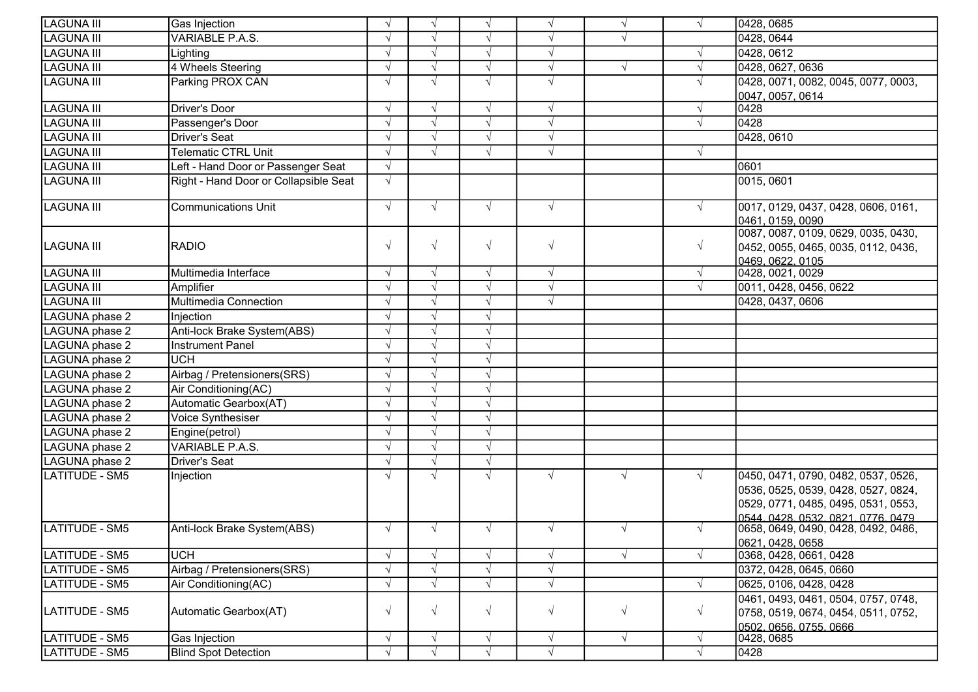| <b>LAGUNA III</b> | Gas Injection                         |            | $\sqrt{ }$    | $\sqrt{ }$ | $\sqrt{ }$ | $\sqrt{ }$ |            | 0428, 0685                                 |
|-------------------|---------------------------------------|------------|---------------|------------|------------|------------|------------|--------------------------------------------|
| <b>LAGUNA III</b> | VARIABLE P.A.S.                       | V          |               |            | $\sqrt{ }$ | $\sqrt{}$  |            | 0428, 0644                                 |
| <b>LAGUNA III</b> | Lighting                              | $\sqrt{ }$ | $\mathcal{N}$ | $\sqrt{}$  | $\sqrt{}$  |            |            | 0428, 0612                                 |
| LAGUNA III        | 4 Wheels Steering                     | $\sqrt{ }$ | $\sqrt{ }$    | $\sqrt{ }$ | $\sqrt{ }$ | $\sqrt{}$  |            | 0428, 0627, 0636                           |
| LAGUNA III        | Parking PROX CAN                      | $\sqrt{ }$ | $\sqrt{ }$    | $\sqrt{}$  | $\sqrt{ }$ |            |            | 0428, 0071, 0082, 0045, 0077, 0003,        |
|                   |                                       |            |               |            |            |            |            | 0047, 0057, 0614                           |
| <b>LAGUNA III</b> | Driver's Door                         | $\sqrt{ }$ | $\sqrt{ }$    | $\sqrt{}$  | $\sqrt{ }$ |            |            | 0428                                       |
| <b>LAGUNA III</b> | Passenger's Door                      | $\sqrt{ }$ | $\sqrt{ }$    | $\sqrt{ }$ | $\sqrt{ }$ |            |            | 0428                                       |
| LAGUNA III        | <b>Driver's Seat</b>                  |            | $\sqrt{ }$    | $\sqrt{}$  | $\sqrt{ }$ |            |            | 0428, 0610                                 |
| <b>LAGUNA III</b> | <b>Telematic CTRL Unit</b>            |            | $\sqrt{ }$    | $\sqrt{}$  | $\sqrt{ }$ |            |            |                                            |
| <b>LAGUNA III</b> | Left - Hand Door or Passenger Seat    | $\sqrt{ }$ |               |            |            |            |            | 0601                                       |
| <b>LAGUNA III</b> | Right - Hand Door or Collapsible Seat | $\sqrt{ }$ |               |            |            |            |            | 0015, 0601                                 |
|                   |                                       |            |               |            |            |            |            |                                            |
| <b>LAGUNA III</b> | <b>Communications Unit</b>            | $\sqrt{ }$ | $\sqrt{ }$    | $\sqrt{ }$ | $\sqrt{ }$ |            | $\sqrt{ }$ | 0017, 0129, 0437, 0428, 0606, 0161,        |
|                   |                                       |            |               |            |            |            |            | 0461, 0159, 0090                           |
|                   |                                       |            |               |            |            |            |            | 0087, 0087, 0109, 0629, 0035, 0430,        |
| <b>LAGUNA III</b> | <b>RADIO</b>                          | $\sqrt{ }$ | $\sqrt{ }$    | $\sqrt{}$  | $\sqrt{ }$ |            | $\sqrt{}$  | 0452, 0055, 0465, 0035, 0112, 0436,        |
| <b>LAGUNA III</b> | Multimedia Interface                  | $\sqrt{ }$ | $\sqrt{ }$    | $\sqrt{ }$ | $\sqrt{ }$ |            | $\sqrt{ }$ | 0469, 0622, 0105<br>0428, 0021, 0029       |
| LAGUNA III        | Amplifier                             | $\sqrt{}$  | $\sqrt{ }$    | $\sqrt{}$  | $\sqrt{ }$ |            |            | 0011, 0428, 0456, 0622                     |
|                   |                                       |            | $\sqrt{ }$    | $\sqrt{ }$ | $\sqrt{ }$ |            |            |                                            |
| <b>LAGUNA III</b> | Multimedia Connection                 | $\sqrt{ }$ |               | $\sqrt{ }$ |            |            |            | 0428, 0437, 0606                           |
| LAGUNA phase 2    | Injection                             |            |               |            |            |            |            |                                            |
| LAGUNA phase 2    | Anti-lock Brake System(ABS)           |            | $\sqrt{ }$    | $\sqrt{}$  |            |            |            |                                            |
| LAGUNA phase 2    | <b>Instrument Panel</b>               |            |               | $\sqrt{ }$ |            |            |            |                                            |
| LAGUNA phase 2    | <b>UCH</b>                            | $\sqrt{ }$ | $\sqrt{ }$    | $\sqrt{ }$ |            |            |            |                                            |
| LAGUNA phase 2    | Airbag / Pretensioners(SRS)           | $\sqrt{ }$ | $\sqrt{ }$    | $\sqrt{ }$ |            |            |            |                                            |
| LAGUNA phase 2    | Air Conditioning(AC)                  | $\sqrt{ }$ |               | $\sqrt{ }$ |            |            |            |                                            |
| LAGUNA phase 2    | Automatic Gearbox(AT)                 | $\sqrt{ }$ | $\sqrt{ }$    | $\sqrt{ }$ |            |            |            |                                            |
| LAGUNA phase 2    | Voice Synthesiser                     | $\sqrt{ }$ |               | $\sqrt{ }$ |            |            |            |                                            |
| LAGUNA phase 2    | Engine(petrol)                        |            | $\sqrt{ }$    | $\sqrt{}$  |            |            |            |                                            |
| LAGUNA phase 2    | <b>VARIABLE P.A.S.</b>                | $\sqrt{ }$ | $\sqrt{ }$    | $\sqrt{ }$ |            |            |            |                                            |
| LAGUNA phase 2    | <b>Driver's Seat</b>                  |            |               | $\sqrt{ }$ |            |            |            |                                            |
| LATITUDE - SM5    | Injection                             | $\sqrt{ }$ | $\sqrt{ }$    | $\sqrt{ }$ | $\sqrt{ }$ | $\sqrt{}$  | $\sqrt{ }$ | 0450, 0471, 0790, 0482, 0537, 0526,        |
|                   |                                       |            |               |            |            |            |            | 0536, 0525, 0539, 0428, 0527, 0824,        |
|                   |                                       |            |               |            |            |            |            | 0529, 0771, 0485, 0495, 0531, 0553,        |
|                   |                                       |            |               |            |            |            |            | 0544.0428.0532.0821.0776.0479              |
| LATITUDE - SM5    | Anti-lock Brake System(ABS)           | $\sqrt{ }$ | $\sqrt{ }$    | $\sqrt{ }$ | $\sqrt{ }$ | $\sqrt{ }$ | $\sqrt{ }$ | 0658, 0649, 0490, 0428, 0492, 0486,        |
| LATITUDE - SM5    | <b>UCH</b>                            | $\sqrt{ }$ | $\sqrt{ }$    | $\sqrt{}$  | $\sqrt{ }$ | $\sqrt{}$  |            | 0621, 0428, 0658<br>0368, 0428, 0661, 0428 |
| LATITUDE - SM5    | Airbag / Pretensioners(SRS)           | $\sqrt{ }$ | $\sqrt{ }$    | $\sqrt{ }$ | $\sqrt{ }$ |            |            | 0372, 0428, 0645, 0660                     |
| LATITUDE - SM5    | Air Conditioning(AC)                  | $\sqrt{ }$ | $\sqrt{ }$    | $\sqrt{ }$ | $\sqrt{ }$ |            | $\sqrt{ }$ | 0625, 0106, 0428, 0428                     |
|                   |                                       |            |               |            |            |            |            | 0461, 0493, 0461, 0504, 0757, 0748,        |
| LATITUDE - SM5    | Automatic Gearbox(AT)                 | $\sqrt{ }$ | $\sqrt{ }$    | $\sqrt{ }$ | $\sqrt{ }$ | $\sqrt{ }$ | $\sqrt{ }$ | 0758, 0519, 0674, 0454, 0511, 0752,        |
|                   |                                       |            |               |            |            |            |            | 0502, 0656, 0755, 0666                     |
| LATITUDE - SM5    | Gas Injection                         | $\sqrt{ }$ | $\sqrt{ }$    | $\sqrt{}$  | $\sqrt{ }$ | $\sqrt{ }$ |            | 0428, 0685                                 |
| LATITUDE - SM5    | <b>Blind Spot Detection</b>           | $\sqrt{ }$ | $\sqrt{ }$    | $\sqrt{ }$ | $\sqrt{ }$ |            |            | 0428                                       |
|                   |                                       |            |               |            |            |            |            |                                            |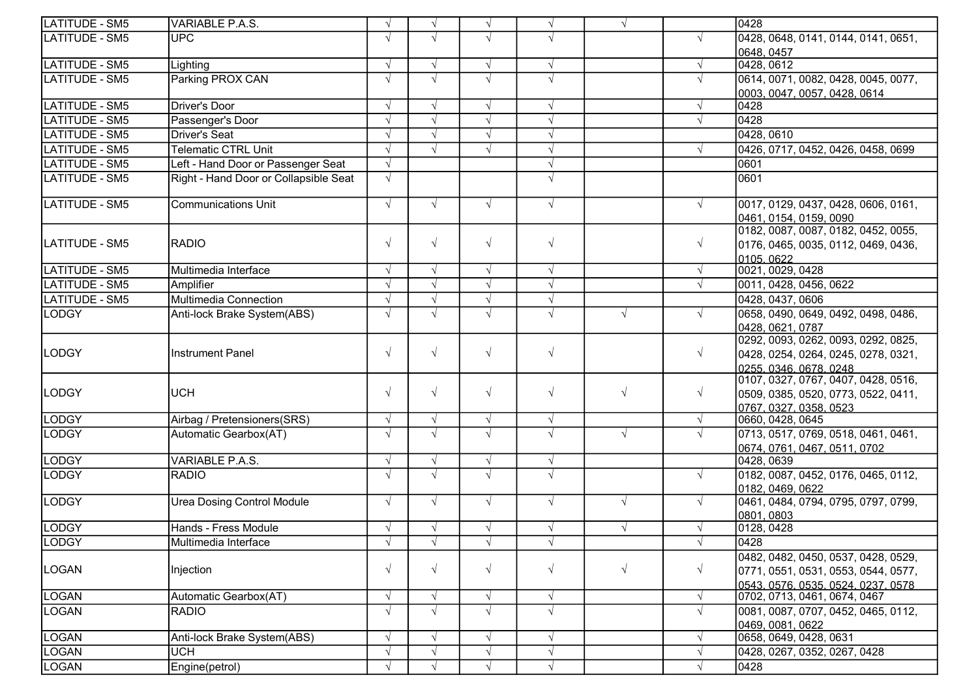| LATITUDE - SM5        | VARIABLE P.A.S.                       |            | $\sqrt{ }$ | $\sqrt{ }$ | $\sqrt{ }$            | $\sqrt{ }$ |            | 0428                                               |
|-----------------------|---------------------------------------|------------|------------|------------|-----------------------|------------|------------|----------------------------------------------------|
| <b>LATITUDE - SM5</b> | <b>UPC</b>                            |            | $\sqrt{ }$ | $\sqrt{ }$ | $\sqrt{ }$            |            | $\sqrt{ }$ | 0428, 0648, 0141, 0144, 0141, 0651,                |
|                       |                                       |            |            |            |                       |            |            | 0648.0457                                          |
| LATITUDE - SM5        | Lighting                              |            | $\sqrt{ }$ | $\sqrt{ }$ | $\sqrt{ }$            |            | $\sqrt{ }$ | 0428, 0612                                         |
| LATITUDE - SM5        | Parking PROX CAN                      |            | $\sqrt{ }$ | $\sqrt{ }$ | $\sqrt{ }$            |            | $\sqrt{ }$ | 0614, 0071, 0082, 0428, 0045, 0077,                |
|                       |                                       |            |            |            |                       |            |            | 0003, 0047, 0057, 0428, 0614                       |
| LATITUDE - SM5        | <b>Driver's Door</b>                  |            | $\sqrt{ }$ | $\sqrt{ }$ | $\sqrt{ }$            |            | $\sqrt{ }$ | 0428                                               |
| LATITUDE - SM5        | Passenger's Door                      |            | $\sqrt{ }$ | $\sqrt{ }$ | $\overline{\sqrt{2}}$ |            | $\sqrt{ }$ | 0428                                               |
| LATITUDE - SM5        | <b>Driver's Seat</b>                  |            | $\sqrt{ }$ | $\sqrt{ }$ | $\sqrt{ }$            |            |            | 0428, 0610                                         |
| LATITUDE - SM5        | <b>Telematic CTRL Unit</b>            |            | $\sqrt{ }$ | $\sqrt{ }$ | $\sqrt{ }$            |            | $\sqrt{ }$ | 0426, 0717, 0452, 0426, 0458, 0699                 |
| <b>LATITUDE - SM5</b> | Left - Hand Door or Passenger Seat    | $\sqrt{ }$ |            |            | $\sqrt{ }$            |            |            | 0601                                               |
| <b>LATITUDE - SM5</b> | Right - Hand Door or Collapsible Seat |            |            |            | $\sqrt{ }$            |            |            | 0601                                               |
|                       |                                       |            |            |            |                       |            |            |                                                    |
| LATITUDE - SM5        | <b>Communications Unit</b>            | $\sqrt{ }$ | $\sqrt{ }$ | $\sqrt{ }$ | $\sqrt{ }$            |            | $\sqrt{ }$ | 0017, 0129, 0437, 0428, 0606, 0161,                |
|                       |                                       |            |            |            |                       |            |            | 0461, 0154, 0159, 0090                             |
|                       |                                       |            |            |            |                       |            |            | 0182, 0087, 0087, 0182, 0452, 0055,                |
| LATITUDE - SM5        | <b>RADIO</b>                          | $\sqrt{ }$ | $\sqrt{ }$ | $\sqrt{ }$ | $\sqrt{ }$            |            | $\sqrt{ }$ | 0176, 0465, 0035, 0112, 0469, 0436,                |
|                       |                                       |            |            |            |                       |            |            | 0105, 0622                                         |
| LATITUDE - SM5        | Multimedia Interface                  | $\sqrt{ }$ | $\sqrt{ }$ | $\sqrt{ }$ | $\sqrt{ }$            |            | $\sqrt{ }$ | 0021, 0029, 0428                                   |
| LATITUDE - SM5        | Amplifier                             |            | $\sqrt{ }$ | $\sqrt{ }$ | $\sqrt{ }$            |            | $\sqrt{ }$ | 0011, 0428, 0456, 0622                             |
| LATITUDE - SM5        | Multimedia Connection                 |            | $\sqrt{ }$ | $\sqrt{ }$ | $\sqrt{ }$            |            |            | 0428, 0437, 0606                                   |
| LODGY                 | Anti-lock Brake System(ABS)           |            | $\sqrt{ }$ | $\sqrt{ }$ | $\sqrt{ }$            | $\sqrt{ }$ | $\sqrt{ }$ | 0658, 0490, 0649, 0492, 0498, 0486,                |
|                       |                                       |            |            |            |                       |            |            | 0428.0621.0787                                     |
|                       |                                       |            |            |            |                       |            |            | 0292, 0093, 0262, 0093, 0292, 0825,                |
| <b>LODGY</b>          | <b>Instrument Panel</b>               |            | $\sqrt{ }$ | $\sqrt{ }$ | $\sqrt{ }$            |            | $\sqrt{ }$ | 0428, 0254, 0264, 0245, 0278, 0321,                |
|                       |                                       |            |            |            |                       |            |            | 0255.0346.0678.0248                                |
|                       | <b>UCH</b>                            | $\sqrt{ }$ | $\sqrt{ }$ | $\sqrt{ }$ | $\sqrt{ }$            | $\sqrt{ }$ | $\sqrt{ }$ | 0107, 0327, 0767, 0407, 0428, 0516,                |
| LODGY                 |                                       |            |            |            |                       |            |            | 0509, 0385, 0520, 0773, 0522, 0411,                |
| <b>LODGY</b>          | Airbag / Pretensioners(SRS)           | $\sqrt{ }$ | $\sqrt{ }$ | $\sqrt{ }$ | $\sqrt{ }$            |            | $\sqrt{ }$ | 0767 <u>. 0327. 0358. 0523</u><br>0660, 0428, 0645 |
| <b>LODGY</b>          | Automatic Gearbox(AT)                 | $\sqrt{ }$ | $\sqrt{ }$ | $\sqrt{ }$ | $\sqrt{ }$            | $\sqrt{ }$ | $\sqrt{ }$ | 0713, 0517, 0769, 0518, 0461, 0461,                |
|                       |                                       |            |            |            |                       |            |            | 0674, 0761, 0467, 0511, 0702                       |
| LODGY                 | VARIABLE P.A.S.                       | $\sqrt{ }$ | $\sqrt{ }$ | $\sqrt{ }$ | $\sqrt{}$             |            |            | 0428, 0639                                         |
| <b>LODGY</b>          | <b>RADIO</b>                          |            | $\sqrt{ }$ | $\sqrt{ }$ | $\sqrt{ }$            |            | $\sqrt{ }$ | 0182, 0087, 0452, 0176, 0465, 0112,                |
|                       |                                       |            |            |            |                       |            |            | 0182, 0469, 0622                                   |
| <b>LODGY</b>          | <b>Urea Dosing Control Module</b>     | $\sqrt{ }$ | $\sqrt{ }$ | $\sqrt{ }$ | $\sqrt{ }$            | $\sqrt{ }$ | $\sqrt{ }$ | 0461, 0484, 0794, 0795, 0797, 0799,                |
|                       |                                       |            |            |            |                       |            |            | 0801, 0803                                         |
| LODGY                 | Hands - Fress Module                  |            | $\sqrt{ }$ | $\sqrt{ }$ | $\sqrt{ }$            | $\sqrt{ }$ |            | 0128, 0428                                         |
| LODGY                 | Multimedia Interface                  | V          | $\sqrt{ }$ | $\sqrt{ }$ | V                     |            | $\sqrt{ }$ | 0428                                               |
|                       |                                       |            |            |            |                       |            |            | 0482, 0482, 0450, 0537, 0428, 0529,                |
| LOGAN                 | Injection                             |            | $\sqrt{ }$ | $\sqrt{ }$ | $\sqrt{ }$            | $\sqrt{ }$ | $\sqrt{ }$ | 0771, 0551, 0531, 0553, 0544, 0577,                |
|                       |                                       |            |            |            |                       |            |            | 0543, 0576, 0535, 0524, 0237, 0578                 |
| LOGAN                 | Automatic Gearbox(AT)                 |            | $\sqrt{ }$ | $\sqrt{ }$ | $\sqrt{}$             |            | $\sqrt{ }$ | 0702, 0713, 0461, 0674, 0467                       |
| LOGAN                 | <b>RADIO</b>                          |            | $\sqrt{ }$ | $\sqrt{ }$ | $\sqrt{ }$            |            | V          | 0081, 0087, 0707, 0452, 0465, 0112,                |
|                       |                                       |            |            |            |                       |            |            | 0469, 0081, 0622                                   |
| <b>LOGAN</b>          | Anti-lock Brake System(ABS)           |            | $\sqrt{ }$ | $\sqrt{ }$ | $\sqrt{ }$            |            | $\sqrt{ }$ | 0658, 0649, 0428, 0631                             |
| <b>LOGAN</b>          | UCH                                   |            | $\sqrt{ }$ | $\sqrt{ }$ | $\sqrt{ }$            |            | $\sqrt{ }$ | 0428, 0267, 0352, 0267, 0428                       |
| LOGAN                 | Engine(petrol)                        |            | $\sqrt{ }$ | $\sqrt{ }$ | $\sqrt{}$             |            | $\sqrt{ }$ | 0428                                               |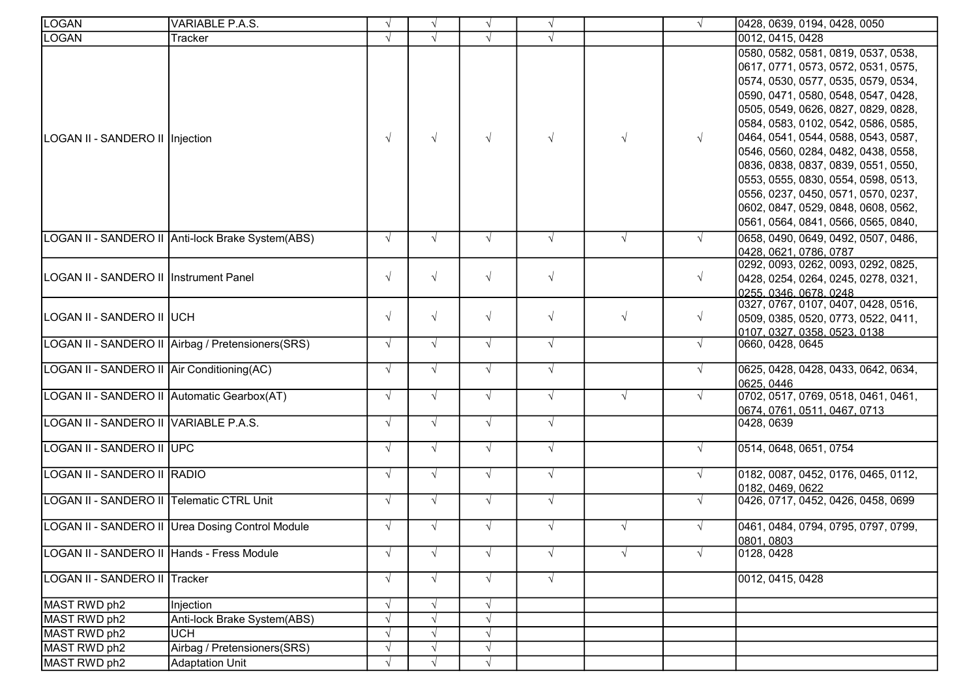| <b>LOGAN</b>                                | VARIABLE P.A.S.                                   | $\sqrt{ }$ | $\sqrt{ }$ | $\sqrt{ }$ | $\sqrt{ }$ |            |            | 0428, 0639, 0194, 0428, 0050                                                                                                                                                                                                                                                                                                                                                                                                                                                                                            |
|---------------------------------------------|---------------------------------------------------|------------|------------|------------|------------|------------|------------|-------------------------------------------------------------------------------------------------------------------------------------------------------------------------------------------------------------------------------------------------------------------------------------------------------------------------------------------------------------------------------------------------------------------------------------------------------------------------------------------------------------------------|
| LOGAN                                       | Tracker                                           |            | $\sqrt{ }$ | $\sqrt{ }$ | $\sqrt{ }$ |            |            | 0012, 0415, 0428                                                                                                                                                                                                                                                                                                                                                                                                                                                                                                        |
| LOGAN II - SANDERO II Injection             |                                                   |            | $\sqrt{ }$ | $\sqrt{ }$ | $\sqrt{ }$ | $\sqrt{ }$ | $\sqrt{ }$ | 0580, 0582, 0581, 0819, 0537, 0538,<br>0617, 0771, 0573, 0572, 0531, 0575,<br>0574, 0530, 0577, 0535, 0579, 0534,<br>0590, 0471, 0580, 0548, 0547, 0428,<br>0505, 0549, 0626, 0827, 0829, 0828,<br>0584, 0583, 0102, 0542, 0586, 0585,<br>0464, 0541, 0544, 0588, 0543, 0587,<br>0546, 0560, 0284, 0482, 0438, 0558,<br>0836, 0838, 0837, 0839, 0551, 0550,<br>0553, 0555, 0830, 0554, 0598, 0513,<br>0556, 0237, 0450, 0571, 0570, 0237,<br>0602, 0847, 0529, 0848, 0608, 0562,<br>0561, 0564, 0841, 0566, 0565, 0840, |
|                                             | LOGAN II - SANDERO II Anti-lock Brake System(ABS) | $\sqrt{ }$ | $\sqrt{ }$ | $\sqrt{ }$ | $\sqrt{ }$ | $\sqrt{ }$ |            | 0658, 0490, 0649, 0492, 0507, 0486,<br>0428, 0621, 0786, 0787                                                                                                                                                                                                                                                                                                                                                                                                                                                           |
| LOGAN II - SANDERO II   Instrument Panel    |                                                   | $\sqrt{ }$ | $\sqrt{ }$ | $\sqrt{ }$ | $\sqrt{ }$ |            | $\sqrt{ }$ | 0292, 0093, 0262, 0093, 0292, 0825,<br>0428, 0254, 0264, 0245, 0278, 0321,<br>0255, 0346, 0678, 0248                                                                                                                                                                                                                                                                                                                                                                                                                    |
| LOGAN II - SANDERO II UCH                   |                                                   | $\sqrt{ }$ | $\sqrt{ }$ | $\sqrt{ }$ | $\sqrt{ }$ | $\sqrt{ }$ | $\sqrt{ }$ | 0327, 0767, 0107, 0407, 0428, 0516,<br>0509, 0385, 0520, 0773, 0522, 0411,<br>0107.0327.0358.0523.0138                                                                                                                                                                                                                                                                                                                                                                                                                  |
|                                             | LOGAN II - SANDERO II Airbag / Pretensioners(SRS) | $\sqrt{ }$ | $\sqrt{ }$ | $\sqrt{ }$ | $\sqrt{ }$ |            | $\sqrt{ }$ | 0660, 0428, 0645                                                                                                                                                                                                                                                                                                                                                                                                                                                                                                        |
| LOGAN II - SANDERO II Air Conditioning(AC)  |                                                   | $\sqrt{ }$ | $\sqrt{ }$ | $\sqrt{ }$ | $\sqrt{ }$ |            | $\sqrt{ }$ | 0625, 0428, 0428, 0433, 0642, 0634,<br>0625, 0446                                                                                                                                                                                                                                                                                                                                                                                                                                                                       |
| LOGAN II - SANDERO II Automatic Gearbox(AT) |                                                   | $\sqrt{ }$ | $\sqrt{ }$ | $\sqrt{ }$ | $\sqrt{ }$ | $\sqrt{ }$ | $\sqrt{ }$ | 0702, 0517, 0769, 0518, 0461, 0461,<br>0674, 0761, 0511, 0467, 0713                                                                                                                                                                                                                                                                                                                                                                                                                                                     |
| LOGAN II - SANDERO II VARIABLE P.A.S.       |                                                   | $\sqrt{ }$ | $\sqrt{ }$ | $\sqrt{ }$ | $\sqrt{ }$ |            |            | 0428, 0639                                                                                                                                                                                                                                                                                                                                                                                                                                                                                                              |
| LOGAN II - SANDERO II UPC                   |                                                   | $\sqrt{ }$ | $\sqrt{ }$ | $\sqrt{ }$ | $\sqrt{ }$ |            | $\sqrt{ }$ | 0514, 0648, 0651, 0754                                                                                                                                                                                                                                                                                                                                                                                                                                                                                                  |
| LOGAN II - SANDERO II RADIO                 |                                                   | $\sqrt{ }$ | $\sqrt{ }$ | $\sqrt{ }$ | $\sqrt{ }$ |            | $\sqrt{ }$ | 0182, 0087, 0452, 0176, 0465, 0112,<br>0182, 0469, 0622                                                                                                                                                                                                                                                                                                                                                                                                                                                                 |
| LOGAN II - SANDERO II Telematic CTRL Unit   |                                                   | $\sqrt{ }$ | $\sqrt{ }$ | $\sqrt{ }$ | $\sqrt{ }$ |            | $\sqrt{ }$ | 0426, 0717, 0452, 0426, 0458, 0699                                                                                                                                                                                                                                                                                                                                                                                                                                                                                      |
|                                             | LOGAN II - SANDERO II Urea Dosing Control Module  | $\sqrt{ }$ | $\sqrt{ }$ | $\sqrt{ }$ | $\sqrt{ }$ | $\sqrt{ }$ |            | 0461, 0484, 0794, 0795, 0797, 0799,<br>0801, 0803                                                                                                                                                                                                                                                                                                                                                                                                                                                                       |
| LOGAN II - SANDERO II Hands - Fress Module  |                                                   |            |            | $\sqrt{}$  | $\sqrt{ }$ | $\sqrt{}$  |            | 0128, 0428                                                                                                                                                                                                                                                                                                                                                                                                                                                                                                              |
| LOGAN II - SANDERO II Tracker               |                                                   | $\sqrt{ }$ | $\sqrt{ }$ | $\sqrt{ }$ | $\sqrt{ }$ |            |            | 0012, 0415, 0428                                                                                                                                                                                                                                                                                                                                                                                                                                                                                                        |
| MAST RWD ph2                                | Injection                                         |            | $\sqrt{ }$ | $\sqrt{}$  |            |            |            |                                                                                                                                                                                                                                                                                                                                                                                                                                                                                                                         |
| MAST RWD ph2                                | Anti-lock Brake System(ABS)                       |            | $\sqrt{ }$ | $\sqrt{}$  |            |            |            |                                                                                                                                                                                                                                                                                                                                                                                                                                                                                                                         |
| MAST RWD ph2                                | <b>UCH</b>                                        |            | $\sqrt{ }$ | $\sqrt{ }$ |            |            |            |                                                                                                                                                                                                                                                                                                                                                                                                                                                                                                                         |
| MAST RWD ph2                                | Airbag / Pretensioners(SRS)                       |            | $\sqrt{ }$ | $\sqrt{ }$ |            |            |            |                                                                                                                                                                                                                                                                                                                                                                                                                                                                                                                         |
| MAST RWD ph2                                | <b>Adaptation Unit</b>                            |            | $\sqrt{ }$ | $\sqrt{ }$ |            |            |            |                                                                                                                                                                                                                                                                                                                                                                                                                                                                                                                         |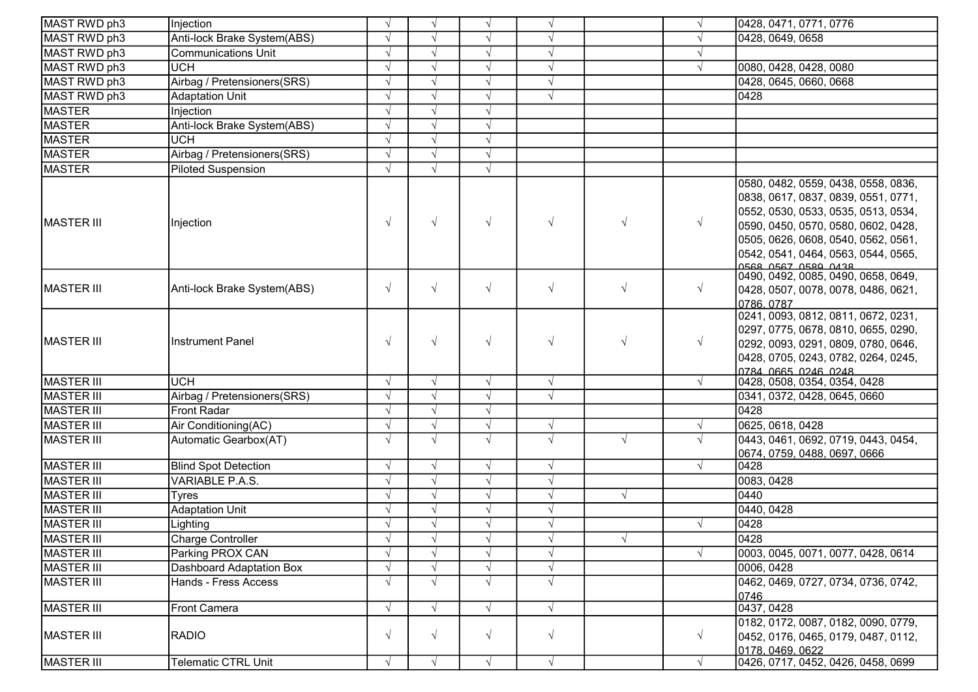| MAST RWD ph3      | Injection                   |            | $\sqrt{ }$ | $\sqrt{}$  | $\sqrt{ }$ |            |            | 0428, 0471, 0771, 0776                                                                                                                                                                                                                                        |
|-------------------|-----------------------------|------------|------------|------------|------------|------------|------------|---------------------------------------------------------------------------------------------------------------------------------------------------------------------------------------------------------------------------------------------------------------|
| MAST RWD ph3      | Anti-lock Brake System(ABS) |            |            |            | $\sqrt{ }$ |            |            | 0428, 0649, 0658                                                                                                                                                                                                                                              |
| MAST RWD ph3      | <b>Communications Unit</b>  |            | $\sim$     | $\sqrt{}$  | $\sqrt{ }$ |            |            |                                                                                                                                                                                                                                                               |
| MAST RWD ph3      | <b>UCH</b>                  |            | $\sim$     | $\sqrt{}$  | $\sqrt{ }$ |            | V          | 0080, 0428, 0428, 0080                                                                                                                                                                                                                                        |
| MAST RWD ph3      | Airbag / Pretensioners(SRS) |            | $\sim$     | $\sqrt{ }$ | $\sqrt{ }$ |            |            | 0428, 0645, 0660, 0668                                                                                                                                                                                                                                        |
| MAST RWD ph3      | <b>Adaptation Unit</b>      | $\sqrt{ }$ | $\sqrt{ }$ | $\sqrt{ }$ | $\sqrt{ }$ |            |            | 0428                                                                                                                                                                                                                                                          |
| <b>MASTER</b>     | Injection                   |            |            |            |            |            |            |                                                                                                                                                                                                                                                               |
| <b>MASTER</b>     | Anti-lock Brake System(ABS) |            | $\sqrt{ }$ | $\sqrt{ }$ |            |            |            |                                                                                                                                                                                                                                                               |
| <b>MASTER</b>     | <b>UCH</b>                  |            | $\sqrt{ }$ | $\sqrt{ }$ |            |            |            |                                                                                                                                                                                                                                                               |
| <b>MASTER</b>     | Airbag / Pretensioners(SRS) | $\sqrt{ }$ | $\sqrt{ }$ | $\sqrt{ }$ |            |            |            |                                                                                                                                                                                                                                                               |
| <b>MASTER</b>     | <b>Piloted Suspension</b>   | $\sqrt{ }$ | $\sqrt{ }$ | $\sqrt{ }$ |            |            |            |                                                                                                                                                                                                                                                               |
| <b>MASTER III</b> | Injection                   | $\sqrt{ }$ | $\sqrt{ }$ | $\sqrt{ }$ | $\sqrt{ }$ | $\sqrt{ }$ |            | 0580, 0482, 0559, 0438, 0558, 0836,<br>0838, 0617, 0837, 0839, 0551, 0771,<br>0552, 0530, 0533, 0535, 0513, 0534,<br>0590, 0450, 0570, 0580, 0602, 0428,<br>0505, 0626, 0608, 0540, 0562, 0561,<br>0542, 0541, 0464, 0563, 0544, 0565,<br>0568 0567 0580 0438 |
| <b>MASTER III</b> | Anti-lock Brake System(ABS) | $\sqrt{ }$ | $\sqrt{ }$ | $\sqrt{ }$ | $\sqrt{ }$ | $\sqrt{ }$ | $\sqrt{}$  | 0490, 0492, 0085, 0490, 0658, 0649,<br>0428, 0507, 0078, 0078, 0486, 0621,<br>0786, 0787                                                                                                                                                                      |
| <b>MASTER III</b> | <b>Instrument Panel</b>     | $\sqrt{ }$ | $\sqrt{ }$ | $\sqrt{ }$ | $\sqrt{ }$ | $\sqrt{ }$ | $\sqrt{}$  | 0241, 0093, 0812, 0811, 0672, 0231,<br>0297, 0775, 0678, 0810, 0655, 0290,<br>0292, 0093, 0291, 0809, 0780, 0646,<br>0428, 0705, 0243, 0782, 0264, 0245,<br><u>10784 0665 0246 0248 </u>                                                                      |
| <b>MASTER III</b> | <b>UCH</b>                  | $\sqrt{ }$ | $\sqrt{ }$ | $\sqrt{ }$ | $\sqrt{ }$ |            | $\sqrt{ }$ | 0428, 0508, 0354, 0354, 0428                                                                                                                                                                                                                                  |
| MASTER III        | Airbag / Pretensioners(SRS) | $\sqrt{ }$ | $\sqrt{ }$ | $\sqrt{}$  | $\sqrt{ }$ |            |            | 0341, 0372, 0428, 0645, 0660                                                                                                                                                                                                                                  |
| <b>MASTER III</b> | <b>Front Radar</b>          |            |            | $\sqrt{}$  |            |            |            | 0428                                                                                                                                                                                                                                                          |
| <b>MASTER III</b> | Air Conditioning(AC)        |            | $\sqrt{ }$ | $\sqrt{ }$ | $\sqrt{ }$ |            |            | 0625, 0618, 0428                                                                                                                                                                                                                                              |
| <b>MASTER III</b> | Automatic Gearbox(AT)       | $\sqrt{ }$ | $\sqrt{ }$ | $\sqrt{ }$ | $\sqrt{ }$ | $\sqrt{ }$ |            | 0443, 0461, 0692, 0719, 0443, 0454,<br>0674, 0759, 0488, 0697, 0666                                                                                                                                                                                           |
| <b>MASTER III</b> | <b>Blind Spot Detection</b> | $\sqrt{ }$ | $\sqrt{ }$ | $\sqrt{ }$ | $\sqrt{ }$ |            | $\sqrt{ }$ | 0428                                                                                                                                                                                                                                                          |
| <b>MASTER III</b> | VARIABLE P.A.S.             |            | $\sqrt{ }$ | $\sqrt{}$  | $\sqrt{ }$ |            |            | 0083, 0428                                                                                                                                                                                                                                                    |
| MASTER III        | Tyres                       |            | $\sqrt{ }$ | $\sqrt{}$  | $\sqrt{ }$ | $\sqrt{ }$ |            | 0440                                                                                                                                                                                                                                                          |
| <b>MASTER III</b> | <b>Adaptation Unit</b>      |            |            | $\sqrt{}$  | $\sqrt{ }$ |            |            | 0440, 0428                                                                                                                                                                                                                                                    |
| <b>MASTER III</b> | Lighting                    |            |            | $\sqrt{ }$ | $\sqrt{ }$ |            |            | 0428                                                                                                                                                                                                                                                          |
| <b>MASTER III</b> | Charge Controller           |            |            |            | V          |            |            | 0428                                                                                                                                                                                                                                                          |
| <b>MASTER III</b> | Parking PROX CAN            |            |            | $\sqrt{ }$ | $\sqrt{ }$ |            |            | 0003, 0045, 0071, 0077, 0428, 0614                                                                                                                                                                                                                            |
| <b>MASTER III</b> | Dashboard Adaptation Box    | $\sqrt{ }$ | $\sqrt{ }$ | $\sqrt{ }$ | $\sqrt{ }$ |            |            | 0006, 0428                                                                                                                                                                                                                                                    |
| <b>MASTER III</b> | Hands - Fress Access        | $\sqrt{ }$ | $\sqrt{ }$ | $\sqrt{ }$ | $\sqrt{ }$ |            |            | 0462, 0469, 0727, 0734, 0736, 0742,<br>0746                                                                                                                                                                                                                   |
| <b>MASTER III</b> | Front Camera                | $\sqrt{ }$ | $\sqrt{ }$ | $\sqrt{ }$ | $\sqrt{ }$ |            |            | 0437, 0428                                                                                                                                                                                                                                                    |
| <b>MASTER III</b> | <b>RADIO</b>                | $\sqrt{ }$ | $\sqrt{ }$ | $\sqrt{ }$ | $\sqrt{ }$ |            | $\sqrt{ }$ | 0182, 0172, 0087, 0182, 0090, 0779,<br>0452, 0176, 0465, 0179, 0487, 0112,<br>0178.0469.0622                                                                                                                                                                  |
| MASTER III        | Telematic CTRL Unit         | $\sqrt{ }$ | $\sqrt{ }$ | $\sqrt{ }$ | $\sqrt{ }$ |            | $\sqrt{ }$ | 0426, 0717, 0452, 0426, 0458, 0699                                                                                                                                                                                                                            |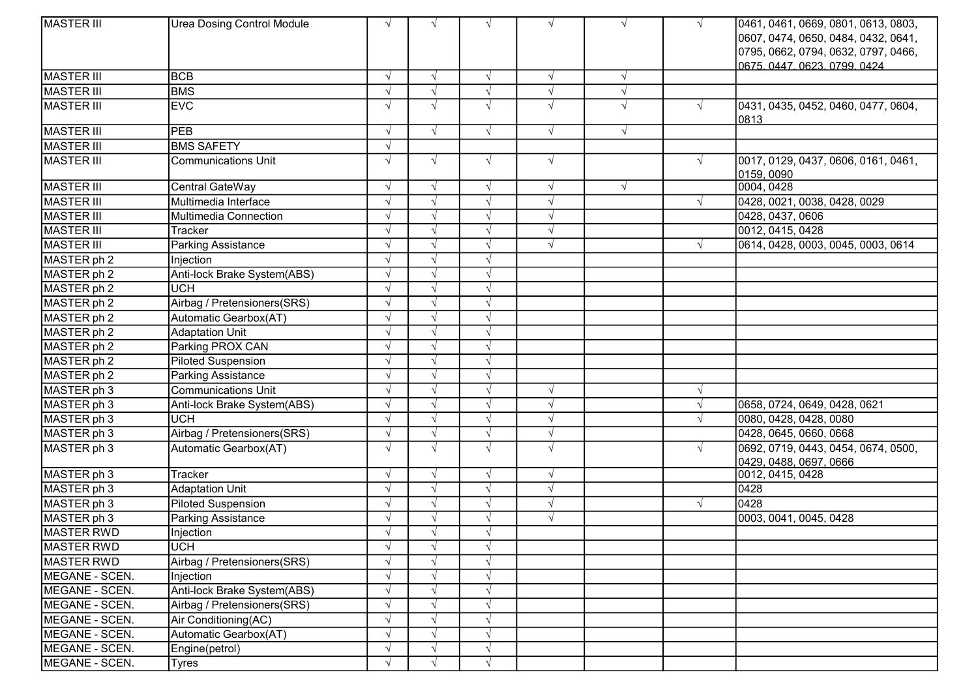| <b>MASTER III</b> | <b>Urea Dosing Control Module</b> |            | $\sqrt{ }$    | $\sqrt{ }$ | $\sqrt{ }$ | $\sqrt{ }$ | $\sqrt{ }$ | 0461, 0461, 0669, 0801, 0613, 0803,               |
|-------------------|-----------------------------------|------------|---------------|------------|------------|------------|------------|---------------------------------------------------|
|                   |                                   |            |               |            |            |            |            | 0607, 0474, 0650, 0484, 0432, 0641,               |
|                   |                                   |            |               |            |            |            |            | 0795, 0662, 0794, 0632, 0797, 0466,               |
|                   |                                   |            |               |            |            |            |            | 0675.0447.0623.0799.0424                          |
| <b>MASTER III</b> | <b>BCB</b>                        | $\sqrt{ }$ | $\sqrt{ }$    | $\sqrt{ }$ | $\sqrt{ }$ | $\sqrt{ }$ |            |                                                   |
| MASTER III        | <b>BMS</b>                        |            | $\sqrt{ }$    | $\sqrt{ }$ | $\sqrt{}$  | $\sqrt{ }$ |            |                                                   |
| <b>MASTER III</b> | <b>EVC</b>                        |            | $\sqrt{ }$    | $\sqrt{ }$ | $\sqrt{ }$ | $\sqrt{ }$ | $\sqrt{ }$ | 0431, 0435, 0452, 0460, 0477, 0604,<br>0813       |
| <b>MASTER III</b> | PEB                               |            | $\sqrt{ }$    | $\sqrt{ }$ | $\sqrt{ }$ | $\sqrt{ }$ |            |                                                   |
| <b>MASTER III</b> | <b>BMS SAFETY</b>                 |            |               |            |            |            |            |                                                   |
| MASTER III        | <b>Communications Unit</b>        |            | $\sqrt{ }$    | $\sqrt{ }$ | $\sqrt{ }$ |            | $\sqrt{ }$ | 0017, 0129, 0437, 0606, 0161, 0461,<br>0159, 0090 |
| <b>MASTER III</b> | Central GateWay                   | $\sqrt{ }$ | $\sqrt{ }$    | $\sqrt{ }$ | $\sqrt{}$  | $\sqrt{ }$ |            | 0004, 0428                                        |
| <b>MASTER III</b> | Multimedia Interface              |            | $\sqrt{ }$    | $\sqrt{ }$ | $\sqrt{}$  |            | $\sqrt{ }$ | 0428, 0021, 0038, 0428, 0029                      |
| <b>MASTER III</b> | Multimedia Connection             |            |               |            | $\sqrt{ }$ |            |            | 0428, 0437, 0606                                  |
| <b>MASTER III</b> | <b>Tracker</b>                    |            | $\sqrt{ }$    | $\sqrt{ }$ | $\sqrt{}$  |            |            | 0012, 0415, 0428                                  |
| MASTER III        | <b>Parking Assistance</b>         |            | $\sqrt{ }$    | $\sqrt{ }$ | $\sqrt{ }$ |            | $\sqrt{ }$ | 0614, 0428, 0003, 0045, 0003, 0614                |
| MASTER ph 2       | Injection                         |            | $\sqrt{ }$    | $\sqrt{ }$ |            |            |            |                                                   |
| MASTER ph 2       | Anti-lock Brake System(ABS)       |            | $\sqrt{ }$    | $\sqrt{ }$ |            |            |            |                                                   |
| MASTER ph 2       | <b>UCH</b>                        |            | $\sqrt{ }$    | $\sqrt{ }$ |            |            |            |                                                   |
| MASTER ph 2       | Airbag / Pretensioners(SRS)       |            |               |            |            |            |            |                                                   |
| MASTER ph 2       | Automatic Gearbox(AT)             |            | $\sqrt{ }$    | $\sqrt{ }$ |            |            |            |                                                   |
| MASTER ph 2       | <b>Adaptation Unit</b>            |            | $\sqrt{ }$    | $\sqrt{ }$ |            |            |            |                                                   |
| MASTER ph 2       | Parking PROX CAN                  |            | $\sqrt{ }$    | $\sqrt{ }$ |            |            |            |                                                   |
| MASTER ph 2       | <b>Piloted Suspension</b>         |            | $\sqrt{ }$    | $\sqrt{ }$ |            |            |            |                                                   |
| MASTER ph 2       | Parking Assistance                |            | $\sqrt{ }$    | $\sqrt{ }$ |            |            |            |                                                   |
| MASTER ph 3       | <b>Communications Unit</b>        |            |               |            |            |            | $\sqrt{ }$ |                                                   |
| MASTER ph 3       | Anti-lock Brake System(ABS)       |            | $\sqrt{ }$    | $\sqrt{ }$ | $\sqrt{}$  |            | $\sqrt{ }$ | 0658, 0724, 0649, 0428, 0621                      |
| MASTER ph 3       | <b>UCH</b>                        |            | $\sqrt{ }$    |            | $\sqrt{ }$ |            | $\sqrt{ }$ | 0080, 0428, 0428, 0080                            |
| MASTER ph 3       | Airbag / Pretensioners(SRS)       |            | $\sqrt{ }$    | $\sqrt{ }$ | $\sqrt{}$  |            |            | 0428, 0645, 0660, 0668                            |
| MASTER ph 3       | Automatic Gearbox(AT)             | $\sqrt{ }$ | $\sqrt{ }$    | $\sqrt{ }$ | $\sqrt{ }$ |            | $\sqrt{ }$ | 0692, 0719, 0443, 0454, 0674, 0500,               |
|                   |                                   |            |               |            |            |            |            | 0429, 0488, 0697, 0666                            |
| MASTER ph 3       | Tracker                           |            | $\sqrt{ }$    | $\sqrt{ }$ | $\sqrt{ }$ |            |            | 0012, 0415, 0428                                  |
| MASTER ph 3       | <b>Adaptation Unit</b>            |            | $\sqrt{ }$    | $\sqrt{ }$ | $\sqrt{}$  |            |            | 0428                                              |
| MASTER ph 3       | <b>Piloted Suspension</b>         |            | $\sqrt{ }$    | $\sqrt{ }$ | $\sqrt{ }$ |            | $\sqrt{ }$ | 0428                                              |
| MASTER ph 3       | <b>Parking Assistance</b>         |            |               | $\sqrt{ }$ | $\sqrt{ }$ |            |            | 0003, 0041, 0045, 0428                            |
| <b>MASTER RWD</b> | Injection                         |            | $\sqrt{ }$    | $\sqrt{ }$ |            |            |            |                                                   |
| MASTER RWD        | <b>UCH</b>                        |            | $\sqrt{ }$    | $\sqrt{ }$ |            |            |            |                                                   |
| MASTER RWD        | Airbag / Pretensioners(SRS)       |            | $\sqrt{ }$    | $\sqrt{ }$ |            |            |            |                                                   |
| MEGANE - SCEN.    | Injection                         |            | $\sqrt{ }$    | $\sqrt{ }$ |            |            |            |                                                   |
| MEGANE - SCEN.    | Anti-lock Brake System(ABS)       |            | $\mathcal{N}$ | $\sqrt{ }$ |            |            |            |                                                   |
| MEGANE - SCEN.    | Airbag / Pretensioners(SRS)       |            | $\sqrt{ }$    | $\sqrt{ }$ |            |            |            |                                                   |
| MEGANE - SCEN.    | Air Conditioning(AC)              |            | $\sqrt{ }$    | $\sqrt{ }$ |            |            |            |                                                   |
| MEGANE - SCEN.    | Automatic Gearbox(AT)             |            |               |            |            |            |            |                                                   |
| MEGANE - SCEN.    | Engine(petrol)                    |            | $\sqrt{ }$    | $\sqrt{ }$ |            |            |            |                                                   |
| MEGANE - SCEN.    | <b>Tyres</b>                      |            | $\sqrt{ }$    | $\sqrt{ }$ |            |            |            |                                                   |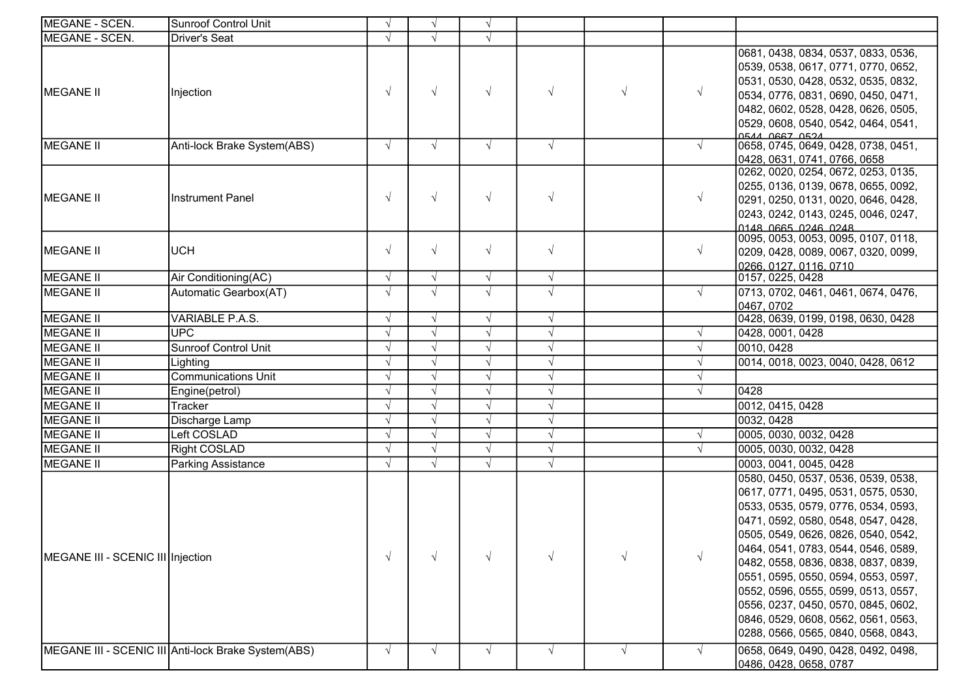| MEGANE - SCEN.                    | <b>Sunroof Control Unit</b>                         | $\sqrt{ }$ | $\sqrt{ }$ | $\sqrt{ }$ |            |            |            |                                                                                                                                                                                                                                                                                                                                                                                                                                                                                  |
|-----------------------------------|-----------------------------------------------------|------------|------------|------------|------------|------------|------------|----------------------------------------------------------------------------------------------------------------------------------------------------------------------------------------------------------------------------------------------------------------------------------------------------------------------------------------------------------------------------------------------------------------------------------------------------------------------------------|
| MEGANE - SCEN.                    | <b>Driver's Seat</b>                                |            | $\sqrt{ }$ | $\sqrt{ }$ |            |            |            |                                                                                                                                                                                                                                                                                                                                                                                                                                                                                  |
| <b>MEGANE II</b>                  | Injection                                           | $\sqrt{ }$ | $\sqrt{ }$ | $\sqrt{ }$ | $\sqrt{ }$ | $\sqrt{ }$ | $\sqrt{ }$ | 0681, 0438, 0834, 0537, 0833, 0536,<br>0539, 0538, 0617, 0771, 0770, 0652,<br>0531, 0530, 0428, 0532, 0535, 0832,<br>0534, 0776, 0831, 0690, 0450, 0471,<br>0482, 0602, 0528, 0428, 0626, 0505,<br>0529, 0608, 0540, 0542, 0464, 0541,                                                                                                                                                                                                                                           |
| <b>MEGANE II</b>                  | Anti-lock Brake System(ABS)                         | $\sqrt{ }$ | $\sqrt{ }$ | $\sqrt{ }$ | $\sqrt{ }$ |            | $\sqrt{ }$ | ACAL DERT AFTA<br>0658, 0745, 0649, 0428, 0738, 0451,<br>0428, 0631, 0741, 0766, 0658                                                                                                                                                                                                                                                                                                                                                                                            |
| MEGANE <sup>II</sup>              | <b>Instrument Panel</b>                             | $\sqrt{ }$ | $\sqrt{ }$ | $\sqrt{ }$ | $\sqrt{ }$ |            | $\sqrt{ }$ | 0262, 0020, 0254, 0672, 0253, 0135,<br>0255, 0136, 0139, 0678, 0655, 0092,<br>0291, 0250, 0131, 0020, 0646, 0428,<br>0243, 0242, 0143, 0245, 0046, 0247,<br>0148 0665 0246 0248                                                                                                                                                                                                                                                                                                  |
| <b>MEGANE II</b>                  | <b>UCH</b>                                          | $\sqrt{ }$ | $\sqrt{ }$ | $\sqrt{ }$ | $\sqrt{ }$ |            | $\sqrt{ }$ | 0095, 0053, 0053, 0095, 0107, 0118,<br>0209, 0428, 0089, 0067, 0320, 0099,<br>0266, 0127, 0116, 0710                                                                                                                                                                                                                                                                                                                                                                             |
| <b>MEGANE II</b>                  | Air Conditioning(AC)                                |            | $\sqrt{ }$ | $\sqrt{ }$ | $\sqrt{ }$ |            |            | 0157, 0225, 0428                                                                                                                                                                                                                                                                                                                                                                                                                                                                 |
| <b>MEGANE II</b>                  | Automatic Gearbox(AT)                               |            | $\sqrt{ }$ | $\sqrt{ }$ | $\sqrt{ }$ |            | $\sqrt{ }$ | 0713, 0702, 0461, 0461, 0674, 0476,<br>0467, 0702                                                                                                                                                                                                                                                                                                                                                                                                                                |
| MEGANE II                         | VARIABLE P.A.S.                                     | $\sqrt{ }$ | $\sqrt{ }$ | $\sqrt{ }$ | $\sqrt{}$  |            |            | 0428, 0639, 0199, 0198, 0630, 0428                                                                                                                                                                                                                                                                                                                                                                                                                                               |
| <b>MEGANE II</b>                  | <b>UPC</b>                                          |            | $\sqrt{ }$ | $\sqrt{ }$ | $\sqrt{ }$ |            | $\sqrt{ }$ | 0428, 0001, 0428                                                                                                                                                                                                                                                                                                                                                                                                                                                                 |
| <b>MEGANE II</b>                  | <b>Sunroof Control Unit</b>                         |            | $\sqrt{ }$ | $\sqrt{ }$ | $\sqrt{ }$ |            | $\sqrt{ }$ | 0010, 0428                                                                                                                                                                                                                                                                                                                                                                                                                                                                       |
| MEGANE II                         | Lighting                                            |            | $\sqrt{ }$ | $\sqrt{ }$ | $\sqrt{ }$ |            | V          | 0014, 0018, 0023, 0040, 0428, 0612                                                                                                                                                                                                                                                                                                                                                                                                                                               |
| <b>MEGANE II</b>                  | <b>Communications Unit</b>                          |            | $\sqrt{ }$ | $\sqrt{ }$ | $\sqrt{}$  |            | $\sqrt{}$  |                                                                                                                                                                                                                                                                                                                                                                                                                                                                                  |
| <b>MEGANE II</b>                  | Engine(petrol)                                      |            | $\sqrt{ }$ | $\sqrt{ }$ | $\sqrt{ }$ |            | V          | 0428                                                                                                                                                                                                                                                                                                                                                                                                                                                                             |
| <b>MEGANE II</b>                  | Tracker                                             |            | $\sqrt{ }$ | $\sqrt{ }$ | $\sqrt{ }$ |            |            | 0012, 0415, 0428                                                                                                                                                                                                                                                                                                                                                                                                                                                                 |
| MEGANE II                         | Discharge Lamp                                      |            | $\sqrt{ }$ | $\sqrt{ }$ | $\sqrt{ }$ |            |            | 0032, 0428                                                                                                                                                                                                                                                                                                                                                                                                                                                                       |
| <b>MEGANE II</b>                  | Left COSLAD                                         |            | $\sqrt{ }$ | $\sqrt{ }$ | $\sqrt{ }$ |            | $\sqrt{ }$ | 0005, 0030, 0032, 0428                                                                                                                                                                                                                                                                                                                                                                                                                                                           |
| <b>MEGANE II</b>                  | <b>Right COSLAD</b>                                 |            | $\sqrt{ }$ | $\sqrt{ }$ | $\sqrt{ }$ |            |            | 0005, 0030, 0032, 0428                                                                                                                                                                                                                                                                                                                                                                                                                                                           |
| MEGANE II                         | <b>Parking Assistance</b>                           | $\sqrt{ }$ | $\sqrt{ }$ | $\sqrt{ }$ | $\sqrt{ }$ |            |            | 0003, 0041, 0045, 0428                                                                                                                                                                                                                                                                                                                                                                                                                                                           |
| MEGANE III - SCENIC III Injection |                                                     | $\sqrt{ }$ | $\sqrt{ }$ | $\sqrt{ }$ | $\sqrt{ }$ |            | $\sqrt{ }$ | 0580, 0450, 0537, 0536, 0539, 0538,<br>0617, 0771, 0495, 0531, 0575, 0530,<br>0533, 0535, 0579, 0776, 0534, 0593,<br>0471, 0592, 0580, 0548, 0547, 0428,<br>0505, 0549, 0626, 0826, 0540, 0542,<br>0464, 0541, 0783, 0544, 0546, 0589,<br>0482, 0558, 0836, 0838, 0837, 0839,<br>0551, 0595, 0550, 0594, 0553, 0597,<br>0552, 0596, 0555, 0599, 0513, 0557,<br>0556, 0237, 0450, 0570, 0845, 0602,<br>0846, 0529, 0608, 0562, 0561, 0563,<br>0288, 0566, 0565, 0840, 0568, 0843, |
|                                   | MEGANE III - SCENIC III Anti-lock Brake System(ABS) |            | $\sqrt{ }$ | $\sqrt{ }$ | $\sqrt{ }$ | $\sqrt{ }$ | $\sqrt{ }$ | 0658, 0649, 0490, 0428, 0492, 0498,<br>0486, 0428, 0658, 0787                                                                                                                                                                                                                                                                                                                                                                                                                    |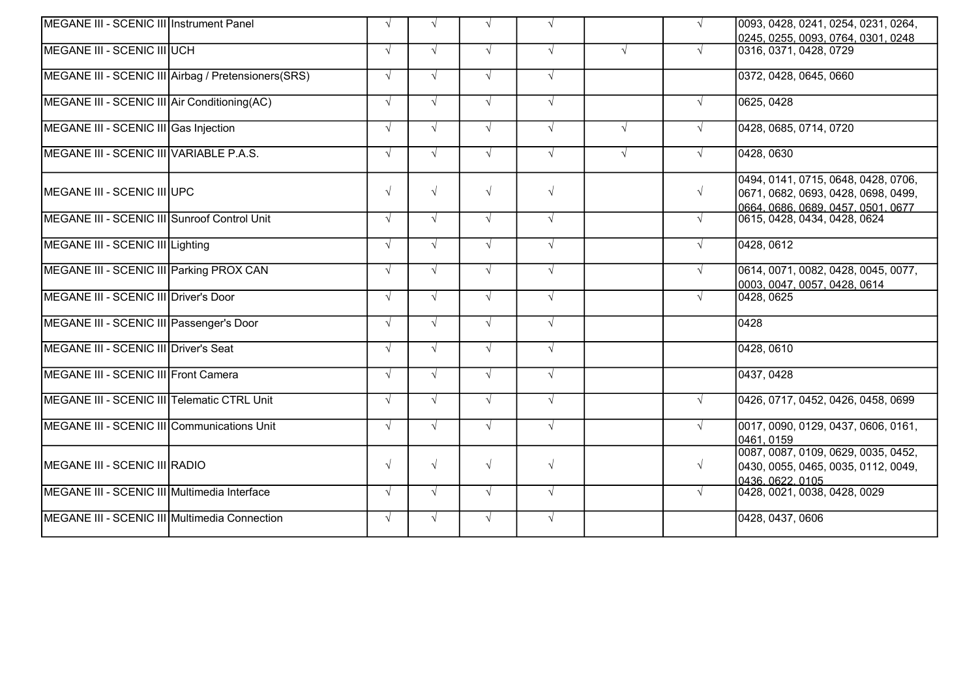| MEGANE III - SCENIC III Instrument Panel      |                                                     | $\sqrt{ }$ | $\sqrt{ }$ | $\sqrt{ }$ | $\sqrt{ }$ |            |            | 0093, 0428, 0241, 0254, 0231, 0264,<br>0245, 0255, 0093, 0764, 0301, 0248                                   |
|-----------------------------------------------|-----------------------------------------------------|------------|------------|------------|------------|------------|------------|-------------------------------------------------------------------------------------------------------------|
| MEGANE III - SCENIC III UCH                   |                                                     | $\sqrt{ }$ | $\sqrt{ }$ | $\sqrt{ }$ | $\sqrt{ }$ | $\sqrt{ }$ |            | 0316, 0371, 0428, 0729                                                                                      |
|                                               | MEGANE III - SCENIC III Airbag / Pretensioners(SRS) | $\sqrt{ }$ | $\sqrt{ }$ | $\sqrt{ }$ | $\sqrt{ }$ |            |            | 0372, 0428, 0645, 0660                                                                                      |
| MEGANE III - SCENIC III Air Conditioning (AC) |                                                     | $\sqrt{ }$ | $\sqrt{ }$ | $\sqrt{ }$ | $\sqrt{ }$ |            | $\sqrt{ }$ | 0625, 0428                                                                                                  |
| MEGANE III - SCENIC III Gas Injection         |                                                     | $\sqrt{ }$ | $\sqrt{ }$ | $\sqrt{ }$ | $\sqrt{ }$ | $\sqrt{ }$ |            | 0428, 0685, 0714, 0720                                                                                      |
| MEGANE III - SCENIC III VARIABLE P.A.S.       |                                                     | $\sqrt{ }$ | $\sqrt{ }$ | $\sqrt{ }$ | $\sqrt{ }$ | $\sqrt{ }$ |            | 0428, 0630                                                                                                  |
| MEGANE III - SCENIC III UPC                   |                                                     | $\sqrt{ }$ | $\sqrt{ }$ | $\sqrt{ }$ | $\sqrt{ }$ |            | $\sqrt{ }$ | 0494, 0141, 0715, 0648, 0428, 0706,<br>0671, 0682, 0693, 0428, 0698, 0499,<br>0664.0686.0689.0457.0501.0677 |
| MEGANE III - SCENIC III Sunroof Control Unit  |                                                     | $\sqrt{ }$ | $\sqrt{ }$ | $\sqrt{ }$ | $\sqrt{ }$ |            |            | 0615, 0428, 0434, 0428, 0624                                                                                |
| MEGANE III - SCENIC III Lighting              |                                                     | $\sqrt{ }$ | $\sqrt{ }$ | $\sqrt{ }$ | $\sqrt{ }$ |            |            | 0428, 0612                                                                                                  |
| MEGANE III - SCENIC III Parking PROX CAN      |                                                     | $\sqrt{ }$ | $\sqrt{ }$ | $\sqrt{ }$ | $\sqrt{ }$ |            | $\sqrt{ }$ | 0614, 0071, 0082, 0428, 0045, 0077,<br>0003, 0047, 0057, 0428, 0614                                         |
| MEGANE III - SCENIC III Driver's Door         |                                                     | $\sqrt{ }$ | $\sqrt{ }$ | $\sqrt{ }$ | $\sqrt{ }$ |            |            | 0428, 0625                                                                                                  |
| MEGANE III - SCENIC III Passenger's Door      |                                                     | $\sqrt{ }$ | $\sqrt{ }$ | $\sqrt{ }$ | $\sqrt{ }$ |            |            | 0428                                                                                                        |
| MEGANE III - SCENIC III Driver's Seat         |                                                     | $\sqrt{ }$ | $\sqrt{ }$ | $\sqrt{ }$ | $\sqrt{ }$ |            |            | 0428, 0610                                                                                                  |
| MEGANE III - SCENIC III Front Camera          |                                                     | $\sqrt{ }$ | $\sqrt{ }$ | $\sqrt{ }$ | $\sqrt{ }$ |            |            | 0437, 0428                                                                                                  |
| MEGANE III - SCENIC III Telematic CTRL Unit   |                                                     | $\sqrt{ }$ | $\sqrt{ }$ | $\sqrt{ }$ | $\sqrt{ }$ |            |            | 0426, 0717, 0452, 0426, 0458, 0699                                                                          |
| MEGANE III - SCENIC III Communications Unit   |                                                     | $\sqrt{ }$ | $\sqrt{ }$ | $\sqrt{ }$ | $\sqrt{ }$ |            |            | 0017, 0090, 0129, 0437, 0606, 0161,<br>0461, 0159                                                           |
| MEGANE III - SCENIC III RADIO                 |                                                     | $\sqrt{ }$ | $\sqrt{ }$ | $\sqrt{ }$ | $\sqrt{ }$ |            | $\sqrt{ }$ | 0087, 0087, 0109, 0629, 0035, 0452,<br>0430, 0055, 0465, 0035, 0112, 0049,<br>0436, 0622, 0105              |
| MEGANE III - SCENIC III Multimedia Interface  |                                                     | $\sqrt{ }$ | $\sqrt{ }$ | $\sqrt{ }$ | $\sqrt{ }$ |            | $\sqrt{ }$ | 0428, 0021, 0038, 0428, 0029                                                                                |
| MEGANE III - SCENIC III Multimedia Connection |                                                     | $\sqrt{ }$ | $\sqrt{ }$ | $\sqrt{ }$ | $\sqrt{ }$ |            |            | 0428, 0437, 0606                                                                                            |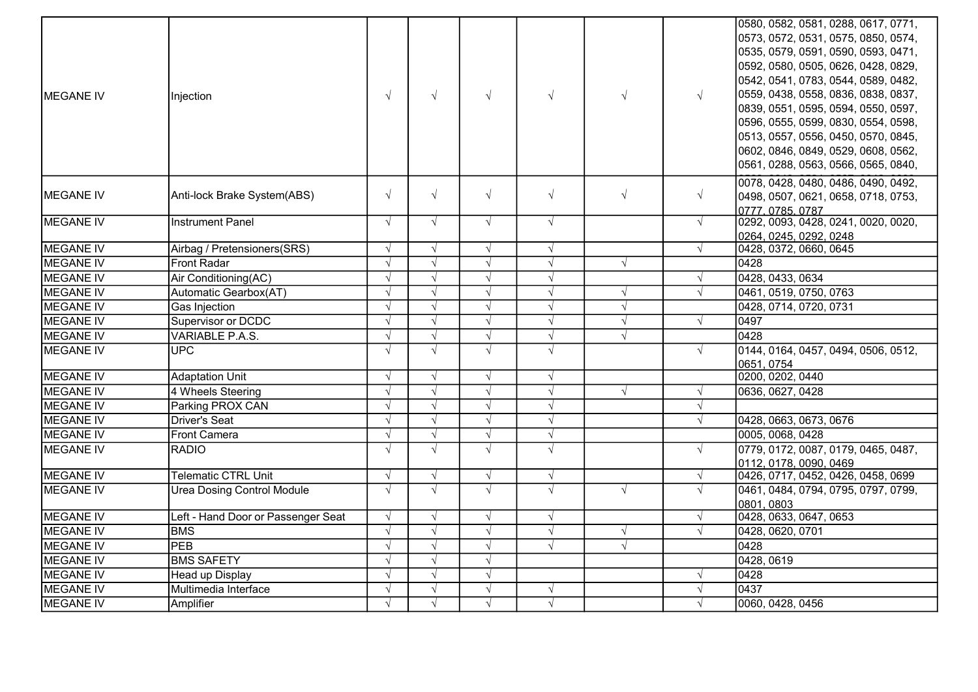| MEGANE IV        | Injection                          | $\sqrt{ }$ | $\sqrt{ }$ | $\sqrt{ }$ | $\sqrt{ }$ | $\sqrt{ }$ | $\sqrt{ }$ | 0580, 0582, 0581, 0288, 0617, 0771,<br>0573, 0572, 0531, 0575, 0850, 0574,<br>0535, 0579, 0591, 0590, 0593, 0471,<br>0592, 0580, 0505, 0626, 0428, 0829,<br>0542, 0541, 0783, 0544, 0589, 0482,<br>0559, 0438, 0558, 0836, 0838, 0837,<br>0839, 0551, 0595, 0594, 0550, 0597,<br>0596, 0555, 0599, 0830, 0554, 0598,<br>0513, 0557, 0556, 0450, 0570, 0845,<br>0602, 0846, 0849, 0529, 0608, 0562,<br>0561, 0288, 0563, 0566, 0565, 0840, |
|------------------|------------------------------------|------------|------------|------------|------------|------------|------------|-------------------------------------------------------------------------------------------------------------------------------------------------------------------------------------------------------------------------------------------------------------------------------------------------------------------------------------------------------------------------------------------------------------------------------------------|
| <b>MEGANE IV</b> | Anti-lock Brake System(ABS)        | $\sqrt{ }$ | $\sqrt{ }$ | $\sqrt{ }$ | $\sqrt{ }$ | $\sqrt{ }$ | $\sqrt{ }$ | 0078, 0428, 0480, 0486, 0490, 0492,<br>0498, 0507, 0621, 0658, 0718, 0753,<br>0777, 0785, 0787                                                                                                                                                                                                                                                                                                                                            |
| <b>MEGANE IV</b> | <b>Instrument Panel</b>            | $\sqrt{ }$ | $\sqrt{ }$ | $\sqrt{ }$ | $\sqrt{ }$ |            | $\sqrt{ }$ | 0292, 0093, 0428, 0241, 0020, 0020,<br>0264, 0245, 0292, 0248                                                                                                                                                                                                                                                                                                                                                                             |
| <b>MEGANE IV</b> | Airbag / Pretensioners(SRS)        | $\sqrt{ }$ | $\sqrt{ }$ | $\sqrt{ }$ | $\sqrt{ }$ |            | $\sqrt{ }$ | 0428, 0372, 0660, 0645                                                                                                                                                                                                                                                                                                                                                                                                                    |
| <b>MEGANE IV</b> | Front Radar                        | $\sqrt{ }$ | $\sqrt{ }$ | $\sqrt{ }$ | $\sqrt{ }$ | $\sqrt{ }$ |            | 0428                                                                                                                                                                                                                                                                                                                                                                                                                                      |
| <b>MEGANE IV</b> | Air Conditioning(AC)               |            | $\sqrt{ }$ | $\sqrt{ }$ | $\sqrt{ }$ |            |            | 0428, 0433, 0634                                                                                                                                                                                                                                                                                                                                                                                                                          |
| <b>MEGANE IV</b> | Automatic Gearbox(AT)              | $\sqrt{ }$ | $\sqrt{}$  | $\sqrt{ }$ | $\sqrt{}$  | $\sqrt{ }$ | $\sqrt{}$  | 0461, 0519, 0750, 0763                                                                                                                                                                                                                                                                                                                                                                                                                    |
| <b>MEGANE IV</b> | Gas Injection                      |            | $\sqrt{ }$ | $\sqrt{ }$ | $\sqrt{ }$ | $\sqrt{ }$ |            | 0428, 0714, 0720, 0731                                                                                                                                                                                                                                                                                                                                                                                                                    |
| MEGANE IV        | <b>Supervisor or DCDC</b>          |            | $\sqrt{ }$ | $\sqrt{ }$ | $\sqrt{ }$ | $\sqrt{ }$ | $\sqrt{ }$ | 0497                                                                                                                                                                                                                                                                                                                                                                                                                                      |
| <b>MEGANE IV</b> | <b>VARIABLE P.A.S.</b>             | $\sqrt{ }$ | $\sqrt{}$  | $\sqrt{ }$ | $\sqrt{}$  | $\sqrt{ }$ |            | 0428                                                                                                                                                                                                                                                                                                                                                                                                                                      |
| <b>MEGANE IV</b> | UPC                                |            | $\sqrt{ }$ | $\sqrt{ }$ | $\sqrt{ }$ |            | $\sqrt{ }$ | 0144, 0164, 0457, 0494, 0506, 0512,<br>0651, 0754                                                                                                                                                                                                                                                                                                                                                                                         |
| <b>MEGANE IV</b> | <b>Adaptation Unit</b>             |            | $\sqrt{ }$ | $\sqrt{ }$ | $\sqrt{ }$ |            |            | 0200, 0202, 0440                                                                                                                                                                                                                                                                                                                                                                                                                          |
| <b>MEGANE IV</b> | 4 Wheels Steering                  | $\sqrt{ }$ | $\sqrt{ }$ | $\sqrt{ }$ | $\sqrt{}$  | $\sqrt{ }$ | $\sqrt{ }$ | 0636, 0627, 0428                                                                                                                                                                                                                                                                                                                                                                                                                          |
| <b>MEGANE IV</b> | Parking PROX CAN                   |            | $\sqrt{ }$ | $\sqrt{ }$ | $\sqrt{ }$ |            | $\sqrt{ }$ |                                                                                                                                                                                                                                                                                                                                                                                                                                           |
| <b>MEGANE IV</b> | Driver's Seat                      | $\sqrt{ }$ | $\sqrt{ }$ | $\sqrt{ }$ | $\sqrt{}$  |            | $\sqrt{ }$ | 0428, 0663, 0673, 0676                                                                                                                                                                                                                                                                                                                                                                                                                    |
| <b>MEGANE IV</b> | <b>Front Camera</b>                | $\sqrt{ }$ | $\sqrt{ }$ | $\sqrt{ }$ | $\sqrt{}$  |            |            | 0005, 0068, 0428                                                                                                                                                                                                                                                                                                                                                                                                                          |
| <b>MEGANE IV</b> | <b>RADIO</b>                       | $\sqrt{ }$ | $\sqrt{ }$ | $\sqrt{ }$ | $\sqrt{ }$ |            | $\sqrt{ }$ | 0779, 0172, 0087, 0179, 0465, 0487,<br>0112, 0178, 0090, 0469                                                                                                                                                                                                                                                                                                                                                                             |
| <b>MEGANE IV</b> | <b>Telematic CTRL Unit</b>         | $\sqrt{ }$ | $\sqrt{ }$ | $\sqrt{ }$ | $\sqrt{ }$ |            | $\sqrt{ }$ | 0426, 0717, 0452, 0426, 0458, 0699                                                                                                                                                                                                                                                                                                                                                                                                        |
| <b>MEGANE IV</b> | <b>Urea Dosing Control Module</b>  | $\sqrt{ }$ | $\sqrt{ }$ | $\sqrt{ }$ | $\sqrt{ }$ | $\sqrt{ }$ | $\sqrt{ }$ | 0461, 0484, 0794, 0795, 0797, 0799,<br>0801, 0803                                                                                                                                                                                                                                                                                                                                                                                         |
| <b>MEGANE IV</b> | Left - Hand Door or Passenger Seat | $\sqrt{ }$ | $\sqrt{ }$ | $\sqrt{ }$ | $\sqrt{ }$ |            | $\sqrt{ }$ | 0428, 0633, 0647, 0653                                                                                                                                                                                                                                                                                                                                                                                                                    |
| <b>MEGANE IV</b> | <b>BMS</b>                         | $\sqrt{ }$ | $\sqrt{ }$ | $\sqrt{ }$ | $\sqrt{ }$ | $\sqrt{ }$ | $\sqrt{ }$ | 0428, 0620, 0701                                                                                                                                                                                                                                                                                                                                                                                                                          |
| <b>MEGANE IV</b> | PEB                                |            | $\sqrt{ }$ | $\sqrt{ }$ | $\sqrt{}$  | $\sqrt{ }$ |            | 0428                                                                                                                                                                                                                                                                                                                                                                                                                                      |
| <b>MEGANE IV</b> | <b>BMS SAFETY</b>                  |            | $\sqrt{ }$ | $\sqrt{ }$ |            |            |            | 0428, 0619                                                                                                                                                                                                                                                                                                                                                                                                                                |
| <b>MEGANE IV</b> | Head up Display                    |            | $\sqrt{ }$ | $\sqrt{ }$ |            |            |            | 0428                                                                                                                                                                                                                                                                                                                                                                                                                                      |
| <b>MEGANE IV</b> | Multimedia Interface               |            | $\sqrt{ }$ | $\sqrt{ }$ | $\sqrt{ }$ |            | $\sqrt{ }$ | 0437                                                                                                                                                                                                                                                                                                                                                                                                                                      |
| <b>MEGANE IV</b> | Amplifier                          |            | $\sqrt{ }$ | $\sqrt{ }$ | $\sqrt{ }$ |            |            | 0060, 0428, 0456                                                                                                                                                                                                                                                                                                                                                                                                                          |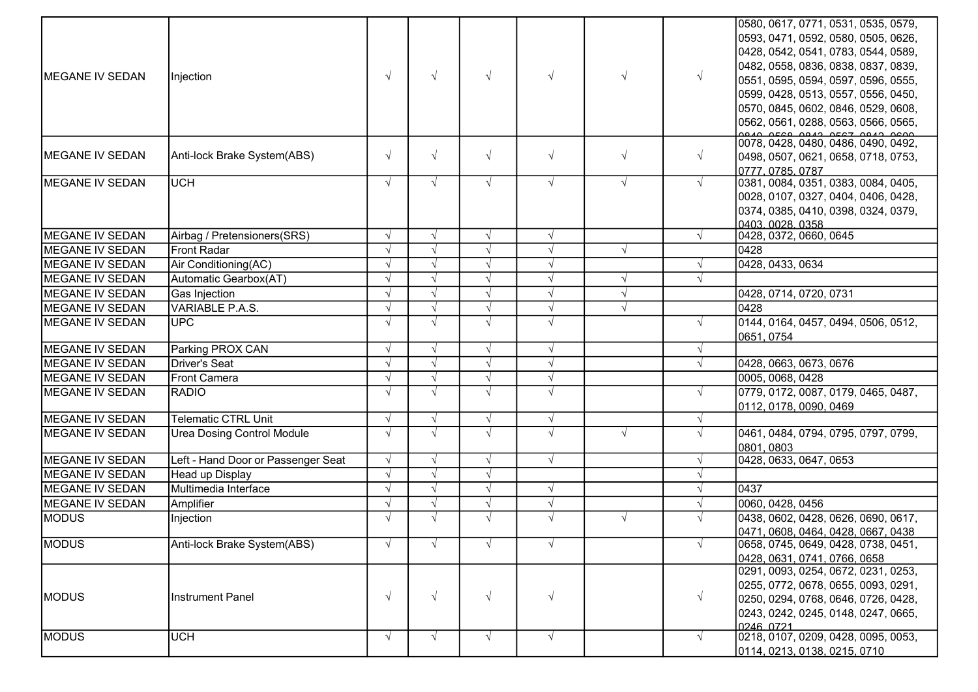| 0428, 0542, 0541, 0783, 0544, 0589,<br>0482, 0558, 0836, 0838, 0837, 0839,<br>$\sqrt{ }$<br>MEGANE IV SEDAN<br>$\sqrt{ }$<br>$\sqrt{ }$<br>$\sqrt{ }$<br>$\sqrt{ }$<br>$\sqrt{ }$<br>Injection<br>0551, 0595, 0594, 0597, 0596, 0555,<br>0599, 0428, 0513, 0557, 0556, 0450,<br>0570, 0845, 0602, 0846, 0529, 0608,<br>0562, 0561, 0288, 0563, 0566, 0565,<br><u>loo 40 orco on 40 orc3 on 40 ocon.</u><br> 0078, 0428, 0480, 0486, 0490, 0492,<br>$\sqrt{ }$<br>$\sqrt{ }$<br>$\sqrt{ }$<br>$\sqrt{ }$<br>$\sqrt{ }$<br>$\sqrt{ }$<br>Anti-lock Brake System(ABS)<br>0498, 0507, 0621, 0658, 0718, 0753,<br>0777, 0785, 0787<br><b>MEGANE IV SEDAN</b><br>0381, 0084, 0351, 0383, 0084, 0405,<br><b>UCH</b><br>$\sqrt{ }$<br>$\sqrt{ }$<br>$\sqrt{ }$<br>$\sqrt{ }$<br>$\sqrt{ }$<br>$\sqrt{ }$<br>0028, 0107, 0327, 0404, 0406, 0428,<br>0374, 0385, 0410, 0398, 0324, 0379,<br><u> 10403. 0028. 0358.</u><br>0428, 0372, 0660, 0645<br>MEGANE IV SEDAN<br>Airbag / Pretensioners(SRS)<br>$\sqrt{}$<br>$\sqrt{ }$<br>$\sqrt{ }$<br>$\sqrt{ }$<br>MEGANE IV SEDAN<br><b>Front Radar</b><br>0428<br>$\sqrt{ }$<br>$\sqrt{ }$<br>$\sqrt{ }$<br>$\sqrt{ }$<br>0428, 0433, 0634<br>MEGANE IV SEDAN<br>Air Conditioning(AC)<br>$\sqrt{ }$<br>$\sqrt{ }$<br>$\sqrt{ }$<br>$\sqrt{ }$<br><b>MEGANE IV SEDAN</b><br>Automatic Gearbox(AT)<br>$\sqrt{ }$<br>$\sqrt{ }$<br>$\sqrt{ }$<br>$\sqrt{ }$<br>$\sqrt{ }$<br><b>MEGANE IV SEDAN</b><br>Gas Injection<br>$\sqrt{ }$<br>0428, 0714, 0720, 0731<br>$\sqrt{ }$<br><b>MEGANE IV SEDAN</b><br>VARIABLE P.A.S.<br>$\sqrt{ }$<br>$\sqrt{ }$<br>$\sqrt{ }$<br>0428<br>$\sqrt{ }$<br>$\sqrt{ }$<br>0144, 0164, 0457, 0494, 0506, 0512,<br><b>MEGANE IV SEDAN</b><br>UPC<br>$\sqrt{ }$<br>$\sqrt{ }$<br>$\sqrt{ }$<br>0651, 0754<br>Parking PROX CAN<br>$\sqrt{ }$<br>$\sqrt{}$<br>$\sqrt{ }$<br>$\sqrt{ }$<br>$\sqrt{ }$<br>Driver's Seat<br>$\sqrt{ }$<br>$\sqrt{ }$<br>0428, 0663, 0673, 0676<br>$\sqrt{ }$<br>$\sqrt{ }$<br>$\sqrt{ }$<br>$\sqrt{}$<br>$\sqrt{ }$<br>0005, 0068, 0428<br>Front Camera<br>$\sqrt{ }$<br>$\sqrt{ }$<br>$\sqrt{ }$<br>0779, 0172, 0087, 0179, 0465, 0487,<br>$\sqrt{ }$<br>$\sqrt{ }$<br>$\sqrt{ }$<br><b>RADIO</b><br>0112, 0178, 0090, 0469<br><b>MEGANE IV SEDAN</b><br><b>Telematic CTRL Unit</b><br>$\sqrt{ }$<br>$\sqrt{ }$<br>$\sqrt{ }$<br>$\sqrt{ }$<br>MEGANE IV SEDAN<br>$\sqrt{ }$<br>$\sqrt{ }$<br>$\sqrt{ }$<br><b>Urea Dosing Control Module</b><br>$\sqrt{ }$<br>$\sqrt{ }$<br>$\sqrt{ }$<br>0461, 0484, 0794, 0795, 0797, 0799,<br>0801, 0803<br>0428, 0633, 0647, 0653<br><b>MEGANE IV SEDAN</b><br>Left - Hand Door or Passenger Seat<br>$\sqrt{ }$<br>$\sqrt{ }$<br>$\sqrt{ }$<br>$\sqrt{ }$<br>$\sqrt{ }$<br><b>MEGANE IV SEDAN</b><br>Head up Display<br>$\sqrt{ }$<br>$\sqrt{ }$<br>$\sqrt{ }$<br>Multimedia Interface<br>MEGANE IV SEDAN<br>$\sqrt{ }$<br>0437<br>$\sqrt{ }$<br>$\sqrt{ }$<br>$\sqrt{ }$<br>MEGANE IV SEDAN<br>$\sqrt{ }$<br>$\sqrt{ }$<br>0060, 0428, 0456<br>$\sqrt{ }$<br>Amplifier<br>$\sqrt{ }$<br><b>MODUS</b><br>$\sqrt{ }$<br>$\sqrt{ }$<br>$\sqrt{ }$<br>$\sqrt{ }$<br>0438, 0602, 0428, 0626, 0690, 0617,<br>$\sqrt{ }$<br>Injection<br>0471, 0608, 0464, 0428, 0667, 0438<br>0658, 0745, 0649, 0428, 0738, 0451,<br>MODUS<br>Anti-lock Brake System(ABS)<br>$\sqrt{ }$<br>$\sqrt{ }$<br>$\sqrt{ }$<br>$\sqrt{ }$<br>0428, 0631, 0741, 0766, 0658<br>0291, 0093, 0254, 0672, 0231, 0253,<br>0255, 0772, 0678, 0655, 0093, 0291,<br>$\sqrt{ }$<br>$\sqrt{ }$<br>$\sqrt{ }$<br>$\sqrt{ }$<br>MODUS<br><b>Instrument Panel</b><br>$\sqrt{ }$<br>0250, 0294, 0768, 0646, 0726, 0428,<br>0243, 0242, 0245, 0148, 0247, 0665,<br>0246 0721<br>0218, 0107, 0209, 0428, 0095, 0053,<br><b>MODUS</b><br><b>UCH</b><br>$\sqrt{ }$<br>$\sqrt{ }$<br>$\sqrt{ }$<br>$\sqrt{ }$<br>$\sqrt{ }$<br>0114, 0213, 0138, 0215, 0710 |                        |  |  |  | 0580, 0617, 0771, 0531, 0535, 0579, |
|----------------------------------------------------------------------------------------------------------------------------------------------------------------------------------------------------------------------------------------------------------------------------------------------------------------------------------------------------------------------------------------------------------------------------------------------------------------------------------------------------------------------------------------------------------------------------------------------------------------------------------------------------------------------------------------------------------------------------------------------------------------------------------------------------------------------------------------------------------------------------------------------------------------------------------------------------------------------------------------------------------------------------------------------------------------------------------------------------------------------------------------------------------------------------------------------------------------------------------------------------------------------------------------------------------------------------------------------------------------------------------------------------------------------------------------------------------------------------------------------------------------------------------------------------------------------------------------------------------------------------------------------------------------------------------------------------------------------------------------------------------------------------------------------------------------------------------------------------------------------------------------------------------------------------------------------------------------------------------------------------------------------------------------------------------------------------------------------------------------------------------------------------------------------------------------------------------------------------------------------------------------------------------------------------------------------------------------------------------------------------------------------------------------------------------------------------------------------------------------------------------------------------------------------------------------------------------------------------------------------------------------------------------------------------------------------------------------------------------------------------------------------------------------------------------------------------------------------------------------------------------------------------------------------------------------------------------------------------------------------------------------------------------------------------------------------------------------------------------------------------------------------------------------------------------------------------------------------------------------------------------------------------------------------------------------------------------------------------------------------------------------------------------------------------------------------------------------------------------------------------------------------------------------------------------------------------------------------------------------------------------------------------------------------------------------------------------------------------------------------------------------------------------------------------------------------------------------|------------------------|--|--|--|-------------------------------------|
|                                                                                                                                                                                                                                                                                                                                                                                                                                                                                                                                                                                                                                                                                                                                                                                                                                                                                                                                                                                                                                                                                                                                                                                                                                                                                                                                                                                                                                                                                                                                                                                                                                                                                                                                                                                                                                                                                                                                                                                                                                                                                                                                                                                                                                                                                                                                                                                                                                                                                                                                                                                                                                                                                                                                                                                                                                                                                                                                                                                                                                                                                                                                                                                                                                                                                                                                                                                                                                                                                                                                                                                                                                                                                                                                                                                                                                        |                        |  |  |  | 0593, 0471, 0592, 0580, 0505, 0626, |
|                                                                                                                                                                                                                                                                                                                                                                                                                                                                                                                                                                                                                                                                                                                                                                                                                                                                                                                                                                                                                                                                                                                                                                                                                                                                                                                                                                                                                                                                                                                                                                                                                                                                                                                                                                                                                                                                                                                                                                                                                                                                                                                                                                                                                                                                                                                                                                                                                                                                                                                                                                                                                                                                                                                                                                                                                                                                                                                                                                                                                                                                                                                                                                                                                                                                                                                                                                                                                                                                                                                                                                                                                                                                                                                                                                                                                                        |                        |  |  |  |                                     |
|                                                                                                                                                                                                                                                                                                                                                                                                                                                                                                                                                                                                                                                                                                                                                                                                                                                                                                                                                                                                                                                                                                                                                                                                                                                                                                                                                                                                                                                                                                                                                                                                                                                                                                                                                                                                                                                                                                                                                                                                                                                                                                                                                                                                                                                                                                                                                                                                                                                                                                                                                                                                                                                                                                                                                                                                                                                                                                                                                                                                                                                                                                                                                                                                                                                                                                                                                                                                                                                                                                                                                                                                                                                                                                                                                                                                                                        |                        |  |  |  |                                     |
|                                                                                                                                                                                                                                                                                                                                                                                                                                                                                                                                                                                                                                                                                                                                                                                                                                                                                                                                                                                                                                                                                                                                                                                                                                                                                                                                                                                                                                                                                                                                                                                                                                                                                                                                                                                                                                                                                                                                                                                                                                                                                                                                                                                                                                                                                                                                                                                                                                                                                                                                                                                                                                                                                                                                                                                                                                                                                                                                                                                                                                                                                                                                                                                                                                                                                                                                                                                                                                                                                                                                                                                                                                                                                                                                                                                                                                        |                        |  |  |  |                                     |
|                                                                                                                                                                                                                                                                                                                                                                                                                                                                                                                                                                                                                                                                                                                                                                                                                                                                                                                                                                                                                                                                                                                                                                                                                                                                                                                                                                                                                                                                                                                                                                                                                                                                                                                                                                                                                                                                                                                                                                                                                                                                                                                                                                                                                                                                                                                                                                                                                                                                                                                                                                                                                                                                                                                                                                                                                                                                                                                                                                                                                                                                                                                                                                                                                                                                                                                                                                                                                                                                                                                                                                                                                                                                                                                                                                                                                                        |                        |  |  |  |                                     |
|                                                                                                                                                                                                                                                                                                                                                                                                                                                                                                                                                                                                                                                                                                                                                                                                                                                                                                                                                                                                                                                                                                                                                                                                                                                                                                                                                                                                                                                                                                                                                                                                                                                                                                                                                                                                                                                                                                                                                                                                                                                                                                                                                                                                                                                                                                                                                                                                                                                                                                                                                                                                                                                                                                                                                                                                                                                                                                                                                                                                                                                                                                                                                                                                                                                                                                                                                                                                                                                                                                                                                                                                                                                                                                                                                                                                                                        |                        |  |  |  |                                     |
|                                                                                                                                                                                                                                                                                                                                                                                                                                                                                                                                                                                                                                                                                                                                                                                                                                                                                                                                                                                                                                                                                                                                                                                                                                                                                                                                                                                                                                                                                                                                                                                                                                                                                                                                                                                                                                                                                                                                                                                                                                                                                                                                                                                                                                                                                                                                                                                                                                                                                                                                                                                                                                                                                                                                                                                                                                                                                                                                                                                                                                                                                                                                                                                                                                                                                                                                                                                                                                                                                                                                                                                                                                                                                                                                                                                                                                        |                        |  |  |  |                                     |
|                                                                                                                                                                                                                                                                                                                                                                                                                                                                                                                                                                                                                                                                                                                                                                                                                                                                                                                                                                                                                                                                                                                                                                                                                                                                                                                                                                                                                                                                                                                                                                                                                                                                                                                                                                                                                                                                                                                                                                                                                                                                                                                                                                                                                                                                                                                                                                                                                                                                                                                                                                                                                                                                                                                                                                                                                                                                                                                                                                                                                                                                                                                                                                                                                                                                                                                                                                                                                                                                                                                                                                                                                                                                                                                                                                                                                                        |                        |  |  |  |                                     |
|                                                                                                                                                                                                                                                                                                                                                                                                                                                                                                                                                                                                                                                                                                                                                                                                                                                                                                                                                                                                                                                                                                                                                                                                                                                                                                                                                                                                                                                                                                                                                                                                                                                                                                                                                                                                                                                                                                                                                                                                                                                                                                                                                                                                                                                                                                                                                                                                                                                                                                                                                                                                                                                                                                                                                                                                                                                                                                                                                                                                                                                                                                                                                                                                                                                                                                                                                                                                                                                                                                                                                                                                                                                                                                                                                                                                                                        | MEGANE IV SEDAN        |  |  |  |                                     |
|                                                                                                                                                                                                                                                                                                                                                                                                                                                                                                                                                                                                                                                                                                                                                                                                                                                                                                                                                                                                                                                                                                                                                                                                                                                                                                                                                                                                                                                                                                                                                                                                                                                                                                                                                                                                                                                                                                                                                                                                                                                                                                                                                                                                                                                                                                                                                                                                                                                                                                                                                                                                                                                                                                                                                                                                                                                                                                                                                                                                                                                                                                                                                                                                                                                                                                                                                                                                                                                                                                                                                                                                                                                                                                                                                                                                                                        |                        |  |  |  |                                     |
|                                                                                                                                                                                                                                                                                                                                                                                                                                                                                                                                                                                                                                                                                                                                                                                                                                                                                                                                                                                                                                                                                                                                                                                                                                                                                                                                                                                                                                                                                                                                                                                                                                                                                                                                                                                                                                                                                                                                                                                                                                                                                                                                                                                                                                                                                                                                                                                                                                                                                                                                                                                                                                                                                                                                                                                                                                                                                                                                                                                                                                                                                                                                                                                                                                                                                                                                                                                                                                                                                                                                                                                                                                                                                                                                                                                                                                        |                        |  |  |  |                                     |
|                                                                                                                                                                                                                                                                                                                                                                                                                                                                                                                                                                                                                                                                                                                                                                                                                                                                                                                                                                                                                                                                                                                                                                                                                                                                                                                                                                                                                                                                                                                                                                                                                                                                                                                                                                                                                                                                                                                                                                                                                                                                                                                                                                                                                                                                                                                                                                                                                                                                                                                                                                                                                                                                                                                                                                                                                                                                                                                                                                                                                                                                                                                                                                                                                                                                                                                                                                                                                                                                                                                                                                                                                                                                                                                                                                                                                                        |                        |  |  |  |                                     |
|                                                                                                                                                                                                                                                                                                                                                                                                                                                                                                                                                                                                                                                                                                                                                                                                                                                                                                                                                                                                                                                                                                                                                                                                                                                                                                                                                                                                                                                                                                                                                                                                                                                                                                                                                                                                                                                                                                                                                                                                                                                                                                                                                                                                                                                                                                                                                                                                                                                                                                                                                                                                                                                                                                                                                                                                                                                                                                                                                                                                                                                                                                                                                                                                                                                                                                                                                                                                                                                                                                                                                                                                                                                                                                                                                                                                                                        |                        |  |  |  |                                     |
|                                                                                                                                                                                                                                                                                                                                                                                                                                                                                                                                                                                                                                                                                                                                                                                                                                                                                                                                                                                                                                                                                                                                                                                                                                                                                                                                                                                                                                                                                                                                                                                                                                                                                                                                                                                                                                                                                                                                                                                                                                                                                                                                                                                                                                                                                                                                                                                                                                                                                                                                                                                                                                                                                                                                                                                                                                                                                                                                                                                                                                                                                                                                                                                                                                                                                                                                                                                                                                                                                                                                                                                                                                                                                                                                                                                                                                        |                        |  |  |  |                                     |
|                                                                                                                                                                                                                                                                                                                                                                                                                                                                                                                                                                                                                                                                                                                                                                                                                                                                                                                                                                                                                                                                                                                                                                                                                                                                                                                                                                                                                                                                                                                                                                                                                                                                                                                                                                                                                                                                                                                                                                                                                                                                                                                                                                                                                                                                                                                                                                                                                                                                                                                                                                                                                                                                                                                                                                                                                                                                                                                                                                                                                                                                                                                                                                                                                                                                                                                                                                                                                                                                                                                                                                                                                                                                                                                                                                                                                                        |                        |  |  |  |                                     |
|                                                                                                                                                                                                                                                                                                                                                                                                                                                                                                                                                                                                                                                                                                                                                                                                                                                                                                                                                                                                                                                                                                                                                                                                                                                                                                                                                                                                                                                                                                                                                                                                                                                                                                                                                                                                                                                                                                                                                                                                                                                                                                                                                                                                                                                                                                                                                                                                                                                                                                                                                                                                                                                                                                                                                                                                                                                                                                                                                                                                                                                                                                                                                                                                                                                                                                                                                                                                                                                                                                                                                                                                                                                                                                                                                                                                                                        |                        |  |  |  |                                     |
|                                                                                                                                                                                                                                                                                                                                                                                                                                                                                                                                                                                                                                                                                                                                                                                                                                                                                                                                                                                                                                                                                                                                                                                                                                                                                                                                                                                                                                                                                                                                                                                                                                                                                                                                                                                                                                                                                                                                                                                                                                                                                                                                                                                                                                                                                                                                                                                                                                                                                                                                                                                                                                                                                                                                                                                                                                                                                                                                                                                                                                                                                                                                                                                                                                                                                                                                                                                                                                                                                                                                                                                                                                                                                                                                                                                                                                        |                        |  |  |  |                                     |
|                                                                                                                                                                                                                                                                                                                                                                                                                                                                                                                                                                                                                                                                                                                                                                                                                                                                                                                                                                                                                                                                                                                                                                                                                                                                                                                                                                                                                                                                                                                                                                                                                                                                                                                                                                                                                                                                                                                                                                                                                                                                                                                                                                                                                                                                                                                                                                                                                                                                                                                                                                                                                                                                                                                                                                                                                                                                                                                                                                                                                                                                                                                                                                                                                                                                                                                                                                                                                                                                                                                                                                                                                                                                                                                                                                                                                                        |                        |  |  |  |                                     |
|                                                                                                                                                                                                                                                                                                                                                                                                                                                                                                                                                                                                                                                                                                                                                                                                                                                                                                                                                                                                                                                                                                                                                                                                                                                                                                                                                                                                                                                                                                                                                                                                                                                                                                                                                                                                                                                                                                                                                                                                                                                                                                                                                                                                                                                                                                                                                                                                                                                                                                                                                                                                                                                                                                                                                                                                                                                                                                                                                                                                                                                                                                                                                                                                                                                                                                                                                                                                                                                                                                                                                                                                                                                                                                                                                                                                                                        |                        |  |  |  |                                     |
|                                                                                                                                                                                                                                                                                                                                                                                                                                                                                                                                                                                                                                                                                                                                                                                                                                                                                                                                                                                                                                                                                                                                                                                                                                                                                                                                                                                                                                                                                                                                                                                                                                                                                                                                                                                                                                                                                                                                                                                                                                                                                                                                                                                                                                                                                                                                                                                                                                                                                                                                                                                                                                                                                                                                                                                                                                                                                                                                                                                                                                                                                                                                                                                                                                                                                                                                                                                                                                                                                                                                                                                                                                                                                                                                                                                                                                        |                        |  |  |  |                                     |
|                                                                                                                                                                                                                                                                                                                                                                                                                                                                                                                                                                                                                                                                                                                                                                                                                                                                                                                                                                                                                                                                                                                                                                                                                                                                                                                                                                                                                                                                                                                                                                                                                                                                                                                                                                                                                                                                                                                                                                                                                                                                                                                                                                                                                                                                                                                                                                                                                                                                                                                                                                                                                                                                                                                                                                                                                                                                                                                                                                                                                                                                                                                                                                                                                                                                                                                                                                                                                                                                                                                                                                                                                                                                                                                                                                                                                                        |                        |  |  |  |                                     |
|                                                                                                                                                                                                                                                                                                                                                                                                                                                                                                                                                                                                                                                                                                                                                                                                                                                                                                                                                                                                                                                                                                                                                                                                                                                                                                                                                                                                                                                                                                                                                                                                                                                                                                                                                                                                                                                                                                                                                                                                                                                                                                                                                                                                                                                                                                                                                                                                                                                                                                                                                                                                                                                                                                                                                                                                                                                                                                                                                                                                                                                                                                                                                                                                                                                                                                                                                                                                                                                                                                                                                                                                                                                                                                                                                                                                                                        | <b>MEGANE IV SEDAN</b> |  |  |  |                                     |
|                                                                                                                                                                                                                                                                                                                                                                                                                                                                                                                                                                                                                                                                                                                                                                                                                                                                                                                                                                                                                                                                                                                                                                                                                                                                                                                                                                                                                                                                                                                                                                                                                                                                                                                                                                                                                                                                                                                                                                                                                                                                                                                                                                                                                                                                                                                                                                                                                                                                                                                                                                                                                                                                                                                                                                                                                                                                                                                                                                                                                                                                                                                                                                                                                                                                                                                                                                                                                                                                                                                                                                                                                                                                                                                                                                                                                                        | <b>MEGANE IV SEDAN</b> |  |  |  |                                     |
|                                                                                                                                                                                                                                                                                                                                                                                                                                                                                                                                                                                                                                                                                                                                                                                                                                                                                                                                                                                                                                                                                                                                                                                                                                                                                                                                                                                                                                                                                                                                                                                                                                                                                                                                                                                                                                                                                                                                                                                                                                                                                                                                                                                                                                                                                                                                                                                                                                                                                                                                                                                                                                                                                                                                                                                                                                                                                                                                                                                                                                                                                                                                                                                                                                                                                                                                                                                                                                                                                                                                                                                                                                                                                                                                                                                                                                        | <b>MEGANE IV SEDAN</b> |  |  |  |                                     |
|                                                                                                                                                                                                                                                                                                                                                                                                                                                                                                                                                                                                                                                                                                                                                                                                                                                                                                                                                                                                                                                                                                                                                                                                                                                                                                                                                                                                                                                                                                                                                                                                                                                                                                                                                                                                                                                                                                                                                                                                                                                                                                                                                                                                                                                                                                                                                                                                                                                                                                                                                                                                                                                                                                                                                                                                                                                                                                                                                                                                                                                                                                                                                                                                                                                                                                                                                                                                                                                                                                                                                                                                                                                                                                                                                                                                                                        | <b>MEGANE IV SEDAN</b> |  |  |  |                                     |
|                                                                                                                                                                                                                                                                                                                                                                                                                                                                                                                                                                                                                                                                                                                                                                                                                                                                                                                                                                                                                                                                                                                                                                                                                                                                                                                                                                                                                                                                                                                                                                                                                                                                                                                                                                                                                                                                                                                                                                                                                                                                                                                                                                                                                                                                                                                                                                                                                                                                                                                                                                                                                                                                                                                                                                                                                                                                                                                                                                                                                                                                                                                                                                                                                                                                                                                                                                                                                                                                                                                                                                                                                                                                                                                                                                                                                                        |                        |  |  |  |                                     |
|                                                                                                                                                                                                                                                                                                                                                                                                                                                                                                                                                                                                                                                                                                                                                                                                                                                                                                                                                                                                                                                                                                                                                                                                                                                                                                                                                                                                                                                                                                                                                                                                                                                                                                                                                                                                                                                                                                                                                                                                                                                                                                                                                                                                                                                                                                                                                                                                                                                                                                                                                                                                                                                                                                                                                                                                                                                                                                                                                                                                                                                                                                                                                                                                                                                                                                                                                                                                                                                                                                                                                                                                                                                                                                                                                                                                                                        |                        |  |  |  |                                     |
|                                                                                                                                                                                                                                                                                                                                                                                                                                                                                                                                                                                                                                                                                                                                                                                                                                                                                                                                                                                                                                                                                                                                                                                                                                                                                                                                                                                                                                                                                                                                                                                                                                                                                                                                                                                                                                                                                                                                                                                                                                                                                                                                                                                                                                                                                                                                                                                                                                                                                                                                                                                                                                                                                                                                                                                                                                                                                                                                                                                                                                                                                                                                                                                                                                                                                                                                                                                                                                                                                                                                                                                                                                                                                                                                                                                                                                        |                        |  |  |  |                                     |
|                                                                                                                                                                                                                                                                                                                                                                                                                                                                                                                                                                                                                                                                                                                                                                                                                                                                                                                                                                                                                                                                                                                                                                                                                                                                                                                                                                                                                                                                                                                                                                                                                                                                                                                                                                                                                                                                                                                                                                                                                                                                                                                                                                                                                                                                                                                                                                                                                                                                                                                                                                                                                                                                                                                                                                                                                                                                                                                                                                                                                                                                                                                                                                                                                                                                                                                                                                                                                                                                                                                                                                                                                                                                                                                                                                                                                                        |                        |  |  |  |                                     |
|                                                                                                                                                                                                                                                                                                                                                                                                                                                                                                                                                                                                                                                                                                                                                                                                                                                                                                                                                                                                                                                                                                                                                                                                                                                                                                                                                                                                                                                                                                                                                                                                                                                                                                                                                                                                                                                                                                                                                                                                                                                                                                                                                                                                                                                                                                                                                                                                                                                                                                                                                                                                                                                                                                                                                                                                                                                                                                                                                                                                                                                                                                                                                                                                                                                                                                                                                                                                                                                                                                                                                                                                                                                                                                                                                                                                                                        |                        |  |  |  |                                     |
|                                                                                                                                                                                                                                                                                                                                                                                                                                                                                                                                                                                                                                                                                                                                                                                                                                                                                                                                                                                                                                                                                                                                                                                                                                                                                                                                                                                                                                                                                                                                                                                                                                                                                                                                                                                                                                                                                                                                                                                                                                                                                                                                                                                                                                                                                                                                                                                                                                                                                                                                                                                                                                                                                                                                                                                                                                                                                                                                                                                                                                                                                                                                                                                                                                                                                                                                                                                                                                                                                                                                                                                                                                                                                                                                                                                                                                        |                        |  |  |  |                                     |
|                                                                                                                                                                                                                                                                                                                                                                                                                                                                                                                                                                                                                                                                                                                                                                                                                                                                                                                                                                                                                                                                                                                                                                                                                                                                                                                                                                                                                                                                                                                                                                                                                                                                                                                                                                                                                                                                                                                                                                                                                                                                                                                                                                                                                                                                                                                                                                                                                                                                                                                                                                                                                                                                                                                                                                                                                                                                                                                                                                                                                                                                                                                                                                                                                                                                                                                                                                                                                                                                                                                                                                                                                                                                                                                                                                                                                                        |                        |  |  |  |                                     |
|                                                                                                                                                                                                                                                                                                                                                                                                                                                                                                                                                                                                                                                                                                                                                                                                                                                                                                                                                                                                                                                                                                                                                                                                                                                                                                                                                                                                                                                                                                                                                                                                                                                                                                                                                                                                                                                                                                                                                                                                                                                                                                                                                                                                                                                                                                                                                                                                                                                                                                                                                                                                                                                                                                                                                                                                                                                                                                                                                                                                                                                                                                                                                                                                                                                                                                                                                                                                                                                                                                                                                                                                                                                                                                                                                                                                                                        |                        |  |  |  |                                     |
|                                                                                                                                                                                                                                                                                                                                                                                                                                                                                                                                                                                                                                                                                                                                                                                                                                                                                                                                                                                                                                                                                                                                                                                                                                                                                                                                                                                                                                                                                                                                                                                                                                                                                                                                                                                                                                                                                                                                                                                                                                                                                                                                                                                                                                                                                                                                                                                                                                                                                                                                                                                                                                                                                                                                                                                                                                                                                                                                                                                                                                                                                                                                                                                                                                                                                                                                                                                                                                                                                                                                                                                                                                                                                                                                                                                                                                        |                        |  |  |  |                                     |
|                                                                                                                                                                                                                                                                                                                                                                                                                                                                                                                                                                                                                                                                                                                                                                                                                                                                                                                                                                                                                                                                                                                                                                                                                                                                                                                                                                                                                                                                                                                                                                                                                                                                                                                                                                                                                                                                                                                                                                                                                                                                                                                                                                                                                                                                                                                                                                                                                                                                                                                                                                                                                                                                                                                                                                                                                                                                                                                                                                                                                                                                                                                                                                                                                                                                                                                                                                                                                                                                                                                                                                                                                                                                                                                                                                                                                                        |                        |  |  |  |                                     |
|                                                                                                                                                                                                                                                                                                                                                                                                                                                                                                                                                                                                                                                                                                                                                                                                                                                                                                                                                                                                                                                                                                                                                                                                                                                                                                                                                                                                                                                                                                                                                                                                                                                                                                                                                                                                                                                                                                                                                                                                                                                                                                                                                                                                                                                                                                                                                                                                                                                                                                                                                                                                                                                                                                                                                                                                                                                                                                                                                                                                                                                                                                                                                                                                                                                                                                                                                                                                                                                                                                                                                                                                                                                                                                                                                                                                                                        |                        |  |  |  |                                     |
|                                                                                                                                                                                                                                                                                                                                                                                                                                                                                                                                                                                                                                                                                                                                                                                                                                                                                                                                                                                                                                                                                                                                                                                                                                                                                                                                                                                                                                                                                                                                                                                                                                                                                                                                                                                                                                                                                                                                                                                                                                                                                                                                                                                                                                                                                                                                                                                                                                                                                                                                                                                                                                                                                                                                                                                                                                                                                                                                                                                                                                                                                                                                                                                                                                                                                                                                                                                                                                                                                                                                                                                                                                                                                                                                                                                                                                        |                        |  |  |  |                                     |
|                                                                                                                                                                                                                                                                                                                                                                                                                                                                                                                                                                                                                                                                                                                                                                                                                                                                                                                                                                                                                                                                                                                                                                                                                                                                                                                                                                                                                                                                                                                                                                                                                                                                                                                                                                                                                                                                                                                                                                                                                                                                                                                                                                                                                                                                                                                                                                                                                                                                                                                                                                                                                                                                                                                                                                                                                                                                                                                                                                                                                                                                                                                                                                                                                                                                                                                                                                                                                                                                                                                                                                                                                                                                                                                                                                                                                                        |                        |  |  |  |                                     |
|                                                                                                                                                                                                                                                                                                                                                                                                                                                                                                                                                                                                                                                                                                                                                                                                                                                                                                                                                                                                                                                                                                                                                                                                                                                                                                                                                                                                                                                                                                                                                                                                                                                                                                                                                                                                                                                                                                                                                                                                                                                                                                                                                                                                                                                                                                                                                                                                                                                                                                                                                                                                                                                                                                                                                                                                                                                                                                                                                                                                                                                                                                                                                                                                                                                                                                                                                                                                                                                                                                                                                                                                                                                                                                                                                                                                                                        |                        |  |  |  |                                     |
|                                                                                                                                                                                                                                                                                                                                                                                                                                                                                                                                                                                                                                                                                                                                                                                                                                                                                                                                                                                                                                                                                                                                                                                                                                                                                                                                                                                                                                                                                                                                                                                                                                                                                                                                                                                                                                                                                                                                                                                                                                                                                                                                                                                                                                                                                                                                                                                                                                                                                                                                                                                                                                                                                                                                                                                                                                                                                                                                                                                                                                                                                                                                                                                                                                                                                                                                                                                                                                                                                                                                                                                                                                                                                                                                                                                                                                        |                        |  |  |  |                                     |
|                                                                                                                                                                                                                                                                                                                                                                                                                                                                                                                                                                                                                                                                                                                                                                                                                                                                                                                                                                                                                                                                                                                                                                                                                                                                                                                                                                                                                                                                                                                                                                                                                                                                                                                                                                                                                                                                                                                                                                                                                                                                                                                                                                                                                                                                                                                                                                                                                                                                                                                                                                                                                                                                                                                                                                                                                                                                                                                                                                                                                                                                                                                                                                                                                                                                                                                                                                                                                                                                                                                                                                                                                                                                                                                                                                                                                                        |                        |  |  |  |                                     |
|                                                                                                                                                                                                                                                                                                                                                                                                                                                                                                                                                                                                                                                                                                                                                                                                                                                                                                                                                                                                                                                                                                                                                                                                                                                                                                                                                                                                                                                                                                                                                                                                                                                                                                                                                                                                                                                                                                                                                                                                                                                                                                                                                                                                                                                                                                                                                                                                                                                                                                                                                                                                                                                                                                                                                                                                                                                                                                                                                                                                                                                                                                                                                                                                                                                                                                                                                                                                                                                                                                                                                                                                                                                                                                                                                                                                                                        |                        |  |  |  |                                     |
|                                                                                                                                                                                                                                                                                                                                                                                                                                                                                                                                                                                                                                                                                                                                                                                                                                                                                                                                                                                                                                                                                                                                                                                                                                                                                                                                                                                                                                                                                                                                                                                                                                                                                                                                                                                                                                                                                                                                                                                                                                                                                                                                                                                                                                                                                                                                                                                                                                                                                                                                                                                                                                                                                                                                                                                                                                                                                                                                                                                                                                                                                                                                                                                                                                                                                                                                                                                                                                                                                                                                                                                                                                                                                                                                                                                                                                        |                        |  |  |  |                                     |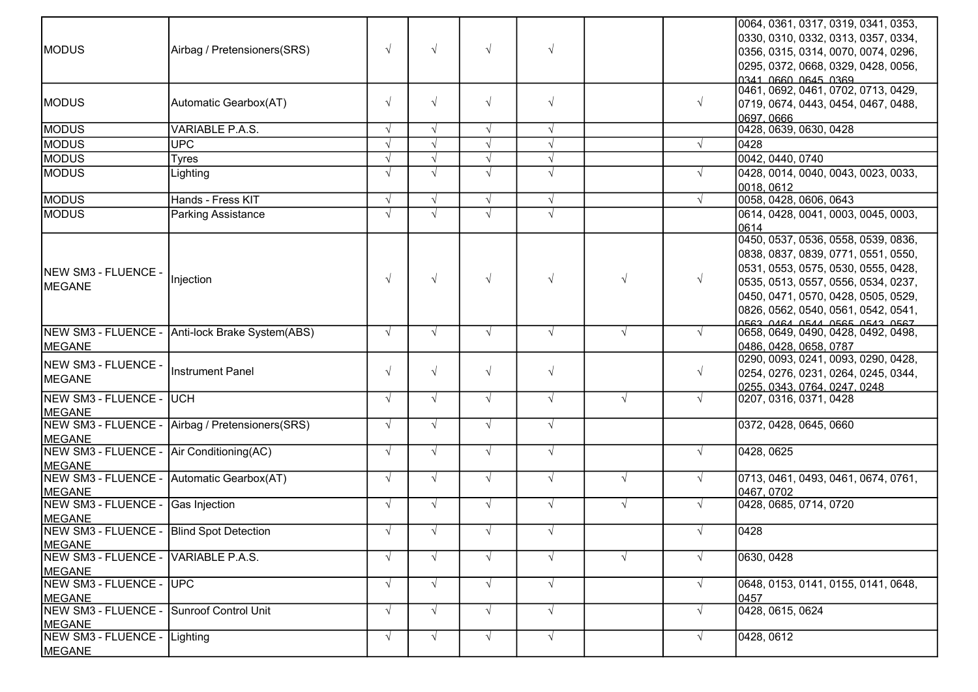| <b>MODUS</b>                                              | Airbag / Pretensioners(SRS)                     | $\sqrt{ }$ | $\sqrt{ }$ | $\sqrt{ }$ | $\sqrt{ }$ |            |            | 0064, 0361, 0317, 0319, 0341, 0353,<br>0330, 0310, 0332, 0313, 0357, 0334,<br>0356, 0315, 0314, 0070, 0074, 0296,<br>0295, 0372, 0668, 0329, 0428, 0056,<br>0341 0660 0645 0369                                                                                         |
|-----------------------------------------------------------|-------------------------------------------------|------------|------------|------------|------------|------------|------------|-------------------------------------------------------------------------------------------------------------------------------------------------------------------------------------------------------------------------------------------------------------------------|
| <b>MODUS</b>                                              | Automatic Gearbox(AT)                           | $\sqrt{ }$ | $\sqrt{ }$ | $\sqrt{ }$ | $\sqrt{ }$ |            | $\sqrt{ }$ | 0461, 0692, 0461, 0702, 0713, 0429,<br>0719, 0674, 0443, 0454, 0467, 0488,<br>0697, 0666                                                                                                                                                                                |
| <b>MODUS</b>                                              | VARIABLE P.A.S.                                 | $\sqrt{ }$ | $\sqrt{ }$ | $\sqrt{ }$ | $\sqrt{ }$ |            |            | 0428, 0639, 0630, 0428                                                                                                                                                                                                                                                  |
| <b>MODUS</b>                                              | <b>UPC</b>                                      | $\sqrt{ }$ | $\sqrt{ }$ | $\sqrt{ }$ | $\sqrt{ }$ |            |            | 0428                                                                                                                                                                                                                                                                    |
| <b>MODUS</b>                                              | <b>Tyres</b>                                    |            | $\sqrt{ }$ | $\sqrt{ }$ | $\sqrt{ }$ |            |            | 0042, 0440, 0740                                                                                                                                                                                                                                                        |
| <b>MODUS</b>                                              | Lighting                                        | $\sqrt{ }$ | $\sqrt{ }$ | $\sqrt{ }$ | $\sqrt{ }$ |            |            | 0428, 0014, 0040, 0043, 0023, 0033,<br>0018, 0612                                                                                                                                                                                                                       |
| <b>MODUS</b>                                              | Hands - Fress KIT                               | $\sqrt{ }$ | $\sqrt{ }$ | $\sqrt{ }$ | $\sqrt{ }$ |            |            | 0058, 0428, 0606, 0643                                                                                                                                                                                                                                                  |
| <b>MODUS</b>                                              | <b>Parking Assistance</b>                       | $\sqrt{ }$ | $\sqrt{ }$ | $\sqrt{ }$ | $\sqrt{ }$ |            |            | 0614, 0428, 0041, 0003, 0045, 0003,<br>0614                                                                                                                                                                                                                             |
| NEW SM3 - FLUENCE -<br>MEGANE                             | Injection                                       | $\sqrt{ }$ | $\sqrt{ }$ | $\sqrt{ }$ | $\sqrt{ }$ | $\sqrt{ }$ |            | 0450, 0537, 0536, 0558, 0539, 0836,<br>0838, 0837, 0839, 0771, 0551, 0550,<br>0531, 0553, 0575, 0530, 0555, 0428,<br>0535, 0513, 0557, 0556, 0534, 0237,<br>0450, 0471, 0570, 0428, 0505, 0529,<br>0826, 0562, 0540, 0561, 0542, 0541,<br>DER3 DARA DEAA DERE DEA3 DERZ |
| MEGANE                                                    | NEW SM3 - FLUENCE - Anti-lock Brake System(ABS) | $\sqrt{ }$ | $\sqrt{ }$ | $\sqrt{ }$ | $\sqrt{ }$ | $\sqrt{ }$ |            | 0658, 0649, 0490, 0428, 0492, 0498,<br>0486, 0428, 0658, 0787                                                                                                                                                                                                           |
| NEW SM3 - FLUENCE -<br>MEGANE                             | <b>Instrument Panel</b>                         | $\sqrt{ }$ | $\sqrt{ }$ | $\sqrt{ }$ | $\sqrt{ }$ |            | $\sqrt{ }$ | 0290, 0093, 0241, 0093, 0290, 0428,<br>0254, 0276, 0231, 0264, 0245, 0344,<br>0255. 0343. 0764. 0247. 0248                                                                                                                                                              |
| NEW SM3 - FLUENCE -<br>MEGANE                             | <b>IUCH</b>                                     | $\sqrt{ }$ | $\sqrt{ }$ | $\sqrt{ }$ | $\sqrt{ }$ | $\sqrt{ }$ | $\sqrt{ }$ | 0207, 0316, 0371, 0428                                                                                                                                                                                                                                                  |
| NEW SM3 - FLUENCE -<br><b>MEGANE</b>                      | Airbag / Pretensioners(SRS)                     | $\sqrt{ }$ | $\sqrt{ }$ | $\sqrt{ }$ | $\sqrt{ }$ |            |            | 0372, 0428, 0645, 0660                                                                                                                                                                                                                                                  |
| NEW SM3 - FLUENCE -<br><b>MEGANE</b>                      | Air Conditioning(AC)                            | $\sqrt{ }$ | $\sqrt{ }$ | $\sqrt{ }$ | $\sqrt{ }$ |            | $\sqrt{ }$ | 0428, 0625                                                                                                                                                                                                                                                              |
| NEW SM3 - FLUENCE - Automatic Gearbox(AT)<br>MEGANE       |                                                 | $\sqrt{ }$ | $\sqrt{ }$ | $\sqrt{ }$ | $\sqrt{ }$ | $\sqrt{ }$ | $\sqrt{ }$ | 0713, 0461, 0493, 0461, 0674, 0761,<br>0467, 0702                                                                                                                                                                                                                       |
| NEW SM3 - FLUENCE -<br>MEGANE                             | Gas Injection                                   | $\sqrt{ }$ | $\sqrt{ }$ | $\sqrt{ }$ | $\sqrt{ }$ | $\sqrt{ }$ | $\sqrt{ }$ | 0428, 0685, 0714, 0720                                                                                                                                                                                                                                                  |
| NEW SM3 - FLUENCE - Blind Spot Detection<br><b>MEGANE</b> |                                                 | $\sqrt{ }$ | $\sqrt{ }$ | $\sqrt{ }$ | $\sqrt{ }$ |            | $\sqrt{ }$ | 0428                                                                                                                                                                                                                                                                    |
| NEW SM3 - FLUENCE -<br><b>MEGANE</b>                      | VARIABLE P.A.S.                                 | $\sqrt{ }$ | $\sqrt{ }$ | $\sqrt{ }$ | $\sqrt{ }$ | $\sqrt{ }$ |            | 0630, 0428                                                                                                                                                                                                                                                              |
| NEW SM3 - FLUENCE -<br><b>MEGANE</b>                      | <b>UPC</b>                                      | $\sqrt{}$  | $\sqrt{ }$ | $\sqrt{ }$ | $\sqrt{ }$ |            |            | 0648, 0153, 0141, 0155, 0141, 0648,<br>0457                                                                                                                                                                                                                             |
| NEW SM3 - FLUENCE -<br>MEGANE                             | <b>Sunroof Control Unit</b>                     | $\sqrt{ }$ | $\sqrt{ }$ | $\sqrt{ }$ | $\sqrt{ }$ |            |            | 0428, 0615, 0624                                                                                                                                                                                                                                                        |
| NEW SM3 - FLUENCE -<br><b>MEGANE</b>                      | Lighting                                        | $\sqrt{ }$ | $\sqrt{ }$ | $\sqrt{ }$ | $\sqrt{ }$ |            | $\sqrt{ }$ | 0428, 0612                                                                                                                                                                                                                                                              |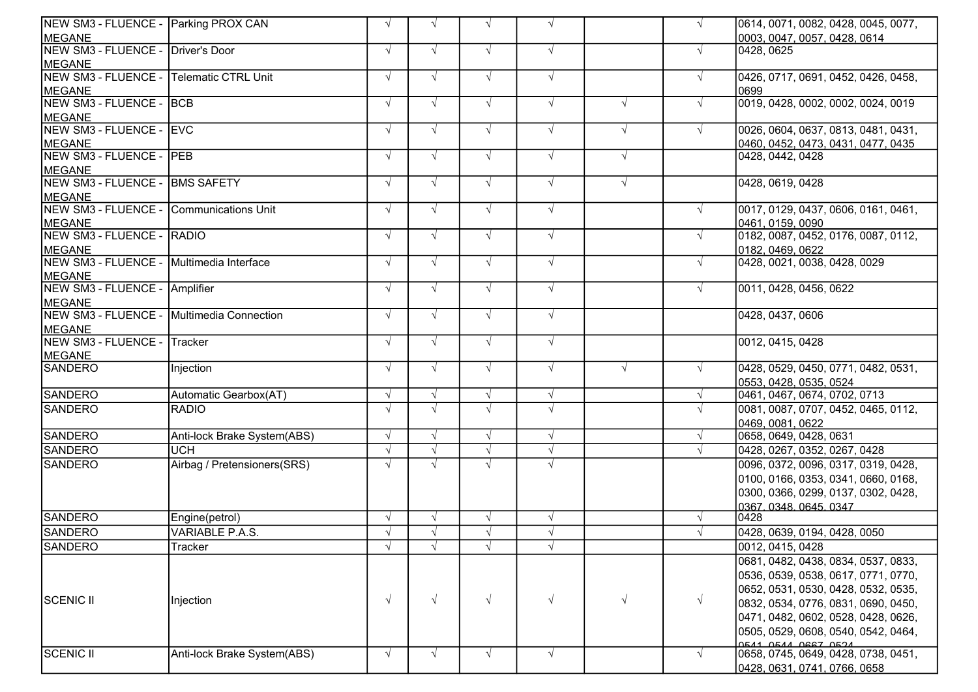| NEW SM3 - FLUENCE - Parking PROX CAN      |                             | $\sqrt{ }$ | $\sqrt{ }$ | $\sqrt{ }$ | $\sqrt{ }$ |            | $\sqrt{ }$ | 0614, 0071, 0082, 0428, 0045, 0077, |
|-------------------------------------------|-----------------------------|------------|------------|------------|------------|------------|------------|-------------------------------------|
| MEGANE                                    |                             |            |            |            |            |            |            | 0003, 0047, 0057, 0428, 0614        |
| NEW SM3 - FLUENCE -                       | Driver's Door               | $\sqrt{ }$ | $\sqrt{ }$ | $\sqrt{ }$ | $\sqrt{ }$ |            | $\sqrt{ }$ | 0428, 0625                          |
| MEGANE                                    |                             |            |            |            |            |            |            |                                     |
| NEW SM3 - FLUENCE -                       | <b>Telematic CTRL Unit</b>  | $\sqrt{ }$ | $\sqrt{ }$ | $\sqrt{ }$ | $\sqrt{ }$ |            | $\sqrt{ }$ | 0426, 0717, 0691, 0452, 0426, 0458, |
| MEGANE                                    |                             |            |            |            |            |            |            | 0699                                |
| NEW SM3 - FLUENCE -                       | <b>BCB</b>                  | $\sqrt{ }$ | $\sqrt{ }$ | $\sqrt{ }$ | $\sqrt{ }$ | $\sqrt{ }$ | $\sqrt{ }$ | 0019, 0428, 0002, 0002, 0024, 0019  |
| <b>MEGANE</b>                             |                             |            |            |            |            |            |            |                                     |
| NEW SM3 - FLUENCE -                       | <b>IEVC</b>                 | $\sqrt{ }$ | $\sqrt{ }$ | $\sqrt{ }$ | $\sqrt{ }$ | $\sqrt{ }$ | $\sqrt{ }$ | 0026, 0604, 0637, 0813, 0481, 0431, |
| MEGANE                                    |                             |            |            |            |            |            |            | 0460, 0452, 0473, 0431, 0477, 0435  |
| NEW SM3 - FLUENCE - PEB                   |                             | $\sqrt{ }$ | $\sqrt{ }$ | $\sqrt{ }$ | $\sqrt{ }$ | $\sqrt{ }$ |            | 0428, 0442, 0428                    |
| <b>MEGANE</b>                             |                             |            |            |            |            |            |            |                                     |
| NEW SM3 - FLUENCE -                       | <b>BMS SAFETY</b>           | $\sqrt{ }$ | $\sqrt{ }$ | $\sqrt{ }$ | $\sqrt{ }$ | $\sqrt{ }$ |            | 0428, 0619, 0428                    |
| MEGANE                                    |                             |            |            |            |            |            |            |                                     |
| NEW SM3 - FLUENCE -                       | Communications Unit         | $\sqrt{ }$ | $\sqrt{ }$ | $\sqrt{ }$ | $\sqrt{ }$ |            | $\sqrt{ }$ | 0017, 0129, 0437, 0606, 0161, 0461, |
| MEGANE                                    |                             |            |            |            |            |            |            | 0461, 0159, 0090                    |
| NEW SM3 - FLUENCE -                       | RADIO                       | $\sqrt{ }$ | $\sqrt{ }$ | $\sqrt{ }$ | $\sqrt{ }$ |            | $\sqrt{ }$ | 0182, 0087, 0452, 0176, 0087, 0112, |
| <b>MEGANE</b>                             |                             |            |            |            |            |            |            | 0182, 0469, 0622                    |
| NEW SM3 - FLUENCE -                       | Multimedia Interface        | $\sqrt{ }$ | $\sqrt{ }$ | $\sqrt{ }$ | $\sqrt{ }$ |            | $\sqrt{ }$ | 0428, 0021, 0038, 0428, 0029        |
| MEGANE                                    |                             |            |            |            |            |            |            |                                     |
| NEW SM3 - FLUENCE - Amplifier             |                             | $\sqrt{ }$ | $\sqrt{ }$ | $\sqrt{ }$ | $\sqrt{ }$ |            | $\sqrt{ }$ | 0011, 0428, 0456, 0622              |
| MEGANE                                    |                             |            |            |            |            |            |            |                                     |
| NEW SM3 - FLUENCE - Multimedia Connection |                             | $\sqrt{ }$ | $\sqrt{ }$ | $\sqrt{ }$ | $\sqrt{ }$ |            |            | 0428, 0437, 0606                    |
| MEGANE                                    |                             |            |            |            |            |            |            |                                     |
| NEW SM3 - FLUENCE -                       | Tracker                     | $\sqrt{ }$ | $\sqrt{ }$ | $\sqrt{ }$ | $\sqrt{ }$ |            |            | 0012, 0415, 0428                    |
| MEGANE                                    |                             |            |            |            |            |            |            |                                     |
| SANDERO                                   | Injection                   | $\sqrt{ }$ | $\sqrt{ }$ | $\sqrt{ }$ | $\sqrt{ }$ | $\sqrt{ }$ | $\sqrt{ }$ | 0428, 0529, 0450, 0771, 0482, 0531, |
|                                           |                             |            |            |            |            |            |            | 0553, 0428, 0535, 0524              |
| <b>SANDERO</b>                            | Automatic Gearbox(AT)       | $\sqrt{ }$ | $\sqrt{ }$ | $\sqrt{ }$ | $\sqrt{ }$ |            | $\sqrt{ }$ | 0461, 0467, 0674, 0702, 0713        |
| <b>SANDERO</b>                            | <b>RADIO</b>                | $\sqrt{ }$ | $\sqrt{ }$ | $\sqrt{ }$ | $\sqrt{ }$ |            | $\sqrt{ }$ | 0081, 0087, 0707, 0452, 0465, 0112, |
|                                           |                             |            |            |            |            |            |            | 0469, 0081, 0622                    |
| <b>SANDERO</b>                            | Anti-lock Brake System(ABS) | $\sqrt{ }$ | $\sqrt{ }$ | $\sqrt{ }$ | $\sqrt{ }$ |            | $\sqrt{ }$ | 0658, 0649, 0428, 0631              |
| <b>SANDERO</b>                            | <b>UCH</b>                  |            |            | $\sqrt{ }$ | $\sqrt{ }$ |            | $\sqrt{ }$ | 0428, 0267, 0352, 0267, 0428        |
| <b>SANDERO</b>                            | Airbag / Pretensioners(SRS) | $\sqrt{ }$ | $\sqrt{ }$ | $\sqrt{ }$ | $\sqrt{ }$ |            |            | 0096, 0372, 0096, 0317, 0319, 0428, |
|                                           |                             |            |            |            |            |            |            | 0100, 0166, 0353, 0341, 0660, 0168, |
|                                           |                             |            |            |            |            |            |            | 0300, 0366, 0299, 0137, 0302, 0428, |
|                                           |                             |            |            |            |            |            |            | 0367.0348.0645.0347.                |
| <b>SANDERO</b>                            | Engine(petrol)              | $\sqrt{ }$ | $\sqrt{ }$ | $\sqrt{ }$ | $\sqrt{ }$ |            | $\sqrt{ }$ | 0428                                |
| <b>SANDERO</b>                            | <b>VARIABLE P.A.S.</b>      |            | $\sqrt{ }$ | $\sqrt{ }$ | $\sqrt{ }$ |            |            | 0428, 0639, 0194, 0428, 0050        |
| <b>SANDERO</b>                            | Tracker                     | $\sqrt{ }$ | $\sqrt{ }$ | $\sqrt{ }$ | $\sqrt{ }$ |            |            | 0012, 0415, 0428                    |
|                                           |                             |            |            |            |            |            |            | 0681, 0482, 0438, 0834, 0537, 0833, |
|                                           |                             |            |            |            |            |            |            | 0536, 0539, 0538, 0617, 0771, 0770, |
|                                           |                             |            |            |            |            |            |            | 0652, 0531, 0530, 0428, 0532, 0535, |
| SCENIC II                                 | Injection                   | $\sqrt{ }$ | $\sqrt{ }$ | $\sqrt{ }$ | $\sqrt{ }$ | $\sqrt{ }$ | $\sqrt{ }$ | 0832, 0534, 0776, 0831, 0690, 0450, |
|                                           |                             |            |            |            |            |            |            | 0471, 0482, 0602, 0528, 0428, 0626, |
|                                           |                             |            |            |            |            |            |            | 0505, 0529, 0608, 0540, 0542, 0464, |
|                                           |                             |            |            |            |            |            |            | 0541 0544 0667 0524                 |
| <b>SCENIC II</b>                          | Anti-lock Brake System(ABS) | $\sqrt{ }$ | $\sqrt{ }$ | $\sqrt{ }$ | $\sqrt{ }$ |            | $\sqrt{ }$ | 0658, 0745, 0649, 0428, 0738, 0451, |
|                                           |                             |            |            |            |            |            |            | 0428, 0631, 0741, 0766, 0658        |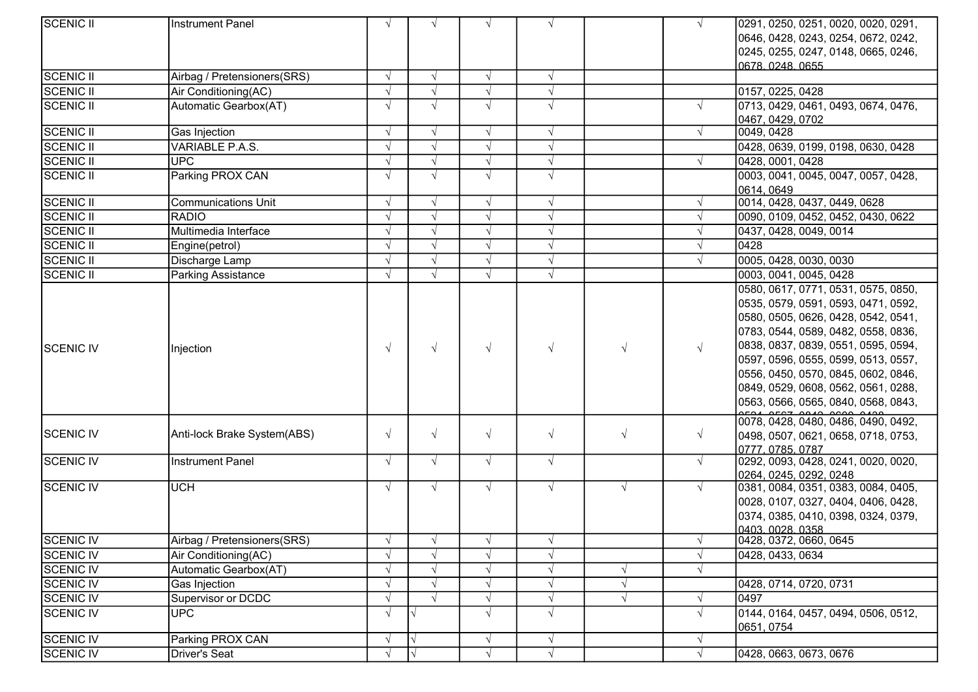| <b>SCENIC II</b> | Instrument Panel                    |            | $\sqrt{ }$               | $\sqrt{ }$ | $\sqrt{ }$ |            | $\sqrt{ }$ | 0291, 0250, 0251, 0020, 0020, 0291,                |
|------------------|-------------------------------------|------------|--------------------------|------------|------------|------------|------------|----------------------------------------------------|
|                  |                                     |            |                          |            |            |            |            | 0646, 0428, 0243, 0254, 0672, 0242,                |
|                  |                                     |            |                          |            |            |            |            | 0245, 0255, 0247, 0148, 0665, 0246,                |
|                  |                                     |            |                          |            |            |            |            | 0678 0248 0655                                     |
| <b>SCENIC II</b> | Airbag / Pretensioners(SRS)         | $\sqrt{ }$ | $\sqrt{ }$               | $\sqrt{ }$ | $\sqrt{ }$ |            |            |                                                    |
| <b>SCENIC II</b> | Air Conditioning(AC)                |            |                          | $\sqrt{ }$ | $\sqrt{ }$ |            |            | 0157, 0225, 0428                                   |
| <b>SCENIC II</b> | Automatic Gearbox(AT)               |            | $\sqrt{ }$               | $\sqrt{ }$ | $\sqrt{ }$ |            | $\sqrt{ }$ | 0713, 0429, 0461, 0493, 0674, 0476,                |
|                  |                                     |            |                          |            |            |            |            | 0467, 0429, 0702                                   |
| <b>SCENIC II</b> | Gas Injection                       |            | $\sqrt{ }$               | $\sqrt{ }$ | $\sqrt{}$  |            | $\sqrt{ }$ | 0049, 0428                                         |
| <b>SCENIC II</b> | VARIABLE P.A.S.                     |            | $\sqrt{ }$               | $\sqrt{ }$ | $\sqrt{ }$ |            |            | 0428, 0639, 0199, 0198, 0630, 0428                 |
| <b>SCENIC II</b> | <b>UPC</b>                          |            |                          | $\sqrt{ }$ | $\sqrt{ }$ |            | $\sqrt{ }$ | 0428, 0001, 0428                                   |
| <b>SCENIC II</b> | Parking PROX CAN                    |            | $\sqrt{ }$               | $\sqrt{ }$ | $\sqrt{ }$ |            |            | 0003, 0041, 0045, 0047, 0057, 0428,                |
|                  |                                     |            |                          |            |            |            |            | 0614, 0649                                         |
| <b>SCENIC II</b> | <b>Communications Unit</b>          | $\sqrt{ }$ | $\sqrt{ }$               | $\sqrt{ }$ | $\sqrt{}$  |            | $\sqrt{ }$ | 0014, 0428, 0437, 0449, 0628                       |
| <b>SCENIC II</b> | <b>RADIO</b>                        |            |                          | $\sqrt{ }$ | $\sqrt{ }$ |            |            | 0090, 0109, 0452, 0452, 0430, 0622                 |
| <b>SCENIC II</b> | Multimedia Interface                |            | $\sqrt{ }$               | $\sqrt{ }$ | $\sqrt{ }$ |            |            | 0437, 0428, 0049, 0014                             |
| <b>SCENIC II</b> | Engine(petrol)                      |            | $\sqrt{ }$               | $\sqrt{ }$ | $\sqrt{ }$ |            |            | 0428                                               |
| <b>SCENIC II</b> | Discharge Lamp                      |            | $\sqrt{ }$               | $\sqrt{ }$ | $\sqrt{}$  |            |            | 0005, 0428, 0030, 0030                             |
| <b>SCENIC II</b> | <b>Parking Assistance</b>           |            | $\sqrt{ }$               | $\sqrt{ }$ | $\sqrt{ }$ |            |            | 0003, 0041, 0045, 0428                             |
|                  |                                     |            |                          |            |            |            |            | 0580, 0617, 0771, 0531, 0575, 0850,                |
|                  |                                     |            |                          |            |            |            |            | 0535, 0579, 0591, 0593, 0471, 0592,                |
|                  |                                     |            |                          |            |            |            |            | 0580, 0505, 0626, 0428, 0542, 0541,                |
|                  |                                     |            |                          |            |            |            |            | 0783, 0544, 0589, 0482, 0558, 0836,                |
| <b>SCENIC IV</b> | Injection                           |            | $\sqrt{ }$               | $\sqrt{ }$ | $\sqrt{ }$ | $\sqrt{ }$ | $\sqrt{ }$ | 0838, 0837, 0839, 0551, 0595, 0594,                |
|                  |                                     |            |                          |            |            |            |            | 0597, 0596, 0555, 0599, 0513, 0557,                |
|                  |                                     |            |                          |            |            |            |            | 0556, 0450, 0570, 0845, 0602, 0846,                |
|                  |                                     |            |                          |            |            |            |            | 0849, 0529, 0608, 0562, 0561, 0288,                |
|                  |                                     |            |                          |            |            |            |            | 0563, 0566, 0565, 0840, 0568, 0843,                |
|                  |                                     |            |                          |            |            |            |            |                                                    |
|                  |                                     |            |                          |            |            |            |            | 0078, 0428, 0480, 0486, 0490, 0492,                |
| SCENIC IV        | Anti-lock Brake System(ABS)         | $\sqrt{ }$ | $\sqrt{ }$               | $\sqrt{ }$ | $\sqrt{ }$ | $\sqrt{ }$ | $\sqrt{ }$ | 0498, 0507, 0621, 0658, 0718, 0753,                |
|                  |                                     |            |                          |            |            |            |            | 0777, 0785, 0787                                   |
| <b>SCENIC IV</b> | Instrument Panel                    | $\sqrt{ }$ | $\sqrt{ }$               | $\sqrt{ }$ | $\sqrt{ }$ |            | $\sqrt{ }$ | 0292, 0093, 0428, 0241, 0020, 0020,                |
|                  |                                     |            |                          |            |            |            |            | 0264, 0245, 0292, 0248                             |
| <b>SCENIC IV</b> | <b>UCH</b>                          | $\sqrt{ }$ | $\sqrt{ }$               | $\sqrt{ }$ | $\sqrt{ }$ | $\sqrt{ }$ | $\sqrt{ }$ | 0381, 0084, 0351, 0383, 0084, 0405,                |
|                  |                                     |            |                          |            |            |            |            | 0028, 0107, 0327, 0404, 0406, 0428,                |
|                  |                                     |            |                          |            |            |            |            | 0374, 0385, 0410, 0398, 0324, 0379,                |
| <b>SCENIC IV</b> | Airbag / Pretensioners(SRS)         |            |                          |            | V          |            | V          | <u> 10403 0028 0358 </u><br>0428, 0372, 0660, 0645 |
| SCENIC IV        | Air Conditioning(AC)                |            |                          | $\sqrt{ }$ | $\sqrt{ }$ |            | $\sqrt{ }$ | 0428, 0433, 0634                                   |
| SCENIC IV        | Automatic Gearbox(AT)               |            | $\sqrt{ }$               | $\sqrt{ }$ | $\sqrt{ }$ | $\sqrt{ }$ | $\sqrt{ }$ |                                                    |
| SCENIC IV        |                                     |            |                          |            |            |            |            | 0428, 0714, 0720, 0731                             |
| SCENIC IV        | Gas Injection<br>Supervisor or DCDC |            | $\sqrt{ }$<br>$\sqrt{ }$ |            | $\sqrt{}$  | $\sqrt{ }$ |            | 0497                                               |
|                  | <b>UPC</b>                          |            |                          | $\sqrt{ }$ | $\sqrt{ }$ | $\sqrt{ }$ | V          |                                                    |
| <b>SCENIC IV</b> |                                     | $\sqrt{ }$ | V                        | $\sqrt{ }$ | $\sqrt{ }$ |            | $\sqrt{ }$ | 0144, 0164, 0457, 0494, 0506, 0512,                |
| <b>SCENIC IV</b> | Parking PROX CAN                    |            | V                        |            |            |            |            | 0651, 0754                                         |
|                  |                                     |            |                          | V          | $\sqrt{ }$ |            | $\sqrt{ }$ |                                                    |
| SCENIC IV        | Driver's Seat                       |            |                          | $\sqrt{ }$ | $\sqrt{ }$ |            | $\sqrt{ }$ | 0428, 0663, 0673, 0676                             |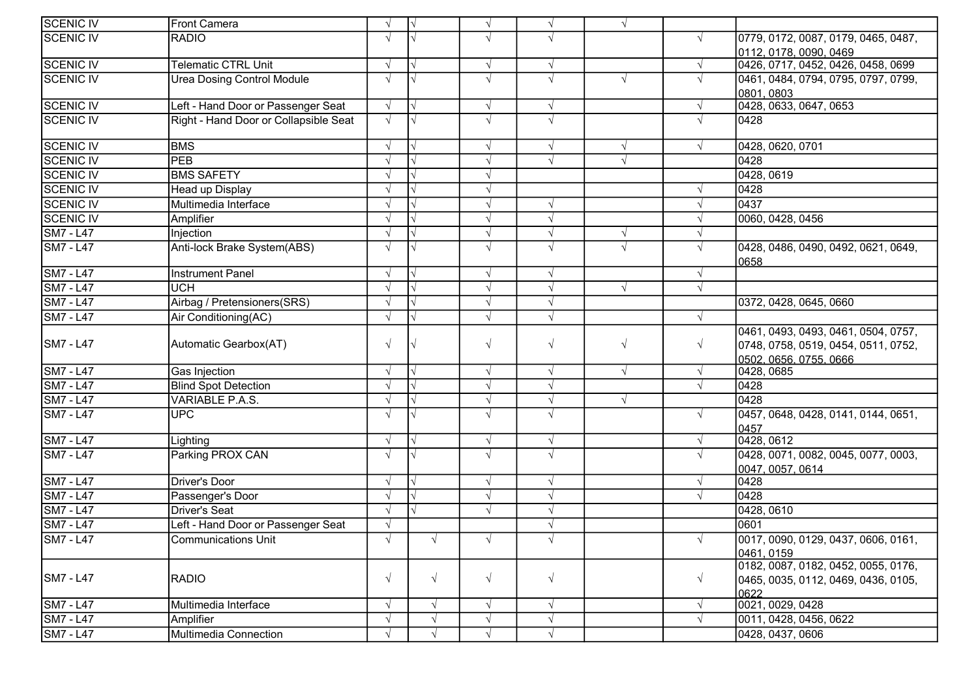| <b>SCENIC IV</b>                     | Front Camera                          | $\sqrt{ }$    | $\sqrt{ }$ | $\sqrt{ }$ | $\sqrt{ }$ | $\sqrt{ }$ |            |                                     |
|--------------------------------------|---------------------------------------|---------------|------------|------------|------------|------------|------------|-------------------------------------|
| <b>SCENIC IV</b>                     | <b>RADIO</b>                          | $\sqrt{ }$    |            | $\sqrt{ }$ | $\sqrt{ }$ |            |            | 0779, 0172, 0087, 0179, 0465, 0487, |
|                                      |                                       |               |            |            |            |            |            | 0112, 0178, 0090, 0469              |
| <b>SCENIC IV</b>                     | <b>Telematic CTRL Unit</b>            | $\sqrt{ }$    |            | $\sqrt{ }$ | $\sqrt{ }$ |            |            | 0426, 0717, 0452, 0426, 0458, 0699  |
| SCENIC IV                            | Urea Dosing Control Module            | $\sqrt{ }$    |            | $\sqrt{ }$ | $\sqrt{ }$ | $\sqrt{ }$ |            | 0461, 0484, 0794, 0795, 0797, 0799, |
|                                      |                                       |               |            |            |            |            |            | 0801.0803                           |
| <b>SCENIC IV</b>                     | Left - Hand Door or Passenger Seat    | $\sqrt{ }$    | $\sqrt{ }$ | $\sqrt{ }$ | $\sqrt{ }$ |            |            | 0428, 0633, 0647, 0653              |
| SCENIC IV                            | Right - Hand Door or Collapsible Seat | $\sqrt{ }$    |            | $\sqrt{ }$ | $\sqrt{ }$ |            |            | 0428                                |
|                                      |                                       |               |            |            |            |            |            |                                     |
| <b>SCENIC IV</b>                     | <b>BMS</b>                            | $\sqrt{ }$    |            | $\sqrt{ }$ | $\sqrt{ }$ | $\sqrt{ }$ |            | 0428, 0620, 0701                    |
| <b>SCENIC IV</b>                     | PEB                                   |               |            | $\sqrt{ }$ | $\sqrt{ }$ | $\sqrt{ }$ |            | 0428                                |
| SCENIC IV                            | <b>BMS SAFETY</b>                     |               |            | $\sqrt{}$  |            |            |            | 0428, 0619                          |
| SCENIC IV                            | Head up Display                       |               |            |            |            |            |            | 0428                                |
| <b>SCENIC IV</b>                     | Multimedia Interface                  |               |            | $\sqrt{}$  | $\sqrt{ }$ |            |            | 0437                                |
| SCENIC IV                            | Amplifier                             |               |            | V          | $\sqrt{ }$ |            |            | 0060, 0428, 0456                    |
| <b>SM7 - L47</b>                     | Injection                             |               |            | $\sqrt{ }$ | $\sqrt{ }$ | $\sqrt{ }$ |            |                                     |
| <b>SM7 - L47</b>                     | Anti-lock Brake System(ABS)           | $\sqrt{ }$    |            | $\sqrt{}$  | $\sqrt{ }$ | $\sqrt{ }$ |            | 0428, 0486, 0490, 0492, 0621, 0649, |
|                                      |                                       |               |            |            |            |            |            | 0658                                |
| $\overline{\text{SM7} - \text{L47}}$ | <b>Instrument Panel</b>               |               |            | $\sqrt{}$  | $\sqrt{ }$ |            |            |                                     |
| <b>SM7 - L47</b>                     | <b>UCH</b>                            |               |            | $\sqrt{ }$ | $\sqrt{ }$ | $\sqrt{ }$ |            |                                     |
| SM7 - L47                            | Airbag / Pretensioners(SRS)           |               |            | $\sqrt{ }$ | $\sqrt{ }$ |            |            | 0372, 0428, 0645, 0660              |
| <b>SM7 - L47</b>                     | Air Conditioning(AC)                  |               |            | $\sqrt{ }$ | $\sqrt{ }$ |            |            |                                     |
|                                      |                                       |               |            |            |            |            |            | 0461, 0493, 0493, 0461, 0504, 0757, |
| <b>SM7 - L47</b>                     | Automatic Gearbox(AT)                 | $\sqrt{ }$    |            | $\sqrt{ }$ | $\sqrt{ }$ | $\sqrt{ }$ |            | 0748, 0758, 0519, 0454, 0511, 0752, |
|                                      |                                       |               |            |            |            |            |            | 0502.0656.0755.0666                 |
| <b>SM7 - L47</b>                     | Gas Injection                         | $\sqrt{ }$    |            | $\sqrt{}$  | $\sqrt{ }$ | $\sqrt{ }$ |            | 0428, 0685                          |
| <b>SM7 - L47</b>                     | <b>Blind Spot Detection</b>           |               |            | $\sqrt{}$  | $\sqrt{ }$ |            |            | 0428                                |
| SM7 - L47                            | VARIABLE P.A.S.                       |               |            | $\sqrt{ }$ | $\sqrt{ }$ | $\sqrt{ }$ |            | 0428                                |
| SM7 - L47                            | <b>UPC</b>                            | $\sqrt{ }$    |            | $\sqrt{ }$ | $\sqrt{ }$ |            |            | 0457, 0648, 0428, 0141, 0144, 0651, |
|                                      |                                       |               |            |            |            |            |            | 0457                                |
| <b>SM7 - L47</b>                     | Lighting                              | $\sqrt{ }$    | $\sqrt{ }$ | $\sqrt{ }$ | $\sqrt{ }$ |            |            | 0428, 0612                          |
| <b>SM7 - L47</b>                     | Parking PROX CAN                      | $\sqrt{ }$    |            | $\sqrt{ }$ | $\sqrt{ }$ |            |            | 0428, 0071, 0082, 0045, 0077, 0003, |
|                                      |                                       |               |            |            |            |            |            | 0047, 0057, 0614                    |
| <b>SM7 - L47</b>                     | Driver's Door                         | $\mathcal{A}$ |            | $\sqrt{ }$ | $\sqrt{ }$ |            |            | 0428                                |
| <b>SM7 - L47</b>                     | Passenger's Door                      |               |            | $\sqrt{}$  | $\sqrt{ }$ |            |            | 0428                                |
| <b>SM7 - L47</b>                     | Driver's Seat                         |               |            |            | $\sqrt{ }$ |            |            | 0428, 0610                          |
| <b>SM7 - L47</b>                     | Left - Hand Door or Passenger Seat    | $\sqrt{ }$    |            |            | $\sqrt{ }$ |            |            | 0601                                |
| <b>SM7 - L47</b>                     | Communications Unit                   |               |            |            |            |            |            | 0017, 0090, 0129, 0437, 0606, 0161, |
|                                      |                                       |               |            |            |            |            |            | 0461, 0159                          |
|                                      |                                       |               |            |            |            |            |            | 0182, 0087, 0182, 0452, 0055, 0176, |
| <b>SM7 - L47</b>                     | <b>RADIO</b>                          | $\sqrt{ }$    | $\sqrt{ }$ | $\sqrt{ }$ | $\sqrt{ }$ |            | $\sqrt{ }$ | 0465, 0035, 0112, 0469, 0436, 0105, |
|                                      |                                       |               |            |            |            |            |            | 10622                               |
| SM7 - L47                            | Multimedia Interface                  | $\sqrt{ }$    | $\sqrt{ }$ | √          | $\sqrt{ }$ |            |            | 0021, 0029, 0428                    |
| <b>SM7 - L47</b>                     | Amplifier                             |               |            | V          | $\sqrt{ }$ |            |            | 0011, 0428, 0456, 0622              |
| <b>SM7 - L47</b>                     | <b>Multimedia Connection</b>          |               | $\sqrt{ }$ | $\sqrt{ }$ | $\sqrt{ }$ |            |            | 0428, 0437, 0606                    |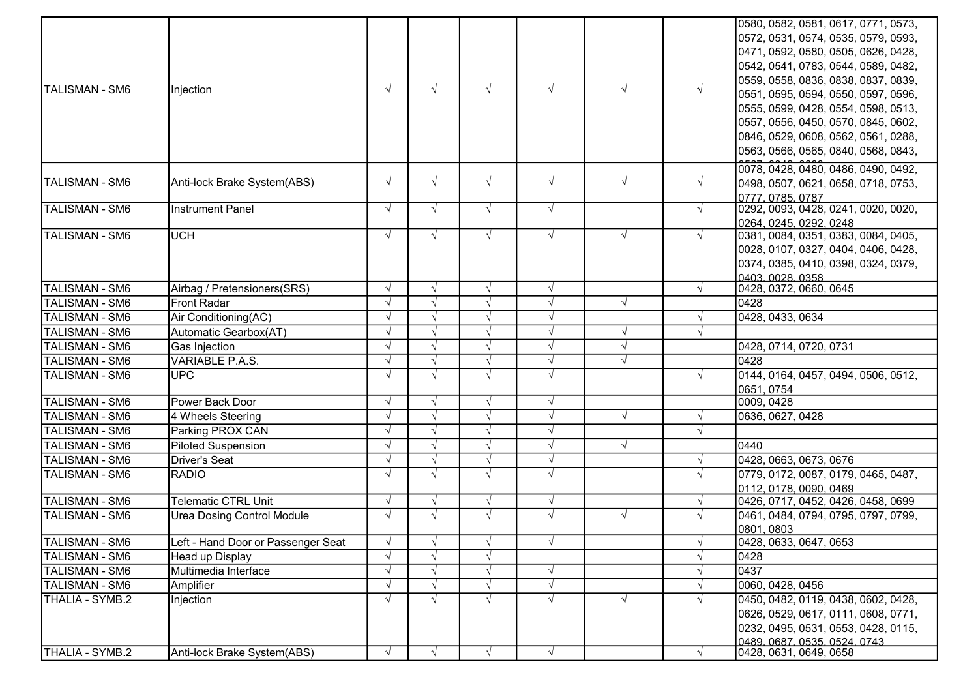| TALISMAN - SM6        | Injection                          | $\sqrt{ }$ | $\sqrt{ }$ | $\sqrt{ }$ | $\sqrt{ }$ | $\sqrt{ }$ | $\sqrt{ }$ | 0580, 0582, 0581, 0617, 0771, 0573,<br>0572, 0531, 0574, 0535, 0579, 0593,<br>0471, 0592, 0580, 0505, 0626, 0428,<br>0542, 0541, 0783, 0544, 0589, 0482,<br>0559, 0558, 0836, 0838, 0837, 0839,<br>0551, 0595, 0594, 0550, 0597, 0596,<br>0555, 0599, 0428, 0554, 0598, 0513,<br>0557, 0556, 0450, 0570, 0845, 0602,<br>0846, 0529, 0608, 0562, 0561, 0288,<br>0563, 0566, 0565, 0840, 0568, 0843, |
|-----------------------|------------------------------------|------------|------------|------------|------------|------------|------------|----------------------------------------------------------------------------------------------------------------------------------------------------------------------------------------------------------------------------------------------------------------------------------------------------------------------------------------------------------------------------------------------------|
| TALISMAN - SM6        | Anti-lock Brake System(ABS)        | $\sqrt{ }$ | $\sqrt{ }$ | $\sqrt{}$  | $\sqrt{}$  | $\sqrt{ }$ | $\sqrt{ }$ | 0078, 0428, 0480, 0486, 0490, 0492,<br>0498, 0507, 0621, 0658, 0718, 0753,<br>0777.0785.0787                                                                                                                                                                                                                                                                                                       |
| <b>TALISMAN - SM6</b> | <b>Instrument Panel</b>            | $\sqrt{ }$ | $\sqrt{ }$ | $\sqrt{ }$ | $\sqrt{ }$ |            | $\sqrt{ }$ | 0292, 0093, 0428, 0241, 0020, 0020,<br>0264, 0245, 0292, 0248                                                                                                                                                                                                                                                                                                                                      |
| <b>TALISMAN - SM6</b> | <b>UCH</b>                         | $\sqrt{ }$ | $\sqrt{ }$ | $\sqrt{ }$ | $\sqrt{ }$ | $\sqrt{ }$ | $\sqrt{ }$ | 0381, 0084, 0351, 0383, 0084, 0405,<br>0028, 0107, 0327, 0404, 0406, 0428,<br>0374, 0385, 0410, 0398, 0324, 0379,<br>0403 0028 0358                                                                                                                                                                                                                                                                |
| <b>TALISMAN - SM6</b> | Airbag / Pretensioners(SRS)        | $\sqrt{ }$ | $\sqrt{ }$ | $\sqrt{ }$ | $\sqrt{ }$ |            | $\sqrt{ }$ | 0428, 0372, 0660, 0645                                                                                                                                                                                                                                                                                                                                                                             |
| <b>TALISMAN - SM6</b> | <b>Front Radar</b>                 | $\sqrt{ }$ | $\sqrt{ }$ | $\sqrt{ }$ | $\sqrt{ }$ | $\sqrt{ }$ |            | 0428                                                                                                                                                                                                                                                                                                                                                                                               |
| <b>TALISMAN - SM6</b> | Air Conditioning(AC)               | $\sqrt{ }$ | $\sqrt{ }$ |            | $\sqrt{ }$ |            | $\sqrt{ }$ | 0428, 0433, 0634                                                                                                                                                                                                                                                                                                                                                                                   |
| <b>TALISMAN - SM6</b> | Automatic Gearbox(AT)              | $\sqrt{ }$ | $\sqrt{ }$ |            | $\sqrt{}$  | $\sqrt{ }$ | $\sqrt{ }$ |                                                                                                                                                                                                                                                                                                                                                                                                    |
| <b>TALISMAN - SM6</b> | Gas Injection                      | $\sqrt{ }$ | $\sqrt{ }$ |            | $\sqrt{ }$ | $\sqrt{}$  |            | 0428, 0714, 0720, 0731                                                                                                                                                                                                                                                                                                                                                                             |
| <b>TALISMAN - SM6</b> | <b>VARIABLE P.A.S.</b>             | $\sqrt{ }$ | $\sqrt{ }$ | $\sqrt{ }$ | $\sqrt{ }$ | $\sqrt{ }$ |            | 0428                                                                                                                                                                                                                                                                                                                                                                                               |
| <b>TALISMAN - SM6</b> | <b>UPC</b>                         | $\sqrt{ }$ | $\sqrt{ }$ | $\sqrt{ }$ | $\sqrt{ }$ |            | $\sqrt{ }$ | 0144, 0164, 0457, 0494, 0506, 0512,<br>0651, 0754                                                                                                                                                                                                                                                                                                                                                  |
| <b>TALISMAN - SM6</b> | Power Back Door                    | $\sqrt{ }$ | $\sqrt{ }$ | $\sqrt{ }$ | $\sqrt{ }$ |            |            | 0009, 0428                                                                                                                                                                                                                                                                                                                                                                                         |
| <b>TALISMAN - SM6</b> | 4 Wheels Steering                  | $\sqrt{ }$ | $\sqrt{ }$ | $\sqrt{ }$ | $\sqrt{ }$ | $\sqrt{ }$ | $\sqrt{ }$ | 0636, 0627, 0428                                                                                                                                                                                                                                                                                                                                                                                   |
| <b>TALISMAN - SM6</b> | Parking PROX CAN                   | $\sqrt{ }$ | $\sqrt{ }$ | $\sqrt{ }$ | $\sqrt{ }$ |            | $\sqrt{ }$ |                                                                                                                                                                                                                                                                                                                                                                                                    |
| <b>TALISMAN - SM6</b> | <b>Piloted Suspension</b>          | $\sqrt{ }$ | $\sqrt{ }$ |            | $\sqrt{}$  | $\sqrt{ }$ |            | 0440                                                                                                                                                                                                                                                                                                                                                                                               |
| <b>TALISMAN - SM6</b> | <b>Driver's Seat</b>               | $\sqrt{ }$ | $\sqrt{ }$ |            | $\sqrt{}$  |            | $\sqrt{ }$ | 0428, 0663, 0673, 0676                                                                                                                                                                                                                                                                                                                                                                             |
| <b>TALISMAN - SM6</b> | RADIO                              | $\sqrt{ }$ | $\sqrt{ }$ | $\sqrt{ }$ | $\sqrt{ }$ |            | $\sqrt{ }$ | 0779, 0172, 0087, 0179, 0465, 0487,<br>0112, 0178, 0090, 0469                                                                                                                                                                                                                                                                                                                                      |
| <b>TALISMAN - SM6</b> | <b>Telematic CTRL Unit</b>         | $\sqrt{ }$ | $\sqrt{ }$ | $\sqrt{ }$ | $\sqrt{}$  |            | $\sqrt{ }$ | 0426, 0717, 0452, 0426, 0458, 0699                                                                                                                                                                                                                                                                                                                                                                 |
| <b>TALISMAN - SM6</b> | <b>Urea Dosing Control Module</b>  | $\sqrt{ }$ | $\sqrt{ }$ | $\sqrt{ }$ | $\sqrt{ }$ | $\sqrt{ }$ | $\sqrt{ }$ | 0461, 0484, 0794, 0795, 0797, 0799,<br>0801, 0803                                                                                                                                                                                                                                                                                                                                                  |
| TALISMAN - SM6        | Left - Hand Door or Passenger Seat | $\sqrt{}$  | $\sqrt{ }$ | V          | $\sqrt{ }$ |            | $\sqrt{ }$ | 0428, 0633, 0647, 0653                                                                                                                                                                                                                                                                                                                                                                             |
| <b>TALISMAN - SM6</b> | Head up Display                    | $\sqrt{ }$ | $\sqrt{ }$ | $\sqrt{ }$ |            |            | $\sqrt{ }$ | 0428                                                                                                                                                                                                                                                                                                                                                                                               |
| <b>TALISMAN - SM6</b> | Multimedia Interface               | $\sqrt{ }$ | $\sqrt{ }$ |            | $\sqrt{}$  |            | $\sqrt{ }$ | 0437                                                                                                                                                                                                                                                                                                                                                                                               |
| <b>TALISMAN - SM6</b> | Amplifier                          | $\sqrt{ }$ | $\sqrt{ }$ |            | $\sqrt{ }$ |            | $\sqrt{ }$ | 0060, 0428, 0456                                                                                                                                                                                                                                                                                                                                                                                   |
| THALIA - SYMB.2       | Injection                          | $\sqrt{ }$ | $\sqrt{ }$ | $\sqrt{ }$ | $\sqrt{ }$ | $\sqrt{ }$ | $\sqrt{ }$ | 0450, 0482, 0119, 0438, 0602, 0428,                                                                                                                                                                                                                                                                                                                                                                |
|                       |                                    |            |            |            |            |            |            | 0626, 0529, 0617, 0111, 0608, 0771,<br>0232, 0495, 0531, 0553, 0428, 0115,<br>0489.0687.0535.0524.0743                                                                                                                                                                                                                                                                                             |
| THALIA - SYMB.2       | Anti-lock Brake System(ABS)        | $\sqrt{ }$ | $\sqrt{ }$ | $\sqrt{ }$ | $\sqrt{ }$ |            | $\sqrt{ }$ | 0428, 0631, 0649, 0658                                                                                                                                                                                                                                                                                                                                                                             |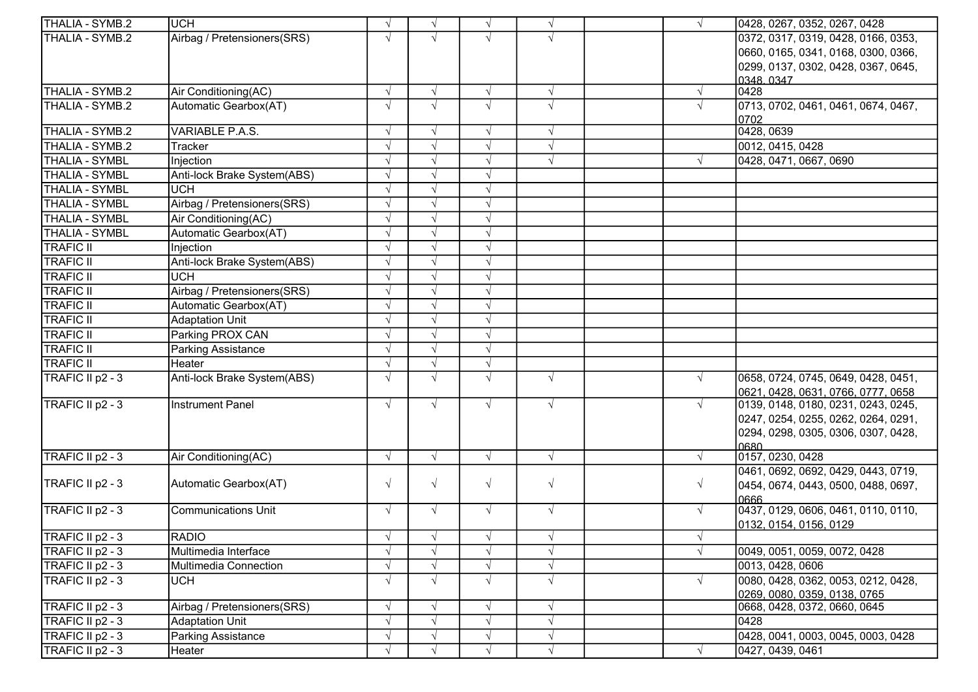| <b>ITHALIA - SYMB.2</b> | <b>UCH</b>                  |            | $\sqrt{ }$ | $\sqrt{ }$ | $\sqrt{ }$ | $\sqrt{ }$ | 0428, 0267, 0352, 0267, 0428                |
|-------------------------|-----------------------------|------------|------------|------------|------------|------------|---------------------------------------------|
| THALIA - SYMB.2         | Airbag / Pretensioners(SRS) |            | $\sqrt{ }$ |            | $\sqrt{ }$ |            | 0372, 0317, 0319, 0428, 0166, 0353,         |
|                         |                             |            |            |            |            |            | 0660, 0165, 0341, 0168, 0300, 0366,         |
|                         |                             |            |            |            |            |            | 0299, 0137, 0302, 0428, 0367, 0645,         |
|                         |                             |            |            |            |            |            | 0348.0347                                   |
| THALIA - SYMB.2         | Air Conditioning(AC)        | $\sqrt{ }$ | $\sqrt{ }$ | $\sqrt{ }$ | $\sqrt{}$  | $\sqrt{ }$ | 0428                                        |
| THALIA - SYMB.2         | Automatic Gearbox(AT)       |            | $\sqrt{ }$ | $\sqrt{ }$ | $\sqrt{ }$ | $\sqrt{ }$ | 0713, 0702, 0461, 0461, 0674, 0467,<br>0702 |
| THALIA - SYMB.2         | VARIABLE P.A.S.             |            | $\sqrt{ }$ | $\sqrt{ }$ | $\sqrt{ }$ |            | 0428, 0639                                  |
| THALIA - SYMB.2         | <b>Tracker</b>              |            | $\sqrt{ }$ | $\sqrt{ }$ | $\sqrt{ }$ |            | 0012, 0415, 0428                            |
| <b>THALIA - SYMBL</b>   | Injection                   |            | $\sqrt{ }$ | $\sqrt{ }$ | $\sqrt{ }$ | $\sqrt{ }$ | 0428, 0471, 0667, 0690                      |
| <b>THALIA - SYMBL</b>   | Anti-lock Brake System(ABS) |            |            |            |            |            |                                             |
| <b>THALIA - SYMBL</b>   | <b>UCH</b>                  |            | $\sqrt{ }$ | $\sqrt{ }$ |            |            |                                             |
| <b>THALIA - SYMBL</b>   | Airbag / Pretensioners(SRS) |            | $\sqrt{ }$ | $\sqrt{ }$ |            |            |                                             |
| <b>THALIA - SYMBL</b>   | Air Conditioning(AC)        |            | $\sqrt{ }$ | $\sqrt{ }$ |            |            |                                             |
| <b>THALIA - SYMBL</b>   | Automatic Gearbox(AT)       |            | $\sqrt{ }$ | $\sqrt{ }$ |            |            |                                             |
| <b>TRAFIC II</b>        | Injection                   |            | $\sqrt{ }$ | $\sqrt{ }$ |            |            |                                             |
| <b>TRAFIC II</b>        | Anti-lock Brake System(ABS) |            |            |            |            |            |                                             |
| <b>TRAFIC II</b>        | <b>UCH</b>                  |            | $\sqrt{ }$ | $\sqrt{ }$ |            |            |                                             |
| <b>TRAFIC II</b>        | Airbag / Pretensioners(SRS) |            | $\sqrt{ }$ | $\sqrt{ }$ |            |            |                                             |
| <b>TRAFIC II</b>        | Automatic Gearbox(AT)       |            | $\sqrt{ }$ | $\sqrt{ }$ |            |            |                                             |
| <b>TRAFIC II</b>        | <b>Adaptation Unit</b>      |            | $\sqrt{ }$ | $\sqrt{ }$ |            |            |                                             |
| <b>TRAFIC II</b>        | Parking PROX CAN            |            | $\sqrt{ }$ | $\sqrt{ }$ |            |            |                                             |
| <b>TRAFIC II</b>        | <b>Parking Assistance</b>   |            | $\sqrt{ }$ | $\sqrt{ }$ |            |            |                                             |
| <b>TRAFIC II</b>        | Heater                      |            | $\sqrt{ }$ | $\sqrt{ }$ |            |            |                                             |
| TRAFIC II p2 - 3        | Anti-lock Brake System(ABS) |            | $\sqrt{ }$ | $\sqrt{ }$ | $\sqrt{ }$ | $\sqrt{ }$ | 0658, 0724, 0745, 0649, 0428, 0451,         |
|                         |                             |            |            |            |            |            | 0621, 0428, 0631, 0766, 0777, 0658          |
| TRAFIC II p2 - 3        | <b>Instrument Panel</b>     | $\sqrt{ }$ | $\sqrt{ }$ | $\sqrt{ }$ | $\sqrt{}$  | $\sqrt{ }$ | 0139, 0148, 0180, 0231, 0243, 0245,         |
|                         |                             |            |            |            |            |            | 0247, 0254, 0255, 0262, 0264, 0291,         |
|                         |                             |            |            |            |            |            | 0294, 0298, 0305, 0306, 0307, 0428,         |
|                         |                             |            |            |            |            |            | 0680                                        |
| TRAFIC II p2 - 3        | Air Conditioning(AC)        | $\sqrt{ }$ | $\sqrt{ }$ | $\sqrt{ }$ | $\sqrt{}$  | $\sqrt{ }$ | 0157, 0230, 0428                            |
|                         |                             |            |            |            |            |            | 0461, 0692, 0692, 0429, 0443, 0719,         |
| TRAFIC II p2 - 3        | Automatic Gearbox(AT)       | $\sqrt{ }$ | $\sqrt{ }$ | $\sqrt{ }$ | $\sqrt{}$  | $\sqrt{ }$ | 0454, 0674, 0443, 0500, 0488, 0697,         |
| TRAFIC II p2 - 3        | <b>Communications Unit</b>  | $\sqrt{ }$ | $\sqrt{ }$ | $\sqrt{ }$ | $\sqrt{ }$ | $\sqrt{ }$ | 0666<br>0437, 0129, 0606, 0461, 0110, 0110, |
|                         |                             |            |            |            |            |            | 0132, 0154, 0156, 0129                      |
| TRAFIC II p2 - 3        | <b>RADIO</b>                |            | $\sqrt{ }$ | $\sqrt{ }$ |            | $\sqrt{}$  |                                             |
| TRAFIC II p2 - 3        | Multimedia Interface        |            |            |            | $\sqrt{ }$ |            | 0049, 0051, 0059, 0072, 0428                |
| TRAFIC II p2 - 3        | Multimedia Connection       |            | $\sqrt{ }$ | $\sqrt{ }$ | $\sqrt{}$  |            | 0013, 0428, 0606                            |
| TRAFIC II p2 - 3        | <b>UCH</b>                  |            | $\sqrt{ }$ | $\sqrt{ }$ | $\sqrt{ }$ | $\sqrt{ }$ | 0080, 0428, 0362, 0053, 0212, 0428,         |
|                         |                             |            |            |            |            |            | 0269, 0080, 0359, 0138, 0765                |
| TRAFIC II p2 - 3        | Airbag / Pretensioners(SRS) |            | $\sqrt{ }$ | $\sqrt{ }$ | $\sqrt{ }$ |            | 0668, 0428, 0372, 0660, 0645                |
| TRAFIC II p2 - 3        | <b>Adaptation Unit</b>      |            | $\sqrt{ }$ | $\sqrt{ }$ | $\sqrt{}$  |            | 0428                                        |
| TRAFIC II p2 - 3        | Parking Assistance          |            | $\sqrt{ }$ | $\sqrt{ }$ | $\sqrt{}$  |            | 0428, 0041, 0003, 0045, 0003, 0428          |
| TRAFIC II p2 - 3        | Heater                      |            | $\sqrt{ }$ | $\sqrt{ }$ | $\sqrt{}$  | $\sqrt{ }$ | 0427, 0439, 0461                            |
|                         |                             |            |            |            |            |            |                                             |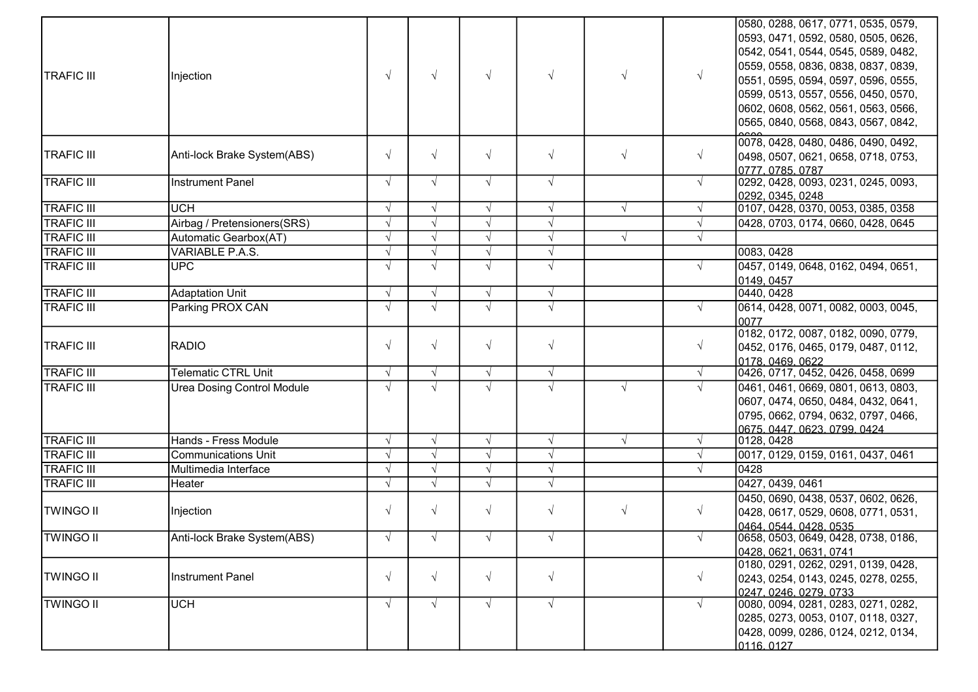|                   |                                   |            |            |            |            |            |            | 0580, 0288, 0617, 0771, 0535, 0579,                        |
|-------------------|-----------------------------------|------------|------------|------------|------------|------------|------------|------------------------------------------------------------|
|                   |                                   |            |            |            |            |            |            | 0593, 0471, 0592, 0580, 0505, 0626,                        |
|                   |                                   |            |            |            |            |            |            | 0542, 0541, 0544, 0545, 0589, 0482,                        |
|                   |                                   |            |            |            |            |            |            | 0559, 0558, 0836, 0838, 0837, 0839,                        |
| <b>TRAFIC III</b> | Injection                         | $\sqrt{ }$ | $\sqrt{ }$ | $\sqrt{ }$ | $\sqrt{ }$ | $\sqrt{ }$ | $\sqrt{ }$ | 0551, 0595, 0594, 0597, 0596, 0555,                        |
|                   |                                   |            |            |            |            |            |            | 0599, 0513, 0557, 0556, 0450, 0570,                        |
|                   |                                   |            |            |            |            |            |            | 0602, 0608, 0562, 0561, 0563, 0566,                        |
|                   |                                   |            |            |            |            |            |            | 0565, 0840, 0568, 0843, 0567, 0842,                        |
|                   |                                   |            |            |            |            |            |            | 0078, 0428, 0480, 0486, 0490, 0492,                        |
| <b>TRAFIC III</b> | Anti-lock Brake System(ABS)       | $\sqrt{ }$ | $\sqrt{ }$ | $\sqrt{ }$ | $\sqrt{}$  | $\sqrt{ }$ | $\sqrt{ }$ | 0498, 0507, 0621, 0658, 0718, 0753,                        |
|                   |                                   |            |            |            |            |            |            | 0777, 0785, 0787                                           |
| <b>TRAFIC III</b> | <b>Instrument Panel</b>           | $\sqrt{ }$ | $\sqrt{ }$ | $\sqrt{ }$ | $\sqrt{}$  |            | $\sqrt{ }$ | 0292, 0428, 0093, 0231, 0245, 0093,                        |
|                   |                                   |            |            |            |            |            |            | 0292, 0345, 0248                                           |
| <b>TRAFIC III</b> | <b>UCH</b>                        | $\sqrt{ }$ | $\sqrt{ }$ | $\sqrt{ }$ | $\sqrt{ }$ | $\sqrt{ }$ | $\sqrt{ }$ | 0107, 0428, 0370, 0053, 0385, 0358                         |
| <b>TRAFIC III</b> | Airbag / Pretensioners(SRS)       | $\sqrt{ }$ | $\sqrt{ }$ | $\sqrt{ }$ | $\sqrt{ }$ |            | $\sqrt{ }$ | 0428, 0703, 0174, 0660, 0428, 0645                         |
| <b>TRAFIC III</b> | Automatic Gearbox(AT)             | $\sqrt{ }$ | $\sqrt{ }$ | $\sqrt{ }$ | $\sqrt{ }$ | $\sqrt{ }$ | $\sqrt{ }$ |                                                            |
| <b>TRAFIC III</b> | VARIABLE P.A.S.                   | N          |            | $\sqrt{ }$ | $\sqrt{ }$ |            |            | 0083, 0428                                                 |
| <b>TRAFIC III</b> | <b>UPC</b>                        | $\sqrt{ }$ | $\sqrt{ }$ | $\sqrt{ }$ | $\sqrt{ }$ |            | $\sqrt{ }$ | 0457, 0149, 0648, 0162, 0494, 0651,                        |
|                   |                                   |            |            |            |            |            |            | 0149, 0457                                                 |
| <b>TRAFIC III</b> | <b>Adaptation Unit</b>            | $\sqrt{ }$ | $\sqrt{ }$ | $\sqrt{ }$ | $\sqrt{ }$ |            |            | 0440, 0428                                                 |
| <b>TRAFIC III</b> | Parking PROX CAN                  | $\sqrt{ }$ | $\sqrt{ }$ | $\sqrt{ }$ | $\sqrt{ }$ |            | $\sqrt{ }$ | 0614, 0428, 0071, 0082, 0003, 0045,                        |
|                   |                                   |            |            |            |            |            |            | 0077<br>0182, 0172, 0087, 0182, 0090, 0779,                |
| <b>TRAFIC III</b> | RADIO                             | $\sqrt{ }$ | $\sqrt{ }$ | $\sqrt{ }$ | $\sqrt{}$  |            | $\sqrt{ }$ | 0452, 0176, 0465, 0179, 0487, 0112,                        |
|                   |                                   |            |            |            |            |            |            | 0178.0469.0622                                             |
| <b>TRAFIC III</b> | <b>Telematic CTRL Unit</b>        | $\sqrt{ }$ | $\sqrt{ }$ | $\sqrt{ }$ | $\sqrt{}$  |            | $\sqrt{ }$ | 0426, 0717, 0452, 0426, 0458, 0699                         |
| <b>TRAFIC III</b> | <b>Urea Dosing Control Module</b> | $\sqrt{ }$ | $\sqrt{ }$ | $\sqrt{ }$ |            | $\sqrt{ }$ | $\sqrt{ }$ | 0461, 0461, 0669, 0801, 0613, 0803,                        |
|                   |                                   |            |            |            |            |            |            | 0607, 0474, 0650, 0484, 0432, 0641,                        |
|                   |                                   |            |            |            |            |            |            | 0795, 0662, 0794, 0632, 0797, 0466,                        |
|                   |                                   |            |            |            |            |            |            | 0675 0447 0623 0799 0424                                   |
| <b>TRAFIC III</b> | Hands - Fress Module              | $\sqrt{ }$ | $\sqrt{ }$ | $\sqrt{ }$ | $\sqrt{ }$ | $\sqrt{ }$ | $\sqrt{ }$ | 0128, 0428                                                 |
| <b>TRAFIC III</b> | <b>Communications Unit</b>        | $\sqrt{ }$ | $\sqrt{ }$ | $\sqrt{ }$ | $\sqrt{ }$ |            | $\sqrt{ }$ | 0017, 0129, 0159, 0161, 0437, 0461                         |
| <b>TRAFIC III</b> | Multimedia Interface              | $\sqrt{ }$ | $\sqrt{ }$ | $\sqrt{ }$ | $\sqrt{ }$ |            |            | 0428                                                       |
| <b>TRAFIC III</b> | Heater                            |            | $\sqrt{ }$ | $\sqrt{ }$ | $\sqrt{ }$ |            |            | 0427, 0439, 0461                                           |
|                   |                                   |            |            |            |            |            |            | 0450, 0690, 0438, 0537, 0602, 0626,                        |
| <b>TWINGO II</b>  | Injection                         | $\sqrt{ }$ | $\sqrt{ }$ | $\sqrt{ }$ | $\sqrt{ }$ | $\sqrt{ }$ | $\sqrt{ }$ | 0428, 0617, 0529, 0608, 0771, 0531,                        |
|                   |                                   |            |            |            |            |            |            | 0464.0544.0428.0535                                        |
| <b>TWINGO II</b>  | Anti-lock Brake System(ABS)       |            | $\sqrt{ }$ |            |            |            |            | 0658, 0503, 0649, 0428, 0738, 0186,                        |
|                   |                                   |            |            |            |            |            |            | 0428, 0621, 0631, 0741                                     |
|                   |                                   | $\sqrt{ }$ | $\sqrt{ }$ | $\sqrt{ }$ | $\sqrt{ }$ |            | $\sqrt{ }$ | 0180, 0291, 0262, 0291, 0139, 0428,                        |
| <b>TWINGO II</b>  | <b>Instrument Panel</b>           |            |            |            |            |            |            | 0243, 0254, 0143, 0245, 0278, 0255,                        |
| <b>TWINGO II</b>  | <b>UCH</b>                        | $\sqrt{ }$ | $\sqrt{ }$ | $\sqrt{ }$ | $\sqrt{ }$ |            | $\sqrt{ }$ | 0247.0246.0279.0733<br>0080, 0094, 0281, 0283, 0271, 0282, |
|                   |                                   |            |            |            |            |            |            | 0285, 0273, 0053, 0107, 0118, 0327,                        |
|                   |                                   |            |            |            |            |            |            | 0428, 0099, 0286, 0124, 0212, 0134,                        |
|                   |                                   |            |            |            |            |            |            | 0116 0127                                                  |
|                   |                                   |            |            |            |            |            |            |                                                            |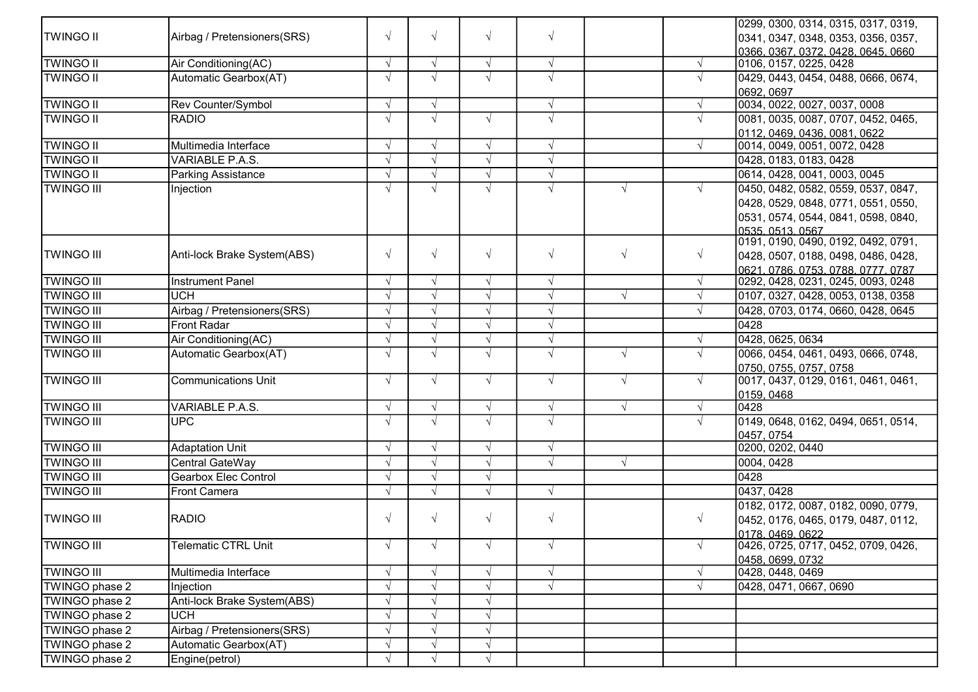|                   |                             |            |            |            |            |            |            | 0299, 0300, 0314, 0315, 0317, 0319, |
|-------------------|-----------------------------|------------|------------|------------|------------|------------|------------|-------------------------------------|
| <b>TWINGO II</b>  | Airbag / Pretensioners(SRS) |            | $\sqrt{ }$ | $\sqrt{ }$ | $\sqrt{}$  |            |            | 0341, 0347, 0348, 0353, 0356, 0357, |
|                   |                             |            |            |            |            |            |            | 0366, 0367, 0372, 0428, 0645, 0660  |
| <b>TWINGO II</b>  | Air Conditioning(AC)        | $\sqrt{ }$ | $\sqrt{ }$ | $\sqrt{ }$ | $\sqrt{}$  |            | $\sqrt{ }$ | 0106, 0157, 0225, 0428              |
| <b>TWINGO II</b>  | Automatic Gearbox(AT)       |            | $\sqrt{ }$ | $\sqrt{ }$ | $\sqrt{ }$ |            | $\sqrt{ }$ | 0429, 0443, 0454, 0488, 0666, 0674, |
|                   |                             |            |            |            |            |            |            | 0692, 0697                          |
| <b>TWINGO II</b>  | Rev Counter/Symbol          | $\sqrt{ }$ | $\sqrt{ }$ |            | $\sqrt{}$  |            | $\sqrt{ }$ | 0034, 0022, 0027, 0037, 0008        |
| <b>TWINGO II</b>  | <b>RADIO</b>                |            | $\sqrt{ }$ | $\sqrt{ }$ | $\sqrt{ }$ |            | $\sqrt{ }$ | 0081, 0035, 0087, 0707, 0452, 0465, |
|                   |                             |            |            |            |            |            |            | 0112, 0469, 0436, 0081, 0622        |
| <b>TWINGO II</b>  | Multimedia Interface        | N          | $\sqrt{ }$ | $\sqrt{ }$ | $\sqrt{ }$ |            | $\sqrt{ }$ | 0014, 0049, 0051, 0072, 0428        |
| <b>TWINGO II</b>  | VARIABLE P.A.S.             |            | $\sqrt{ }$ | $\sqrt{ }$ | $\sqrt{ }$ |            |            | 0428, 0183, 0183, 0428              |
| <b>TWINGO II</b>  | <b>Parking Assistance</b>   |            | $\sqrt{ }$ | $\sqrt{ }$ | $\sqrt{}$  |            |            | 0614, 0428, 0041, 0003, 0045        |
| <b>TWINGO III</b> | Injection                   |            | $\sqrt{ }$ | $\sqrt{ }$ | $\sqrt{ }$ | $\sqrt{ }$ | $\sqrt{ }$ | 0450, 0482, 0582, 0559, 0537, 0847, |
|                   |                             |            |            |            |            |            |            | 0428, 0529, 0848, 0771, 0551, 0550, |
|                   |                             |            |            |            |            |            |            | 0531, 0574, 0544, 0841, 0598, 0840, |
|                   |                             |            |            |            |            |            |            | 0535, 0513, 0567                    |
|                   |                             |            |            |            |            |            |            | 0191, 0190, 0490, 0192, 0492, 0791, |
| <b>TWINGO III</b> | Anti-lock Brake System(ABS) | $\sqrt{ }$ | $\sqrt{ }$ | $\sqrt{ }$ | $\sqrt{}$  | $\sqrt{ }$ | $\sqrt{ }$ | 0428, 0507, 0188, 0498, 0486, 0428, |
|                   |                             |            |            |            |            |            |            | 0621.0786.0753.0788.0777.0787       |
| <b>TWINGO III</b> | <b>Instrument Panel</b>     | $\sqrt{ }$ | $\sqrt{ }$ | $\sqrt{ }$ | $\sqrt{ }$ |            | $\sqrt{ }$ | 0292, 0428, 0231, 0245, 0093, 0248  |
| <b>TWINGO III</b> | <b>UCH</b>                  |            | $\sqrt{ }$ | $\sqrt{ }$ | $\sqrt{ }$ | $\sqrt{ }$ | $\sqrt{ }$ | 0107, 0327, 0428, 0053, 0138, 0358  |
| <b>TWINGO III</b> | Airbag / Pretensioners(SRS) |            | $\sqrt{ }$ | $\sqrt{ }$ | $\sqrt{ }$ |            | $\sqrt{ }$ | 0428, 0703, 0174, 0660, 0428, 0645  |
| <b>TWINGO III</b> | <b>Front Radar</b>          |            | $\sqrt{ }$ | $\sqrt{ }$ | $\sqrt{}$  |            |            | 0428                                |
| <b>TWINGO III</b> | Air Conditioning(AC)        |            | $\sqrt{ }$ | $\sqrt{ }$ | $\sqrt{}$  |            | $\sqrt{ }$ | 0428, 0625, 0634                    |
| <b>TWINGO III</b> | Automatic Gearbox(AT)       | N          | $\sqrt{ }$ | $\sqrt{ }$ | $\sqrt{ }$ | $\sqrt{ }$ | $\sqrt{ }$ | 0066, 0454, 0461, 0493, 0666, 0748, |
|                   |                             |            |            |            |            |            |            | 0750, 0755, 0757, 0758              |
| <b>TWINGO III</b> | <b>Communications Unit</b>  | $\sqrt{ }$ | $\sqrt{ }$ | $\sqrt{ }$ | $\sqrt{}$  | $\sqrt{ }$ | $\sqrt{ }$ | 0017, 0437, 0129, 0161, 0461, 0461, |
|                   |                             |            |            |            |            |            |            | 0159, 0468                          |
| <b>TWINGO III</b> | VARIABLE P.A.S.             |            | $\sqrt{ }$ | $\sqrt{ }$ | $\sqrt{}$  | $\sqrt{ }$ | $\sqrt{ }$ | 0428                                |
| <b>TWINGO III</b> | <b>UPC</b>                  | $\sqrt{ }$ | $\sqrt{ }$ | $\sqrt{ }$ | $\sqrt{ }$ |            | $\sqrt{ }$ | 0149, 0648, 0162, 0494, 0651, 0514, |
|                   |                             |            |            |            |            |            |            | 0457, 0754                          |
| <b>TWINGO III</b> | <b>Adaptation Unit</b>      | $\sqrt{ }$ | $\sqrt{ }$ | $\sqrt{ }$ | $\sqrt{}$  |            |            | 0200, 0202, 0440                    |
| <b>TWINGO III</b> | Central GateWay             | $\sqrt{ }$ | $\sqrt{ }$ | $\sqrt{ }$ | $\sqrt{ }$ | $\sqrt{ }$ |            | 0004, 0428                          |
| <b>TWINGO III</b> | <b>Gearbox Elec Control</b> |            | $\sqrt{ }$ | $\sqrt{ }$ |            |            |            | 0428                                |
| <b>TWINGO III</b> | <b>Front Camera</b>         |            | $\sqrt{ }$ | $\sqrt{ }$ | $\sqrt{ }$ |            |            | 0437, 0428                          |
|                   |                             |            |            |            |            |            |            | 0182, 0172, 0087, 0182, 0090, 0779, |
| <b>TWINGO III</b> | <b>RADIO</b>                | $\sqrt{ }$ | $\sqrt{ }$ | $\sqrt{ }$ | $\sqrt{}$  |            | $\sqrt{ }$ | 0452, 0176, 0465, 0179, 0487, 0112, |
|                   |                             |            |            |            |            |            |            | 0178, 0469, 0622                    |
| <b>TWINGO III</b> | <b>Telematic CTRL Unit</b>  |            | $\sqrt{ }$ | $\sqrt{ }$ | $\sqrt{ }$ |            | $\sqrt{ }$ | 0426, 0725, 0717, 0452, 0709, 0426, |
|                   |                             |            |            |            |            |            |            | 0458, 0699, 0732                    |
| <b>TWINGO III</b> | Multimedia Interface        |            | $\sqrt{ }$ | $\sqrt{ }$ | $\sqrt{}$  |            | $\sqrt{ }$ | 0428, 0448, 0469                    |
| TWINGO phase 2    | Injection                   |            |            |            | $\sqrt{ }$ |            |            | 0428, 0471, 0667, 0690              |
| TWINGO phase 2    | Anti-lock Brake System(ABS) |            | $\sqrt{ }$ | $\sqrt{ }$ |            |            |            |                                     |
| TWINGO phase 2    | <b>UCH</b>                  |            |            |            |            |            |            |                                     |
| TWINGO phase 2    | Airbag / Pretensioners(SRS) |            | $\sqrt{ }$ | $\sqrt{ }$ |            |            |            |                                     |
| TWINGO phase 2    | Automatic Gearbox(AT)       |            | $\sqrt{ }$ | $\sqrt{ }$ |            |            |            |                                     |
| TWINGO phase 2    | Engine(petrol)              |            |            | $\sqrt{ }$ |            |            |            |                                     |
|                   |                             |            |            |            |            |            |            |                                     |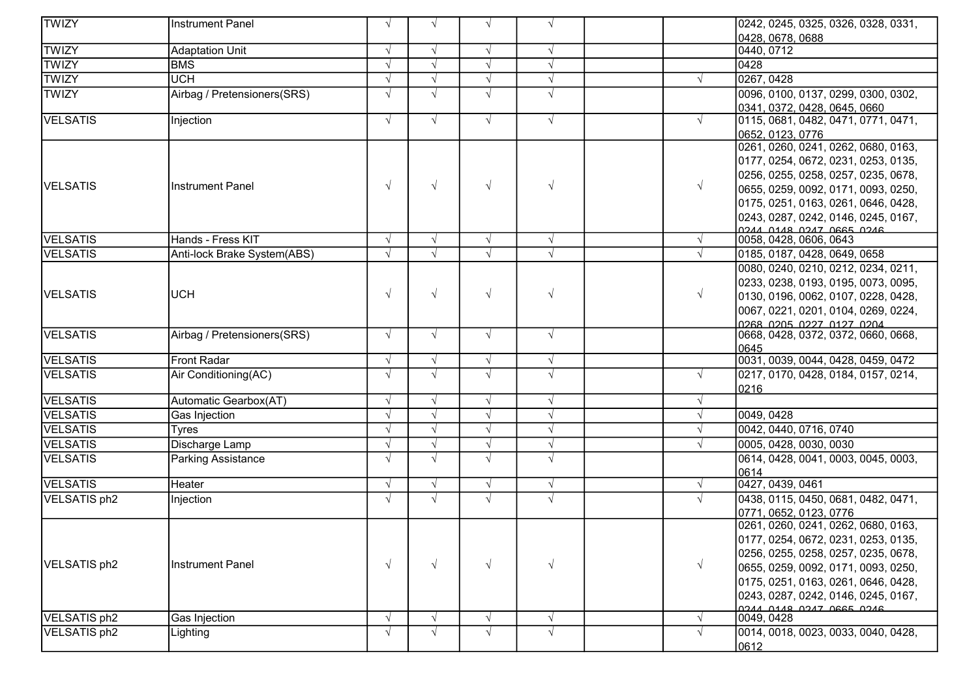| <b>TWIZY</b>    | <b>Instrument Panel</b>     | $\sqrt{ }$ | $\sqrt{ }$ | $\sqrt{ }$ | $\sqrt{ }$ |            | 0242, 0245, 0325, 0326, 0328, 0331,                             |
|-----------------|-----------------------------|------------|------------|------------|------------|------------|-----------------------------------------------------------------|
|                 |                             |            |            |            |            |            | 0428, 0678, 0688                                                |
| <b>TWIZY</b>    | <b>Adaptation Unit</b>      | $\sqrt{ }$ | $\sqrt{ }$ | $\sqrt{ }$ | $\sqrt{ }$ |            | 0440, 0712                                                      |
| <b>TWIZY</b>    | <b>BMS</b>                  |            | $\sqrt{ }$ | $\sqrt{ }$ | $\sqrt{}$  |            | 0428                                                            |
| <b>TWIZY</b>    | <b>UCH</b>                  | $\sqrt{ }$ | $\sqrt{ }$ | $\sqrt{ }$ | $\sqrt{}$  | $\sqrt{ }$ | 0267, 0428                                                      |
| <b>TWIZY</b>    | Airbag / Pretensioners(SRS) | $\sqrt{ }$ | $\sqrt{ }$ | $\sqrt{ }$ | $\sqrt{ }$ |            | 0096, 0100, 0137, 0299, 0300, 0302,                             |
|                 |                             |            |            |            |            |            | 0341, 0372, 0428, 0645, 0660                                    |
| VELSATIS        | Injection                   | $\sqrt{ }$ | $\sqrt{ }$ | $\sqrt{ }$ | $\sqrt{ }$ | $\sqrt{ }$ | 0115, 0681, 0482, 0471, 0771, 0471,                             |
|                 |                             |            |            |            |            |            | 0652, 0123, 0776                                                |
|                 |                             |            |            |            |            |            | 0261, 0260, 0241, 0262, 0680, 0163,                             |
|                 |                             |            |            |            |            |            | 0177, 0254, 0672, 0231, 0253, 0135,                             |
| <b>VELSATIS</b> | <b>Instrument Panel</b>     | $\sqrt{ }$ | $\sqrt{ }$ | $\sqrt{ }$ | $\sqrt{ }$ | $\sqrt{ }$ | 0256, 0255, 0258, 0257, 0235, 0678,                             |
|                 |                             |            |            |            |            |            | 0655, 0259, 0092, 0171, 0093, 0250,                             |
|                 |                             |            |            |            |            |            | 0175, 0251, 0163, 0261, 0646, 0428,                             |
|                 |                             |            |            |            |            |            | 0243, 0287, 0242, 0146, 0245, 0167,<br>ANCO 2220 TACO 2ALO AACO |
| <b>VELSATIS</b> | Hands - Fress KIT           | $\sqrt{ }$ | $\sqrt{ }$ | $\sqrt{ }$ | $\sqrt{}$  | $\sqrt{ }$ | 0058, 0428, 0606, 0643                                          |
| <b>VELSATIS</b> | Anti-lock Brake System(ABS) | $\sqrt{ }$ | $\sqrt{ }$ | $\sqrt{}$  | $\sqrt{}$  | $\sqrt{ }$ | 0185, 0187, 0428, 0649, 0658                                    |
|                 |                             |            |            |            |            |            | 0080, 0240, 0210, 0212, 0234, 0211,                             |
|                 |                             |            |            |            |            |            | 0233, 0238, 0193, 0195, 0073, 0095,                             |
| <b>VELSATIS</b> | UCH                         | $\sqrt{ }$ | $\sqrt{ }$ | $\sqrt{ }$ | $\sqrt{}$  | $\sqrt{ }$ | 0130, 0196, 0062, 0107, 0228, 0428,                             |
|                 |                             |            |            |            |            |            | 0067, 0221, 0201, 0104, 0269, 0224,                             |
|                 |                             |            |            |            |            |            | <u>lo268 0205 0227 0127 0204</u>                                |
| <b>VELSATIS</b> | Airbag / Pretensioners(SRS) | $\sqrt{ }$ | $\sqrt{ }$ | $\sqrt{ }$ | $\sqrt{}$  |            | 0668, 0428, 0372, 0372, 0660, 0668,                             |
|                 |                             |            |            |            |            |            | 0645                                                            |
| <b>VELSATIS</b> | <b>Front Radar</b>          | $\sqrt{ }$ | $\sqrt{ }$ | $\sqrt{ }$ | $\sqrt{}$  |            | 0031, 0039, 0044, 0428, 0459, 0472                              |
| VELSATIS        | Air Conditioning(AC)        | $\sqrt{ }$ | $\sqrt{ }$ | $\sqrt{ }$ | $\sqrt{ }$ | $\sqrt{ }$ | 0217, 0170, 0428, 0184, 0157, 0214,<br>0216                     |
| VELSATIS        | Automatic Gearbox(AT)       | $\sqrt{ }$ | $\sqrt{ }$ | $\sqrt{ }$ | $\sqrt{}$  | $\sqrt{ }$ |                                                                 |
| <b>VELSATIS</b> | Gas Injection               | $\sqrt{ }$ | $\sqrt{ }$ | $\sqrt{ }$ | $\sqrt{}$  | $\sqrt{ }$ | 0049, 0428                                                      |
| <b>VELSATIS</b> | Tyres                       | $\sqrt{ }$ | $\sqrt{ }$ | $\sqrt{}$  | $\sqrt{}$  | $\sqrt{ }$ | 0042, 0440, 0716, 0740                                          |
| <b>VELSATIS</b> | Discharge Lamp              | $\sqrt{ }$ | $\sqrt{ }$ | $\sqrt{ }$ | $\sqrt{}$  | $\sqrt{ }$ | 0005, 0428, 0030, 0030                                          |
| <b>VELSATIS</b> | Parking Assistance          | $\sqrt{ }$ | $\sqrt{ }$ | $\sqrt{ }$ | $\sqrt{ }$ |            | 0614, 0428, 0041, 0003, 0045, 0003,                             |
|                 |                             |            |            |            |            |            | 0614                                                            |
| <b>VELSATIS</b> | Heater                      | $\sqrt{ }$ | $\sqrt{ }$ | $\sqrt{ }$ | $\sqrt{}$  | $\sqrt{ }$ | 0427, 0439, 0461                                                |
| VELSATIS ph2    | Injection                   | $\sqrt{ }$ | $\sqrt{ }$ | $\sqrt{ }$ | $\sqrt{ }$ | $\sqrt{ }$ | 0438, 0115, 0450, 0681, 0482, 0471,                             |
|                 |                             |            |            |            |            |            | 0771, 0652, 0123, 0776                                          |
|                 |                             |            |            |            |            |            | 0261, 0260, 0241, 0262, 0680, 0163,                             |
|                 |                             |            |            |            |            |            | 0177, 0254, 0672, 0231, 0253, 0135,                             |
| VELSATIS ph2    | Instrument Panel            | $\sqrt{}$  | $\sqrt{ }$ | $\sqrt{ }$ | $\sqrt{}$  | $\sqrt{ }$ | 0256, 0255, 0258, 0257, 0235, 0678,                             |
|                 |                             |            |            |            |            |            | 0655, 0259, 0092, 0171, 0093, 0250,                             |
|                 |                             |            |            |            |            |            | 0175, 0251, 0163, 0261, 0646, 0428,                             |
|                 |                             |            |            |            |            |            | 0243, 0287, 0242, 0146, 0245, 0167,                             |
| VELSATIS ph2    | Gas Injection               | $\sqrt{ }$ | $\sqrt{ }$ | V          | $\sqrt{}$  | $\sqrt{ }$ | ANCO 2220 TNCO 2ND NNCO<br>0049, 0428                           |
| VELSATIS ph2    | ∟ighting                    | $\sqrt{ }$ | $\sqrt{ }$ | $\sqrt{ }$ | $\sqrt{ }$ | $\sqrt{ }$ | 0014, 0018, 0023, 0033, 0040, 0428,                             |
|                 |                             |            |            |            |            |            | 0612                                                            |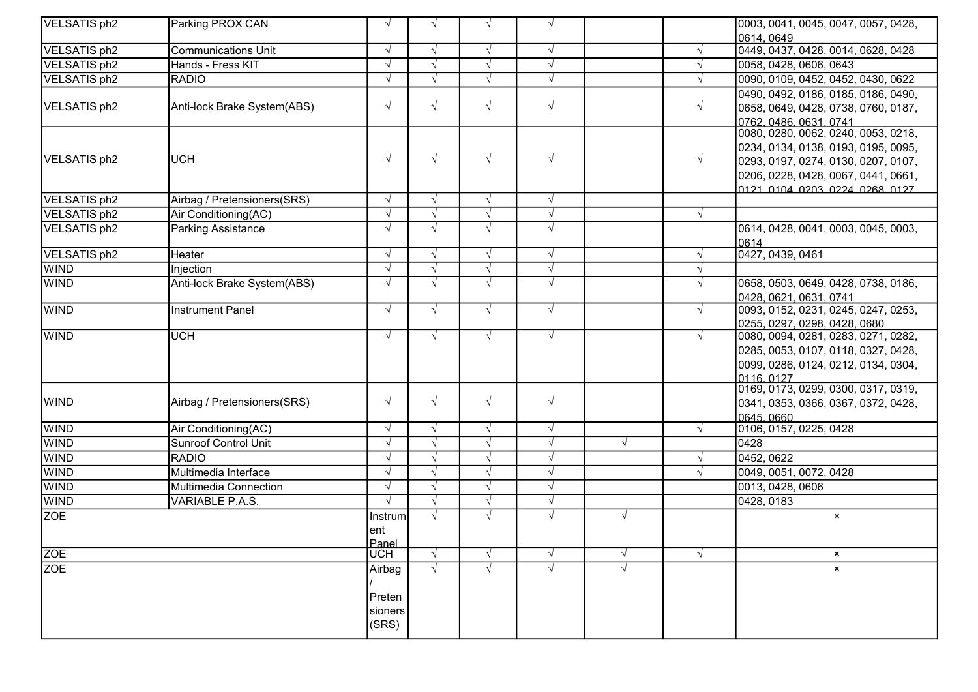| VELSATIS ph2        | Parking PROX CAN            | $\sqrt{ }$ | $\sqrt{ }$               | $\sqrt{ }$ | $\sqrt{ }$ |            |            | 0003, 0041, 0045, 0047, 0057, 0428,                                 |
|---------------------|-----------------------------|------------|--------------------------|------------|------------|------------|------------|---------------------------------------------------------------------|
|                     |                             |            |                          |            |            |            |            | 0614, 0649                                                          |
| VELSATIS ph2        | <b>Communications Unit</b>  | $\sqrt{ }$ | $\sqrt{ }$               | $\sqrt{ }$ | $\sqrt{ }$ |            |            | 0449, 0437, 0428, 0014, 0628, 0428                                  |
| VELSATIS ph2        | Hands - Fress KIT           | $\sqrt{ }$ | $\sqrt{ }$               | $\sqrt{ }$ | $\sqrt{ }$ |            | $\sqrt{ }$ | 0058, 0428, 0606, 0643                                              |
| VELSATIS ph2        | <b>RADIO</b>                | $\sqrt{ }$ | $\sqrt{ }$               | $\sqrt{ }$ | $\sqrt{ }$ |            | $\sqrt{ }$ | 0090, 0109, 0452, 0452, 0430, 0622                                  |
|                     |                             |            |                          |            |            |            |            | 0490, 0492, 0186, 0185, 0186, 0490,                                 |
| VELSATIS ph2        | Anti-lock Brake System(ABS) | $\sqrt{}$  | $\sqrt{ }$               | $\sqrt{ }$ | $\sqrt{ }$ |            | $\sqrt{}$  | 0658, 0649, 0428, 0738, 0760, 0187,                                 |
|                     |                             |            |                          |            |            |            |            | 0762, 0486, 0631, 0741                                              |
|                     |                             |            |                          |            |            |            |            | 0080, 0280, 0062, 0240, 0053, 0218,                                 |
|                     |                             |            |                          |            |            |            |            | 0234, 0134, 0138, 0193, 0195, 0095,                                 |
| VELSATIS ph2        | <b>UCH</b>                  | $\sqrt{ }$ | $\sqrt{ }$               | $\sqrt{ }$ | $\sqrt{ }$ |            | $\sqrt{ }$ | 0293, 0197, 0274, 0130, 0207, 0107,                                 |
|                     |                             |            |                          |            |            |            |            | 0206, 0228, 0428, 0067, 0441, 0661,                                 |
|                     |                             |            |                          |            |            |            |            | <u> 0121 0104 0203 0224 0268 0127 </u>                              |
| VELSATIS ph2        | Airbag / Pretensioners(SRS) | $\sqrt{ }$ | $\sqrt{ }$               | $\sqrt{ }$ | $\sqrt{ }$ |            |            |                                                                     |
| VELSATIS ph2        | Air Conditioning(AC)        |            | $\sqrt{ }$               | $\sqrt{ }$ | $\sqrt{ }$ |            | $\sqrt{ }$ |                                                                     |
| <b>VELSATIS ph2</b> | Parking Assistance          | $\sqrt{ }$ | $\sqrt{ }$               | $\sqrt{ }$ | $\sqrt{ }$ |            |            | 0614, 0428, 0041, 0003, 0045, 0003,                                 |
|                     |                             | $\sqrt{ }$ |                          |            |            |            |            | 0614                                                                |
| VELSATIS ph2        | Heater                      | $\sqrt{ }$ | $\sqrt{ }$<br>$\sqrt{ }$ | $\sqrt{ }$ | $\sqrt{ }$ |            |            | 0427, 0439, 0461                                                    |
| <b>WIND</b>         | Injection                   |            |                          | $\sqrt{ }$ | $\sqrt{ }$ |            | $\sqrt{ }$ |                                                                     |
| <b>WIND</b>         | Anti-lock Brake System(ABS) | $\sqrt{ }$ | $\sqrt{ }$               | $\sqrt{ }$ | $\sqrt{ }$ |            | $\sqrt{ }$ | 0658, 0503, 0649, 0428, 0738, 0186,                                 |
| <b>WIND</b>         | Instrument Panel            | $\sqrt{ }$ | $\sqrt{ }$               | $\sqrt{ }$ | $\sqrt{ }$ |            | $\sqrt{ }$ | 0428, 0621, 0631, 0741                                              |
|                     |                             |            |                          |            |            |            |            | 0093, 0152, 0231, 0245, 0247, 0253,<br>0255, 0297, 0298, 0428, 0680 |
| <b>WIND</b>         | <b>UCH</b>                  | $\sqrt{ }$ | $\sqrt{ }$               | $\sqrt{ }$ | $\sqrt{ }$ |            | $\sqrt{ }$ | 0080, 0094, 0281, 0283, 0271, 0282,                                 |
|                     |                             |            |                          |            |            |            |            | 0285, 0053, 0107, 0118, 0327, 0428,                                 |
|                     |                             |            |                          |            |            |            |            | 0099, 0286, 0124, 0212, 0134, 0304,                                 |
|                     |                             |            |                          |            |            |            |            | 0116, 0127                                                          |
|                     |                             |            |                          |            |            |            |            | 0169, 0173, 0299, 0300, 0317, 0319,                                 |
| <b>WIND</b>         | Airbag / Pretensioners(SRS) | $\sqrt{ }$ | $\sqrt{ }$               | $\sqrt{ }$ | $\sqrt{ }$ |            |            | 0341, 0353, 0366, 0367, 0372, 0428,                                 |
|                     |                             |            |                          |            |            |            |            | 0645, 0660                                                          |
| <b>WIND</b>         | Air Conditioning(AC)        | $\sqrt{ }$ | $\sqrt{ }$               | $\sqrt{ }$ | $\sqrt{ }$ |            | $\sqrt{ }$ | 0106, 0157, 0225, 0428                                              |
| <b>WIND</b>         | <b>Sunroof Control Unit</b> | $\sqrt{ }$ |                          | $\sqrt{ }$ | $\sqrt{ }$ | $\sqrt{ }$ |            | 0428                                                                |
| <b>WIND</b>         | <b>RADIO</b>                |            | $\sqrt{ }$               | $\sqrt{}$  | $\sqrt{ }$ |            |            | $\sqrt{0452,0622}$                                                  |
| <b>WIND</b>         | Multimedia Interface        | $\sqrt{ }$ | $\sqrt{ }$               | $\sqrt{}$  | $\sqrt{ }$ |            |            | 0049, 0051, 0072, 0428                                              |
| <b>WIND</b>         | Multimedia Connection       |            | $\sqrt{ }$               | $\sqrt{ }$ | $\sqrt{ }$ |            |            | 0013, 0428, 0606                                                    |
| <b>WIND</b>         | VARIABLE P.A.S.             | $\sqrt{ }$ | $\sqrt{ }$               | $\sqrt{ }$ | $\sqrt{ }$ |            |            | 0428, 0183                                                          |
| <b>ZOE</b>          |                             | Instrum    | $\sqrt{ }$               | $\sqrt{ }$ | $\sqrt{ }$ | $\sqrt{ }$ |            | $\pmb{\times}$                                                      |
|                     |                             | ent        |                          |            |            |            |            |                                                                     |
|                     |                             | Panel      |                          |            |            |            |            |                                                                     |
| <b>ZOE</b>          |                             | <b>UCH</b> | $\sqrt{ }$               | $\sqrt{ }$ | $\sqrt{ }$ | $\sqrt{ }$ |            | $\pmb{\times}$                                                      |
| <b>ZOE</b>          |                             | Airbag     | $\sqrt{ }$               | $\sqrt{}$  | $\sqrt{ }$ | $\sqrt{ }$ |            | $\pmb{\times}$                                                      |
|                     |                             |            |                          |            |            |            |            |                                                                     |
|                     |                             | Preten     |                          |            |            |            |            |                                                                     |
|                     |                             | sioners    |                          |            |            |            |            |                                                                     |
|                     |                             | (SRS)      |                          |            |            |            |            |                                                                     |
|                     |                             |            |                          |            |            |            |            |                                                                     |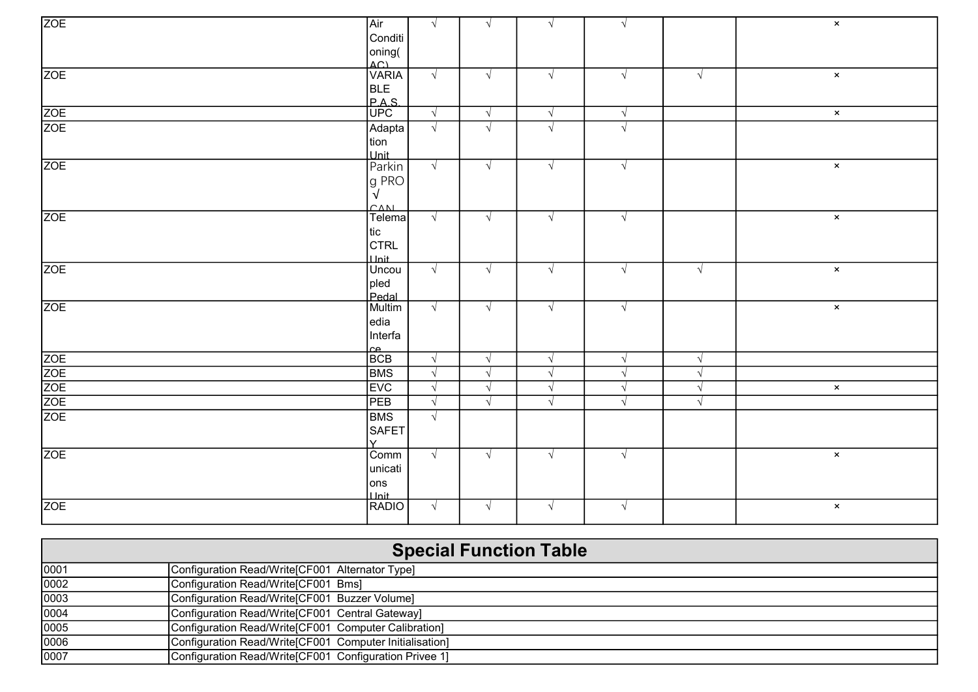| Air | $\sqrt{ }$                                                                                                                                                                                                                                                                                                                    | $\sqrt{ }$                                                                                                                                                               | $\sqrt{ }$                                                                                                   | $\sqrt{ }$                                                                                                   |                                                                                                | $\mathbf{x}$             |
|-----|-------------------------------------------------------------------------------------------------------------------------------------------------------------------------------------------------------------------------------------------------------------------------------------------------------------------------------|--------------------------------------------------------------------------------------------------------------------------------------------------------------------------|--------------------------------------------------------------------------------------------------------------|--------------------------------------------------------------------------------------------------------------|------------------------------------------------------------------------------------------------|--------------------------|
|     |                                                                                                                                                                                                                                                                                                                               |                                                                                                                                                                          |                                                                                                              |                                                                                                              |                                                                                                |                          |
|     |                                                                                                                                                                                                                                                                                                                               |                                                                                                                                                                          |                                                                                                              |                                                                                                              |                                                                                                |                          |
|     |                                                                                                                                                                                                                                                                                                                               |                                                                                                                                                                          |                                                                                                              |                                                                                                              |                                                                                                |                          |
|     | $\sqrt{ }$                                                                                                                                                                                                                                                                                                                    | $\sqrt{ }$                                                                                                                                                               | $\sqrt{ }$                                                                                                   | $\sqrt{ }$                                                                                                   | $\sqrt{ }$                                                                                     | $\mathbf{x}$             |
|     |                                                                                                                                                                                                                                                                                                                               |                                                                                                                                                                          |                                                                                                              |                                                                                                              |                                                                                                |                          |
|     |                                                                                                                                                                                                                                                                                                                               |                                                                                                                                                                          |                                                                                                              |                                                                                                              |                                                                                                |                          |
|     | $\sqrt{ }$                                                                                                                                                                                                                                                                                                                    | $\sqrt{ }$                                                                                                                                                               | $\sqrt{ }$                                                                                                   | $\sqrt{ }$                                                                                                   |                                                                                                | $\pmb{\times}$           |
|     | $\sqrt{ }$                                                                                                                                                                                                                                                                                                                    | $\sqrt{ }$                                                                                                                                                               | $\sqrt{ }$                                                                                                   | $\sqrt{ }$                                                                                                   |                                                                                                |                          |
|     |                                                                                                                                                                                                                                                                                                                               |                                                                                                                                                                          |                                                                                                              |                                                                                                              |                                                                                                |                          |
|     |                                                                                                                                                                                                                                                                                                                               |                                                                                                                                                                          |                                                                                                              |                                                                                                              |                                                                                                |                          |
|     | $\sqrt{ }$                                                                                                                                                                                                                                                                                                                    | $\sqrt{ }$                                                                                                                                                               | $\sqrt{ }$                                                                                                   | $\sqrt{ }$                                                                                                   |                                                                                                | $\boldsymbol{\times}$    |
|     |                                                                                                                                                                                                                                                                                                                               |                                                                                                                                                                          |                                                                                                              |                                                                                                              |                                                                                                |                          |
|     |                                                                                                                                                                                                                                                                                                                               |                                                                                                                                                                          |                                                                                                              |                                                                                                              |                                                                                                |                          |
|     |                                                                                                                                                                                                                                                                                                                               |                                                                                                                                                                          |                                                                                                              |                                                                                                              |                                                                                                |                          |
|     |                                                                                                                                                                                                                                                                                                                               |                                                                                                                                                                          |                                                                                                              |                                                                                                              |                                                                                                | $\pmb{\times}$           |
|     |                                                                                                                                                                                                                                                                                                                               |                                                                                                                                                                          |                                                                                                              |                                                                                                              |                                                                                                |                          |
|     |                                                                                                                                                                                                                                                                                                                               |                                                                                                                                                                          |                                                                                                              |                                                                                                              |                                                                                                |                          |
|     |                                                                                                                                                                                                                                                                                                                               |                                                                                                                                                                          |                                                                                                              |                                                                                                              |                                                                                                |                          |
|     |                                                                                                                                                                                                                                                                                                                               |                                                                                                                                                                          |                                                                                                              |                                                                                                              |                                                                                                | $\pmb{\times}$           |
|     |                                                                                                                                                                                                                                                                                                                               |                                                                                                                                                                          |                                                                                                              |                                                                                                              |                                                                                                |                          |
|     |                                                                                                                                                                                                                                                                                                                               |                                                                                                                                                                          |                                                                                                              |                                                                                                              |                                                                                                |                          |
|     |                                                                                                                                                                                                                                                                                                                               |                                                                                                                                                                          |                                                                                                              |                                                                                                              |                                                                                                | $\pmb{\times}$           |
|     |                                                                                                                                                                                                                                                                                                                               |                                                                                                                                                                          |                                                                                                              |                                                                                                              |                                                                                                |                          |
|     |                                                                                                                                                                                                                                                                                                                               |                                                                                                                                                                          |                                                                                                              |                                                                                                              |                                                                                                |                          |
|     |                                                                                                                                                                                                                                                                                                                               |                                                                                                                                                                          |                                                                                                              |                                                                                                              |                                                                                                |                          |
|     |                                                                                                                                                                                                                                                                                                                               |                                                                                                                                                                          |                                                                                                              |                                                                                                              |                                                                                                |                          |
|     |                                                                                                                                                                                                                                                                                                                               |                                                                                                                                                                          |                                                                                                              | $\sqrt{ }$                                                                                                   | $\sqrt{ }$                                                                                     |                          |
|     |                                                                                                                                                                                                                                                                                                                               |                                                                                                                                                                          |                                                                                                              |                                                                                                              | $\sqrt{ }$                                                                                     | $\pmb{\times}$           |
|     |                                                                                                                                                                                                                                                                                                                               | $\sqrt{}$                                                                                                                                                                | $\sqrt{}$                                                                                                    | $\sqrt{ }$                                                                                                   | $\sqrt{ }$                                                                                     |                          |
|     |                                                                                                                                                                                                                                                                                                                               |                                                                                                                                                                          |                                                                                                              |                                                                                                              |                                                                                                |                          |
|     |                                                                                                                                                                                                                                                                                                                               |                                                                                                                                                                          |                                                                                                              |                                                                                                              |                                                                                                |                          |
|     |                                                                                                                                                                                                                                                                                                                               |                                                                                                                                                                          |                                                                                                              |                                                                                                              |                                                                                                |                          |
|     |                                                                                                                                                                                                                                                                                                                               |                                                                                                                                                                          |                                                                                                              |                                                                                                              |                                                                                                | $\pmb{\times}$           |
|     |                                                                                                                                                                                                                                                                                                                               |                                                                                                                                                                          |                                                                                                              |                                                                                                              |                                                                                                |                          |
|     |                                                                                                                                                                                                                                                                                                                               |                                                                                                                                                                          |                                                                                                              |                                                                                                              |                                                                                                |                          |
|     |                                                                                                                                                                                                                                                                                                                               |                                                                                                                                                                          |                                                                                                              |                                                                                                              |                                                                                                |                          |
|     |                                                                                                                                                                                                                                                                                                                               |                                                                                                                                                                          |                                                                                                              |                                                                                                              |                                                                                                | $\mathsf{x}$             |
|     |                                                                                                                                                                                                                                                                                                                               |                                                                                                                                                                          |                                                                                                              |                                                                                                              |                                                                                                |                          |
|     | Conditi<br>oning(<br>AC)<br>VARIA<br>BLE<br><b>PAS</b><br>UPC<br>Adapta<br>tion<br>Lunit<br>Parkin<br>g PRO<br>CAN<br>tic<br>CTRL<br>pled<br>Pedal<br>Multim<br>edia<br>Interfa<br>$\frac{\text{ce}}{\text{BCB}}$<br><b>BMS</b><br>EVC<br>PEB<br><b>BMS</b><br>SAFET<br>ΙY.<br>Comm<br>unicati<br>ons<br><b>Unit</b><br>RADIO | $\overline{\mathsf{Telema}}$<br>$\sqrt{ }$<br>$\sqrt{ }$<br>$\sqrt{ }$<br>$\sqrt{ }$<br>$\sqrt{ }$<br>$\sqrt{ }$<br>$\sqrt{ }$<br>$\sqrt{ }$<br>$\sqrt{ }$<br>$\sqrt{ }$ | $\sqrt{ }$<br>$\sqrt{ }$<br>$\sqrt{ }$<br>$\sqrt{ }$<br>$\sqrt{ }$<br>$\sqrt{ }$<br>$\sqrt{ }$<br>$\sqrt{ }$ | $\sqrt{ }$<br>$\sqrt{ }$<br>$\sqrt{ }$<br>$\sqrt{ }$<br>$\sqrt{ }$<br>$\sqrt{ }$<br>$\sqrt{ }$<br>$\sqrt{ }$ | $\sqrt{ }$<br>$\sqrt{ }$<br>$\sqrt{ }$<br>$\sqrt{ }$<br>$\sqrt{ }$<br>$\sqrt{ }$<br>$\sqrt{ }$ | $\sqrt{ }$<br>$\sqrt{ }$ |

|      | <b>Special Function Table</b>                           |
|------|---------------------------------------------------------|
| 0001 | Configuration Read/Write[CF001 Alternator Type]         |
| 0002 | Configuration Read/Write[CF001 Bms]                     |
| 0003 | Configuration Read/Write[CF001 Buzzer Volume]           |
| 0004 | Configuration Read/Write[CF001 Central Gateway]         |
| 0005 | Configuration Read/Write [CF001 Computer Calibration]   |
| 0006 | Configuration Read/Write[CF001 Computer Initialisation] |
| 0007 | Configuration Read/Write [CF001 Configuration Privee 1] |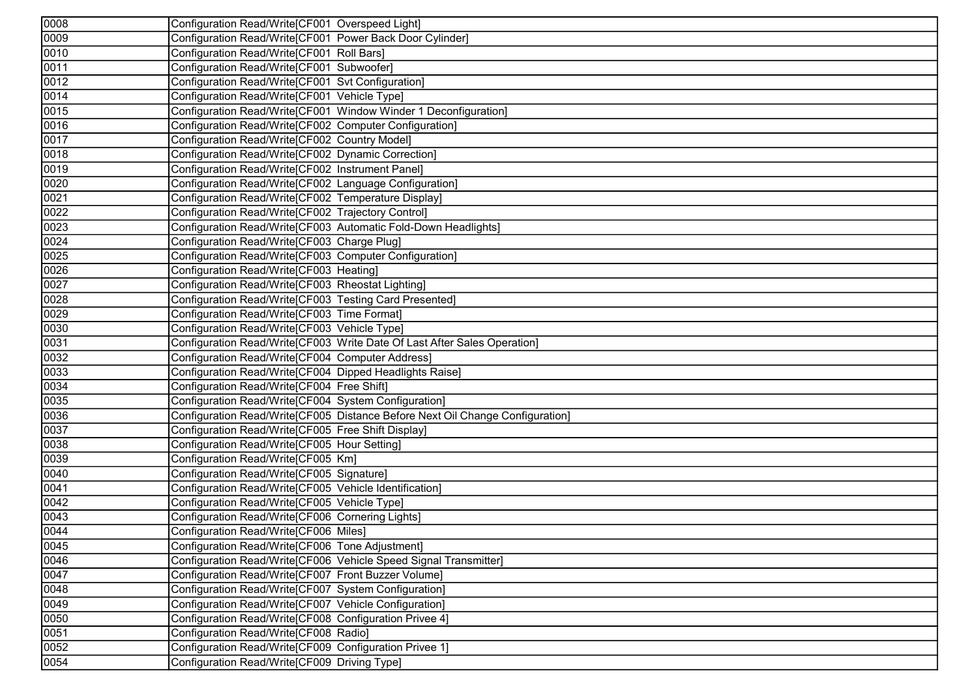| 0008              | Configuration Read/Write[CF001 Overspeed Light]                               |
|-------------------|-------------------------------------------------------------------------------|
| 0009              | Configuration Read/Write[CF001 Power Back Door Cylinder]                      |
| 0010              | Configuration Read/Write[CF001 Roll Bars]                                     |
| 0011              | Configuration Read/Write[CF001 Subwoofer]                                     |
| 0012              | Configuration Read/Write[CF001 Svt Configuration]                             |
| 0014              | Configuration Read/Write[CF001 Vehicle Type]                                  |
| 0015              | Configuration Read/Write[CF001 Window Winder 1 Deconfiguration]               |
| 0016              | Configuration Read/Write[CF002 Computer Configuration]                        |
| 0017              | Configuration Read/Write[CF002 Country Model]                                 |
| 0018              | Configuration Read/Write[CF002 Dynamic Correction]                            |
| 0019              | Configuration Read/Write[CF002 Instrument Panel]                              |
| 0020              | Configuration Read/Write[CF002 Language Configuration]                        |
| 0021              | Configuration Read/Write[CF002 Temperature Display]                           |
| 0022              | Configuration Read/Write[CF002 Trajectory Control]                            |
| 0023              | Configuration Read/Write[CF003 Automatic Fold-Down Headlights]                |
| 0024              | Configuration Read/Write[CF003 Charge Plug]                                   |
| 0025              | Configuration Read/Write[CF003 Computer Configuration]                        |
| 0026              | Configuration Read/Write[CF003 Heating]                                       |
| 0027              | Configuration Read/Write[CF003 Rheostat Lighting]                             |
| 0028              | Configuration Read/Write[CF003 Testing Card Presented]                        |
| 0029              | Configuration Read/Write[CF003 Time Format]                                   |
| 0030              | Configuration Read/Write[CF003 Vehicle Type]                                  |
| 0031              | Configuration Read/Write[CF003 Write Date Of Last After Sales Operation]      |
| 0032              | Configuration Read/Write[CF004 Computer Address]                              |
| 0033              | Configuration Read/Write[CF004 Dipped Headlights Raise]                       |
| 0034              | Configuration Read/Write[CF004 Free Shift]                                    |
| 0035              | Configuration Read/Write[CF004 System Configuration]                          |
| 0036              | Configuration Read/Write[CF005 Distance Before Next Oil Change Configuration] |
| 0037              | Configuration Read/Write[CF005 Free Shift Display]                            |
| 0038              | Configuration Read/Write[CF005 Hour Setting]                                  |
| 0039              | Configuration Read/Write[CF005 Km]                                            |
| 0040              | Configuration Read/Write[CF005 Signature]                                     |
| 0041              | Configuration Read/Write[CF005 Vehicle Identification]                        |
| 0042              | Configuration Read/Write[CF005 Vehicle Type]                                  |
| 0043              | Configuration Read/Write[CF006 Cornering Lights]                              |
| 0044              | Configuration Read/Write[CF006 Miles]                                         |
| 0045              | Configuration Read/Write[CF006 Tone Adjustment]                               |
| $\overline{0046}$ | Configuration Read/Write[CF006 Vehicle Speed Signal Transmitter]              |
| 0047              | Configuration Read/Write[CF007 Front Buzzer Volume]                           |
| 0048              | Configuration Read/Write[CF007 System Configuration]                          |
| 0049              | Configuration Read/Write[CF007 Vehicle Configuration]                         |
| 0050              | Configuration Read/Write[CF008 Configuration Privee 4]                        |
| 0051              | Configuration Read/Write[CF008 Radio]                                         |
| 0052              | Configuration Read/Write[CF009 Configuration Privee 1]                        |
| 0054              | Configuration Read/Write[CF009 Driving Type]                                  |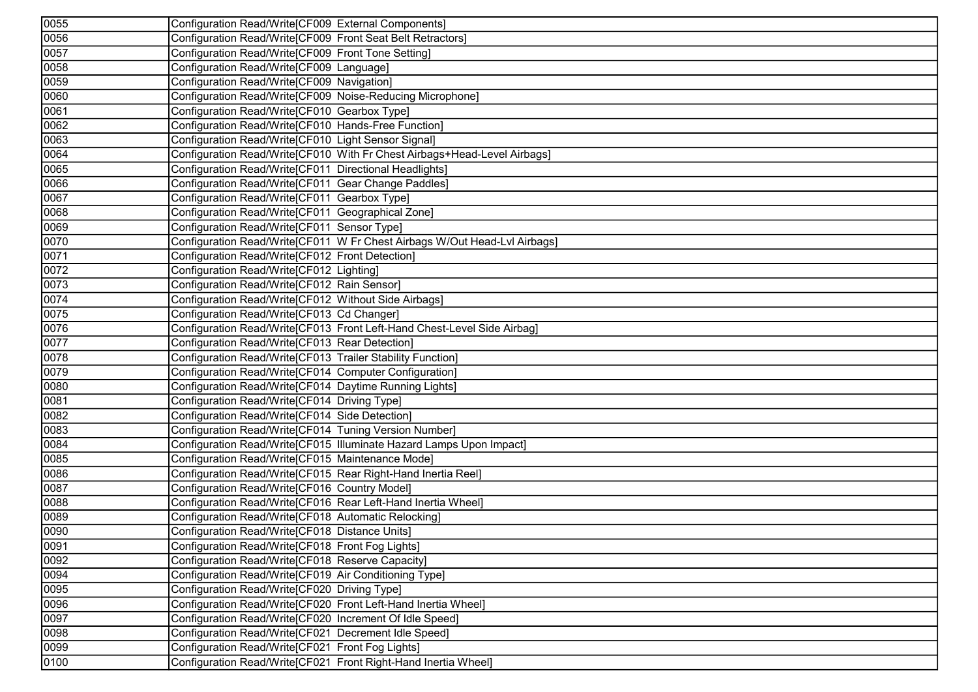| 0055 | Configuration Read/Write[CF009 External Components]                       |
|------|---------------------------------------------------------------------------|
| 0056 | Configuration Read/Write[CF009 Front Seat Belt Retractors]                |
| 0057 | Configuration Read/Write[CF009 Front Tone Setting]                        |
| 0058 | Configuration Read/Write[CF009 Language]                                  |
| 0059 | Configuration Read/Write[CF009 Navigation]                                |
| 0060 | Configuration Read/Write[CF009 Noise-Reducing Microphone]                 |
| 0061 | Configuration Read/Write[CF010 Gearbox Type]                              |
| 0062 | Configuration Read/Write[CF010 Hands-Free Function]                       |
| 0063 | Configuration Read/Write[CF010 Light Sensor Signal]                       |
| 0064 | Configuration Read/Write[CF010 With Fr Chest Airbags+Head-Level Airbags]  |
| 0065 | Configuration Read/Write[CF011 Directional Headlights]                    |
| 0066 | Configuration Read/Write[CF011 Gear Change Paddles]                       |
| 0067 | Configuration Read/Write[CF011 Gearbox Type]                              |
| 0068 | Configuration Read/Write[CF011 Geographical Zone]                         |
| 0069 | Configuration Read/Write[CF011 Sensor Type]                               |
| 0070 | Configuration Read/Write[CF011 W Fr Chest Airbags W/Out Head-Lvl Airbags] |
| 0071 | Configuration Read/Write[CF012 Front Detection]                           |
| 0072 | Configuration Read/Write[CF012 Lighting]                                  |
| 0073 | Configuration Read/Write[CF012 Rain Sensor]                               |
| 0074 | Configuration Read/Write[CF012 Without Side Airbags]                      |
| 0075 | Configuration Read/Write[CF013 Cd Changer]                                |
| 0076 | Configuration Read/Write[CF013 Front Left-Hand Chest-Level Side Airbag]   |
| 0077 | Configuration Read/Write[CF013 Rear Detection]                            |
| 0078 | Configuration Read/Write[CF013 Trailer Stability Function]                |
| 0079 | Configuration Read/Write[CF014 Computer Configuration]                    |
| 0080 | Configuration Read/Write[CF014 Daytime Running Lights]                    |
| 0081 | Configuration Read/Write[CF014 Driving Type]                              |
| 0082 | Configuration Read/Write[CF014 Side Detection]                            |
| 0083 | Configuration Read/Write[CF014 Tuning Version Number]                     |
| 0084 | Configuration Read/Write[CF015 Illuminate Hazard Lamps Upon Impact]       |
| 0085 | Configuration Read/Write[CF015 Maintenance Mode]                          |
| 0086 | Configuration Read/Write[CF015 Rear Right-Hand Inertia Reel]              |
| 0087 | Configuration Read/Write[CF016 Country Model]                             |
| 0088 | Configuration Read/Write[CF016 Rear Left-Hand Inertia Wheel]              |
| 0089 | Configuration Read/Write[CF018 Automatic Relocking]                       |
| 0090 | Configuration Read/Write[CF018 Distance Units]                            |
| 0091 | Configuration Read/Write[CF018 Front Fog Lights]                          |
| 0092 | Configuration Read/Write[CF018 Reserve Capacity]                          |
| 0094 | Configuration Read/Write[CF019 Air Conditioning Type]                     |
| 0095 | Configuration Read/Write[CF020 Driving Type]                              |
| 0096 | Configuration Read/Write[CF020 Front Left-Hand Inertia Wheel]             |
| 0097 | Configuration Read/Write[CF020 Increment Of Idle Speed]                   |
| 0098 | Configuration Read/Write[CF021 Decrement Idle Speed]                      |
| 0099 | Configuration Read/Write[CF021 Front Fog Lights]                          |
| 0100 | Configuration Read/Write[CF021 Front Right-Hand Inertia Wheel]            |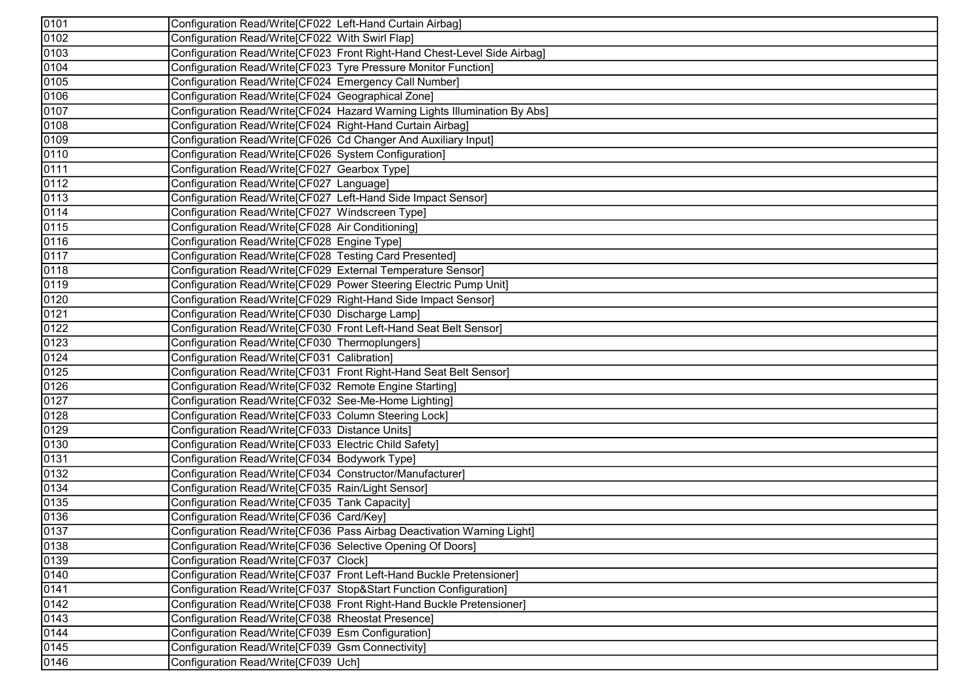| 0101 | Configuration Read/Write[CF022 Left-Hand Curtain Airbag]                  |
|------|---------------------------------------------------------------------------|
| 0102 | Configuration Read/Write[CF022 With Swirl Flap]                           |
| 0103 | Configuration Read/Write[CF023 Front Right-Hand Chest-Level Side Airbag]  |
| 0104 | Configuration Read/Write[CF023 Tyre Pressure Monitor Function]            |
| 0105 | Configuration Read/Write[CF024 Emergency Call Number]                     |
| 0106 | Configuration Read/Write[CF024 Geographical Zone]                         |
| 0107 | Configuration Read/Write[CF024 Hazard Warning Lights Illumination By Abs] |
| 0108 | Configuration Read/Write[CF024 Right-Hand Curtain Airbag]                 |
| 0109 | Configuration Read/Write[CF026 Cd Changer And Auxiliary Input]            |
| 0110 | Configuration Read/Write[CF026 System Configuration]                      |
| 0111 | Configuration Read/Write[CF027 Gearbox Type]                              |
| 0112 | Configuration Read/Write[CF027 Language]                                  |
| 0113 | Configuration Read/Write[CF027 Left-Hand Side Impact Sensor]              |
| 0114 | Configuration Read/Write[CF027 Windscreen Type]                           |
| 0115 | Configuration Read/Write[CF028 Air Conditioning]                          |
| 0116 | Configuration Read/Write[CF028 Engine Type]                               |
| 0117 | Configuration Read/Write[CF028 Testing Card Presented]                    |
| 0118 | Configuration Read/Write[CF029 External Temperature Sensor]               |
| 0119 | Configuration Read/Write[CF029 Power Steering Electric Pump Unit]         |
| 0120 | Configuration Read/Write[CF029 Right-Hand Side Impact Sensor]             |
| 0121 | Configuration Read/Write[CF030 Discharge Lamp]                            |
| 0122 | Configuration Read/Write[CF030 Front Left-Hand Seat Belt Sensor]          |
| 0123 | Configuration Read/Write[CF030 Thermoplungers]                            |
| 0124 | Configuration Read/Write[CF031 Calibration]                               |
| 0125 | Configuration Read/Write[CF031 Front Right-Hand Seat Belt Sensor]         |
| 0126 | Configuration Read/Write[CF032 Remote Engine Starting]                    |
| 0127 | Configuration Read/Write[CF032 See-Me-Home Lighting]                      |
| 0128 | Configuration Read/Write[CF033 Column Steering Lock]                      |
| 0129 | Configuration Read/Write[CF033 Distance Units]                            |
| 0130 | Configuration Read/Write[CF033 Electric Child Safety]                     |
| 0131 | Configuration Read/Write[CF034 Bodywork Type]                             |
| 0132 | Configuration Read/Write[CF034 Constructor/Manufacturer]                  |
| 0134 | Configuration Read/Write[CF035 Rain/Light Sensor]                         |
| 0135 | Configuration Read/Write[CF035 Tank Capacity]                             |
| 0136 | Configuration Read/Write[CF036 Card/Key]                                  |
| 0137 | Configuration Read/Write[CF036 Pass Airbag Deactivation Warning Light]    |
| 0138 | Configuration Read/Write[CF036 Selective Opening Of Doors]                |
| 0139 | Configuration Read/Write[CF037 Clock]                                     |
| 0140 | Configuration Read/Write[CF037 Front Left-Hand Buckle Pretensioner]       |
| 0141 | Configuration Read/Write[CF037 Stop&Start Function Configuration]         |
| 0142 | Configuration Read/Write[CF038 Front Right-Hand Buckle Pretensioner]      |
| 0143 | Configuration Read/Write[CF038 Rheostat Presence]                         |
| 0144 | Configuration Read/Write[CF039 Esm Configuration]                         |
| 0145 | Configuration Read/Write CF039 Gsm Connectivity]                          |
| 0146 | Configuration Read/Write[CF039 Uch]                                       |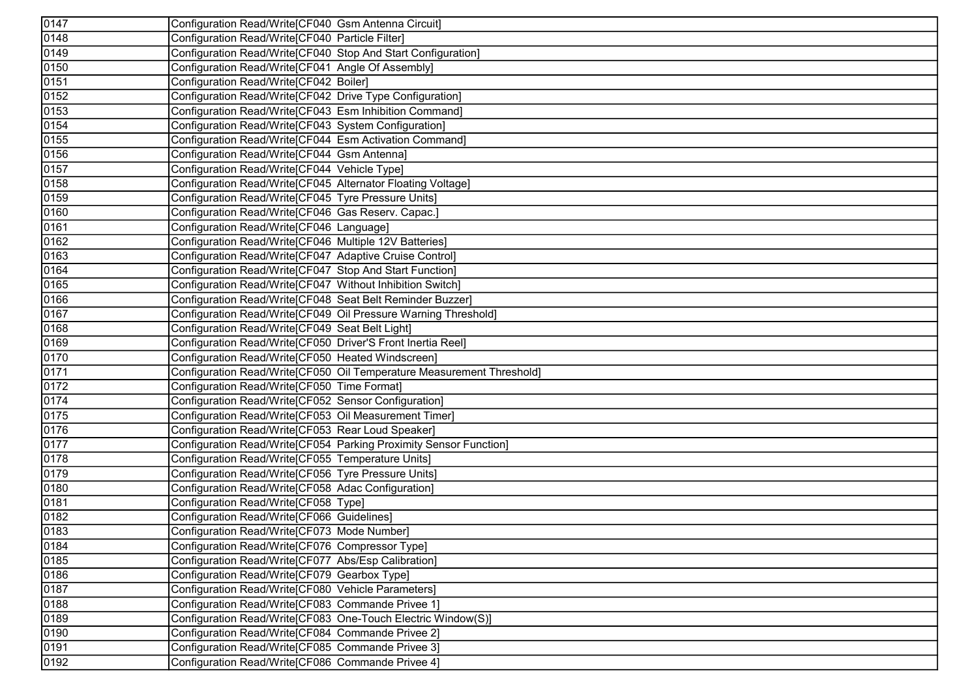| 0147 | Configuration Read/Write[CF040 Gsm Antenna Circuit]                   |
|------|-----------------------------------------------------------------------|
| 0148 | Configuration Read/Write[CF040 Particle Filter]                       |
| 0149 | Configuration Read/Write[CF040 Stop And Start Configuration]          |
| 0150 | Configuration Read/Write[CF041 Angle Of Assembly]                     |
| 0151 | Configuration Read/Write[CF042 Boiler]                                |
| 0152 | Configuration Read/Write[CF042 Drive Type Configuration]              |
| 0153 | Configuration Read/Write[CF043 Esm Inhibition Command]                |
| 0154 | Configuration Read/Write[CF043 System Configuration]                  |
| 0155 | Configuration Read/Write[CF044 Esm Activation Command]                |
| 0156 | Configuration Read/Write[CF044 Gsm Antenna]                           |
| 0157 | Configuration Read/Write[CF044 Vehicle Type]                          |
| 0158 | Configuration Read/Write[CF045 Alternator Floating Voltage]           |
| 0159 | Configuration Read/Write[CF045 Tyre Pressure Units]                   |
| 0160 | Configuration Read/Write[CF046 Gas Reserv. Capac.]                    |
| 0161 | Configuration Read/Write[CF046 Language]                              |
| 0162 | Configuration Read/Write[CF046 Multiple 12V Batteries]                |
| 0163 | Configuration Read/Write[CF047 Adaptive Cruise Control]               |
| 0164 | Configuration Read/Write[CF047 Stop And Start Function]               |
| 0165 | Configuration Read/Write[CF047 Without Inhibition Switch]             |
| 0166 | Configuration Read/Write[CF048 Seat Belt Reminder Buzzer]             |
| 0167 | Configuration Read/Write[CF049 Oil Pressure Warning Threshold]        |
| 0168 | Configuration Read/Write[CF049 Seat Belt Light]                       |
| 0169 | Configuration Read/Write[CF050 Driver'S Front Inertia Reel]           |
| 0170 | Configuration Read/Write[CF050 Heated Windscreen]                     |
| 0171 | Configuration Read/Write[CF050 Oil Temperature Measurement Threshold] |
| 0172 | Configuration Read/Write[CF050 Time Format]                           |
| 0174 | Configuration Read/Write[CF052 Sensor Configuration]                  |
| 0175 | Configuration Read/Write[CF053 Oil Measurement Timer]                 |
| 0176 | Configuration Read/Write[CF053 Rear Loud Speaker]                     |
| 0177 | Configuration Read/Write[CF054 Parking Proximity Sensor Function]     |
| 0178 | Configuration Read/Write[CF055 Temperature Units]                     |
| 0179 | Configuration Read/Write[CF056 Tyre Pressure Units]                   |
| 0180 | Configuration Read/Write[CF058 Adac Configuration]                    |
| 0181 | Configuration Read/Write[CF058 Type]                                  |
| 0182 | Configuration Read/Write[CF066 Guidelines]                            |
| 0183 | Configuration Read/Write[CF073 Mode Number]                           |
| 0184 | Configuration Read/Write[CF076 Compressor Type]                       |
| 0185 | Configuration Read/Write[CF077 Abs/Esp Calibration]                   |
| 0186 | Configuration Read/Write[CF079 Gearbox Type]                          |
| 0187 | Configuration Read/Write[CF080 Vehicle Parameters]                    |
| 0188 | Configuration Read/Write[CF083 Commande Privee 1]                     |
| 0189 | Configuration Read/Write[CF083 One-Touch Electric Window(S)]          |
| 0190 | Configuration Read/Write[CF084 Commande Privee 2]                     |
| 0191 | Configuration Read/Write[CF085 Commande Privee 3]                     |
| 0192 | Configuration Read/Write[CF086 Commande Privee 4]                     |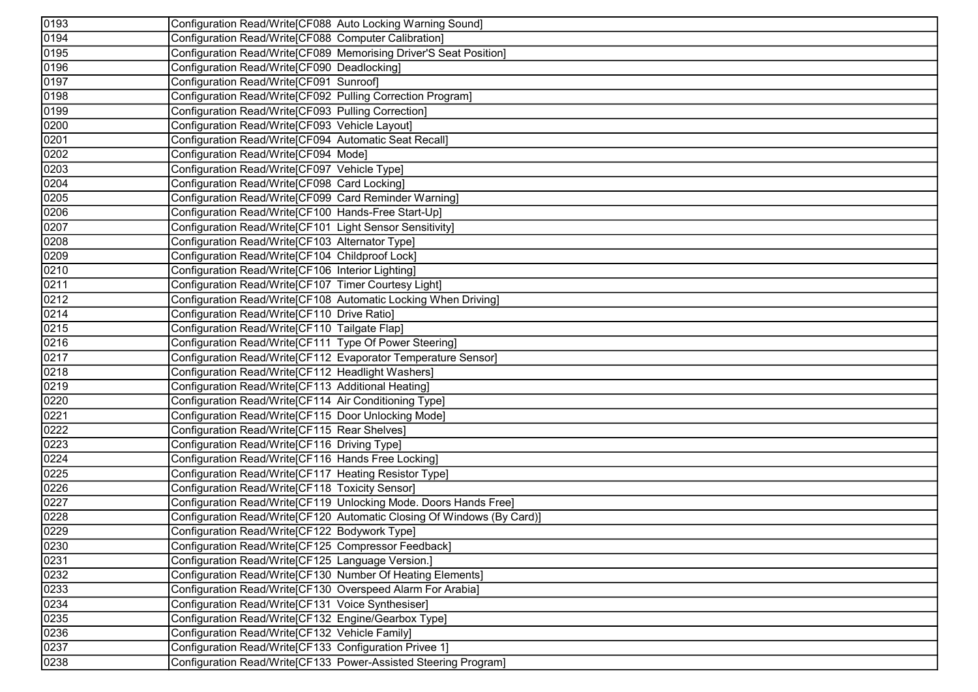| 0193              | Configuration Read/Write[CF088 Auto Locking Warning Sound]             |
|-------------------|------------------------------------------------------------------------|
| 0194              | Configuration Read/Write[CF088 Computer Calibration]                   |
| 0195              | Configuration Read/Write[CF089 Memorising Driver'S Seat Position]      |
| 0196              | Configuration Read/Write[CF090 Deadlocking]                            |
| 0197              | Configuration Read/Write[CF091 Sunroof]                                |
| 0198              | Configuration Read/Write[CF092 Pulling Correction Program]             |
| 0199              | Configuration Read/Write[CF093 Pulling Correction]                     |
| 0200              | Configuration Read/Write[CF093 Vehicle Layout]                         |
| 0201              | Configuration Read/Write[CF094 Automatic Seat Recall]                  |
| 0202              | Configuration Read/Write[CF094 Mode]                                   |
| 0203              | Configuration Read/Write[CF097 Vehicle Type]                           |
| 0204              | Configuration Read/Write[CF098 Card Locking]                           |
| 0205              | Configuration Read/Write[CF099 Card Reminder Warning]                  |
| 0206              | Configuration Read/Write[CF100 Hands-Free Start-Up]                    |
| 0207              | Configuration Read/Write[CF101 Light Sensor Sensitivity]               |
| 0208              | Configuration Read/Write[CF103 Alternator Type]                        |
| 0209              | Configuration Read/Write[CF104 Childproof Lock]                        |
| 0210              | Configuration Read/Write[CF106 Interior Lighting]                      |
| 0211              | Configuration Read/Write[CF107 Timer Courtesy Light]                   |
| 0212              | Configuration Read/Write[CF108 Automatic Locking When Driving]         |
| 0214              | Configuration Read/Write[CF110 Drive Ratio]                            |
| 0215              | Configuration Read/Write[CF110 Tailgate Flap]                          |
| 0216              | Configuration Read/Write[CF111 Type Of Power Steering]                 |
| 0217              | Configuration Read/Write[CF112 Evaporator Temperature Sensor]          |
| 0218              | Configuration Read/Write[CF112 Headlight Washers]                      |
| 0219              | Configuration Read/Write[CF113 Additional Heating]                     |
| 0220              | Configuration Read/Write[CF114 Air Conditioning Type]                  |
| 0221              | Configuration Read/Write[CF115 Door Unlocking Mode]                    |
| 0222              | Configuration Read/Write[CF115 Rear Shelves]                           |
| $\overline{02}23$ | Configuration Read/Write[CF116 Driving Type]                           |
| 0224              | Configuration Read/Write[CF116 Hands Free Locking]                     |
| $\sqrt{0225}$     | Configuration Read/Write[CF117 Heating Resistor Type]                  |
| 0226              | Configuration Read/Write[CF118 Toxicity Sensor]                        |
| 0227              | Configuration Read/Write[CF119 Unlocking Mode. Doors Hands Free]       |
| 0228              | Configuration Read/Write[CF120 Automatic Closing Of Windows (By Card)] |
| 0229              | Configuration Read/Write[CF122 Bodywork Type]                          |
| 0230              | Configuration Read/Write[CF125 Compressor Feedback]                    |
| 0231              | Configuration Read/Write[CF125 Language Version.]                      |
| 0232              | Configuration Read/Write[CF130 Number Of Heating Elements]             |
| 0233              | Configuration Read/Write[CF130 Overspeed Alarm For Arabia]             |
| 0234              | Configuration Read/Write[CF131 Voice Synthesiser]                      |
| 0235              | Configuration Read/Write[CF132 Engine/Gearbox Type]                    |
| $\sqrt{0236}$     | Configuration Read/Write[CF132 Vehicle Family]                         |
| 0237              | Configuration Read/Write[CF133 Configuration Privee 1]                 |
| 0238              | Configuration Read/Write[CF133 Power-Assisted Steering Program]        |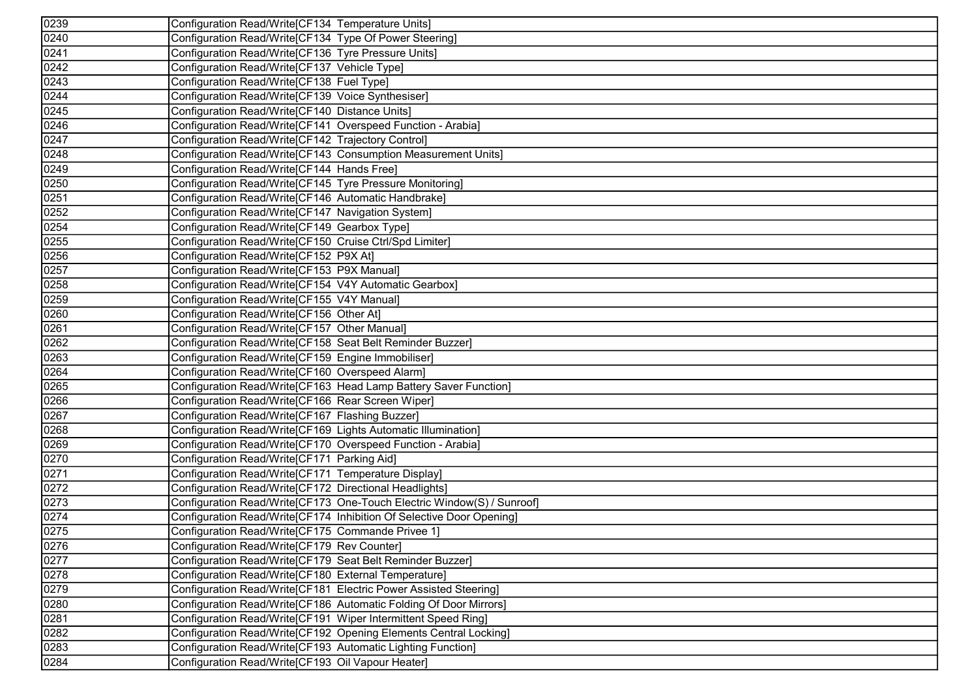| 0239               | Configuration Read/Write[CF134 Temperature Units]                      |
|--------------------|------------------------------------------------------------------------|
| 0240               | Configuration Read/Write[CF134 Type Of Power Steering]                 |
| 0241               | Configuration Read/Write[CF136 Tyre Pressure Units]                    |
| $\sqrt{0242}$      | Configuration Read/Write[CF137 Vehicle Type]                           |
| 0243               | Configuration Read/Write[CF138 Fuel Type]                              |
| 0244               | Configuration Read/Write[CF139 Voice Synthesiser]                      |
| 0245               | Configuration Read/Write[CF140 Distance Units]                         |
| $\sqrt{0246}$      | Configuration Read/Write[CF141 Overspeed Function - Arabia]            |
| 0247               | Configuration Read/Write[CF142 Trajectory Control]                     |
| 0248               | Configuration Read/Write[CF143 Consumption Measurement Units]          |
| 0249               | Configuration Read/Write[CF144 Hands Free]                             |
| 0250               | Configuration Read/Write[CF145 Tyre Pressure Monitoring]               |
| 0251               | Configuration Read/Write[CF146 Automatic Handbrake]                    |
| 0252               | Configuration Read/Write[CF147 Navigation System]                      |
| 0254               | Configuration Read/Write[CF149 Gearbox Type]                           |
| 0255               | Configuration Read/Write[CF150 Cruise Ctrl/Spd Limiter]                |
| $\overline{0}$ 256 | Configuration Read/Write[CF152 P9X At]                                 |
| 0257               | Configuration Read/Write[CF153 P9X Manual]                             |
| 0258               | Configuration Read/Write[CF154 V4Y Automatic Gearbox]                  |
| $\overline{02}59$  | Configuration Read/Write[CF155 V4Y Manual]                             |
| 0260               | Configuration Read/Write[CF156 Other At]                               |
| $\sqrt{0261}$      | Configuration Read/Write[CF157 Other Manual]                           |
| 0262               | Configuration Read/Write[CF158 Seat Belt Reminder Buzzer]              |
| 0263               | Configuration Read/Write[CF159 Engine Immobiliser]                     |
| 0264               | Configuration Read/Write[CF160 Overspeed Alarm]                        |
| 0265               | Configuration Read/Write[CF163 Head Lamp Battery Saver Function]       |
| 0266               | Configuration Read/Write[CF166 Rear Screen Wiper]                      |
| 0267               | Configuration Read/Write[CF167 Flashing Buzzer]                        |
| 0268               | Configuration Read/Write[CF169 Lights Automatic Illumination]          |
| 0269               | Configuration Read/Write[CF170 Overspeed Function - Arabia]            |
| 0270               | Configuration Read/Write[CF171 Parking Aid]                            |
| 0271               | Configuration Read/Write[CF171 Temperature Display]                    |
| 0272               | Configuration Read/Write[CF172 Directional Headlights]                 |
| 0273               | Configuration Read/Write[CF173 One-Touch Electric Window(S) / Sunroof] |
| $\overline{0}$ 274 | Configuration Read/Write[CF174 Inhibition Of Selective Door Opening]   |
| 0275               | Configuration Read/Write[CF175 Commande Privee 1]                      |
| 0276               | Configuration Read/Write[CF179 Rev Counter]                            |
| 0277               | Configuration Read/Write[CF179 Seat Belt Reminder Buzzer]              |
| 0278               | Configuration Read/Write[CF180 External Temperature]                   |
| 0279               | Configuration Read/Write[CF181 Electric Power Assisted Steering]       |
| 0280               | Configuration Read/Write[CF186 Automatic Folding Of Door Mirrors]      |
| 0281               | Configuration Read/Write[CF191 Wiper Intermittent Speed Ring]          |
| $\sqrt{0282}$      | Configuration Read/Write[CF192 Opening Elements Central Locking]       |
| $\sqrt{0283}$      | Configuration Read/Write[CF193 Automatic Lighting Function]            |
| 0284               | Configuration Read/Write[CF193 Oil Vapour Heater]                      |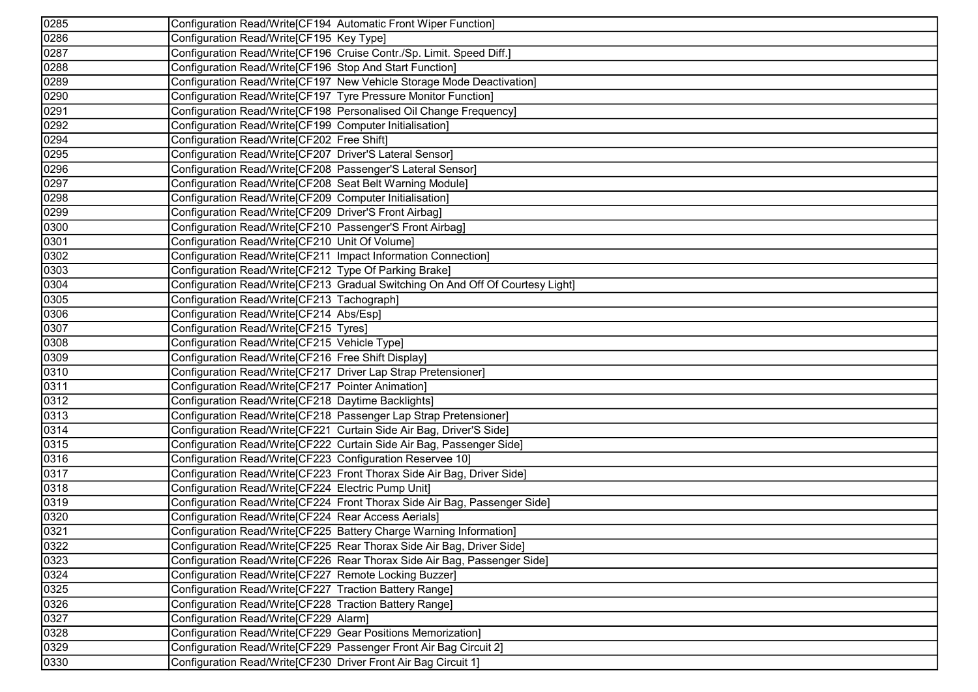| 0285 | Configuration Read/Write[CF194 Automatic Front Wiper Function]                 |
|------|--------------------------------------------------------------------------------|
| 0286 | Configuration Read/Write[CF195 Key Type]                                       |
| 0287 | Configuration Read/Write[CF196 Cruise Contr./Sp. Limit. Speed Diff.]           |
| 0288 | Configuration Read/Write[CF196 Stop And Start Function]                        |
| 0289 | Configuration Read/Write[CF197 New Vehicle Storage Mode Deactivation]          |
| 0290 | Configuration Read/Write[CF197 Tyre Pressure Monitor Function]                 |
| 0291 | Configuration Read/Write[CF198 Personalised Oil Change Frequency]              |
| 0292 | Configuration Read/Write[CF199 Computer Initialisation]                        |
| 0294 | Configuration Read/Write[CF202 Free Shift]                                     |
| 0295 | Configuration Read/Write[CF207 Driver'S Lateral Sensor]                        |
| 0296 | Configuration Read/Write[CF208 Passenger'S Lateral Sensor]                     |
| 0297 | Configuration Read/Write[CF208 Seat Belt Warning Module]                       |
| 0298 | Configuration Read/Write[CF209 Computer Initialisation]                        |
| 0299 | Configuration Read/Write[CF209 Driver'S Front Airbag]                          |
| 0300 | Configuration Read/Write[CF210 Passenger'S Front Airbag]                       |
| 0301 | Configuration Read/Write[CF210 Unit Of Volume]                                 |
| 0302 | Configuration Read/Write[CF211 Impact Information Connection]                  |
| 0303 | Configuration Read/Write[CF212 Type Of Parking Brake]                          |
| 0304 | Configuration Read/Write[CF213 Gradual Switching On And Off Of Courtesy Light] |
| 0305 | Configuration Read/Write[CF213 Tachograph]                                     |
| 0306 | Configuration Read/Write[CF214 Abs/Esp]                                        |
| 0307 | Configuration Read/Write[CF215 Tyres]                                          |
| 0308 | Configuration Read/Write[CF215 Vehicle Type]                                   |
| 0309 | Configuration Read/Write[CF216 Free Shift Display]                             |
| 0310 | Configuration Read/Write[CF217 Driver Lap Strap Pretensioner]                  |
| 0311 | Configuration Read/Write[CF217 Pointer Animation]                              |
| 0312 | Configuration Read/Write[CF218 Daytime Backlights]                             |
| 0313 | Configuration Read/Write[CF218 Passenger Lap Strap Pretensioner]               |
| 0314 | Configuration Read/Write[CF221 Curtain Side Air Bag, Driver'S Side]            |
| 0315 | Configuration Read/Write[CF222 Curtain Side Air Bag, Passenger Side]           |
| 0316 | Configuration Read/Write[CF223 Configuration Reservee 10]                      |
| 0317 | Configuration Read/Write[CF223 Front Thorax Side Air Bag, Driver Side]         |
| 0318 | Configuration Read/Write[CF224 Electric Pump Unit]                             |
| 0319 | Configuration Read/Write[CF224 Front Thorax Side Air Bag, Passenger Side]      |
| 0320 | Configuration Read/Write[CF224 Rear Access Aerials]                            |
| 0321 | Configuration Read/Write[CF225 Battery Charge Warning Information]             |
| 0322 | Configuration Read/Write[CF225 Rear Thorax Side Air Bag, Driver Side]          |
| 0323 | Configuration Read/Write[CF226 Rear Thorax Side Air Bag, Passenger Side]       |
| 0324 | Configuration Read/Write [CF227 Remote Locking Buzzer]                         |
| 0325 | Configuration Read/Write[CF227 Traction Battery Range]                         |
| 0326 | Configuration Read/Write[CF228 Traction Battery Range]                         |
| 0327 | Configuration Read/Write[CF229 Alarm]                                          |
| 0328 | Configuration Read/Write[CF229 Gear Positions Memorization]                    |
| 0329 | Configuration Read/Write[CF229 Passenger Front Air Bag Circuit 2]              |
| 0330 | Configuration Read/Write[CF230 Driver Front Air Bag Circuit 1]                 |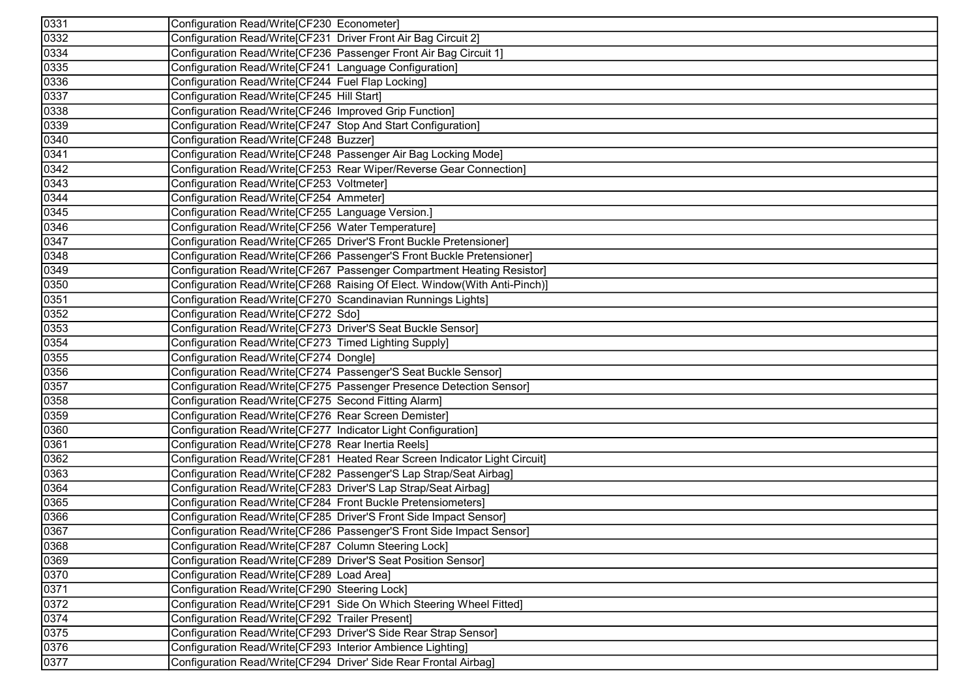| 0331              | Configuration Read/Write[CF230 Econometer]                                 |
|-------------------|----------------------------------------------------------------------------|
| 0332              | Configuration Read/Write[CF231 Driver Front Air Bag Circuit 2]             |
| 0334              | Configuration Read/Write[CF236 Passenger Front Air Bag Circuit 1]          |
| 0335              | Configuration Read/Write[CF241 Language Configuration]                     |
| 0336              | Configuration Read/Write[CF244 Fuel Flap Locking]                          |
| 0337              | Configuration Read/Write[CF245 Hill Start]                                 |
| 0338              | Configuration Read/Write[CF246 Improved Grip Function]                     |
| 0339              | Configuration Read/Write[CF247 Stop And Start Configuration]               |
| $\sqrt{0340}$     | Configuration Read/Write[CF248 Buzzer]                                     |
| 0341              | Configuration Read/Write[CF248 Passenger Air Bag Locking Mode]             |
| 0342              | Configuration Read/Write[CF253 Rear Wiper/Reverse Gear Connection]         |
| 0343              | Configuration Read/Write[CF253 Voltmeter]                                  |
| 0344              | Configuration Read/Write[CF254 Ammeter]                                    |
| 0345              | Configuration Read/Write[CF255 Language Version.]                          |
| $\sqrt{0346}$     | Configuration Read/Write[CF256 Water Temperature]                          |
| 0347              | Configuration Read/Write[CF265 Driver'S Front Buckle Pretensioner]         |
| 0348              | Configuration Read/Write[CF266 Passenger'S Front Buckle Pretensioner]      |
| 0349              | Configuration Read/Write[CF267 Passenger Compartment Heating Resistor]     |
| 0350              | Configuration Read/Write[CF268 Raising Of Elect. Window(With Anti-Pinch)]  |
| 0351              | Configuration Read/Write[CF270 Scandinavian Runnings Lights]               |
| 0352              | Configuration Read/Write[CF272 Sdo]                                        |
| 0353              | Configuration Read/Write[CF273 Driver'S Seat Buckle Sensor]                |
| 0354              | Configuration Read/Write[CF273 Timed Lighting Supply]                      |
| 0355              | Configuration Read/Write[CF274 Dongle]                                     |
| 0356              | Configuration Read/Write[CF274 Passenger'S Seat Buckle Sensor]             |
| 0357              | Configuration Read/Write[CF275 Passenger Presence Detection Sensor]        |
| 0358              | Configuration Read/Write[CF275 Second Fitting Alarm]                       |
| 0359              | Configuration Read/Write[CF276 Rear Screen Demister]                       |
| 0360              | Configuration Read/Write[CF277 Indicator Light Configuration]              |
| 0361              | Configuration Read/Write[CF278 Rear Inertia Reels]                         |
| 0362              | Configuration Read/Write[CF281 Heated Rear Screen Indicator Light Circuit] |
| 0363              | Configuration Read/Write[CF282 Passenger'S Lap Strap/Seat Airbag]          |
| 0364              | Configuration Read/Write[CF283 Driver'S Lap Strap/Seat Airbag]             |
| 0365              | Configuration Read/Write[CF284 Front Buckle Pretensiometers]               |
| 0366              | Configuration Read/Write[CF285 Driver'S Front Side Impact Sensor]          |
| 0367              | Configuration Read/Write[CF286 Passenger'S Front Side Impact Sensor]       |
| 0368              | Configuration Read/Write[CF287 Column Steering Lock]                       |
| $\overline{0}369$ | Configuration Read/Write[CF289 Driver'S Seat Position Sensor]              |
| 0370              | Configuration Read/Write[CF289 Load Area]                                  |
| 0371              | Configuration Read/Write[CF290 Steering Lock]                              |
| 0372              | Configuration Read/Write[CF291 Side On Which Steering Wheel Fitted]        |
| 0374              | Configuration Read/Write[CF292 Trailer Present]                            |
| 0375              | Configuration Read/Write[CF293 Driver'S Side Rear Strap Sensor]            |
| 0376              | Configuration Read/Write[CF293 Interior Ambience Lighting]                 |
| 0377              | Configuration Read/Write[CF294 Driver' Side Rear Frontal Airbag]           |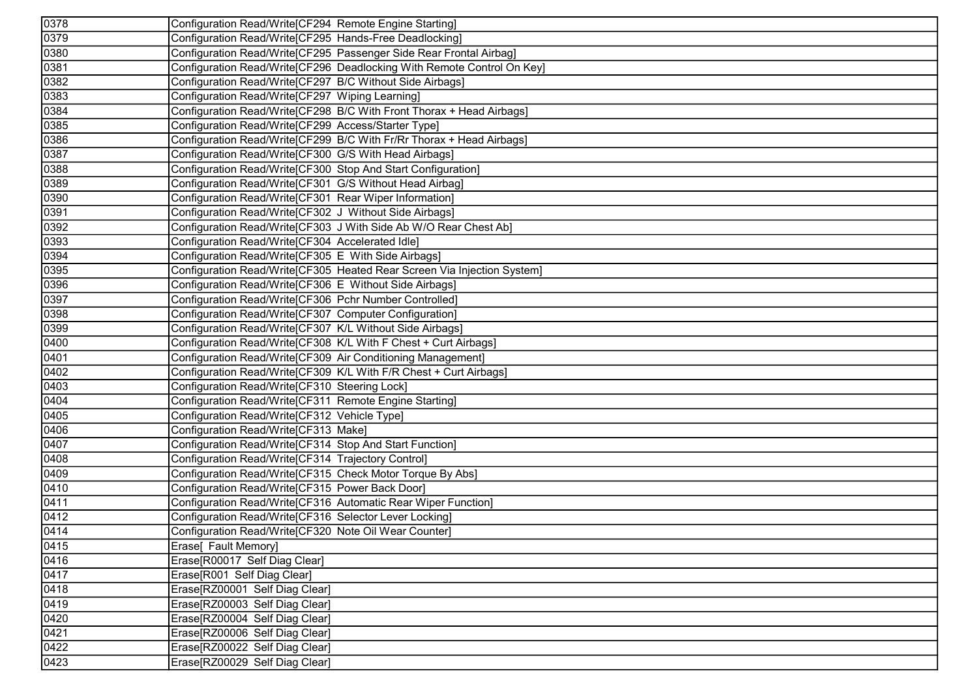| 0378 | Configuration Read/Write[CF294 Remote Engine Starting]                  |
|------|-------------------------------------------------------------------------|
| 0379 | Configuration Read/Write[CF295 Hands-Free Deadlocking]                  |
| 0380 | Configuration Read/Write[CF295 Passenger Side Rear Frontal Airbag]      |
| 0381 | Configuration Read/Write[CF296 Deadlocking With Remote Control On Key]  |
| 0382 | Configuration Read/Write[CF297 B/C Without Side Airbags]                |
| 0383 | Configuration Read/Write[CF297 Wiping Learning]                         |
| 0384 | Configuration Read/Write[CF298 B/C With Front Thorax + Head Airbags]    |
| 0385 | Configuration Read/Write[CF299 Access/Starter Type]                     |
| 0386 | Configuration Read/Write[CF299 B/C With Fr/Rr Thorax + Head Airbags]    |
| 0387 | Configuration Read/Write[CF300 G/S With Head Airbags]                   |
| 0388 | Configuration Read/Write[CF300 Stop And Start Configuration]            |
| 0389 | Configuration Read/Write[CF301 G/S Without Head Airbag]                 |
| 0390 | Configuration Read/Write[CF301 Rear Wiper Information]                  |
| 0391 | Configuration Read/Write[CF302 J Without Side Airbags]                  |
| 0392 | Configuration Read/Write[CF303 J With Side Ab W/O Rear Chest Ab]        |
| 0393 | Configuration Read/Write[CF304 Accelerated Idle]                        |
| 0394 | Configuration Read/Write[CF305 E With Side Airbags]                     |
| 0395 | Configuration Read/Write CF305 Heated Rear Screen Via Injection System] |
| 0396 | Configuration Read/Write[CF306 E Without Side Airbags]                  |
| 0397 | Configuration Read/Write[CF306 Pchr Number Controlled]                  |
| 0398 | Configuration Read/Write[CF307 Computer Configuration]                  |
| 0399 | Configuration Read/Write[CF307 K/L Without Side Airbags]                |
| 0400 | Configuration Read/Write[CF308 K/L With F Chest + Curt Airbags]         |
| 0401 | Configuration Read/Write[CF309 Air Conditioning Management]             |
| 0402 | Configuration Read/Write[CF309 K/L With F/R Chest + Curt Airbags]       |
| 0403 | Configuration Read/Write[CF310 Steering Lock]                           |
| 0404 | Configuration Read/Write[CF311 Remote Engine Starting]                  |
| 0405 | Configuration Read/Write[CF312 Vehicle Type]                            |
| 0406 | Configuration Read/Write[CF313 Make]                                    |
| 0407 | Configuration Read/Write[CF314 Stop And Start Function]                 |
| 0408 | Configuration Read/Write[CF314 Trajectory Control]                      |
| 0409 | Configuration Read/Write[CF315 Check Motor Torque By Abs]               |
| 0410 | Configuration Read/Write[CF315 Power Back Door]                         |
| 0411 | Configuration Read/Write[CF316 Automatic Rear Wiper Function]           |
| 0412 | Configuration Read/Write[CF316 Selector Lever Locking]                  |
| 0414 | Configuration Read/Write[CF320 Note Oil Wear Counter]                   |
| 0415 | Erase[ Fault Memory]                                                    |
| 0416 | Erase[R00017 Self Diag Clear]                                           |
| 0417 | Erase[R001 Self Diag Clear]                                             |
| 0418 | Erase[RZ00001 Self Diag Clear]                                          |
| 0419 | Erase[RZ00003 Self Diag Clear]                                          |
| 0420 | Erase[RZ00004 Self Diag Clear]                                          |
| 0421 | Erase[RZ00006 Self Diag Clear]                                          |
| 0422 | Erase[RZ00022 Self Diag Clear]                                          |
| 0423 | Erase[RZ00029 Self Diag Clear]                                          |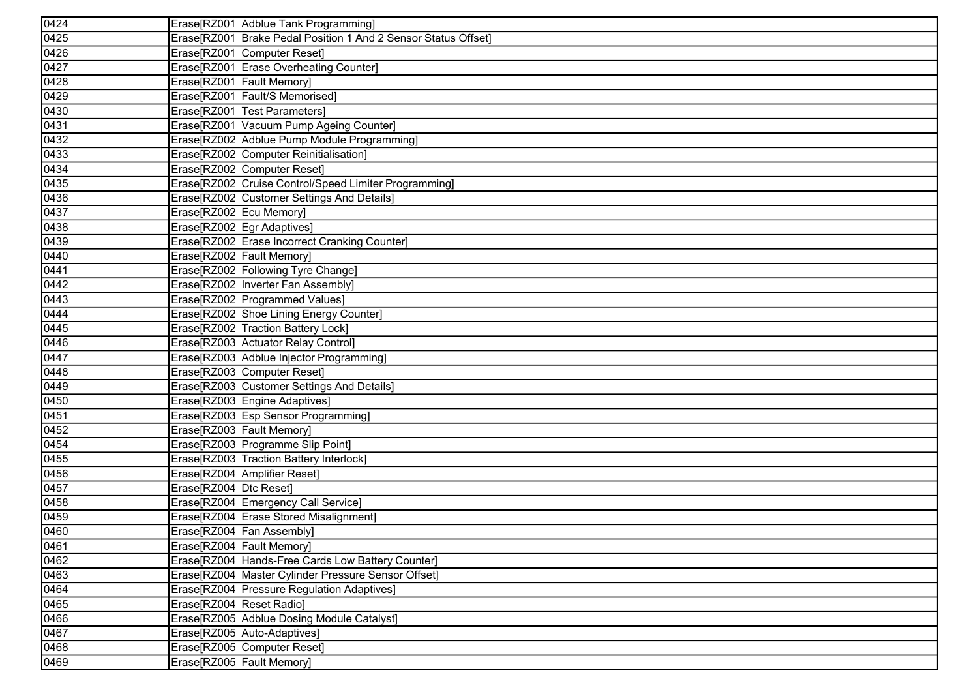| 0424                |                                                                |
|---------------------|----------------------------------------------------------------|
|                     | Erase[RZ001 Adblue Tank Programming]                           |
| $\overline{0425}$   | Erase[RZ001 Brake Pedal Position 1 And 2 Sensor Status Offset] |
| 0426                | Erase[RZ001 Computer Reset]                                    |
| 0427                | Erase[RZ001 Erase Overheating Counter]                         |
| 0428                | Erase[RZ001 Fault Memory]                                      |
| 0429                | Erase[RZ001 Fault/S Memorised]                                 |
| 0430                | Erase[RZ001 Test Parameters]                                   |
| 0431                | Erase[RZ001 Vacuum Pump Ageing Counter]                        |
| 0432<br>0433        | Erase[RZ002 Adblue Pump Module Programming]                    |
|                     | Erase[RZ002 Computer Reinitialisation]                         |
| 0434                | Erase[RZ002 Computer Reset]                                    |
| 0435                | Erase[RZ002 Cruise Control/Speed Limiter Programming]          |
| 0436                | Erase[RZ002 Customer Settings And Details]                     |
| 0437                | Erase[RZ002 Ecu Memory]                                        |
| 0438                | Erase[RZ002 Egr Adaptives]                                     |
| 0439                | Erase[RZ002 Erase Incorrect Cranking Counter]                  |
| 0440                | Erase[RZ002 Fault Memory]                                      |
| 0441                | Erase[RZ002 Following Tyre Change]                             |
| 0442                | Erase[RZ002 Inverter Fan Assembly]                             |
| 0443                | Erase[RZ002 Programmed Values]                                 |
| $\frac{0444}{0445}$ | Erase[RZ002 Shoe Lining Energy Counter]                        |
|                     | Erase[RZ002 Traction Battery Lock]                             |
| 0446                | Erase[RZ003 Actuator Relay Control]                            |
| 0447                | Erase[RZ003 Adblue Injector Programming]                       |
| 0448                | Erase[RZ003 Computer Reset]                                    |
| 0449                | Erase[RZ003 Customer Settings And Details]                     |
| 0450                | Erase[RZ003 Engine Adaptives]                                  |
| 0451                | Erase[RZ003 Esp Sensor Programming]                            |
| 0452                | Erase[RZ003 Fault Memory]                                      |
| 0454                | Erase[RZ003 Programme Slip Point]                              |
| 0455                | Erase[RZ003 Traction Battery Interlock]                        |
| 0456                | Erase[RZ004 Amplifier Reset]                                   |
| 0457                | Erase[RZ004 Dtc Reset]                                         |
| 0458                | Erase[RZ004 Emergency Call Service]                            |
| 0459                | Erase[RZ004 Erase Stored Misalignment]                         |
| 0460                | Erase[RZ004 Fan Assembly]                                      |
| 0461                | Erase[RZ004 Fault Memory]                                      |
| 0462                | Erase[RZ004 Hands-Free Cards Low Battery Counter]              |
| 0463                | Erase[RZ004 Master Cylinder Pressure Sensor Offset]            |
| 0464                | Erase[RZ004 Pressure Regulation Adaptives]                     |
| 0465                | Erase[RZ004 Reset Radio]                                       |
| 0466                | Erase[RZ005 Adblue Dosing Module Catalyst]                     |
| 0467                | Erase[RZ005 Auto-Adaptives]                                    |
| 0468                | Erase[RZ005 Computer Reset]                                    |
| 0469                | Erase[RZ005 Fault Memory]                                      |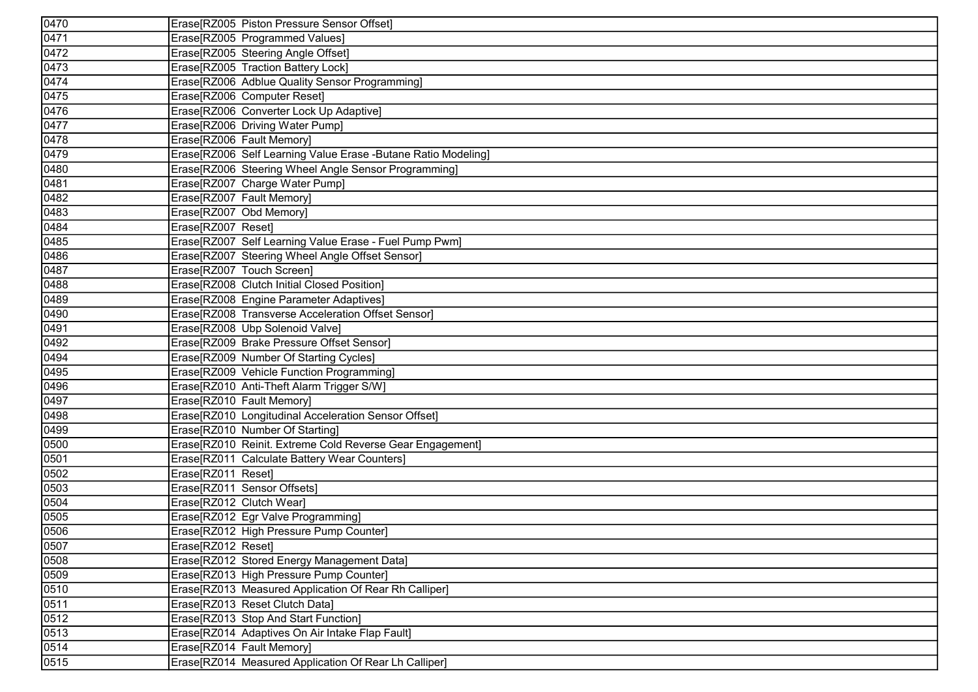| 0470                                                                                | Erase[RZ005 Piston Pressure Sensor Offset]                     |
|-------------------------------------------------------------------------------------|----------------------------------------------------------------|
| 0471                                                                                | Erase[RZ005 Programmed Values]                                 |
| 0472                                                                                | Erase[RZ005 Steering Angle Offset]                             |
| 0473                                                                                | Erase[RZ005 Traction Battery Lock]                             |
| 0474                                                                                | Erase[RZ006 Adblue Quality Sensor Programming]                 |
| 0475                                                                                | Erase[RZ006 Computer Reset]                                    |
| 0476                                                                                | Erase[RZ006 Converter Lock Up Adaptive]                        |
| 0477                                                                                | Erase[RZ006 Driving Water Pump]                                |
| 0478                                                                                | Erase[RZ006 Fault Memory]                                      |
| 0479                                                                                | Erase[RZ006 Self Learning Value Erase - Butane Ratio Modeling] |
|                                                                                     | Erase[RZ006 Steering Wheel Angle Sensor Programming]           |
| 0480<br>0481                                                                        | Erase[RZ007 Charge Water Pump]                                 |
| 0482                                                                                | Erase[RZ007 Fault Memory]                                      |
| 0483                                                                                | Erase[RZ007 Obd Memory]                                        |
| 0484                                                                                | Erase[RZ007 Reset]                                             |
| 0485                                                                                | Erase[RZ007 Self Learning Value Erase - Fuel Pump Pwm]         |
| 0486                                                                                | Erase[RZ007 Steering Wheel Angle Offset Sensor]                |
| 0487                                                                                | Erase[RZ007 Touch Screen]                                      |
| 0488                                                                                | Erase[RZ008 Clutch Initial Closed Position]                    |
| 0489                                                                                | Erase[RZ008 Engine Parameter Adaptives]                        |
| 0490                                                                                | Erase[RZ008 Transverse Acceleration Offset Sensor]             |
|                                                                                     | Erase[RZ008 Ubp Solenoid Valve]                                |
| $\frac{\overline{0491}}{\overline{0492}}$ $\frac{\overline{0494}}{\overline{0495}}$ | Erase[RZ009 Brake Pressure Offset Sensor]                      |
|                                                                                     | Erase[RZ009 Number Of Starting Cycles]                         |
|                                                                                     | Erase[RZ009 Vehicle Function Programming]                      |
| 0496                                                                                | Erase[RZ010 Anti-Theft Alarm Trigger S/W]                      |
| 0497                                                                                | Erase[RZ010 Fault Memory]                                      |
| 0498                                                                                | Erase[RZ010 Longitudinal Acceleration Sensor Offset]           |
| 0499                                                                                | Erase[RZ010 Number Of Starting]                                |
| 0500                                                                                | Erase[RZ010 Reinit. Extreme Cold Reverse Gear Engagement]      |
| 0501                                                                                | Erase[RZ011 Calculate Battery Wear Counters]                   |
| 0502                                                                                | Erase[RZ011 Reset]                                             |
| 0503                                                                                | Erase[RZ011 Sensor Offsets]                                    |
| $\frac{0504}{0505}$                                                                 | Erase[RZ012 Clutch Wear]                                       |
|                                                                                     | Erase[RZ012 Egr Valve Programming]                             |
| 0506                                                                                | Erase[RZ012 High Pressure Pump Counter]                        |
| 0507                                                                                | Erase[RZ012 Reset]                                             |
| 0508                                                                                | Erase[RZ012 Stored Energy Management Data]                     |
| 0509                                                                                | Erase[RZ013 High Pressure Pump Counter]                        |
| 0510                                                                                | Erase[RZ013 Measured Application Of Rear Rh Calliper]          |
| 0511                                                                                | Erase[RZ013 Reset Clutch Data]                                 |
| 0512                                                                                | Erase[RZ013 Stop And Start Function]                           |
| 0513                                                                                | Erase[RZ014 Adaptives On Air Intake Flap Fault]                |
| 0514                                                                                | Erase[RZ014 Fault Memory]                                      |
| 0515                                                                                | Erase[RZ014 Measured Application Of Rear Lh Calliper]          |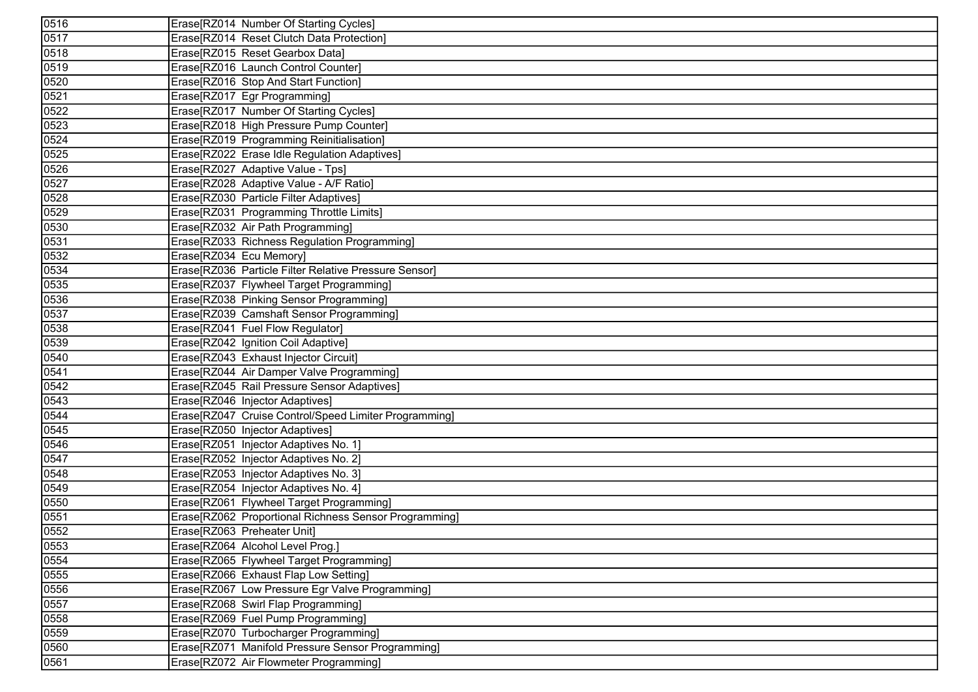| 0516                 | Erase[RZ014 Number Of Starting Cycles]                |
|----------------------|-------------------------------------------------------|
| $\overline{0517}$    | Erase[RZ014 Reset Clutch Data Protection]             |
| 0518                 | Erase[RZ015 Reset Gearbox Data]                       |
| 0519                 | Erase[RZ016 Launch Control Counter]                   |
| 0520                 | Erase[RZ016 Stop And Start Function]                  |
| 0521                 | Erase[RZ017 Egr Programming]                          |
| 0522                 | Erase[RZ017 Number Of Starting Cycles]                |
| 0523                 | Erase[RZ018 High Pressure Pump Counter]               |
| 0524<br>0525<br>0526 | Erase[RZ019 Programming Reinitialisation]             |
|                      | Erase[RZ022 Erase Idle Regulation Adaptives]          |
|                      | Erase[RZ027 Adaptive Value - Tps]                     |
| 0527                 | Erase[RZ028 Adaptive Value - A/F Ratio]               |
| 0528                 | Erase[RZ030 Particle Filter Adaptives]                |
| 0529                 | Erase[RZ031 Programming Throttle Limits]              |
| 0530                 | Erase[RZ032 Air Path Programming]                     |
| 0531                 | Erase[RZ033 Richness Regulation Programming]          |
| 0532                 | Erase[RZ034 Ecu Memory]                               |
| 0534                 | Erase[RZ036 Particle Filter Relative Pressure Sensor] |
| 0535                 | Erase[RZ037 Flywheel Target Programming]              |
| 0536                 | Erase[RZ038 Pinking Sensor Programming]               |
|                      | Erase[RZ039 Camshaft Sensor Programming]              |
| 0537<br>0538<br>0539 | Erase[RZ041 Fuel Flow Regulator]                      |
|                      | Erase[RZ042 Ignition Coil Adaptive]                   |
| 0540                 | Erase[RZ043 Exhaust Injector Circuit]                 |
| 0541                 | Erase[RZ044 Air Damper Valve Programming]             |
| 0542                 | Erase[RZ045 Rail Pressure Sensor Adaptives]           |
| 0543                 | Erase[RZ046 Injector Adaptives]                       |
| 0544                 | Erase[RZ047 Cruise Control/Speed Limiter Programming] |
| 0545                 | Erase[RZ050 Injector Adaptives]                       |
| 0546                 | Erase[RZ051 Injector Adaptives No. 1]                 |
| 0547                 | Erase[RZ052 Injector Adaptives No. 2]                 |
| 0548                 | Erase[RZ053 Injector Adaptives No. 3]                 |
| 0549                 | Erase[RZ054 Injector Adaptives No. 4]                 |
| 0550<br>0551<br>0552 | Erase[RZ061 Flywheel Target Programming]              |
|                      | Erase[RZ062 Proportional Richness Sensor Programming] |
|                      | Erase[RZ063 Preheater Unit]                           |
| 0553                 | Erase[RZ064 Alcohol Level Prog.]                      |
| 0554                 | Erase[RZ065 Flywheel Target Programming]              |
| 0555                 | Erase[RZ066 Exhaust Flap Low Setting]                 |
| 0556                 | Erase[RZ067 Low Pressure Egr Valve Programming]       |
| 0557                 | Erase[RZ068 Swirl Flap Programming]                   |
| 0558                 | Erase[RZ069 Fuel Pump Programming]                    |
| 0559                 | Erase[RZ070 Turbocharger Programming]                 |
| 0560                 | Erase[RZ071 Manifold Pressure Sensor Programming]     |
| 0561                 | Erase[RZ072 Air Flowmeter Programming]                |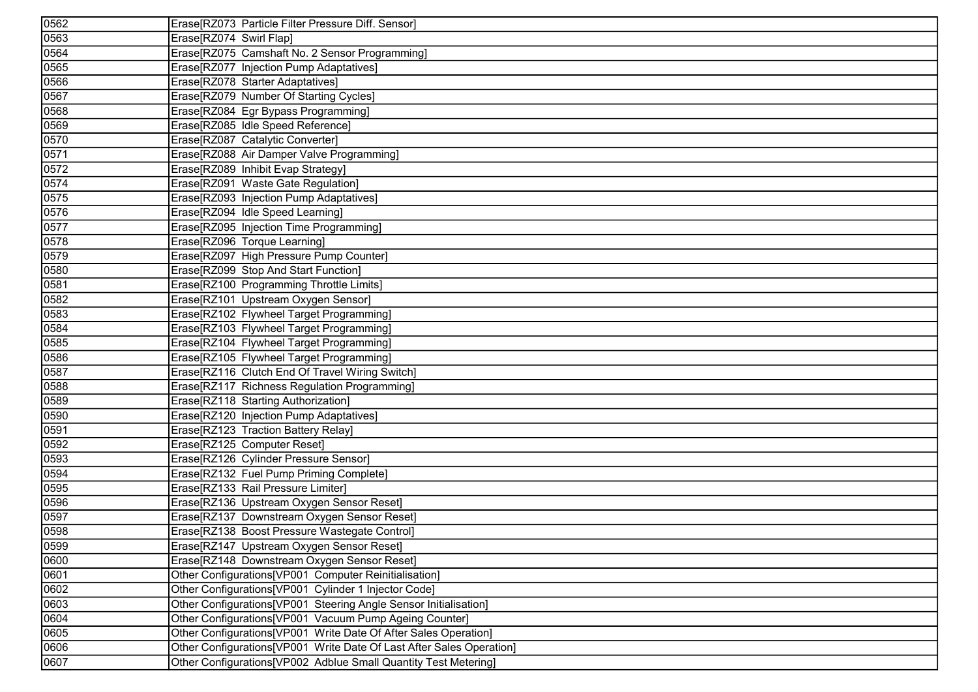| 0562 | Erase[RZ073 Particle Filter Pressure Diff. Sensor]                    |
|------|-----------------------------------------------------------------------|
| 0563 | Erase[RZ074 Swirl Flap]                                               |
| 0564 | Erase[RZ075 Camshaft No. 2 Sensor Programming]                        |
| 0565 | Erase[RZ077 Injection Pump Adaptatives]                               |
| 0566 | Erase[RZ078 Starter Adaptatives]                                      |
| 0567 | Erase[RZ079 Number Of Starting Cycles]                                |
| 0568 | Erase[RZ084 Egr Bypass Programming]                                   |
| 0569 | Erase[RZ085 Idle Speed Reference]                                     |
| 0570 | Erase[RZ087 Catalytic Converter]                                      |
| 0571 | Erase[RZ088 Air Damper Valve Programming]                             |
| 0572 | Erase[RZ089 Inhibit Evap Strategy]                                    |
| 0574 | Erase[RZ091 Waste Gate Regulation]                                    |
| 0575 | Erase[RZ093 Injection Pump Adaptatives]                               |
| 0576 | Erase[RZ094 Idle Speed Learning]                                      |
| 0577 | Erase[RZ095 Injection Time Programming]                               |
| 0578 | Erase[RZ096 Torque Learning]                                          |
| 0579 | Erase[RZ097 High Pressure Pump Counter]                               |
| 0580 | Erase[RZ099 Stop And Start Function]                                  |
| 0581 | Erase[RZ100 Programming Throttle Limits]                              |
| 0582 | Erase[RZ101 Upstream Oxygen Sensor]                                   |
| 0583 | Erase[RZ102 Flywheel Target Programming]                              |
| 0584 | Erase[RZ103 Flywheel Target Programming]                              |
| 0585 | Erase[RZ104 Flywheel Target Programming]                              |
| 0586 | Erase[RZ105 Flywheel Target Programming]                              |
| 0587 | Erase[RZ116 Clutch End Of Travel Wiring Switch]                       |
| 0588 | Erase[RZ117 Richness Regulation Programming]                          |
| 0589 | Erase[RZ118 Starting Authorization]                                   |
| 0590 | Erase[RZ120 Injection Pump Adaptatives]                               |
| 0591 | Erase[RZ123 Traction Battery Relay]                                   |
| 0592 | Erase[RZ125 Computer Reset]                                           |
| 0593 | Erase[RZ126 Cylinder Pressure Sensor]                                 |
| 0594 | Erase[RZ132 Fuel Pump Priming Complete]                               |
| 0595 | Erase[RZ133 Rail Pressure Limiter]                                    |
| 0596 | Erase[RZ136 Upstream Oxygen Sensor Reset]                             |
| 0597 | Erase[RZ137 Downstream Oxygen Sensor Reset]                           |
| 0598 | Erase[RZ138 Boost Pressure Wastegate Control]                         |
| 0599 | Erase[RZ147 Upstream Oxygen Sensor Reset]                             |
| 0600 | Erase[RZ148 Downstream Oxygen Sensor Reset]                           |
| 0601 | Other Configurations[VP001 Computer Reinitialisation]                 |
| 0602 | Other Configurations[VP001 Cylinder 1 Injector Code]                  |
| 0603 | Other Configurations[VP001 Steering Angle Sensor Initialisation]      |
| 0604 | Other Configurations [VP001 Vacuum Pump Ageing Counter]               |
| 0605 | Other Configurations [VP001 Write Date Of After Sales Operation]      |
| 0606 | Other Configurations [VP001 Write Date Of Last After Sales Operation] |
| 0607 | Other Configurations [VP002 Adblue Small Quantity Test Metering]      |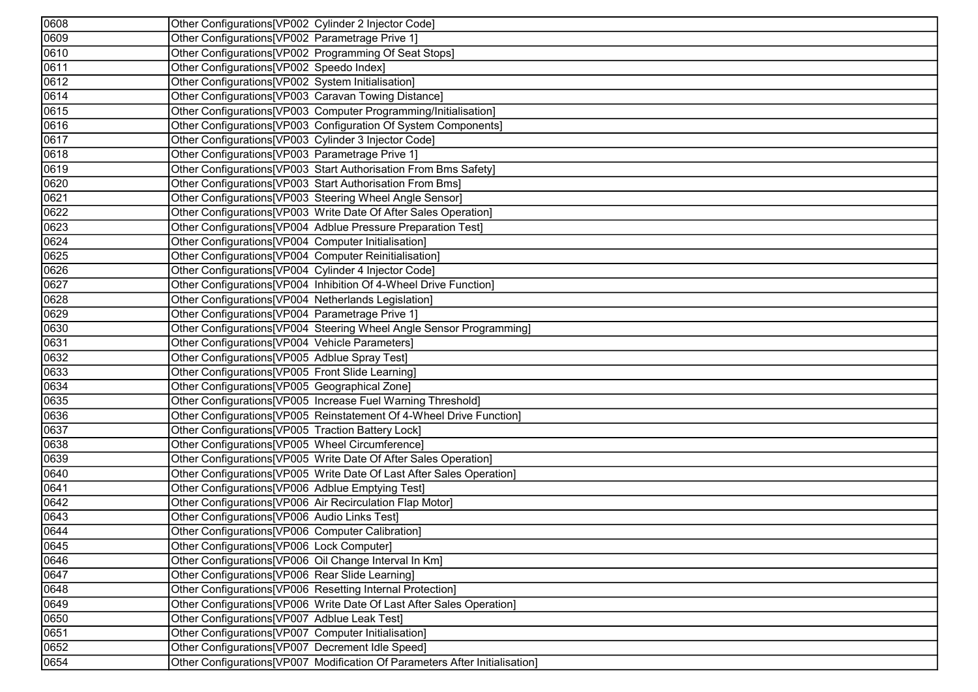| 0608 | Other Configurations[VP002 Cylinder 2 Injector Code]                        |
|------|-----------------------------------------------------------------------------|
| 0609 | Other Configurations[VP002 Parametrage Prive 1]                             |
| 0610 | Other Configurations[VP002 Programming Of Seat Stops]                       |
| 0611 | Other Configurations[VP002 Speedo Index]                                    |
| 0612 | Other Configurations[VP002 System Initialisation]                           |
| 0614 | Other Configurations[VP003 Caravan Towing Distance]                         |
| 0615 | Other Configurations[VP003 Computer Programming/Initialisation]             |
| 0616 | Other Configurations[VP003 Configuration Of System Components]              |
| 0617 | Other Configurations[VP003 Cylinder 3 Injector Code]                        |
| 0618 | Other Configurations[VP003 Parametrage Prive 1]                             |
| 0619 | Other Configurations[VP003 Start Authorisation From Bms Safety]             |
| 0620 | Other Configurations[VP003 Start Authorisation From Bms]                    |
| 0621 | Other Configurations[VP003 Steering Wheel Angle Sensor]                     |
| 0622 | Other Configurations[VP003 Write Date Of After Sales Operation]             |
| 0623 | Other Configurations[VP004 Adblue Pressure Preparation Test]                |
| 0624 | Other Configurations[VP004 Computer Initialisation]                         |
| 0625 | Other Configurations [VP004 Computer Reinitialisation]                      |
| 0626 | Other Configurations[VP004 Cylinder 4 Injector Code]                        |
| 0627 | Other Configurations[VP004 Inhibition Of 4-Wheel Drive Function]            |
| 0628 | Other Configurations [VP004 Netherlands Legislation]                        |
| 0629 | Other Configurations[VP004 Parametrage Prive 1]                             |
| 0630 | Other Configurations[VP004 Steering Wheel Angle Sensor Programming]         |
| 0631 | Other Configurations[VP004 Vehicle Parameters]                              |
| 0632 | Other Configurations[VP005 Adblue Spray Test]                               |
| 0633 | Other Configurations[VP005 Front Slide Learning]                            |
| 0634 | Other Configurations[VP005 Geographical Zone]                               |
| 0635 | Other Configurations[VP005 Increase Fuel Warning Threshold]                 |
| 0636 | Other Configurations[VP005 Reinstatement Of 4-Wheel Drive Function]         |
| 0637 | Other Configurations[VP005 Traction Battery Lock]                           |
| 0638 | Other Configurations[VP005 Wheel Circumference]                             |
| 0639 | Other Configurations[VP005 Write Date Of After Sales Operation]             |
| 0640 | Other Configurations[VP005 Write Date Of Last After Sales Operation]        |
| 0641 | Other Configurations[VP006 Adblue Emptying Test]                            |
| 0642 | Other Configurations [VP006 Air Recirculation Flap Motor]                   |
| 0643 | Other Configurations[VP006 Audio Links Test]                                |
| 0644 | Other Configurations [VP006 Computer Calibration]                           |
| 0645 | Other Configurations[VP006 Lock Computer]                                   |
| 0646 | Other Configurations[VP006 Oil Change Interval In Km]                       |
| 0647 | Other Configurations[VP006 Rear Slide Learning]                             |
| 0648 | Other Configurations[VP006 Resetting Internal Protection]                   |
| 0649 | Other Configurations[VP006 Write Date Of Last After Sales Operation]        |
| 0650 | Other Configurations [VP007 Adblue Leak Test]                               |
| 0651 | Other Configurations[VP007 Computer Initialisation]                         |
| 0652 | Other Configurations [VP007 Decrement Idle Speed]                           |
| 0654 | Other Configurations[VP007 Modification Of Parameters After Initialisation] |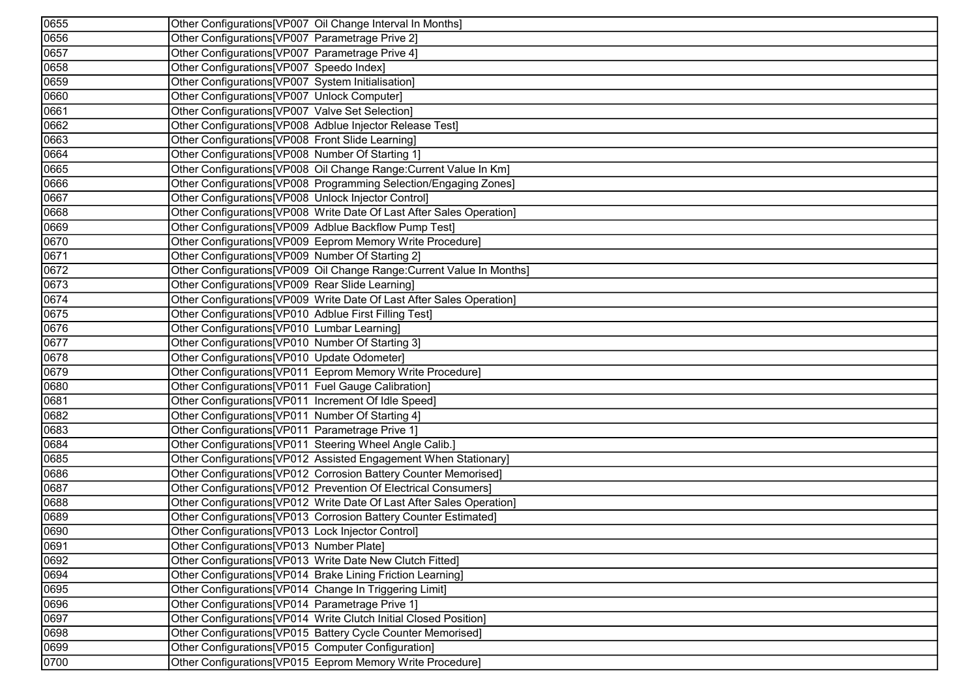| 0655 | Other Configurations[VP007 Oil Change Interval In Months]              |
|------|------------------------------------------------------------------------|
| 0656 | Other Configurations[VP007 Parametrage Prive 2]                        |
| 0657 | Other Configurations[VP007 Parametrage Prive 4]                        |
| 0658 | Other Configurations[VP007 Speedo Index]                               |
| 0659 | Other Configurations[VP007 System Initialisation]                      |
| 0660 | Other Configurations[VP007 Unlock Computer]                            |
| 0661 | Other Configurations[VP007 Valve Set Selection]                        |
| 0662 | Other Configurations[VP008 Adblue Injector Release Test]               |
| 0663 | Other Configurations[VP008 Front Slide Learning]                       |
| 0664 | Other Configurations[VP008 Number Of Starting 1]                       |
| 0665 | Other Configurations[VP008 Oil Change Range:Current Value In Km]       |
| 0666 | Other Configurations[VP008 Programming Selection/Engaging Zones]       |
| 0667 | Other Configurations[VP008 Unlock Injector Control]                    |
| 0668 | Other Configurations[VP008 Write Date Of Last After Sales Operation]   |
| 0669 | Other Configurations[VP009 Adblue Backflow Pump Test]                  |
| 0670 | Other Configurations[VP009 Eeprom Memory Write Procedure]              |
| 0671 | Other Configurations[VP009 Number Of Starting 2]                       |
| 0672 | Other Configurations [VP009 Oil Change Range: Current Value In Months] |
| 0673 | Other Configurations [VP009 Rear Slide Learning]                       |
| 0674 | Other Configurations [VP009 Write Date Of Last After Sales Operation]  |
| 0675 | Other Configurations [VP010 Adblue First Filling Test]                 |
| 0676 | Other Configurations[VP010 Lumbar Learning]                            |
| 0677 | Other Configurations[VP010 Number Of Starting 3]                       |
| 0678 | Other Configurations[VP010 Update Odometer]                            |
| 0679 | Other Configurations[VP011 Eeprom Memory Write Procedure]              |
| 0680 | Other Configurations[VP011 Fuel Gauge Calibration]                     |
| 0681 | Other Configurations[VP011 Increment Of Idle Speed]                    |
| 0682 | Other Configurations [VP011 Number Of Starting 4]                      |
| 0683 | Other Configurations[VP011 Parametrage Prive 1]                        |
| 0684 | Other Configurations[VP011 Steering Wheel Angle Calib.]                |
| 0685 | Other Configurations[VP012 Assisted Engagement When Stationary]        |
| 0686 | Other Configurations[VP012 Corrosion Battery Counter Memorised]        |
| 0687 | Other Configurations[VP012 Prevention Of Electrical Consumers]         |
| 0688 | Other Configurations[VP012 Write Date Of Last After Sales Operation]   |
| 0689 | Other Configurations[VP013 Corrosion Battery Counter Estimated]        |
| 0690 | Other Configurations [VP013 Lock Injector Control]                     |
| 0691 | Other Configurations[VP013 Number Plate]                               |
| 0692 | Other Configurations[VP013 Write Date New Clutch Fitted]               |
| 0694 | Other Configurations[VP014 Brake Lining Friction Learning]             |
| 0695 | Other Configurations [VP014 Change In Triggering Limit]                |
| 0696 | Other Configurations[VP014 Parametrage Prive 1]                        |
| 0697 | Other Configurations [VP014 Write Clutch Initial Closed Position]      |
| 0698 | Other Configurations [VP015 Battery Cycle Counter Memorised]           |
| 0699 | Other Configurations[VP015 Computer Configuration]                     |
| 0700 | Other Configurations[VP015 Eeprom Memory Write Procedure]              |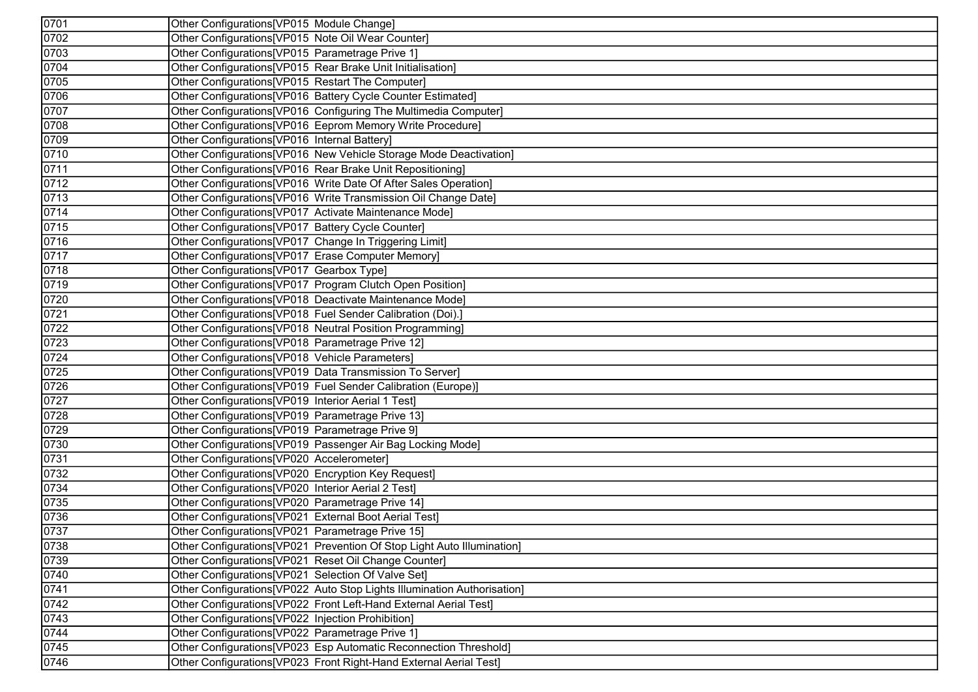| $\overline{0701}$ | Other Configurations[VP015 Module Change]                               |
|-------------------|-------------------------------------------------------------------------|
| 0702              | Other Configurations[VP015 Note Oil Wear Counter]                       |
| 0703              | Other Configurations[VP015 Parametrage Prive 1]                         |
| 0704              | Other Configurations[VP015 Rear Brake Unit Initialisation]              |
| 0705              | Other Configurations[VP015 Restart The Computer]                        |
| 0706              | Other Configurations[VP016 Battery Cycle Counter Estimated]             |
| 0707              | Other Configurations[VP016 Configuring The Multimedia Computer]         |
| 0708              | Other Configurations[VP016 Eeprom Memory Write Procedure]               |
| 0709              | Other Configurations[VP016 Internal Battery]                            |
| 0710              | Other Configurations[VP016 New Vehicle Storage Mode Deactivation]       |
| 0711              | Other Configurations[VP016 Rear Brake Unit Repositioning]               |
| 0712              | Other Configurations [VP016 Write Date Of After Sales Operation]        |
| 0713              | Other Configurations[VP016 Write Transmission Oil Change Date]          |
| 0714              | Other Configurations[VP017 Activate Maintenance Mode]                   |
| 0715              | Other Configurations[VP017 Battery Cycle Counter]                       |
| 0716              | Other Configurations[VP017 Change In Triggering Limit]                  |
| 0717              | Other Configurations[VP017 Erase Computer Memory]                       |
| 0718              | Other Configurations[VP017 Gearbox Type]                                |
| 0719              | Other Configurations[VP017 Program Clutch Open Position]                |
| 0720              | Other Configurations[VP018 Deactivate Maintenance Mode]                 |
| 0721              | Other Configurations[VP018 Fuel Sender Calibration (Doi).]              |
| 0722              | Other Configurations[VP018 Neutral Position Programming]                |
| 0723              | Other Configurations[VP018 Parametrage Prive 12]                        |
| 0724              | Other Configurations[VP018 Vehicle Parameters]                          |
| 0725              | Other Configurations[VP019 Data Transmission To Server]                 |
| 0726              | Other Configurations[VP019 Fuel Sender Calibration (Europe)]            |
| 0727              | Other Configurations[VP019 Interior Aerial 1 Test]                      |
| 0728              | Other Configurations[VP019 Parametrage Prive 13]                        |
| 0729              | Other Configurations[VP019 Parametrage Prive 9]                         |
| 0730              | Other Configurations[VP019 Passenger Air Bag Locking Mode]              |
| 0731              | Other Configurations[VP020 Accelerometer]                               |
| 0732              | Other Configurations[VP020 Encryption Key Request]                      |
| 0734              | Other Configurations [VP020 Interior Aerial 2 Test]                     |
| 0735              | Other Configurations [VP020 Parametrage Prive 14]                       |
| 0736              | Other Configurations[VP021 External Boot Aerial Test]                   |
| 0737              | Other Configurations[VP021 Parametrage Prive 15]                        |
| 0738              | Other Configurations[VP021 Prevention Of Stop Light Auto Illumination]  |
| 0739              | Other Configurations[VP021 Reset Oil Change Counter]                    |
| 0740              | Other Configurations [VP021 Selection Of Valve Set]                     |
| 0741              | Other Configurations[VP022 Auto Stop Lights Illumination Authorisation] |
| 0742              | Other Configurations [VP022 Front Left-Hand External Aerial Test]       |
| 0743              | Other Configurations[VP022 Injection Prohibition]                       |
| 0744              | Other Configurations [VP022 Parametrage Prive 1]                        |
| 0745              | Other Configurations[VP023 Esp Automatic Reconnection Threshold]        |
| 0746              | Other Configurations[VP023 Front Right-Hand External Aerial Test]       |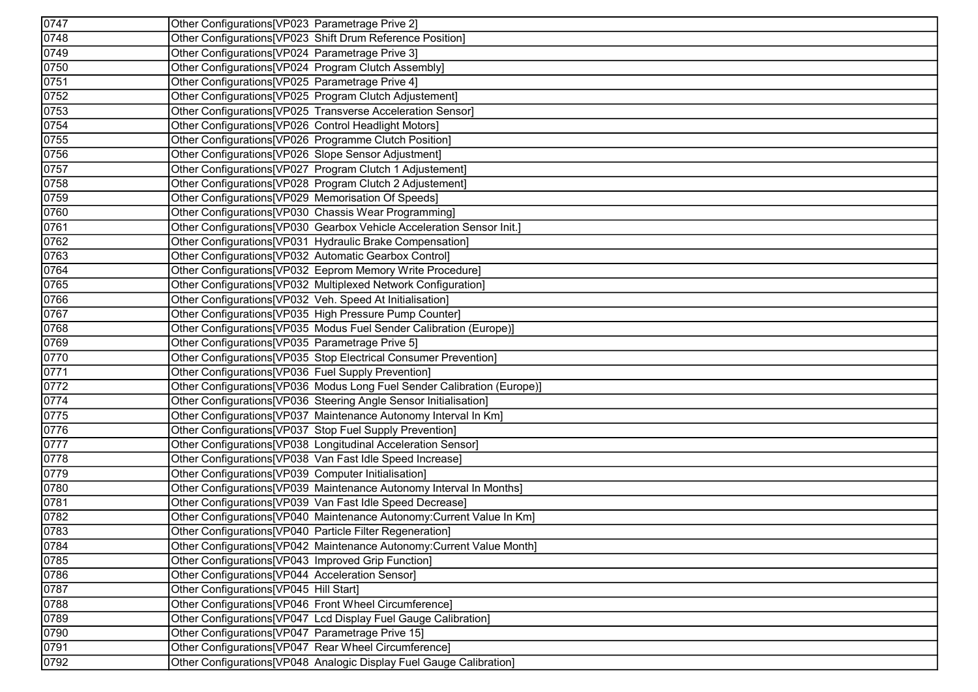| 0747              | Other Configurations [VP023 Parametrage Prive 2]                        |
|-------------------|-------------------------------------------------------------------------|
| 0748              | Other Configurations [VP023 Shift Drum Reference Position]              |
| 0749              | Other Configurations[VP024 Parametrage Prive 3]                         |
| 0750              | Other Configurations[VP024 Program Clutch Assembly]                     |
| 0751              | Other Configurations [VP025 Parametrage Prive 4]                        |
| 0752              | Other Configurations[VP025 Program Clutch Adjustement]                  |
| 0753              | Other Configurations[VP025 Transverse Acceleration Sensor]              |
| 0754              | Other Configurations[VP026 Control Headlight Motors]                    |
| 0755              | Other Configurations[VP026 Programme Clutch Position]                   |
| 0756              | Other Configurations[VP026 Slope Sensor Adjustment]                     |
| 0757              | Other Configurations[VP027 Program Clutch 1 Adjustement]                |
| 0758              | Other Configurations[VP028 Program Clutch 2 Adjustement]                |
| $\overline{0759}$ | Other Configurations[VP029 Memorisation Of Speeds]                      |
| 0760              | Other Configurations[VP030 Chassis Wear Programming]                    |
| $\overline{0761}$ | Other Configurations[VP030 Gearbox Vehicle Acceleration Sensor Init.]   |
| 0762              | Other Configurations[VP031 Hydraulic Brake Compensation]                |
| 0763              | Other Configurations [VP032 Automatic Gearbox Control]                  |
| 0764              | Other Configurations [VP032 Eeprom Memory Write Procedure]              |
| 0765              | Other Configurations[VP032 Multiplexed Network Configuration]           |
| 0766              | Other Configurations[VP032 Veh. Speed At Initialisation]                |
| 0767              | Other Configurations[VP035 High Pressure Pump Counter]                  |
| 0768              | Other Configurations[VP035 Modus Fuel Sender Calibration (Europe)]      |
| 0769              | Other Configurations[VP035 Parametrage Prive 5]                         |
| 0770              | Other Configurations[VP035 Stop Electrical Consumer Prevention]         |
| 0771              | Other Configurations[VP036 Fuel Supply Prevention]                      |
| 0772              | Other Configurations[VP036 Modus Long Fuel Sender Calibration (Europe)] |
| $\overline{0774}$ | Other Configurations[VP036 Steering Angle Sensor Initialisation]        |
| $\overline{0775}$ | Other Configurations[VP037 Maintenance Autonomy Interval In Km]         |
| 0776              | Other Configurations[VP037 Stop Fuel Supply Prevention]                 |
| 0777              | Other Configurations[VP038 Longitudinal Acceleration Sensor]            |
| 0778              | Other Configurations[VP038 Van Fast Idle Speed Increase]                |
| 0779              | Other Configurations[VP039 Computer Initialisation]                     |
| 0780              | Other Configurations[VP039 Maintenance Autonomy Interval In Months]     |
| 0781              | Other Configurations[VP039 Van Fast Idle Speed Decrease]                |
| 0782              | Other Configurations[VP040 Maintenance Autonomy:Current Value In Km]    |
| 0783              | Other Configurations [VP040 Particle Filter Regeneration]               |
| 0784              | Other Configurations[VP042 Maintenance Autonomy:Current Value Month]    |
| 0785              | Other Configurations [VP043 Improved Grip Function]                     |
| 0786              | Other Configurations [VP044 Acceleration Sensor]                        |
| 0787              | Other Configurations[VP045 Hill Start]                                  |
| 0788              | Other Configurations [VP046 Front Wheel Circumference]                  |
| 0789              | Other Configurations[VP047 Lcd Display Fuel Gauge Calibration]          |
| 0790              | Other Configurations[VP047 Parametrage Prive 15]                        |
| $\overline{0791}$ | Other Configurations [VP047 Rear Wheel Circumference]                   |
| 0792              | Other Configurations[VP048 Analogic Display Fuel Gauge Calibration]     |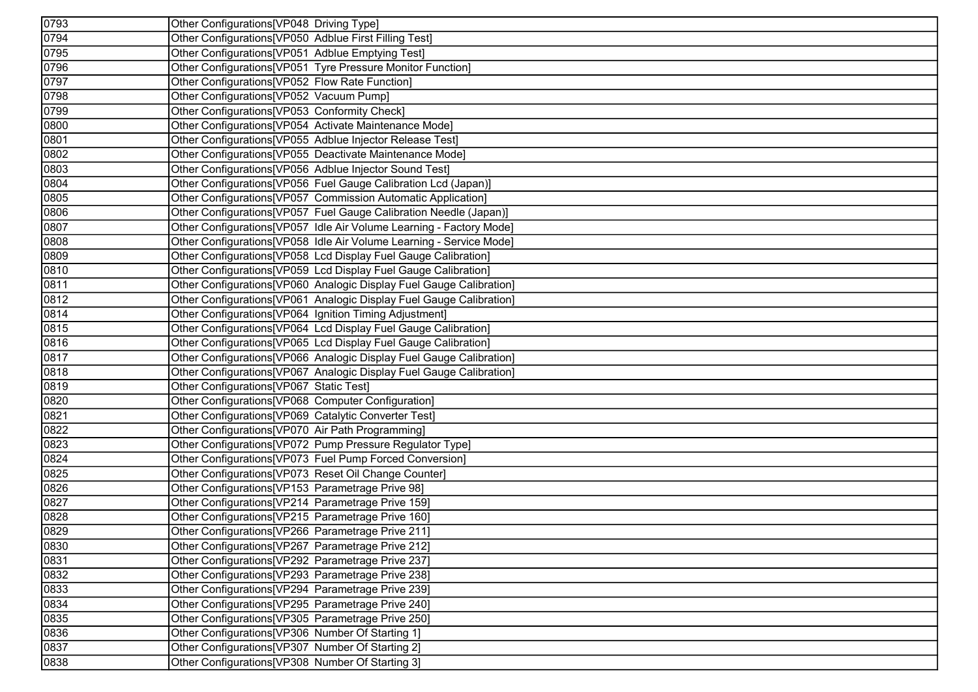| 0793 | Other Configurations[VP048 Driving Type]                             |
|------|----------------------------------------------------------------------|
| 0794 | Other Configurations[VP050 Adblue First Filling Test]                |
| 0795 | Other Configurations [VP051 Adblue Emptying Test]                    |
| 0796 | Other Configurations[VP051 Tyre Pressure Monitor Function]           |
| 0797 | Other Configurations[VP052 Flow Rate Function]                       |
| 0798 | Other Configurations[VP052 Vacuum Pump]                              |
| 0799 | Other Configurations[VP053 Conformity Check]                         |
| 0800 | Other Configurations [VP054 Activate Maintenance Mode]               |
| 0801 | Other Configurations[VP055 Adblue Injector Release Test]             |
| 0802 | Other Configurations [VP055 Deactivate Maintenance Mode]             |
| 0803 | Other Configurations[VP056 Adblue Injector Sound Test]               |
| 0804 | Other Configurations[VP056 Fuel Gauge Calibration Lcd (Japan)]       |
| 0805 | Other Configurations[VP057 Commission Automatic Application]         |
| 0806 | Other Configurations[VP057 Fuel Gauge Calibration Needle (Japan)]    |
| 0807 | Other Configurations[VP057 Idle Air Volume Learning - Factory Mode]  |
| 0808 | Other Configurations[VP058 Idle Air Volume Learning - Service Mode]  |
| 0809 | Other Configurations[VP058 Lcd Display Fuel Gauge Calibration]       |
| 0810 | Other Configurations [VP059 Lcd Display Fuel Gauge Calibration]      |
| 0811 | Other Configurations[VP060 Analogic Display Fuel Gauge Calibration]  |
| 0812 | Other Configurations [VP061 Analogic Display Fuel Gauge Calibration] |
| 0814 | Other Configurations[VP064 Ignition Timing Adjustment]               |
| 0815 | Other Configurations[VP064 Lcd Display Fuel Gauge Calibration]       |
| 0816 | Other Configurations[VP065 Lcd Display Fuel Gauge Calibration]       |
| 0817 | Other Configurations[VP066 Analogic Display Fuel Gauge Calibration]  |
| 0818 | Other Configurations[VP067 Analogic Display Fuel Gauge Calibration]  |
| 0819 | Other Configurations[VP067 Static Test]                              |
| 0820 | Other Configurations[VP068 Computer Configuration]                   |
| 0821 | Other Configurations[VP069 Catalytic Converter Test]                 |
| 0822 | Other Configurations[VP070 Air Path Programming]                     |
| 0823 | Other Configurations[VP072 Pump Pressure Regulator Type]             |
| 0824 | Other Configurations[VP073 Fuel Pump Forced Conversion]              |
| 0825 | Other Configurations[VP073 Reset Oil Change Counter]                 |
| 0826 | Other Configurations [VP153 Parametrage Prive 98]                    |
| 0827 | Other Configurations[VP214 Parametrage Prive 159]                    |
| 0828 | Other Configurations[VP215 Parametrage Prive 160]                    |
| 0829 | Other Configurations[VP266 Parametrage Prive 211]                    |
| 0830 | Other Configurations[VP267 Parametrage Prive 212]                    |
| 0831 | Other Configurations[VP292 Parametrage Prive 237]                    |
| 0832 | Other Configurations[VP293 Parametrage Prive 238]                    |
| 0833 | Other Configurations [VP294 Parametrage Prive 239]                   |
| 0834 | Other Configurations [VP295 Parametrage Prive 240]                   |
| 0835 | Other Configurations[VP305 Parametrage Prive 250]                    |
| 0836 | Other Configurations[VP306 Number Of Starting 1]                     |
| 0837 | Other Configurations[VP307 Number Of Starting 2]                     |
| 0838 | Other Configurations [VP308 Number Of Starting 3]                    |